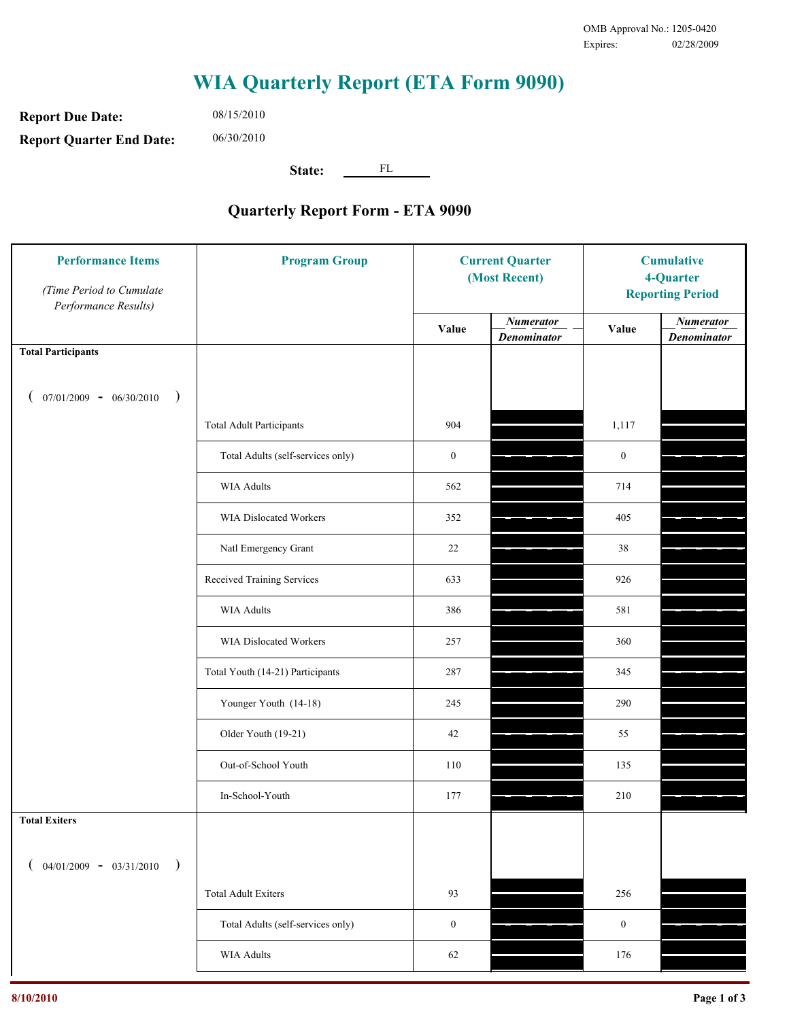**Report Due Date: Report Quarter End Date:** 06/30/2010

08/15/2010

**State:** FL

| <b>Performance Items</b><br>(Time Period to Cumulate<br>Performance Results) | <b>Program Group</b>              | <b>Current Quarter</b><br>(Most Recent) |                                        | <b>Cumulative</b><br>4-Quarter<br><b>Reporting Period</b> |                                        |
|------------------------------------------------------------------------------|-----------------------------------|-----------------------------------------|----------------------------------------|-----------------------------------------------------------|----------------------------------------|
|                                                                              |                                   | Value                                   | <b>Numerator</b><br><b>Denominator</b> | Value                                                     | <b>Numerator</b><br><b>Denominator</b> |
| <b>Total Participants</b>                                                    |                                   |                                         |                                        |                                                           |                                        |
| $07/01/2009 - 06/30/2010$<br>$\big)$                                         |                                   |                                         |                                        |                                                           |                                        |
|                                                                              | <b>Total Adult Participants</b>   | 904                                     |                                        | 1,117                                                     |                                        |
|                                                                              | Total Adults (self-services only) | $\boldsymbol{0}$                        |                                        | $\boldsymbol{0}$                                          |                                        |
|                                                                              | <b>WIA Adults</b>                 | 562                                     |                                        | 714                                                       |                                        |
|                                                                              | <b>WIA Dislocated Workers</b>     | 352                                     |                                        | 405                                                       |                                        |
|                                                                              | Natl Emergency Grant              | 22                                      |                                        | 38                                                        |                                        |
|                                                                              | Received Training Services        | 633                                     |                                        | 926                                                       |                                        |
|                                                                              | <b>WIA Adults</b>                 | 386                                     |                                        | 581                                                       |                                        |
|                                                                              | WIA Dislocated Workers            | 257                                     |                                        | 360                                                       |                                        |
|                                                                              | Total Youth (14-21) Participants  | 287                                     |                                        | 345                                                       |                                        |
|                                                                              | Younger Youth (14-18)             | 245                                     |                                        | 290                                                       |                                        |
|                                                                              | Older Youth (19-21)               | 42                                      |                                        | 55                                                        |                                        |
|                                                                              | Out-of-School Youth               | 110                                     |                                        | 135                                                       |                                        |
|                                                                              | In-School-Youth                   | 177                                     |                                        | $210\,$                                                   |                                        |
| <b>Total Exiters</b>                                                         |                                   |                                         |                                        |                                                           |                                        |
| $04/01/2009 - 03/31/2010$<br>$\lambda$                                       |                                   |                                         |                                        |                                                           |                                        |
|                                                                              | <b>Total Adult Exiters</b>        | 93                                      |                                        | 256                                                       |                                        |
|                                                                              | Total Adults (self-services only) | $\boldsymbol{0}$                        |                                        | $\boldsymbol{0}$                                          |                                        |
|                                                                              | WIA Adults                        | 62                                      |                                        | 176                                                       |                                        |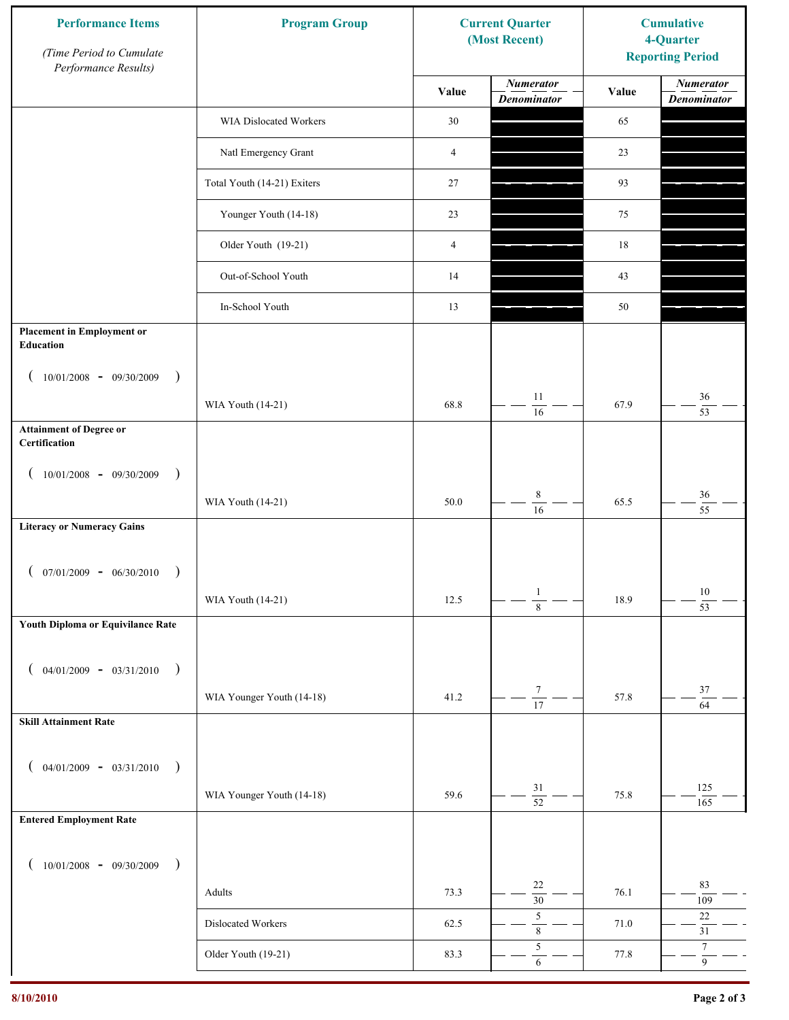| <b>Performance Items</b><br>(Time Period to Cumulate<br>Performance Results) | <b>Program Group</b>        |                | <b>Current Quarter</b><br>(Most Recent) | <b>Cumulative</b><br>4-Quarter<br><b>Reporting Period</b> |                                        |
|------------------------------------------------------------------------------|-----------------------------|----------------|-----------------------------------------|-----------------------------------------------------------|----------------------------------------|
|                                                                              |                             | Value          | <b>Numerator</b><br><b>Denominator</b>  | Value                                                     | <b>Numerator</b><br><b>Denominator</b> |
|                                                                              | WIA Dislocated Workers      | 30             |                                         | 65                                                        |                                        |
|                                                                              | Natl Emergency Grant        | $\overline{4}$ |                                         | 23                                                        |                                        |
|                                                                              | Total Youth (14-21) Exiters | 27             |                                         | 93                                                        |                                        |
|                                                                              | Younger Youth (14-18)       | 23             |                                         | 75                                                        |                                        |
|                                                                              | Older Youth (19-21)         | $\overline{4}$ |                                         | 18                                                        |                                        |
|                                                                              | Out-of-School Youth         | 14             |                                         | 43                                                        |                                        |
|                                                                              | In-School Youth             | 13             |                                         | 50                                                        |                                        |
| <b>Placement in Employment or</b><br>Education                               |                             |                |                                         |                                                           |                                        |
| $10/01/2008 - 09/30/2009$<br>$\rightarrow$                                   |                             |                |                                         |                                                           |                                        |
|                                                                              | WIA Youth (14-21)           | 68.8           | 11<br>16                                | 67.9                                                      | 36<br>$\overline{53}$                  |
| <b>Attainment of Degree or</b><br>Certification                              |                             |                |                                         |                                                           |                                        |
| $10/01/2008$ - 09/30/2009<br>$\rightarrow$<br>$\overline{ }$                 |                             |                |                                         |                                                           |                                        |
|                                                                              | WIA Youth (14-21)           | 50.0           | $\,$ 8 $\,$<br>$\overline{16}$          | 65.5                                                      | $36\,$<br>$\overline{55}$              |
| <b>Literacy or Numeracy Gains</b>                                            |                             |                |                                         |                                                           |                                        |
| $(07/01/2009 - 06/30/2010)$                                                  |                             |                |                                         |                                                           |                                        |
|                                                                              | WIA Youth (14-21)           | 12.5           | $\mathbf{1}$<br>$\overline{8}$          | 18.9                                                      | 10<br>$\overline{53}$                  |
| Youth Diploma or Equivilance Rate                                            |                             |                |                                         |                                                           |                                        |
| $04/01/2009 - 03/31/2010$<br>$\rightarrow$<br>€                              |                             |                |                                         |                                                           |                                        |
|                                                                              | WIA Younger Youth (14-18)   | 41.2           | $\tau$                                  | 57.8                                                      | $37\,$                                 |
| <b>Skill Attainment Rate</b>                                                 |                             |                | $\overline{17}$                         |                                                           | $\overline{64}$                        |
|                                                                              |                             |                |                                         |                                                           |                                        |
| $04/01/2009 - 03/31/2010$ )                                                  | WIA Younger Youth (14-18)   | 59.6           | 31                                      | 75.8                                                      | 125                                    |
| <b>Entered Employment Rate</b>                                               |                             |                | $\overline{52}$                         |                                                           | 165                                    |
|                                                                              |                             |                |                                         |                                                           |                                        |
| $10/01/2008$ - 09/30/2009<br>$\rightarrow$                                   |                             |                | 22                                      |                                                           | 83                                     |
|                                                                              | Adults                      | 73.3           | $\overline{30}$                         | 76.1                                                      | 109                                    |
|                                                                              | Dislocated Workers          | 62.5           | $\sqrt{5}$<br>$\,$ 8 $\,$               | 71.0                                                      | $22\,$<br>$31\,$                       |
|                                                                              | Older Youth (19-21)         | 83.3           | $\sqrt{5}$<br>$\sqrt{6}$                | 77.8                                                      | $\tau$<br>$\overline{9}$               |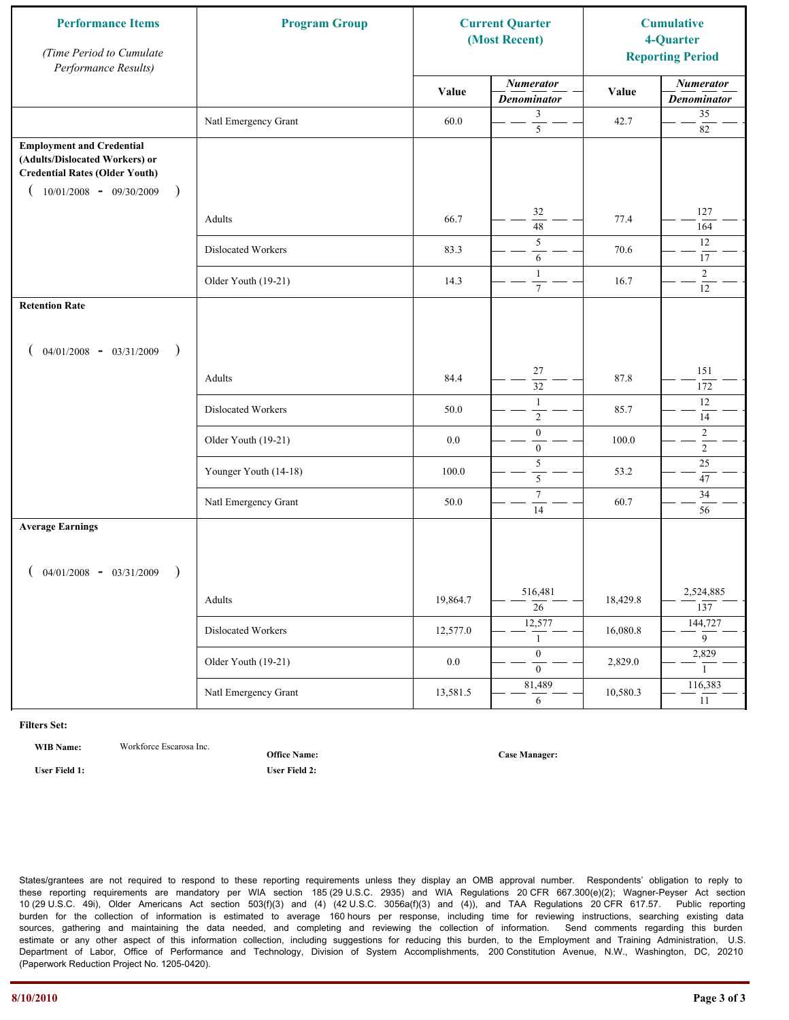| <b>Performance Items</b><br>(Time Period to Cumulate<br>Performance Results)                                                                                         | <b>Program Group</b>  |          | <b>Current Quarter</b><br>(Most Recent) |          | <b>Cumulative</b><br>4-Quarter<br><b>Reporting Period</b> |
|----------------------------------------------------------------------------------------------------------------------------------------------------------------------|-----------------------|----------|-----------------------------------------|----------|-----------------------------------------------------------|
|                                                                                                                                                                      |                       | Value    | <b>Numerator</b><br><b>Denominator</b>  | Value    | <b>Numerator</b><br><b>Denominator</b>                    |
|                                                                                                                                                                      | Natl Emergency Grant  | 60.0     | 3<br>$\overline{5}$                     | 42.7     | 35<br>$82\,$                                              |
| <b>Employment and Credential</b><br>(Adults/Dislocated Workers) or<br><b>Credential Rates (Older Youth)</b><br>$10/01/2008$ - 09/30/2009<br>$\overline{\phantom{a}}$ |                       |          |                                         |          |                                                           |
|                                                                                                                                                                      | Adults                | 66.7     | 32<br>$\overline{48}$                   | 77.4     | 127<br>164                                                |
|                                                                                                                                                                      | Dislocated Workers    | 83.3     | 5<br>6                                  | 70.6     | 12<br>17                                                  |
|                                                                                                                                                                      | Older Youth (19-21)   | 14.3     | $\mathbf{1}$<br>$7\phantom{.0}$         | 16.7     | $\overline{2}$<br>12                                      |
| <b>Retention Rate</b>                                                                                                                                                |                       |          |                                         |          |                                                           |
| $04/01/2008$ - $03/31/2009$<br>$\rightarrow$                                                                                                                         |                       |          |                                         |          |                                                           |
|                                                                                                                                                                      | Adults                | 84.4     | 27<br>32                                | 87.8     | 151<br>172                                                |
|                                                                                                                                                                      | Dislocated Workers    | 50.0     | 1<br>$\sqrt{2}$                         | 85.7     | 12<br>14                                                  |
|                                                                                                                                                                      | Older Youth (19-21)   | 0.0      | $\boldsymbol{0}$<br>$\mathbf{0}$        | 100.0    | $\overline{c}$<br>$\overline{2}$                          |
|                                                                                                                                                                      | Younger Youth (14-18) | 100.0    | 5<br>5                                  | 53.2     | 25<br>47                                                  |
|                                                                                                                                                                      | Natl Emergency Grant  | 50.0     | $\boldsymbol{7}$<br>14                  | 60.7     | $34\,$<br>56                                              |
| <b>Average Earnings</b>                                                                                                                                              |                       |          |                                         |          |                                                           |
| $04/01/2008$ - $03/31/2009$<br>$\lambda$                                                                                                                             |                       |          |                                         |          |                                                           |
|                                                                                                                                                                      | Adults                | 19,864.7 | 516,481<br>$\overline{26}$              | 18,429.8 | 2,524,885<br>137                                          |
|                                                                                                                                                                      | Dislocated Workers    | 12,577.0 | 12,577<br>1                             | 16,080.8 | 144,727<br>$\overline{9}$                                 |
|                                                                                                                                                                      | Older Youth (19-21)   | $0.0\,$  | $\overline{0}$<br>$\overline{0}$        | 2,829.0  | 2,829<br>$\mathbf{1}$                                     |
|                                                                                                                                                                      | Natl Emergency Grant  | 13,581.5 | 81,489<br>6                             | 10,580.3 | 116,383<br>11                                             |

**WIB Name:** Workforce Escarosa Inc.

**Office Name:**

**User Field 1: User Field 2:**

**Case Manager:**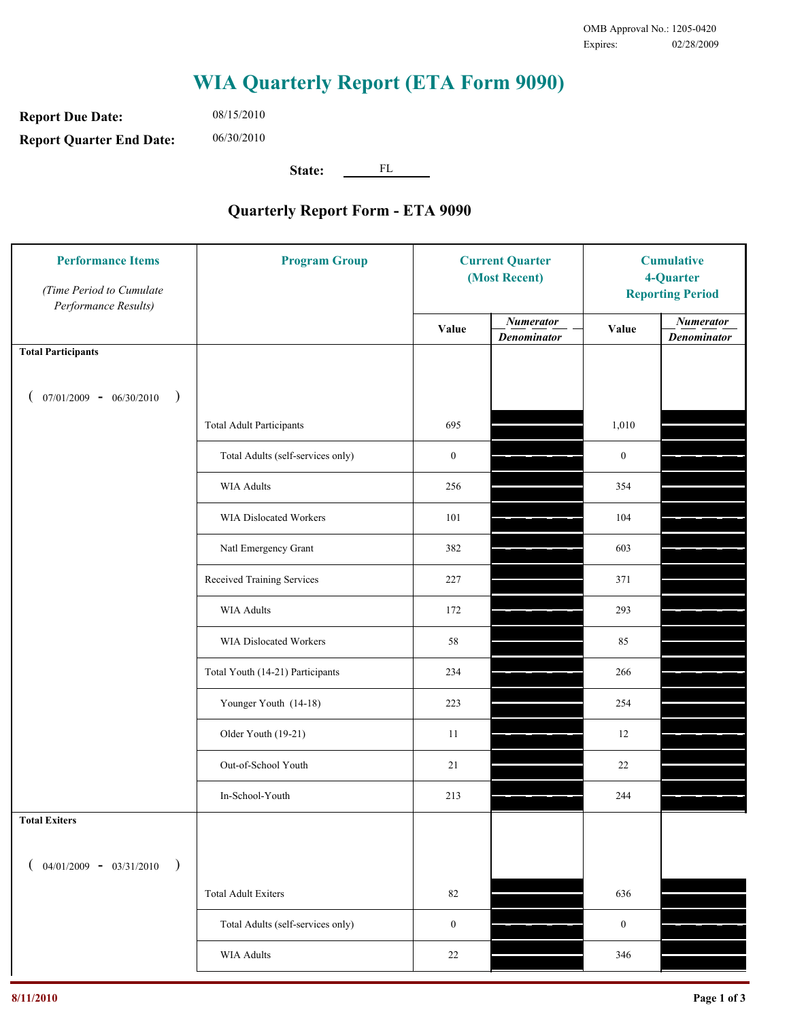**Report Due Date: Report Quarter End Date:** 06/30/2010

08/15/2010

**State:** FL

| <b>Performance Items</b><br>(Time Period to Cumulate<br>Performance Results) | <b>Program Group</b>              | <b>Current Quarter</b><br>(Most Recent) |                                        | <b>Cumulative</b><br>4-Quarter<br><b>Reporting Period</b> |                                        |
|------------------------------------------------------------------------------|-----------------------------------|-----------------------------------------|----------------------------------------|-----------------------------------------------------------|----------------------------------------|
|                                                                              |                                   | Value                                   | <b>Numerator</b><br><b>Denominator</b> | Value                                                     | <b>Numerator</b><br><b>Denominator</b> |
| <b>Total Participants</b>                                                    |                                   |                                         |                                        |                                                           |                                        |
| $07/01/2009 - 06/30/2010$<br>$\big)$                                         |                                   |                                         |                                        |                                                           |                                        |
|                                                                              | <b>Total Adult Participants</b>   | 695                                     |                                        | 1,010                                                     |                                        |
|                                                                              | Total Adults (self-services only) | $\boldsymbol{0}$                        |                                        | $\boldsymbol{0}$                                          |                                        |
|                                                                              | <b>WIA Adults</b>                 | 256                                     |                                        | 354                                                       |                                        |
|                                                                              | <b>WIA Dislocated Workers</b>     | 101                                     |                                        | 104                                                       |                                        |
|                                                                              | Natl Emergency Grant              | 382                                     |                                        | 603                                                       |                                        |
|                                                                              | Received Training Services        | 227                                     |                                        | 371                                                       |                                        |
|                                                                              | <b>WIA Adults</b>                 | 172                                     |                                        | 293                                                       |                                        |
|                                                                              | WIA Dislocated Workers            | 58                                      |                                        | 85                                                        |                                        |
|                                                                              | Total Youth (14-21) Participants  | 234                                     |                                        | 266                                                       |                                        |
|                                                                              | Younger Youth (14-18)             | 223                                     |                                        | 254                                                       |                                        |
|                                                                              | Older Youth (19-21)               | 11                                      |                                        | 12                                                        |                                        |
|                                                                              | Out-of-School Youth               | 21                                      |                                        | $22\,$                                                    |                                        |
|                                                                              | In-School-Youth                   | 213                                     |                                        | 244                                                       |                                        |
| <b>Total Exiters</b>                                                         |                                   |                                         |                                        |                                                           |                                        |
| $04/01/2009 - 03/31/2010$<br>$\lambda$                                       |                                   |                                         |                                        |                                                           |                                        |
|                                                                              | <b>Total Adult Exiters</b>        | 82                                      |                                        | 636                                                       |                                        |
|                                                                              | Total Adults (self-services only) | $\boldsymbol{0}$                        |                                        | $\boldsymbol{0}$                                          |                                        |
|                                                                              | WIA Adults                        | 22                                      |                                        | 346                                                       |                                        |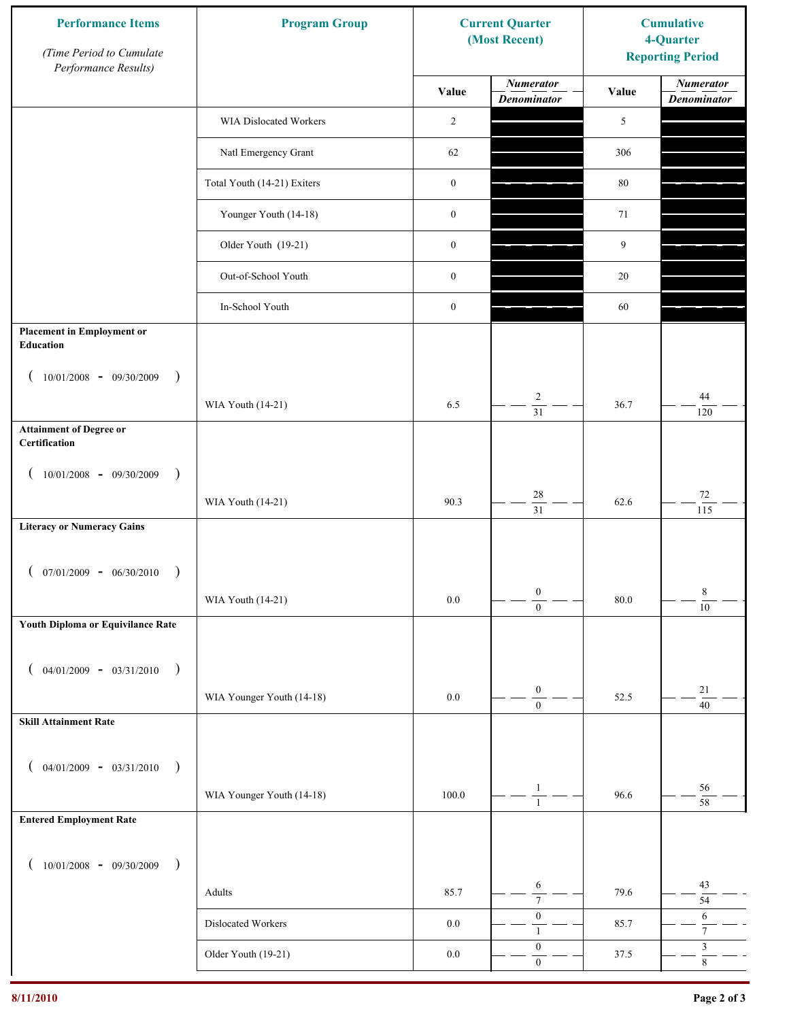| <b>Performance Items</b><br>(Time Period to Cumulate<br>Performance Results) | <b>Program Group</b>          |                  | <b>Current Quarter</b><br>(Most Recent) | <b>Cumulative</b><br>4-Quarter<br><b>Reporting Period</b> |                                                 |
|------------------------------------------------------------------------------|-------------------------------|------------------|-----------------------------------------|-----------------------------------------------------------|-------------------------------------------------|
|                                                                              |                               | Value            | <b>Numerator</b><br><b>Denominator</b>  | Value                                                     | <b>Numerator</b><br><b>Denominator</b>          |
|                                                                              | <b>WIA Dislocated Workers</b> | $\overline{c}$   |                                         | 5                                                         |                                                 |
|                                                                              | Natl Emergency Grant          | 62               |                                         | 306                                                       |                                                 |
|                                                                              | Total Youth (14-21) Exiters   | $\boldsymbol{0}$ |                                         | $80\,$                                                    |                                                 |
|                                                                              | Younger Youth (14-18)         | $\boldsymbol{0}$ |                                         | 71                                                        |                                                 |
|                                                                              | Older Youth (19-21)           | $\boldsymbol{0}$ |                                         | 9                                                         |                                                 |
|                                                                              | Out-of-School Youth           | $\boldsymbol{0}$ |                                         | 20                                                        |                                                 |
|                                                                              | In-School Youth               | $\boldsymbol{0}$ |                                         | 60                                                        |                                                 |
| <b>Placement in Employment or</b><br>Education                               |                               |                  |                                         |                                                           |                                                 |
| $10/01/2008 - 09/30/2009$<br>$\rightarrow$                                   |                               |                  |                                         |                                                           |                                                 |
|                                                                              | WIA Youth (14-21)             | 6.5              | $\overline{c}$<br>$\overline{31}$       | 36.7                                                      | 44<br>120                                       |
| <b>Attainment of Degree or</b><br>Certification                              |                               |                  |                                         |                                                           |                                                 |
| $10/01/2008 - 09/30/2009$<br>$\lambda$                                       |                               |                  |                                         |                                                           |                                                 |
|                                                                              | WIA Youth (14-21)             | 90.3             | $28\,$<br>$\overline{31}$               | 62.6                                                      | $72\,$<br>115                                   |
| <b>Literacy or Numeracy Gains</b>                                            |                               |                  |                                         |                                                           |                                                 |
| $07/01/2009 - 06/30/2010$                                                    |                               |                  |                                         |                                                           |                                                 |
|                                                                              | WIA Youth (14-21)             | $0.0\,$          | $\boldsymbol{0}$<br>$\overline{0}$      | 80.0                                                      | $8\,$<br>10                                     |
| Youth Diploma or Equivilance Rate                                            |                               |                  |                                         |                                                           |                                                 |
| $04/01/2009 - 03/31/2010$<br>$\rightarrow$                                   |                               |                  |                                         |                                                           |                                                 |
|                                                                              | WIA Younger Youth (14-18)     | $0.0\,$          | $\boldsymbol{0}$                        | 52.5                                                      | $21\,$                                          |
| <b>Skill Attainment Rate</b>                                                 |                               |                  | $\boldsymbol{0}$                        |                                                           | $\overline{40}$                                 |
| $04/01/2009 - 03/31/2010$                                                    |                               |                  |                                         |                                                           |                                                 |
| $\rightarrow$                                                                | WIA Younger Youth (14-18)     | 100.0            | 1                                       | 96.6                                                      | 56                                              |
| <b>Entered Employment Rate</b>                                               |                               |                  | $\mathbf{1}$                            |                                                           | $58\,$                                          |
|                                                                              |                               |                  |                                         |                                                           |                                                 |
| $10/01/2008$ - 09/30/2009<br>$\rightarrow$                                   |                               |                  | 6                                       |                                                           | 43                                              |
|                                                                              | Adults                        | 85.7             | $\overline{7}$<br>$\boldsymbol{0}$      | 79.6                                                      | 54<br>6                                         |
|                                                                              | Dislocated Workers            | $0.0\,$          | 1<br>$\boldsymbol{0}$                   | 85.7                                                      | $\boldsymbol{7}$<br>$\ensuremath{\mathfrak{Z}}$ |
|                                                                              | Older Youth (19-21)           | $0.0\,$          | $\mathbf{0}$                            | 37.5                                                      | $\overline{8}$                                  |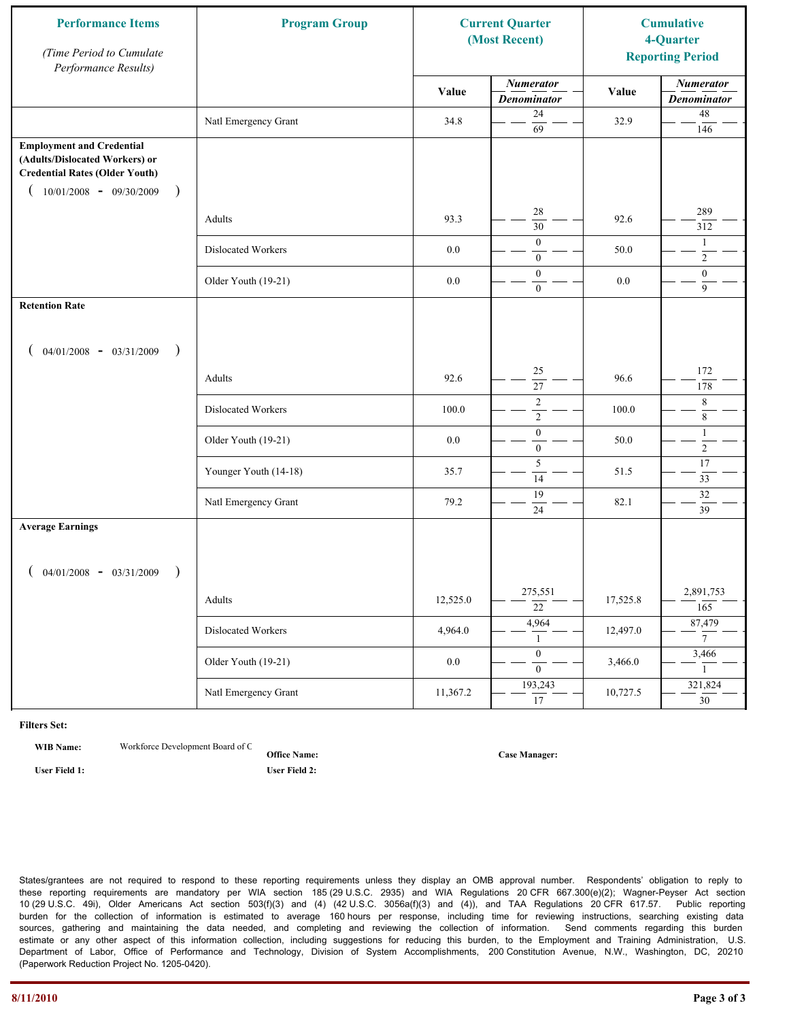| <b>Performance Items</b><br>(Time Period to Cumulate<br>Performance Results)                                                                              | <b>Program Group</b>  |          | <b>Current Quarter</b><br>(Most Recent) |          | <b>Cumulative</b><br>4-Quarter<br><b>Reporting Period</b> |
|-----------------------------------------------------------------------------------------------------------------------------------------------------------|-----------------------|----------|-----------------------------------------|----------|-----------------------------------------------------------|
|                                                                                                                                                           |                       | Value    | <b>Numerator</b><br><b>Denominator</b>  | Value    | <b>Numerator</b><br><b>Denominator</b>                    |
|                                                                                                                                                           | Natl Emergency Grant  | 34.8     | 24<br>$\overline{69}$                   | 32.9     | $48\,$<br>146                                             |
| <b>Employment and Credential</b><br>(Adults/Dislocated Workers) or<br><b>Credential Rates (Older Youth)</b><br>$10/01/2008$ - 09/30/2009<br>$\rightarrow$ |                       |          |                                         |          |                                                           |
|                                                                                                                                                           | Adults                | 93.3     | 28<br>$\overline{30}$                   | 92.6     | 289<br>312                                                |
|                                                                                                                                                           | Dislocated Workers    | 0.0      | $\overline{0}$<br>$\mathbf{0}$          | 50.0     | 1<br>$\overline{2}$                                       |
|                                                                                                                                                           | Older Youth (19-21)   | 0.0      | $\overline{0}$<br>$\overline{0}$        | $0.0\,$  | $\boldsymbol{0}$<br>$\overline{9}$                        |
| <b>Retention Rate</b>                                                                                                                                     |                       |          |                                         |          |                                                           |
| $04/01/2008$ - $03/31/2009$<br>$\big)$                                                                                                                    |                       |          |                                         |          |                                                           |
|                                                                                                                                                           | Adults                | 92.6     | 25<br>27                                | 96.6     | 172<br>178                                                |
|                                                                                                                                                           | Dislocated Workers    | 100.0    | $\sqrt{2}$<br>$\overline{2}$            | 100.0    | 8<br>8                                                    |
|                                                                                                                                                           | Older Youth (19-21)   | 0.0      | $\boldsymbol{0}$<br>$\mathbf{0}$        | 50.0     | $\mathbf{1}$<br>$\overline{2}$                            |
|                                                                                                                                                           | Younger Youth (14-18) | 35.7     | 5<br>14                                 | 51.5     | 17<br>33                                                  |
|                                                                                                                                                           | Natl Emergency Grant  | 79.2     | 19<br>24                                | 82.1     | $32\,$<br>39                                              |
| <b>Average Earnings</b>                                                                                                                                   |                       |          |                                         |          |                                                           |
| $04/01/2008$ - $03/31/2009$<br>$\lambda$                                                                                                                  |                       |          |                                         |          |                                                           |
|                                                                                                                                                           | Adults                | 12,525.0 | 275,551<br>$\overline{22}$              | 17,525.8 | 2,891,753<br>165                                          |
|                                                                                                                                                           | Dislocated Workers    | 4,964.0  | 4,964<br>$\mathbf{1}$                   | 12,497.0 | 87,479<br>$7\overline{ }$                                 |
|                                                                                                                                                           | Older Youth (19-21)   | $0.0\,$  | $\overline{0}$<br>$\overline{0}$        | 3,466.0  | 3,466<br>1                                                |
|                                                                                                                                                           | Natl Emergency Grant  | 11,367.2 | 193,243<br>17                           | 10,727.5 | 321,824<br>$\overline{30}$                                |

**WIB Name:** Workforce Development Board of C

**Office Name: User Field 1: User Field 2:**

**Case Manager:**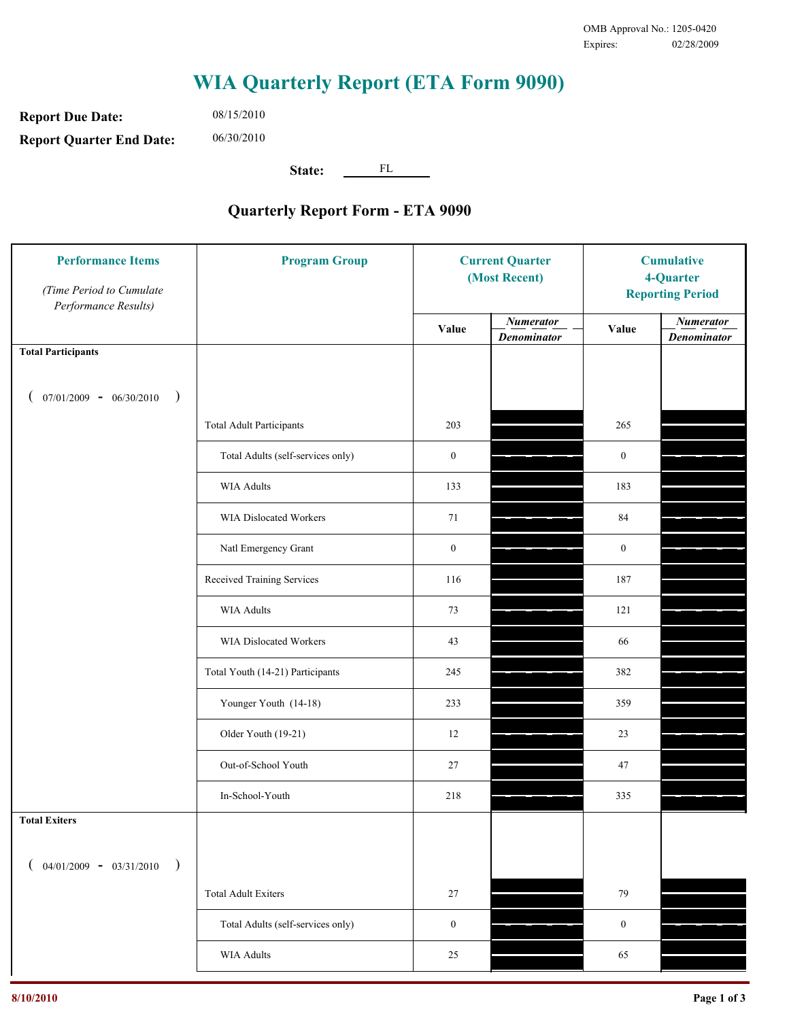**Report Due Date: Report Quarter End Date:** 06/30/2010

08/15/2010

**State:** FL

| <b>Performance Items</b><br>(Time Period to Cumulate<br>Performance Results) | <b>Program Group</b>              | <b>Current Quarter</b><br>(Most Recent) |                                        | <b>Cumulative</b><br>4-Quarter<br><b>Reporting Period</b> |                                        |
|------------------------------------------------------------------------------|-----------------------------------|-----------------------------------------|----------------------------------------|-----------------------------------------------------------|----------------------------------------|
|                                                                              |                                   | Value                                   | <b>Numerator</b><br><b>Denominator</b> | Value                                                     | <b>Numerator</b><br><b>Denominator</b> |
| <b>Total Participants</b>                                                    |                                   |                                         |                                        |                                                           |                                        |
| $07/01/2009 - 06/30/2010$<br>$\big)$                                         |                                   |                                         |                                        |                                                           |                                        |
|                                                                              | <b>Total Adult Participants</b>   | 203                                     |                                        | 265                                                       |                                        |
|                                                                              | Total Adults (self-services only) | $\boldsymbol{0}$                        |                                        | $\boldsymbol{0}$                                          |                                        |
|                                                                              | <b>WIA Adults</b>                 | 133                                     |                                        | 183                                                       |                                        |
|                                                                              | WIA Dislocated Workers            | 71                                      |                                        | 84                                                        |                                        |
|                                                                              | Natl Emergency Grant              | $\boldsymbol{0}$                        |                                        | $\boldsymbol{0}$                                          |                                        |
|                                                                              | Received Training Services        | 116                                     |                                        | 187                                                       |                                        |
|                                                                              | <b>WIA Adults</b>                 | 73                                      |                                        | 121                                                       |                                        |
|                                                                              | WIA Dislocated Workers            | 43                                      |                                        | 66                                                        |                                        |
|                                                                              | Total Youth (14-21) Participants  | 245                                     |                                        | 382                                                       |                                        |
|                                                                              | Younger Youth (14-18)             | 233                                     |                                        | 359                                                       |                                        |
|                                                                              | Older Youth (19-21)               | 12                                      |                                        | 23                                                        |                                        |
|                                                                              | Out-of-School Youth               | 27                                      |                                        | 47                                                        |                                        |
|                                                                              | In-School-Youth                   | 218                                     |                                        | 335                                                       |                                        |
| <b>Total Exiters</b>                                                         |                                   |                                         |                                        |                                                           |                                        |
| $04/01/2009 - 03/31/2010$<br>$\lambda$                                       |                                   |                                         |                                        |                                                           |                                        |
|                                                                              | <b>Total Adult Exiters</b>        | 27                                      |                                        | 79                                                        |                                        |
|                                                                              | Total Adults (self-services only) | $\boldsymbol{0}$                        |                                        | $\boldsymbol{0}$                                          |                                        |
|                                                                              | WIA Adults                        | 25                                      |                                        | 65                                                        |                                        |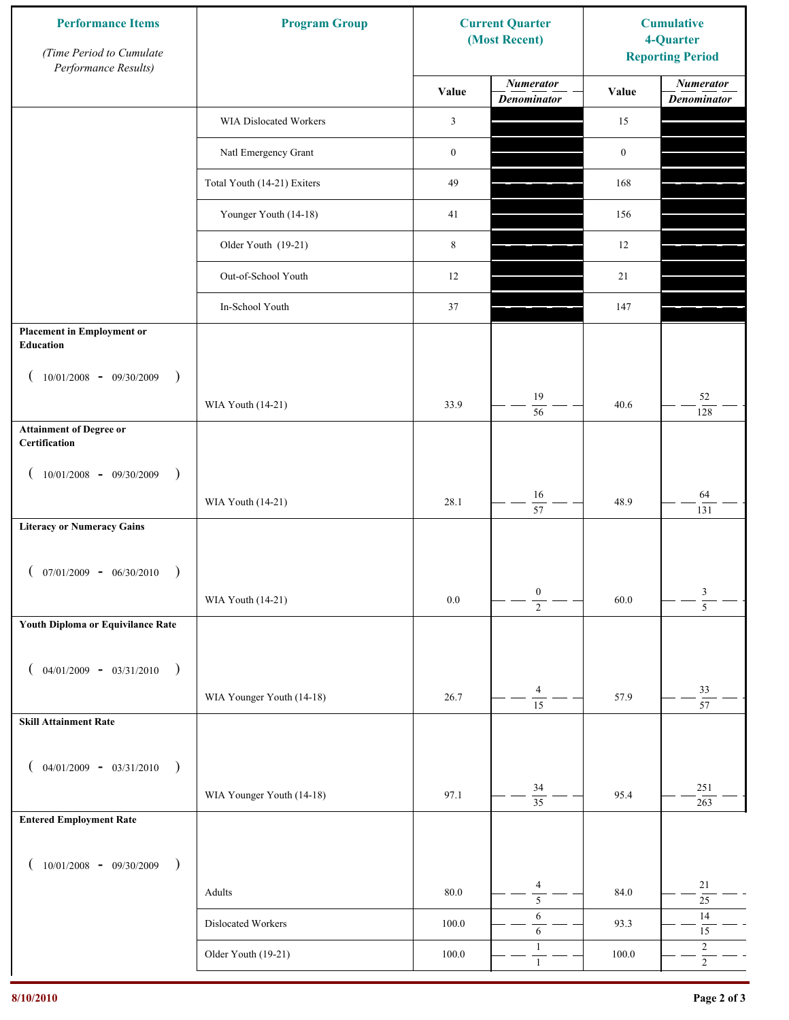| <b>Performance Items</b><br>(Time Period to Cumulate<br>Performance Results) | <b>Program Group</b>        |                  | <b>Current Quarter</b><br>(Most Recent) | <b>Cumulative</b><br>4-Quarter<br><b>Reporting Period</b> |                                        |
|------------------------------------------------------------------------------|-----------------------------|------------------|-----------------------------------------|-----------------------------------------------------------|----------------------------------------|
|                                                                              |                             | Value            | <b>Numerator</b><br><b>Denominator</b>  | Value                                                     | <b>Numerator</b><br><b>Denominator</b> |
|                                                                              | WIA Dislocated Workers      | 3                |                                         | 15                                                        |                                        |
|                                                                              | Natl Emergency Grant        | $\boldsymbol{0}$ |                                         | $\boldsymbol{0}$                                          |                                        |
|                                                                              | Total Youth (14-21) Exiters | 49               |                                         | 168                                                       |                                        |
|                                                                              | Younger Youth (14-18)       | 41               |                                         | 156                                                       |                                        |
|                                                                              | Older Youth (19-21)         | $\,8\,$          |                                         | 12                                                        |                                        |
|                                                                              | Out-of-School Youth         | 12               |                                         | 21                                                        |                                        |
|                                                                              | In-School Youth             | 37               |                                         | 147                                                       |                                        |
| <b>Placement in Employment or</b><br><b>Education</b>                        |                             |                  |                                         |                                                           |                                        |
| $10/01/2008 - 09/30/2009$<br>$\rightarrow$                                   | WIA Youth (14-21)           | 33.9             | 19<br>$\overline{56}$                   | 40.6                                                      | 52<br>128                              |
| <b>Attainment of Degree or</b><br>Certification                              |                             |                  |                                         |                                                           |                                        |
| $(10/01/2008 - 09/30/2009$<br>$\lambda$                                      |                             |                  |                                         |                                                           |                                        |
|                                                                              | WIA Youth (14-21)           | 28.1             | 16<br>$\overline{57}$                   | 48.9                                                      | 64<br>131                              |
| <b>Literacy or Numeracy Gains</b>                                            |                             |                  |                                         |                                                           |                                        |
| $07/01/2009 - 06/30/2010$                                                    |                             |                  |                                         |                                                           |                                        |
|                                                                              | WIA Youth (14-21)           | $0.0\,$          | $\boldsymbol{0}$<br>$\overline{2}$      | 60.0                                                      | $\frac{3}{5}$                          |
| Youth Diploma or Equivilance Rate                                            |                             |                  |                                         |                                                           |                                        |
| $04/01/2009 - 03/31/2010$<br>$\rightarrow$                                   |                             |                  |                                         |                                                           |                                        |
|                                                                              | WIA Younger Youth (14-18)   | 26.7             | $\overline{4}$                          | 57.9                                                      | 33                                     |
| <b>Skill Attainment Rate</b>                                                 |                             |                  | $\overline{15}$                         |                                                           | $\overline{57}$                        |
|                                                                              |                             |                  |                                         |                                                           |                                        |
| $04/01/2009 - 03/31/2010$ )                                                  | WIA Younger Youth (14-18)   | 97.1             | 34                                      | 95.4                                                      | 251                                    |
| <b>Entered Employment Rate</b>                                               |                             |                  | $\overline{35}$                         |                                                           | 263                                    |
|                                                                              |                             |                  |                                         |                                                           |                                        |
| $10/01/2008$ - 09/30/2009<br>$\overline{\phantom{a}}$                        |                             |                  | $\overline{4}$                          |                                                           | $21\,$                                 |
|                                                                              | Adults                      | 80.0             | $\overline{5}$<br>6                     | 84.0                                                      | $25\,$<br>$14$                         |
|                                                                              | Dislocated Workers          | 100.0            | $\sqrt{6}$<br>$\mathbf{1}$              | 93.3                                                      | $15\,$<br>$\sqrt{2}$                   |
|                                                                              | Older Youth (19-21)         | $100.0\,$        | $\mathbf{1}$                            | 100.0                                                     | $\overline{2}$                         |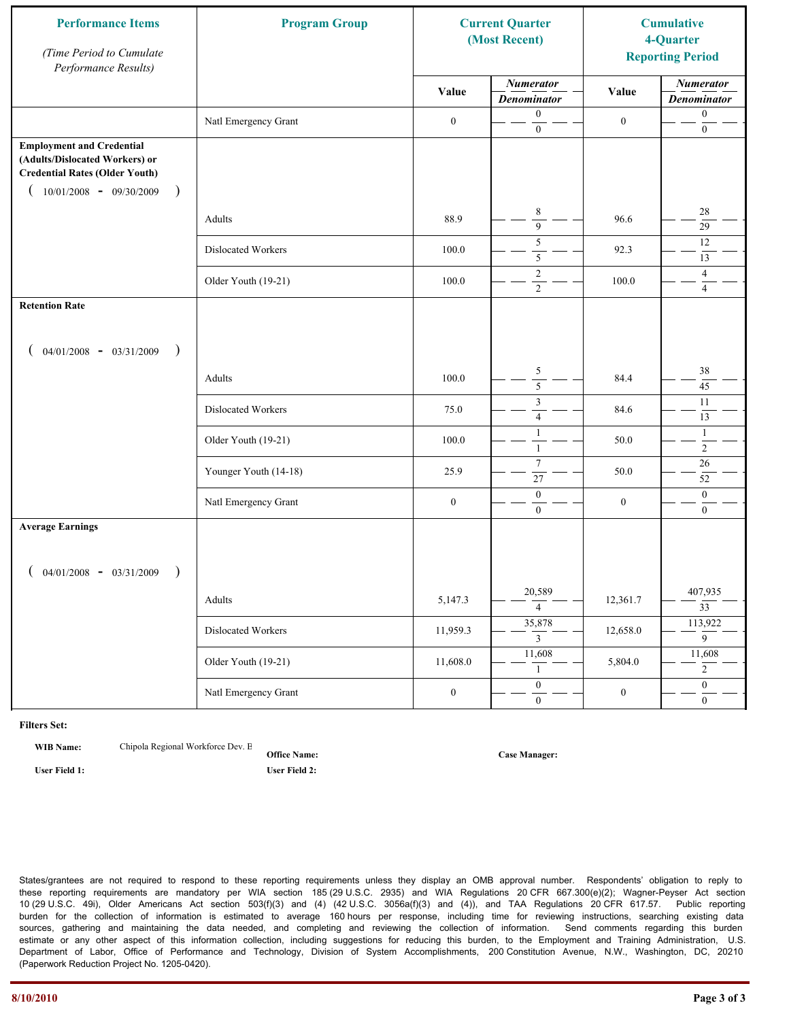| <b>Performance Items</b><br>(Time Period to Cumulate<br>Performance Results)                                                                                         | <b>Program Group</b>  | <b>Current Quarter</b><br>(Most Recent) |                                        | <b>Cumulative</b><br>4-Quarter<br><b>Reporting Period</b> |                                        |
|----------------------------------------------------------------------------------------------------------------------------------------------------------------------|-----------------------|-----------------------------------------|----------------------------------------|-----------------------------------------------------------|----------------------------------------|
|                                                                                                                                                                      |                       | Value                                   | <b>Numerator</b><br><b>Denominator</b> | Value                                                     | <b>Numerator</b><br><b>Denominator</b> |
|                                                                                                                                                                      | Natl Emergency Grant  | $\boldsymbol{0}$                        | $\boldsymbol{0}$<br>$\boldsymbol{0}$   | $\boldsymbol{0}$                                          | $\boldsymbol{0}$<br>$\boldsymbol{0}$   |
| <b>Employment and Credential</b><br>(Adults/Dislocated Workers) or<br><b>Credential Rates (Older Youth)</b><br>$10/01/2008$ - 09/30/2009<br>$\overline{\phantom{a}}$ |                       |                                         |                                        |                                                           |                                        |
|                                                                                                                                                                      | Adults                | 88.9                                    | $\,8\,$<br>$\overline{9}$              | 96.6                                                      | $28\,$<br>$\overline{29}$              |
|                                                                                                                                                                      | Dislocated Workers    | 100.0                                   | $\sqrt{5}$<br>$\overline{5}$           | 92.3                                                      | 12<br>13                               |
|                                                                                                                                                                      | Older Youth (19-21)   | 100.0                                   | $\overline{2}$<br>$\overline{2}$       | 100.0                                                     | $\overline{4}$<br>$\overline{4}$       |
| <b>Retention Rate</b>                                                                                                                                                |                       |                                         |                                        |                                                           |                                        |
| $04/01/2008$ - $03/31/2009$<br>$\rightarrow$                                                                                                                         |                       |                                         |                                        |                                                           |                                        |
|                                                                                                                                                                      | Adults                | 100.0                                   | $\sqrt{5}$<br>5                        | 84.4                                                      | 38<br>45                               |
|                                                                                                                                                                      | Dislocated Workers    | 75.0                                    | $\mathfrak z$<br>$\overline{4}$        | 84.6                                                      | 11<br>13                               |
|                                                                                                                                                                      | Older Youth (19-21)   | 100.0                                   | $\overline{1}$<br>$\mathbf{1}$         | 50.0                                                      | $\mathbf{1}$<br>$\overline{2}$         |
|                                                                                                                                                                      | Younger Youth (14-18) | 25.9                                    | $\tau$<br>27                           | 50.0                                                      | 26<br>52                               |
|                                                                                                                                                                      | Natl Emergency Grant  | $\boldsymbol{0}$                        | $\boldsymbol{0}$<br>$\mathbf{0}$       | $\boldsymbol{0}$                                          | $\boldsymbol{0}$<br>$\overline{0}$     |
| <b>Average Earnings</b>                                                                                                                                              |                       |                                         |                                        |                                                           |                                        |
| $04/01/2008$ - $03/31/2009$<br>$\lambda$                                                                                                                             |                       |                                         |                                        |                                                           |                                        |
|                                                                                                                                                                      | Adults                | 5,147.3                                 | 20,589<br>$\overline{4}$               | 12,361.7                                                  | 407,935<br>$\overline{33}$             |
|                                                                                                                                                                      | Dislocated Workers    | 11,959.3                                | 35,878<br>$\mathfrak{Z}$               | 12,658.0                                                  | 113,922<br>$\overline{9}$              |
|                                                                                                                                                                      | Older Youth (19-21)   | 11,608.0                                | 11,608<br>1                            | 5,804.0                                                   | 11,608<br>$\overline{2}$               |
|                                                                                                                                                                      | Natl Emergency Grant  | $\boldsymbol{0}$                        | $\overline{0}$<br>$\mathbf{0}$         | $\boldsymbol{0}$                                          | $\overline{0}$<br>$\overline{0}$       |

**WIB Name:** Chipola Regional Workforce Dev. E

**Office Name: User Field 1: User Field 2:**

**Case Manager:**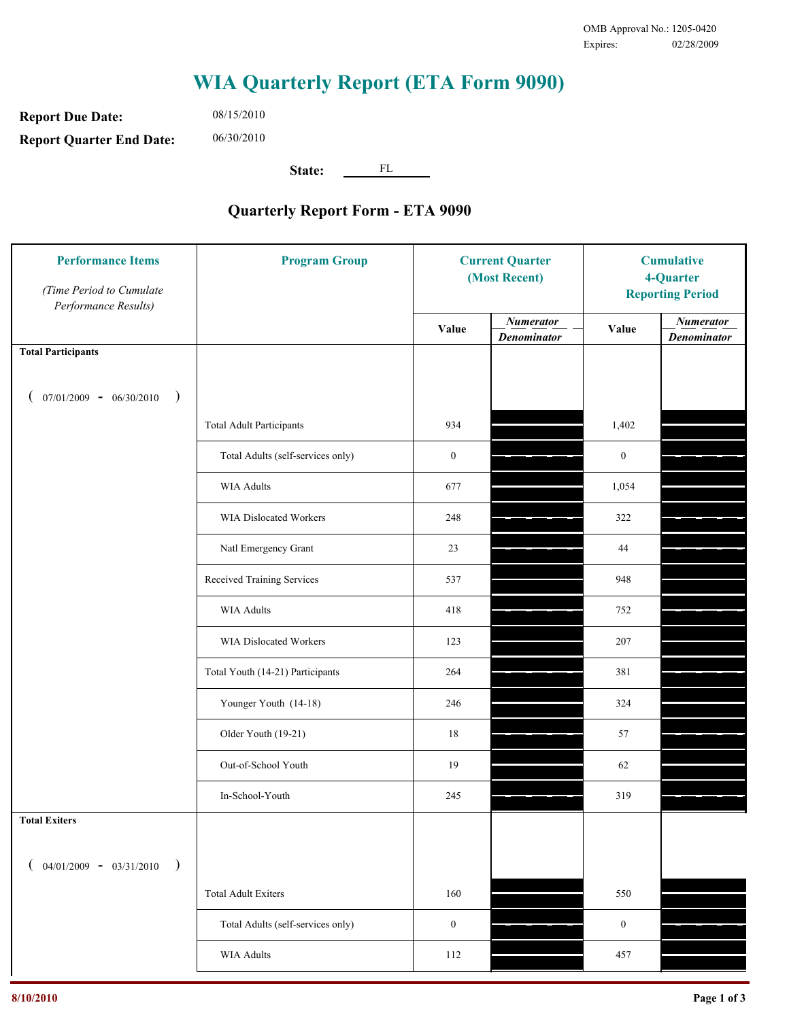**Report Due Date: Report Quarter End Date:** 06/30/2010

08/15/2010

**State:** FL

| <b>Performance Items</b><br>(Time Period to Cumulate<br>Performance Results) | <b>Program Group</b>              | <b>Current Quarter</b><br>(Most Recent) |                                        | <b>Cumulative</b><br>4-Quarter<br><b>Reporting Period</b> |                                        |
|------------------------------------------------------------------------------|-----------------------------------|-----------------------------------------|----------------------------------------|-----------------------------------------------------------|----------------------------------------|
|                                                                              |                                   | Value                                   | <b>Numerator</b><br><b>Denominator</b> | Value                                                     | <b>Numerator</b><br><b>Denominator</b> |
| <b>Total Participants</b>                                                    |                                   |                                         |                                        |                                                           |                                        |
| $07/01/2009 - 06/30/2010$<br>$\big)$                                         |                                   |                                         |                                        |                                                           |                                        |
|                                                                              | <b>Total Adult Participants</b>   | 934                                     |                                        | 1,402                                                     |                                        |
|                                                                              | Total Adults (self-services only) | $\boldsymbol{0}$                        |                                        | $\boldsymbol{0}$                                          |                                        |
|                                                                              | <b>WIA Adults</b>                 | 677                                     |                                        | 1,054                                                     |                                        |
|                                                                              | <b>WIA Dislocated Workers</b>     | 248                                     |                                        | 322                                                       |                                        |
|                                                                              | Natl Emergency Grant              | 23                                      |                                        | 44                                                        |                                        |
|                                                                              | Received Training Services        | 537                                     |                                        | 948                                                       |                                        |
|                                                                              | <b>WIA Adults</b>                 | 418                                     |                                        | 752                                                       |                                        |
|                                                                              | WIA Dislocated Workers            | 123                                     |                                        | 207                                                       |                                        |
|                                                                              | Total Youth (14-21) Participants  | 264                                     |                                        | 381                                                       |                                        |
|                                                                              | Younger Youth (14-18)             | 246                                     |                                        | 324                                                       |                                        |
|                                                                              | Older Youth (19-21)               | $18\,$                                  |                                        | 57                                                        |                                        |
|                                                                              | Out-of-School Youth               | 19                                      |                                        | 62                                                        |                                        |
|                                                                              | In-School-Youth                   | 245                                     |                                        | 319                                                       |                                        |
| <b>Total Exiters</b>                                                         |                                   |                                         |                                        |                                                           |                                        |
| $04/01/2009 - 03/31/2010$<br>$\lambda$                                       |                                   |                                         |                                        |                                                           |                                        |
|                                                                              | <b>Total Adult Exiters</b>        | 160                                     |                                        | 550                                                       |                                        |
|                                                                              | Total Adults (self-services only) | $\boldsymbol{0}$                        |                                        | $\boldsymbol{0}$                                          |                                        |
|                                                                              | WIA Adults                        | 112                                     |                                        | 457                                                       |                                        |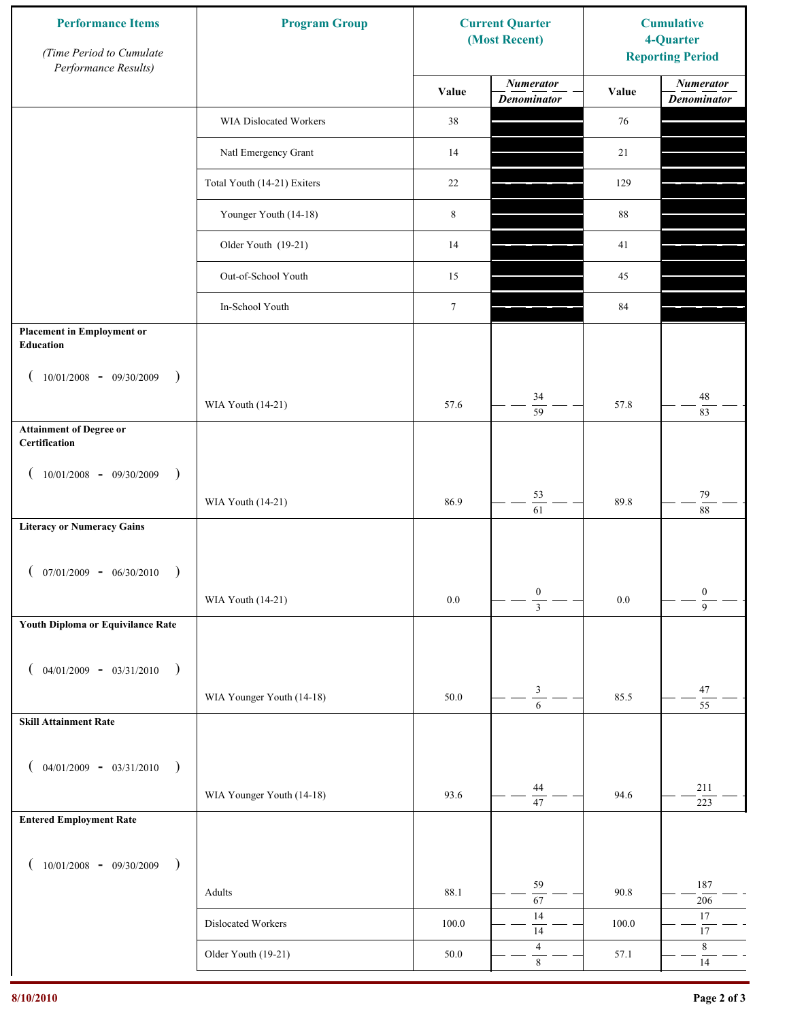| <b>Performance Items</b><br>(Time Period to Cumulate<br>Performance Results) | <b>Program Group</b>        |                 | <b>Current Quarter</b><br>(Most Recent) | <b>Cumulative</b><br>4-Quarter<br><b>Reporting Period</b> |                                        |
|------------------------------------------------------------------------------|-----------------------------|-----------------|-----------------------------------------|-----------------------------------------------------------|----------------------------------------|
|                                                                              |                             | Value           | <b>Numerator</b><br><b>Denominator</b>  | Value                                                     | <b>Numerator</b><br><b>Denominator</b> |
|                                                                              | WIA Dislocated Workers      | 38              |                                         | 76                                                        |                                        |
|                                                                              | Natl Emergency Grant        | 14              |                                         | 21                                                        |                                        |
|                                                                              | Total Youth (14-21) Exiters | 22              |                                         | 129                                                       |                                        |
|                                                                              | Younger Youth (14-18)       | $\,$ 8 $\,$     |                                         | 88                                                        |                                        |
|                                                                              | Older Youth (19-21)         | 14              |                                         | 41                                                        |                                        |
|                                                                              | Out-of-School Youth         | 15              |                                         | 45                                                        |                                        |
|                                                                              | In-School Youth             | $7\phantom{.0}$ |                                         | 84                                                        |                                        |
| <b>Placement in Employment or</b><br><b>Education</b>                        |                             |                 |                                         |                                                           |                                        |
| $10/01/2008 - 09/30/2009$<br>$\rightarrow$                                   |                             |                 |                                         |                                                           |                                        |
|                                                                              | WIA Youth (14-21)           | 57.6            | 34<br>$\overline{59}$                   | 57.8                                                      | 48<br>83                               |
| <b>Attainment of Degree or</b><br>Certification                              |                             |                 |                                         |                                                           |                                        |
| $(10/01/2008 - 09/30/2009$<br>$\lambda$                                      |                             |                 |                                         |                                                           |                                        |
|                                                                              | WIA Youth (14-21)           | 86.9            | 53<br>$\overline{61}$                   | 89.8                                                      | 79<br>88                               |
| <b>Literacy or Numeracy Gains</b>                                            |                             |                 |                                         |                                                           |                                        |
| $07/01/2009 - 06/30/2010$                                                    |                             |                 |                                         |                                                           |                                        |
|                                                                              | WIA Youth (14-21)           | $0.0\,$         | $\boldsymbol{0}$<br>$\overline{3}$      | $0.0\,$                                                   | $\boldsymbol{0}$<br>$\overline{9}$     |
| Youth Diploma or Equivilance Rate                                            |                             |                 |                                         |                                                           |                                        |
| $04/01/2009 - 03/31/2010$<br>$\rightarrow$                                   |                             |                 |                                         |                                                           |                                        |
|                                                                              | WIA Younger Youth (14-18)   | 50.0            | $\mathfrak{Z}$                          | 85.5                                                      | 47                                     |
| <b>Skill Attainment Rate</b>                                                 |                             |                 | $\overline{6}$                          |                                                           | $\overline{55}$                        |
|                                                                              |                             |                 |                                         |                                                           |                                        |
| $04/01/2009 - 03/31/2010$ )                                                  |                             |                 | 44                                      |                                                           | 211                                    |
| <b>Entered Employment Rate</b>                                               | WIA Younger Youth (14-18)   | 93.6            | $\overline{47}$                         | 94.6                                                      | 223                                    |
|                                                                              |                             |                 |                                         |                                                           |                                        |
| $10/01/2008$ - 09/30/2009<br>$\overline{\phantom{a}}$                        |                             |                 | 59                                      |                                                           | 187                                    |
|                                                                              | Adults                      | 88.1            | $\overline{67}$<br>14                   | 90.8                                                      | $206\,$<br>17                          |
|                                                                              | Dislocated Workers          | 100.0           | $\overline{14}$                         | 100.0                                                     | $17\,$                                 |
|                                                                              | Older Youth (19-21)         | 50.0            | $\overline{4}$<br>$\,8\,$               | 57.1                                                      | $\,8\,$<br>14                          |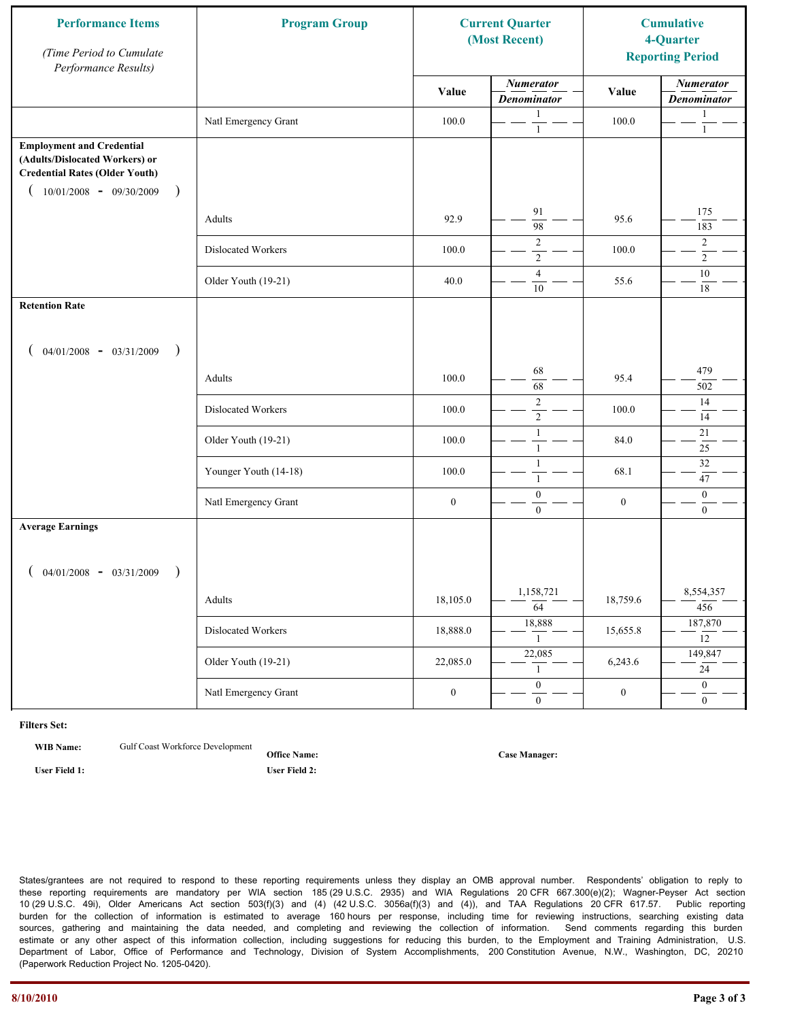| <b>Performance Items</b><br>(Time Period to Cumulate<br>Performance Results)                                                                              | <b>Program Group</b>  | <b>Current Quarter</b><br>(Most Recent) |                                        | <b>Cumulative</b><br>4-Quarter<br><b>Reporting Period</b> |                                        |
|-----------------------------------------------------------------------------------------------------------------------------------------------------------|-----------------------|-----------------------------------------|----------------------------------------|-----------------------------------------------------------|----------------------------------------|
|                                                                                                                                                           |                       | Value                                   | <b>Numerator</b><br><b>Denominator</b> | Value                                                     | <b>Numerator</b><br><b>Denominator</b> |
|                                                                                                                                                           | Natl Emergency Grant  | 100.0                                   | 1<br>$\mathbf{1}$                      | 100.0                                                     | 1<br>$\mathbf{1}$                      |
| <b>Employment and Credential</b><br>(Adults/Dislocated Workers) or<br><b>Credential Rates (Older Youth)</b><br>$10/01/2008$ - 09/30/2009<br>$\rightarrow$ |                       |                                         |                                        |                                                           |                                        |
|                                                                                                                                                           | Adults                | 92.9                                    | 91<br>98                               | 95.6                                                      | 175<br>183                             |
|                                                                                                                                                           | Dislocated Workers    | 100.0                                   | $\overline{2}$<br>$\overline{2}$       | 100.0                                                     | $\overline{c}$<br>$\overline{2}$       |
|                                                                                                                                                           | Older Youth (19-21)   | 40.0                                    | $\overline{4}$<br>10                   | 55.6                                                      | $10\,$<br>$18\,$                       |
| <b>Retention Rate</b>                                                                                                                                     |                       |                                         |                                        |                                                           |                                        |
| $04/01/2008$ - $03/31/2009$<br>$\rightarrow$                                                                                                              |                       |                                         |                                        |                                                           |                                        |
|                                                                                                                                                           | Adults                | 100.0                                   | 68<br>68                               | 95.4                                                      | 479<br>502                             |
|                                                                                                                                                           | Dislocated Workers    | 100.0                                   | $\overline{2}$<br>$\sqrt{2}$           | 100.0                                                     | 14<br>14                               |
|                                                                                                                                                           | Older Youth (19-21)   | 100.0                                   | $\mathbf{1}$<br>$\mathbf{1}$           | 84.0                                                      | 21<br>$25\,$                           |
|                                                                                                                                                           | Younger Youth (14-18) | 100.0                                   | $\mathbf{1}$<br>$\mathbf{1}$           | 68.1                                                      | $\overline{32}$<br>47                  |
|                                                                                                                                                           | Natl Emergency Grant  | $\boldsymbol{0}$                        | $\boldsymbol{0}$<br>$\overline{0}$     | $\boldsymbol{0}$                                          | $\mathbf{0}$<br>$\overline{0}$         |
| <b>Average Earnings</b>                                                                                                                                   |                       |                                         |                                        |                                                           |                                        |
| $04/01/2008$ - $03/31/2009$<br>$\lambda$                                                                                                                  |                       |                                         |                                        |                                                           |                                        |
|                                                                                                                                                           | Adults                | 18,105.0                                | 1,158,721<br>$\overline{64}$           | 18,759.6                                                  | 8,554,357<br>456                       |
|                                                                                                                                                           | Dislocated Workers    | 18,888.0                                | 18,888<br>$\mathbf{1}$                 | 15,655.8                                                  | 187,870<br>$\overline{12}$             |
|                                                                                                                                                           | Older Youth (19-21)   | 22,085.0                                | 22,085<br>$\mathbf{1}$                 | 6,243.6                                                   | 149,847<br>24                          |
|                                                                                                                                                           | Natl Emergency Grant  | $\boldsymbol{0}$                        | $\overline{0}$<br>$\overline{0}$       | $\boldsymbol{0}$                                          | $\overline{0}$<br>$\overline{0}$       |

**WIB Name:** Gulf Coast Workforce Development

**User Field 1: User Field 2:**

**Office Name:**

**Case Manager:**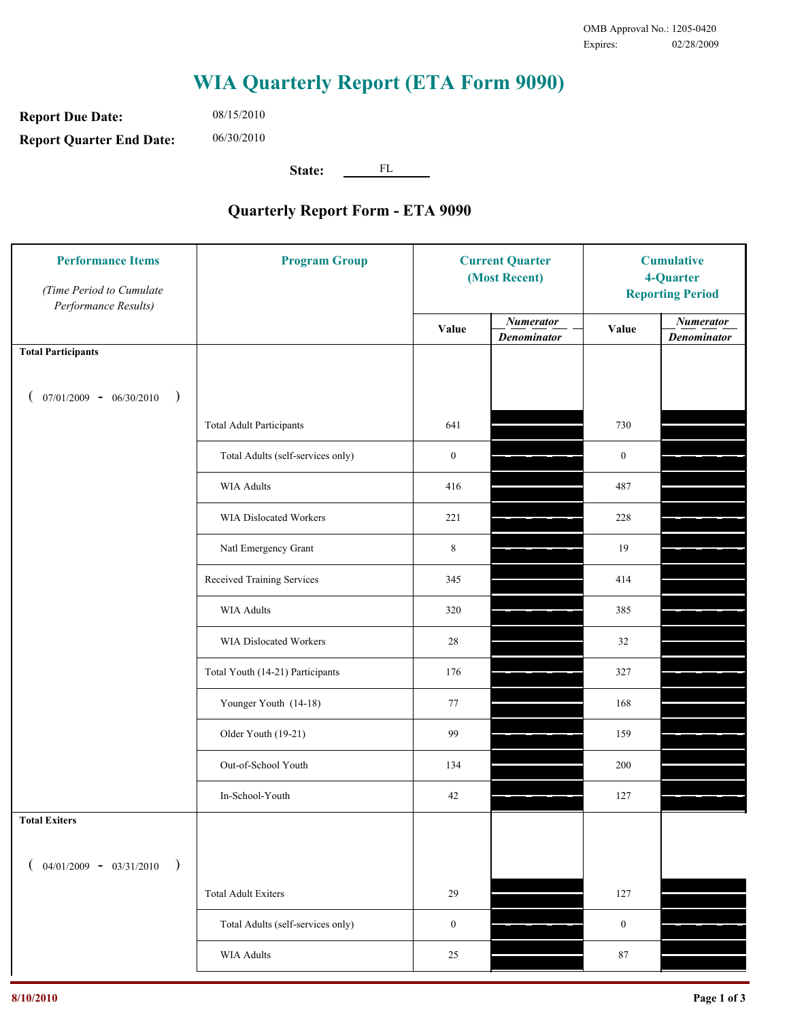**Report Due Date: Report Quarter End Date:** 06/30/2010

08/15/2010

**State:** FL

| <b>Performance Items</b><br>(Time Period to Cumulate<br>Performance Results) | <b>Program Group</b>              | <b>Current Quarter</b><br>(Most Recent) |                                        | <b>Cumulative</b><br>4-Quarter<br><b>Reporting Period</b> |                                        |
|------------------------------------------------------------------------------|-----------------------------------|-----------------------------------------|----------------------------------------|-----------------------------------------------------------|----------------------------------------|
|                                                                              |                                   | Value                                   | <b>Numerator</b><br><b>Denominator</b> | Value                                                     | <b>Numerator</b><br><b>Denominator</b> |
| <b>Total Participants</b>                                                    |                                   |                                         |                                        |                                                           |                                        |
| $07/01/2009 - 06/30/2010$<br>$\big)$                                         |                                   |                                         |                                        |                                                           |                                        |
|                                                                              | <b>Total Adult Participants</b>   | 641                                     |                                        | 730                                                       |                                        |
|                                                                              | Total Adults (self-services only) | $\boldsymbol{0}$                        |                                        | $\boldsymbol{0}$                                          |                                        |
|                                                                              | <b>WIA Adults</b>                 | 416                                     |                                        | 487                                                       |                                        |
|                                                                              | WIA Dislocated Workers            | 221                                     |                                        | 228                                                       |                                        |
|                                                                              | Natl Emergency Grant              | $\,8\,$                                 |                                        | 19                                                        |                                        |
|                                                                              | Received Training Services        | 345                                     |                                        | 414                                                       |                                        |
|                                                                              | <b>WIA Adults</b>                 | 320                                     |                                        | 385                                                       |                                        |
|                                                                              | WIA Dislocated Workers            | 28                                      |                                        | 32                                                        |                                        |
|                                                                              | Total Youth (14-21) Participants  | 176                                     |                                        | 327                                                       |                                        |
|                                                                              | Younger Youth (14-18)             | 77                                      |                                        | 168                                                       |                                        |
|                                                                              | Older Youth (19-21)               | 99                                      |                                        | 159                                                       |                                        |
|                                                                              | Out-of-School Youth               | 134                                     |                                        | 200                                                       |                                        |
|                                                                              | In-School-Youth                   | $42\,$                                  |                                        | 127                                                       |                                        |
| <b>Total Exiters</b>                                                         |                                   |                                         |                                        |                                                           |                                        |
| $04/01/2009 - 03/31/2010$<br>$\lambda$                                       |                                   |                                         |                                        |                                                           |                                        |
|                                                                              | <b>Total Adult Exiters</b>        | 29                                      |                                        | 127                                                       |                                        |
|                                                                              | Total Adults (self-services only) | $\boldsymbol{0}$                        |                                        | $\boldsymbol{0}$                                          |                                        |
|                                                                              | WIA Adults                        | 25                                      |                                        | $87\,$                                                    |                                        |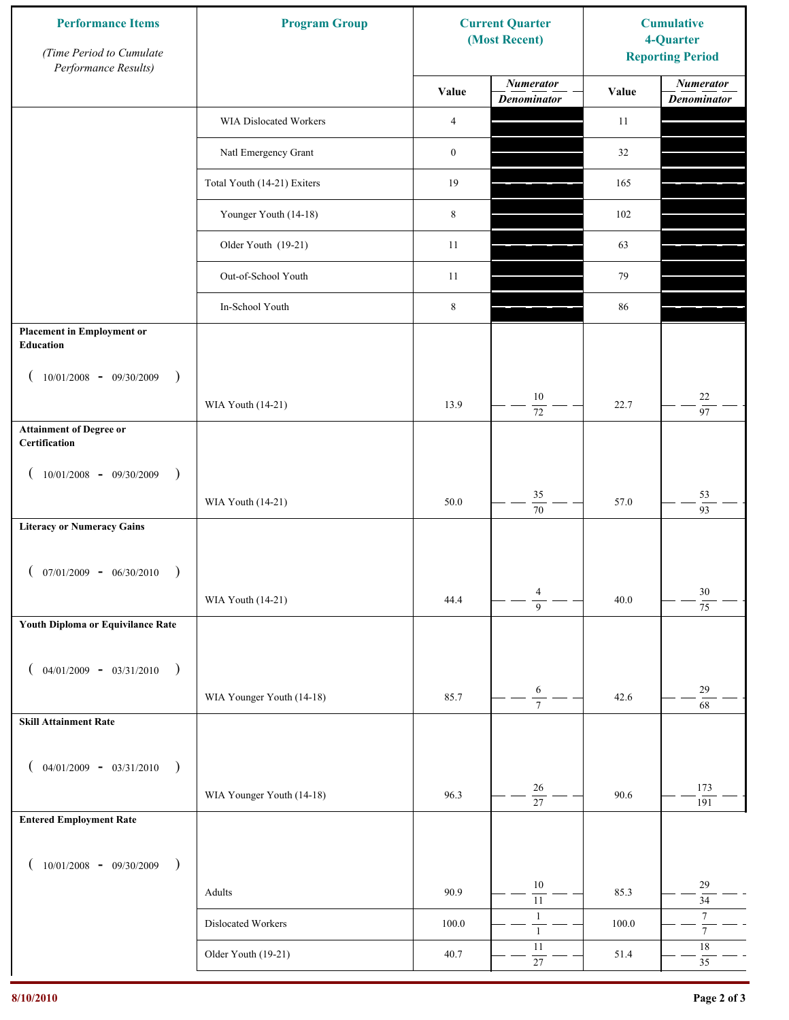| <b>Performance Items</b><br>(Time Period to Cumulate<br>Performance Results) | <b>Program Group</b>          |                  | <b>Current Quarter</b><br>(Most Recent) | <b>Cumulative</b><br>4-Quarter<br><b>Reporting Period</b> |                                        |
|------------------------------------------------------------------------------|-------------------------------|------------------|-----------------------------------------|-----------------------------------------------------------|----------------------------------------|
|                                                                              |                               | Value            | <b>Numerator</b><br><b>Denominator</b>  | Value                                                     | <b>Numerator</b><br><b>Denominator</b> |
|                                                                              | <b>WIA Dislocated Workers</b> | $\overline{4}$   |                                         | 11                                                        |                                        |
|                                                                              | Natl Emergency Grant          | $\boldsymbol{0}$ |                                         | 32                                                        |                                        |
|                                                                              | Total Youth (14-21) Exiters   | 19               |                                         | 165                                                       |                                        |
|                                                                              | Younger Youth (14-18)         | $\,8\,$          |                                         | 102                                                       |                                        |
|                                                                              | Older Youth (19-21)           | 11               |                                         | 63                                                        |                                        |
|                                                                              | Out-of-School Youth           | 11               |                                         | 79                                                        |                                        |
|                                                                              | In-School Youth               | $\,$ 8 $\,$      |                                         | 86                                                        |                                        |
| <b>Placement in Employment or</b><br>Education                               |                               |                  |                                         |                                                           |                                        |
| $10/01/2008 - 09/30/2009$<br>$\rightarrow$                                   |                               |                  |                                         |                                                           |                                        |
|                                                                              | WIA Youth (14-21)             | 13.9             | 10<br>$\overline{72}$                   | 22.7                                                      | $22\,$<br>97                           |
| <b>Attainment of Degree or</b><br>Certification                              |                               |                  |                                         |                                                           |                                        |
| $10/01/2008$ - 09/30/2009<br>$\lambda$                                       |                               |                  |                                         |                                                           |                                        |
|                                                                              | WIA Youth (14-21)             | 50.0             | 35<br>$\overline{70}$                   | 57.0                                                      | 53<br>$\overline{93}$                  |
| <b>Literacy or Numeracy Gains</b>                                            |                               |                  |                                         |                                                           |                                        |
| $07/01/2009 - 06/30/2010$                                                    |                               |                  |                                         |                                                           |                                        |
|                                                                              | WIA Youth (14-21)             | 44.4             | $\overline{4}$<br>$\overline{9}$        | 40.0                                                      | $30\,$<br>$\overline{75}$              |
| Youth Diploma or Equivilance Rate                                            |                               |                  |                                         |                                                           |                                        |
| $04/01/2009 - 03/31/2010$<br>$\rightarrow$                                   |                               |                  |                                         |                                                           |                                        |
|                                                                              | WIA Younger Youth (14-18)     | 85.7             | $\sqrt{6}$<br>$\overline{7}$            | 42.6                                                      | 29<br>68                               |
| <b>Skill Attainment Rate</b>                                                 |                               |                  |                                         |                                                           |                                        |
| $04/01/2009 - 03/31/2010$<br>$\rightarrow$                                   |                               |                  |                                         |                                                           |                                        |
|                                                                              | WIA Younger Youth (14-18)     | 96.3             | 26                                      | 90.6                                                      | 173                                    |
| <b>Entered Employment Rate</b>                                               |                               |                  | $\overline{27}$                         |                                                           | 191                                    |
|                                                                              |                               |                  |                                         |                                                           |                                        |
| $10/01/2008$ - 09/30/2009<br>$\overline{\phantom{a}}$                        | Adults                        | 90.9             | 10                                      | 85.3                                                      | 29                                     |
|                                                                              | Dislocated Workers            | $100.0\,$        | $11\,$<br>$\mathbf{1}$                  | 100.0                                                     | 34<br>$7\phantom{.0}$                  |
|                                                                              | Older Youth (19-21)           | 40.7             | $\mathbf{1}$<br>11                      | 51.4                                                      | $\overline{7}$<br>$18\,$               |
|                                                                              |                               |                  | $27\,$                                  |                                                           | 35                                     |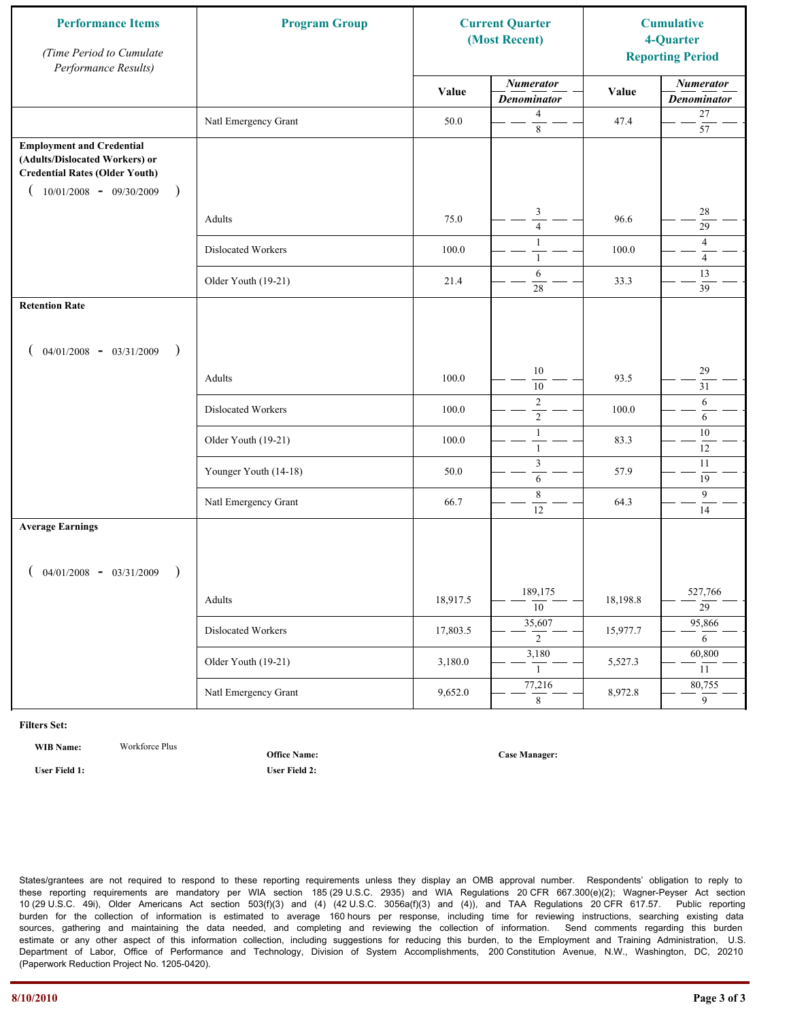| <b>Performance Items</b><br>(Time Period to Cumulate<br>Performance Results)                                                                              | <b>Program Group</b>  | <b>Current Quarter</b><br>(Most Recent) |                                        | <b>Cumulative</b><br>4-Quarter<br><b>Reporting Period</b> |                                        |
|-----------------------------------------------------------------------------------------------------------------------------------------------------------|-----------------------|-----------------------------------------|----------------------------------------|-----------------------------------------------------------|----------------------------------------|
|                                                                                                                                                           |                       | Value                                   | <b>Numerator</b><br><b>Denominator</b> | Value                                                     | <b>Numerator</b><br><b>Denominator</b> |
|                                                                                                                                                           | Natl Emergency Grant  | 50.0                                    | $\overline{4}$<br>$\,8\,$              | 47.4                                                      | $27\,$<br>$\overline{57}$              |
| <b>Employment and Credential</b><br>(Adults/Dislocated Workers) or<br><b>Credential Rates (Older Youth)</b><br>$10/01/2008 - 09/30/2009$<br>$\rightarrow$ |                       |                                         |                                        |                                                           |                                        |
|                                                                                                                                                           | Adults                | 75.0                                    | 3<br>$\overline{4}$                    | 96.6                                                      | 28<br>29                               |
|                                                                                                                                                           | Dislocated Workers    | 100.0                                   | $\mathbf{1}$<br>$\mathbf{1}$           | 100.0                                                     | $\overline{4}$<br>$\overline{4}$       |
|                                                                                                                                                           | Older Youth (19-21)   | 21.4                                    | 6<br>28                                | 33.3                                                      | 13<br>39                               |
| <b>Retention Rate</b>                                                                                                                                     |                       |                                         |                                        |                                                           |                                        |
| $04/01/2008$ - $03/31/2009$<br>$\rightarrow$                                                                                                              |                       |                                         |                                        |                                                           |                                        |
|                                                                                                                                                           | Adults                | 100.0                                   | 10<br>10                               | 93.5                                                      | 29<br>31                               |
|                                                                                                                                                           | Dislocated Workers    | 100.0                                   | $\sqrt{2}$<br>$\overline{2}$           | 100.0                                                     | 6<br>6                                 |
|                                                                                                                                                           | Older Youth (19-21)   | 100.0                                   | $\mathbf{1}$<br>$\mathbf{1}$           | 83.3                                                      | 10<br>12                               |
|                                                                                                                                                           | Younger Youth (14-18) | 50.0                                    | $\mathfrak{Z}$<br>6                    | 57.9                                                      | 11<br>19                               |
|                                                                                                                                                           | Natl Emergency Grant  | 66.7                                    | 8<br>12                                | 64.3                                                      | 9<br>14                                |
| <b>Average Earnings</b>                                                                                                                                   |                       |                                         |                                        |                                                           |                                        |
| $04/01/2008$ - $03/31/2009$<br>$\lambda$                                                                                                                  |                       |                                         |                                        |                                                           |                                        |
|                                                                                                                                                           | Adults                | 18,917.5                                | 189,175<br>$\overline{10}$             | 18,198.8                                                  | 527,766<br>$\overline{29}$             |
|                                                                                                                                                           | Dislocated Workers    | 17,803.5                                | 35,607<br>$\overline{2}$               | 15,977.7                                                  | 95,866<br>6                            |
|                                                                                                                                                           | Older Youth (19-21)   | 3,180.0                                 | 3,180<br>$\mathbf{1}$                  | 5,527.3                                                   | 60,800<br>11                           |
|                                                                                                                                                           | Natl Emergency Grant  | 9,652.0                                 | 77,216<br>8                            | 8,972.8                                                   | 80,755<br>$\overline{9}$               |

**WIB Name:** Workforce Plus

**Office Name:**

**User Field 1: User Field 2:**

**Case Manager:**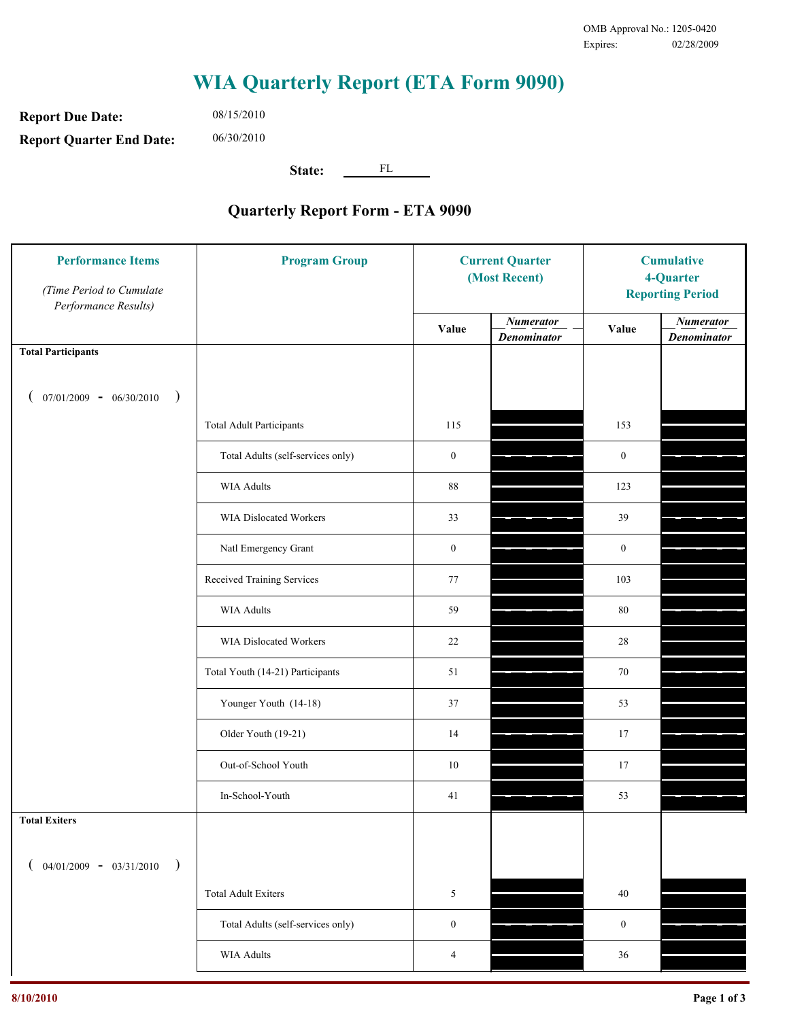**Report Due Date: Report Quarter End Date:** 06/30/2010

08/15/2010

**State:** FL

| <b>Performance Items</b><br>(Time Period to Cumulate<br>Performance Results) | <b>Program Group</b>              | <b>Current Quarter</b><br>(Most Recent) |                                        | <b>Cumulative</b><br>4-Quarter<br><b>Reporting Period</b> |                                        |
|------------------------------------------------------------------------------|-----------------------------------|-----------------------------------------|----------------------------------------|-----------------------------------------------------------|----------------------------------------|
|                                                                              |                                   | Value                                   | <b>Numerator</b><br><b>Denominator</b> | Value                                                     | <b>Numerator</b><br><b>Denominator</b> |
| <b>Total Participants</b>                                                    |                                   |                                         |                                        |                                                           |                                        |
| $07/01/2009 - 06/30/2010$<br>$\rightarrow$                                   |                                   |                                         |                                        |                                                           |                                        |
|                                                                              | <b>Total Adult Participants</b>   | 115                                     |                                        | 153                                                       |                                        |
|                                                                              | Total Adults (self-services only) | $\boldsymbol{0}$                        |                                        | $\boldsymbol{0}$                                          |                                        |
|                                                                              | <b>WIA Adults</b>                 | 88                                      |                                        | 123                                                       |                                        |
|                                                                              | WIA Dislocated Workers            | 33                                      |                                        | 39                                                        |                                        |
|                                                                              | Natl Emergency Grant              | $\boldsymbol{0}$                        |                                        | $\boldsymbol{0}$                                          |                                        |
|                                                                              | Received Training Services        | 77                                      |                                        | 103                                                       |                                        |
|                                                                              | <b>WIA Adults</b>                 | 59                                      |                                        | $80\,$                                                    |                                        |
|                                                                              | WIA Dislocated Workers            | 22                                      |                                        | 28                                                        |                                        |
|                                                                              | Total Youth (14-21) Participants  | 51                                      |                                        | 70                                                        |                                        |
|                                                                              | Younger Youth (14-18)             | 37                                      |                                        | 53                                                        |                                        |
|                                                                              | Older Youth (19-21)               | 14                                      |                                        | 17                                                        |                                        |
|                                                                              | Out-of-School Youth               | 10                                      |                                        | 17                                                        |                                        |
|                                                                              | In-School-Youth                   | 41                                      |                                        | 53                                                        |                                        |
| <b>Total Exiters</b>                                                         |                                   |                                         |                                        |                                                           |                                        |
| $04/01/2009 - 03/31/2010$<br>$\rightarrow$                                   |                                   |                                         |                                        |                                                           |                                        |
|                                                                              | <b>Total Adult Exiters</b>        | 5                                       |                                        | 40                                                        |                                        |
|                                                                              | Total Adults (self-services only) | $\boldsymbol{0}$                        |                                        | $\boldsymbol{0}$                                          |                                        |
|                                                                              | WIA Adults                        | 4                                       |                                        | 36                                                        |                                        |
|                                                                              |                                   |                                         |                                        |                                                           |                                        |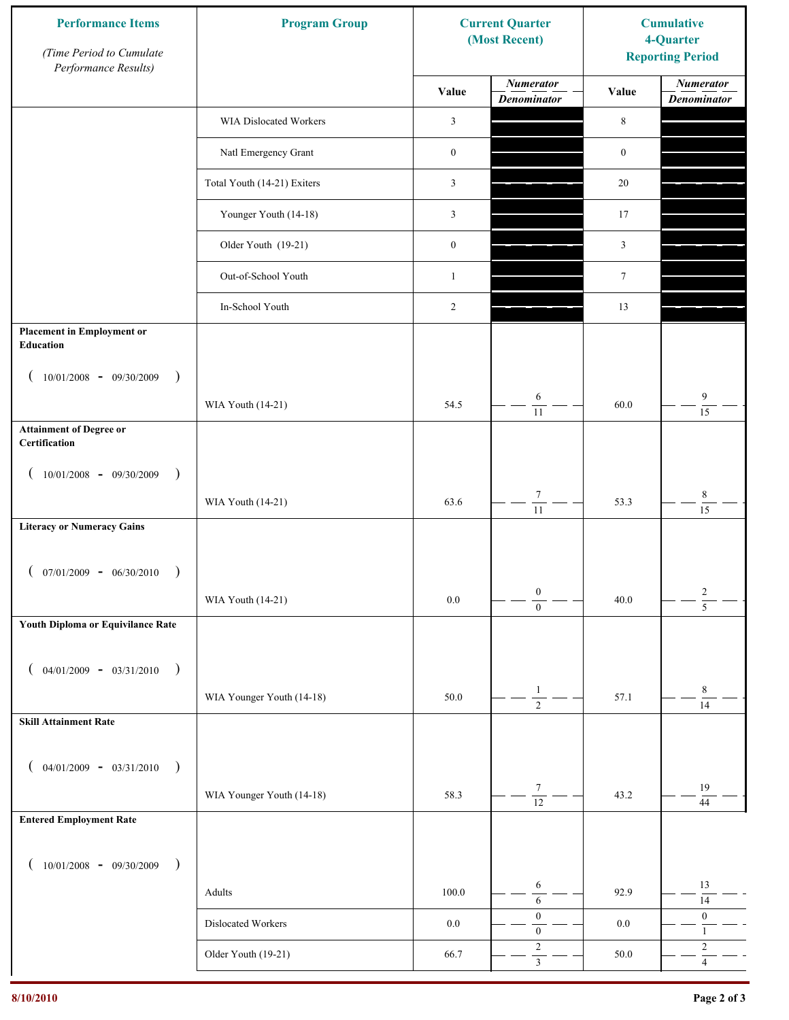| <b>Performance Items</b><br>(Time Period to Cumulate<br>Performance Results) | <b>Program Group</b>        |                  | <b>Current Quarter</b><br>(Most Recent) | <b>Cumulative</b><br>4-Quarter<br><b>Reporting Period</b> |                                        |
|------------------------------------------------------------------------------|-----------------------------|------------------|-----------------------------------------|-----------------------------------------------------------|----------------------------------------|
|                                                                              |                             | Value            | <b>Numerator</b><br><b>Denominator</b>  | Value                                                     | <b>Numerator</b><br><b>Denominator</b> |
|                                                                              | WIA Dislocated Workers      | 3                |                                         | $\,8\,$                                                   |                                        |
|                                                                              | Natl Emergency Grant        | $\boldsymbol{0}$ |                                         | $\boldsymbol{0}$                                          |                                        |
|                                                                              | Total Youth (14-21) Exiters | 3                |                                         | $20\,$                                                    |                                        |
|                                                                              | Younger Youth (14-18)       | 3                |                                         | 17                                                        |                                        |
|                                                                              | Older Youth (19-21)         | $\boldsymbol{0}$ |                                         | 3                                                         |                                        |
|                                                                              | Out-of-School Youth         | $\mathbf{1}$     |                                         | $\tau$                                                    |                                        |
|                                                                              | In-School Youth             | $\overline{c}$   |                                         | 13                                                        |                                        |
| <b>Placement in Employment or</b><br><b>Education</b>                        |                             |                  |                                         |                                                           |                                        |
| $10/01/2008 - 09/30/2009$<br>$\rightarrow$                                   |                             |                  | 6                                       |                                                           | 9                                      |
|                                                                              | WIA Youth (14-21)           | 54.5             | 11                                      | 60.0                                                      | $\overline{15}$                        |
| <b>Attainment of Degree or</b><br>Certification                              |                             |                  |                                         |                                                           |                                        |
| $(10/01/2008 - 09/30/2009$<br>$\lambda$                                      |                             |                  |                                         |                                                           |                                        |
|                                                                              | WIA Youth (14-21)           | 63.6             | $\boldsymbol{7}$<br>$\overline{11}$     | 53.3                                                      | $\,$ 8 $\,$<br>$\overline{15}$         |
| <b>Literacy or Numeracy Gains</b>                                            |                             |                  |                                         |                                                           |                                        |
| $07/01/2009 - 06/30/2010$                                                    |                             |                  |                                         |                                                           |                                        |
|                                                                              | WIA Youth (14-21)           | $0.0\,$          | $\boldsymbol{0}$<br>$\overline{0}$      | 40.0                                                      | $\frac{2}{5}$                          |
| Youth Diploma or Equivilance Rate                                            |                             |                  |                                         |                                                           |                                        |
| $04/01/2009 - 03/31/2010$<br>$\rightarrow$                                   |                             |                  |                                         |                                                           |                                        |
|                                                                              | WIA Younger Youth (14-18)   | 50.0             | $\mathbf{1}$<br>$\overline{2}$          | 57.1                                                      | $\,$ 8 $\,$                            |
| <b>Skill Attainment Rate</b>                                                 |                             |                  |                                         |                                                           | $\overline{14}$                        |
|                                                                              |                             |                  |                                         |                                                           |                                        |
| $04/01/2009 - 03/31/2010$ )                                                  |                             |                  | $\tau$                                  |                                                           | 19                                     |
| <b>Entered Employment Rate</b>                                               | WIA Younger Youth (14-18)   | 58.3             | $\overline{12}$                         | 43.2                                                      | 44                                     |
|                                                                              |                             |                  |                                         |                                                           |                                        |
| $10/01/2008$ - 09/30/2009<br>$\overline{\phantom{a}}$                        |                             |                  |                                         |                                                           |                                        |
|                                                                              | Adults                      | 100.0            | 6<br>$\sqrt{6}$                         | 92.9                                                      | 13<br>14                               |
|                                                                              | Dislocated Workers          | $0.0\,$          | $\boldsymbol{0}$<br>$\boldsymbol{0}$    | 0.0                                                       | $\boldsymbol{0}$<br>$\mathbf{1}$       |
|                                                                              | Older Youth (19-21)         | 66.7             | $\sqrt{2}$<br>$\overline{\mathbf{3}}$   | 50.0                                                      | $\sqrt{2}$<br>$\overline{4}$           |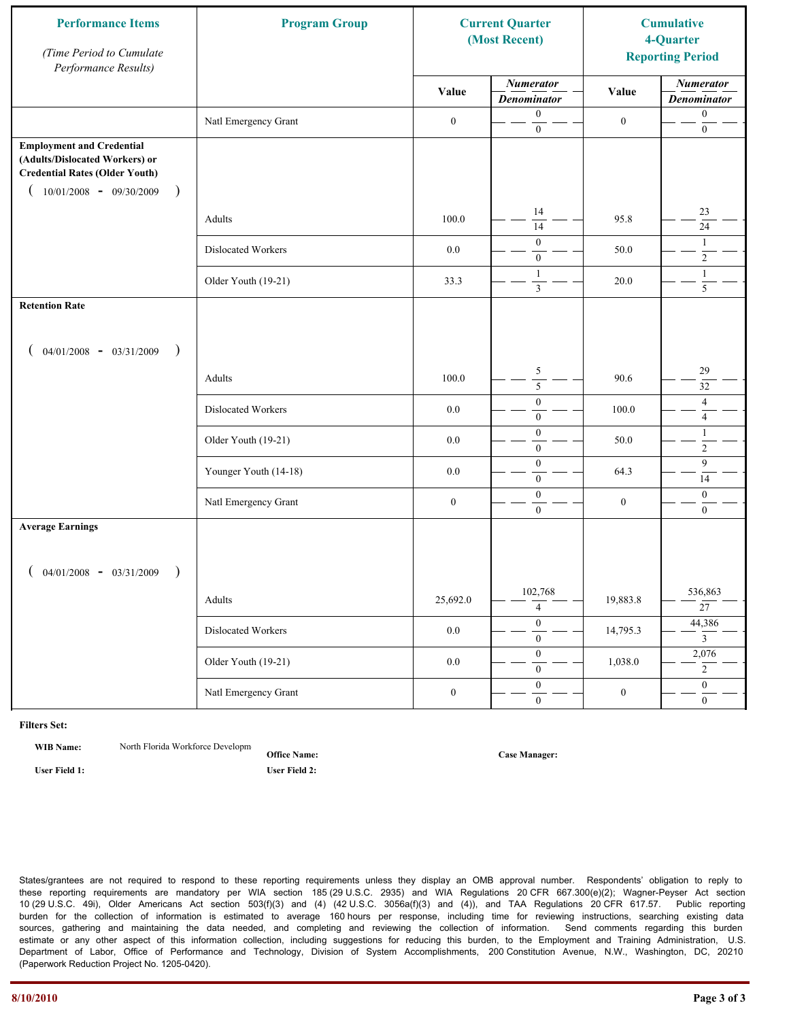| <b>Performance Items</b><br>(Time Period to Cumulate<br>Performance Results)                                                                              | <b>Program Group</b>  |                  | <b>Current Quarter</b><br>(Most Recent) |                  | <b>Cumulative</b><br>4-Quarter<br><b>Reporting Period</b> |
|-----------------------------------------------------------------------------------------------------------------------------------------------------------|-----------------------|------------------|-----------------------------------------|------------------|-----------------------------------------------------------|
|                                                                                                                                                           |                       | Value            | <b>Numerator</b><br><b>Denominator</b>  | Value            | <b>Numerator</b><br><b>Denominator</b>                    |
|                                                                                                                                                           | Natl Emergency Grant  | $\boldsymbol{0}$ | $\mathbf{0}$<br>$\boldsymbol{0}$        | $\boldsymbol{0}$ | $\boldsymbol{0}$<br>$\boldsymbol{0}$                      |
| <b>Employment and Credential</b><br>(Adults/Dislocated Workers) or<br><b>Credential Rates (Older Youth)</b><br>$10/01/2008 - 09/30/2009$<br>$\rightarrow$ |                       |                  |                                         |                  |                                                           |
|                                                                                                                                                           | Adults                | 100.0            | 14<br>14                                | 95.8             | 23<br>24                                                  |
|                                                                                                                                                           | Dislocated Workers    | $0.0\,$          | $\mathbf{0}$<br>$\mathbf{0}$            | 50.0             | $\mathbf{1}$<br>$\overline{2}$                            |
|                                                                                                                                                           | Older Youth (19-21)   | 33.3             | $\mathbf{1}$<br>$\overline{\mathbf{3}}$ | 20.0             | $\mathbf{1}$<br>$\overline{5}$                            |
| <b>Retention Rate</b>                                                                                                                                     |                       |                  |                                         |                  |                                                           |
| $04/01/2008$ - $03/31/2009$<br>$\rightarrow$                                                                                                              |                       |                  |                                         |                  |                                                           |
|                                                                                                                                                           | Adults                | 100.0            | $\sqrt{5}$<br>5                         | 90.6             | 29<br>32                                                  |
|                                                                                                                                                           | Dislocated Workers    | 0.0              | $\boldsymbol{0}$<br>$\mathbf{0}$        | 100.0            | $\overline{4}$<br>$\overline{4}$                          |
|                                                                                                                                                           | Older Youth (19-21)   | 0.0              | $\boldsymbol{0}$<br>$\mathbf{0}$        | 50.0             | $\mathbf{1}$<br>$\overline{2}$                            |
|                                                                                                                                                           | Younger Youth (14-18) | 0.0              | $\boldsymbol{0}$<br>$\boldsymbol{0}$    | 64.3             | 9<br>14                                                   |
|                                                                                                                                                           | Natl Emergency Grant  | $\boldsymbol{0}$ | $\boldsymbol{0}$<br>$\mathbf{0}$        | $\boldsymbol{0}$ | $\mathbf{0}$<br>$\overline{0}$                            |
| <b>Average Earnings</b>                                                                                                                                   |                       |                  |                                         |                  |                                                           |
| $04/01/2008$ - $03/31/2009$<br>$\lambda$                                                                                                                  |                       |                  |                                         |                  |                                                           |
|                                                                                                                                                           | Adults                | 25,692.0         | 102,768<br>$\overline{4}$               | 19,883.8         | 536,863<br>$\overline{27}$                                |
|                                                                                                                                                           | Dislocated Workers    | $0.0\,$          | $\overline{0}$<br>$\mathbf{0}$          | 14,795.3         | 44,386<br>$\overline{3}$                                  |
|                                                                                                                                                           | Older Youth (19-21)   | $0.0\,$          | $\overline{0}$<br>$\mathbf{0}$          | 1,038.0          | 2,076<br>$\overline{2}$                                   |
|                                                                                                                                                           | Natl Emergency Grant  | $\boldsymbol{0}$ | $\overline{0}$<br>$\overline{0}$        | $\boldsymbol{0}$ | $\overline{0}$<br>$\overline{0}$                          |

**WIB Name:** North Florida Workforce Developm

**Office Name: User Field 1: User Field 2:**

**Case Manager:**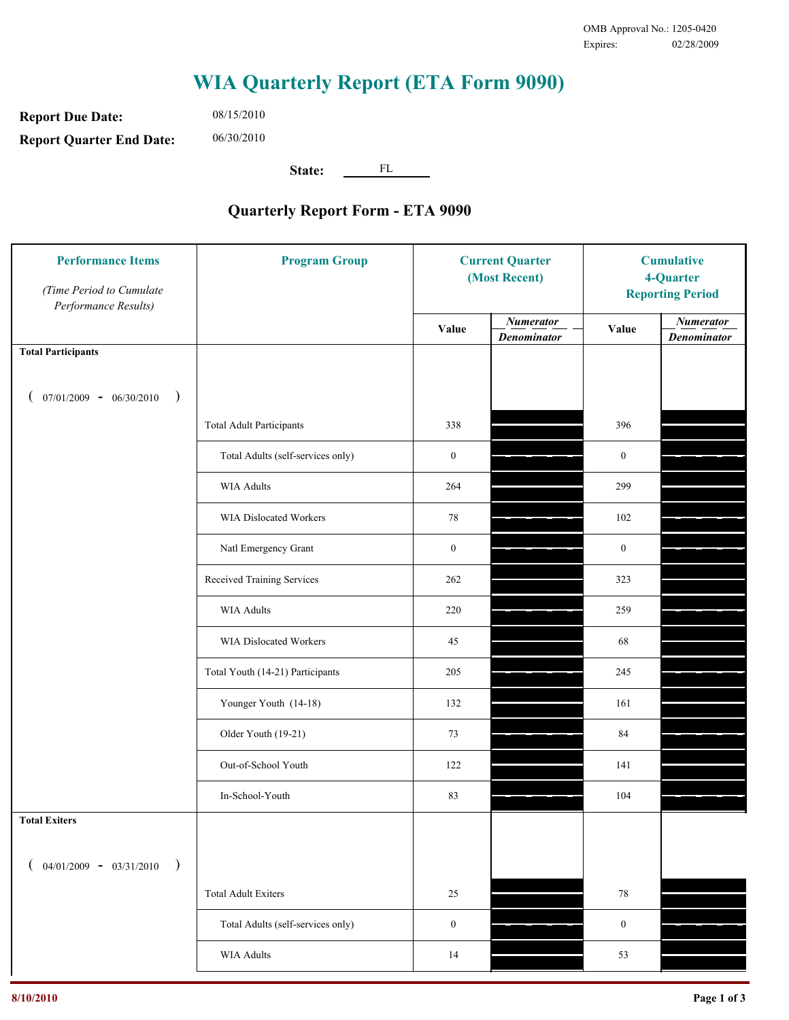**Report Due Date: Report Quarter End Date:** 06/30/2010

08/15/2010

**State:** FL

| <b>Performance Items</b><br>(Time Period to Cumulate<br>Performance Results) | <b>Program Group</b>              | <b>Current Quarter</b><br>(Most Recent) |                                        | <b>Cumulative</b><br>4-Quarter<br><b>Reporting Period</b> |                                        |
|------------------------------------------------------------------------------|-----------------------------------|-----------------------------------------|----------------------------------------|-----------------------------------------------------------|----------------------------------------|
|                                                                              |                                   | Value                                   | <b>Numerator</b><br><b>Denominator</b> | Value                                                     | <b>Numerator</b><br><b>Denominator</b> |
| <b>Total Participants</b>                                                    |                                   |                                         |                                        |                                                           |                                        |
| $07/01/2009 - 06/30/2010$<br>$\big)$                                         |                                   |                                         |                                        |                                                           |                                        |
|                                                                              | <b>Total Adult Participants</b>   | 338                                     |                                        | 396                                                       |                                        |
|                                                                              | Total Adults (self-services only) | $\boldsymbol{0}$                        |                                        | $\boldsymbol{0}$                                          |                                        |
|                                                                              | <b>WIA Adults</b>                 | 264                                     |                                        | 299                                                       |                                        |
|                                                                              | WIA Dislocated Workers            | 78                                      |                                        | 102                                                       |                                        |
|                                                                              | Natl Emergency Grant              | $\boldsymbol{0}$                        |                                        | $\boldsymbol{0}$                                          |                                        |
|                                                                              | Received Training Services        | 262                                     |                                        | 323                                                       |                                        |
|                                                                              | <b>WIA Adults</b>                 | 220                                     |                                        | 259                                                       |                                        |
|                                                                              | WIA Dislocated Workers            | 45                                      |                                        | 68                                                        |                                        |
|                                                                              | Total Youth (14-21) Participants  | 205                                     |                                        | 245                                                       |                                        |
|                                                                              | Younger Youth (14-18)             | 132                                     |                                        | 161                                                       |                                        |
|                                                                              | Older Youth (19-21)               | 73                                      |                                        | 84                                                        |                                        |
|                                                                              | Out-of-School Youth               | 122                                     |                                        | 141                                                       |                                        |
|                                                                              | In-School-Youth                   | 83                                      |                                        | 104                                                       |                                        |
| <b>Total Exiters</b>                                                         |                                   |                                         |                                        |                                                           |                                        |
| $($ 04/01/2009 - 03/31/2010<br>$\rightarrow$                                 |                                   |                                         |                                        |                                                           |                                        |
|                                                                              | <b>Total Adult Exiters</b>        | 25                                      |                                        | $78\,$                                                    |                                        |
|                                                                              | Total Adults (self-services only) | $\boldsymbol{0}$                        |                                        | $\boldsymbol{0}$                                          |                                        |
|                                                                              | WIA Adults                        | 14                                      |                                        | 53                                                        |                                        |
|                                                                              |                                   |                                         |                                        |                                                           |                                        |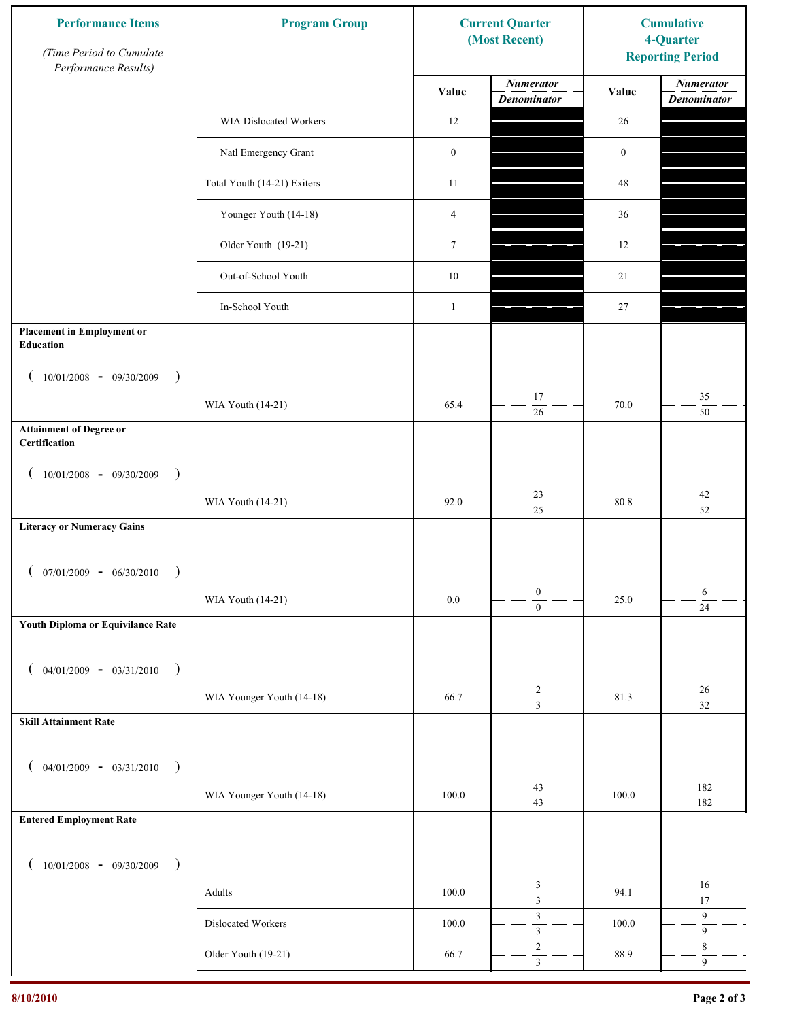| <b>Performance Items</b><br>(Time Period to Cumulate<br>Performance Results) | <b>Program Group</b>        |                  | <b>Current Quarter</b><br>(Most Recent) | <b>Cumulative</b><br>4-Quarter<br><b>Reporting Period</b> |                                        |
|------------------------------------------------------------------------------|-----------------------------|------------------|-----------------------------------------|-----------------------------------------------------------|----------------------------------------|
|                                                                              |                             | Value            | <b>Numerator</b><br><b>Denominator</b>  | Value                                                     | <b>Numerator</b><br><b>Denominator</b> |
|                                                                              | WIA Dislocated Workers      | 12               |                                         | 26                                                        |                                        |
|                                                                              | Natl Emergency Grant        | $\boldsymbol{0}$ |                                         | $\boldsymbol{0}$                                          |                                        |
|                                                                              | Total Youth (14-21) Exiters | 11               |                                         | 48                                                        |                                        |
|                                                                              | Younger Youth (14-18)       | 4                |                                         | 36                                                        |                                        |
|                                                                              | Older Youth (19-21)         | $\tau$           |                                         | 12                                                        |                                        |
|                                                                              | Out-of-School Youth         | $10\,$           |                                         | 21                                                        |                                        |
|                                                                              | In-School Youth             | $\mathbf{1}$     |                                         | $27\,$                                                    |                                        |
| <b>Placement in Employment or</b><br><b>Education</b>                        |                             |                  |                                         |                                                           |                                        |
| $10/01/2008 - 09/30/2009$<br>$\rightarrow$                                   |                             |                  | 17                                      |                                                           | 35                                     |
|                                                                              | WIA Youth (14-21)           | 65.4             | 26                                      | 70.0                                                      | 50                                     |
| <b>Attainment of Degree or</b><br>Certification                              |                             |                  |                                         |                                                           |                                        |
| $(10/01/2008 - 09/30/2009$<br>$\lambda$                                      |                             |                  |                                         |                                                           |                                        |
|                                                                              | WIA Youth (14-21)           | 92.0             | $23\,$<br>$\overline{25}$               | 80.8                                                      | $42\,$<br>$\overline{52}$              |
| <b>Literacy or Numeracy Gains</b>                                            |                             |                  |                                         |                                                           |                                        |
| $07/01/2009 - 06/30/2010$                                                    |                             |                  |                                         |                                                           |                                        |
|                                                                              | WIA Youth (14-21)           | $0.0\,$          | $\boldsymbol{0}$<br>$\overline{0}$      | 25.0                                                      | 6<br>$\overline{24}$                   |
| Youth Diploma or Equivilance Rate                                            |                             |                  |                                         |                                                           |                                        |
|                                                                              |                             |                  |                                         |                                                           |                                        |
| $04/01/2009 - 03/31/2010$<br>$\rightarrow$                                   | WIA Younger Youth (14-18)   | 66.7             | $\overline{\mathbf{c}}$                 | 81.3                                                      | $26\,$                                 |
| <b>Skill Attainment Rate</b>                                                 |                             |                  | $\overline{3}$                          |                                                           | $\overline{32}$                        |
|                                                                              |                             |                  |                                         |                                                           |                                        |
| $04/01/2009 - 03/31/2010$ )                                                  |                             |                  |                                         |                                                           |                                        |
|                                                                              | WIA Younger Youth (14-18)   | 100.0            | 43<br>$\overline{43}$                   | 100.0                                                     | 182<br>182                             |
| <b>Entered Employment Rate</b>                                               |                             |                  |                                         |                                                           |                                        |
| $10/01/2008$ - 09/30/2009<br>$\overline{\phantom{a}}$                        |                             |                  |                                         |                                                           |                                        |
|                                                                              | Adults                      | 100.0            | 3<br>$\overline{3}$                     | 94.1                                                      | $16\,$<br>17                           |
|                                                                              | Dislocated Workers          | 100.0            | $\sqrt{3}$<br>$\overline{\overline{3}}$ | 100.0                                                     | $\overline{9}$<br>$\overline{9}$       |
|                                                                              | Older Youth (19-21)         | 66.7             | $\sqrt{2}$<br>$\overline{\mathbf{3}}$   | 88.9                                                      | $\,$ 8 $\,$<br>$\overline{9}$          |
|                                                                              |                             |                  |                                         |                                                           |                                        |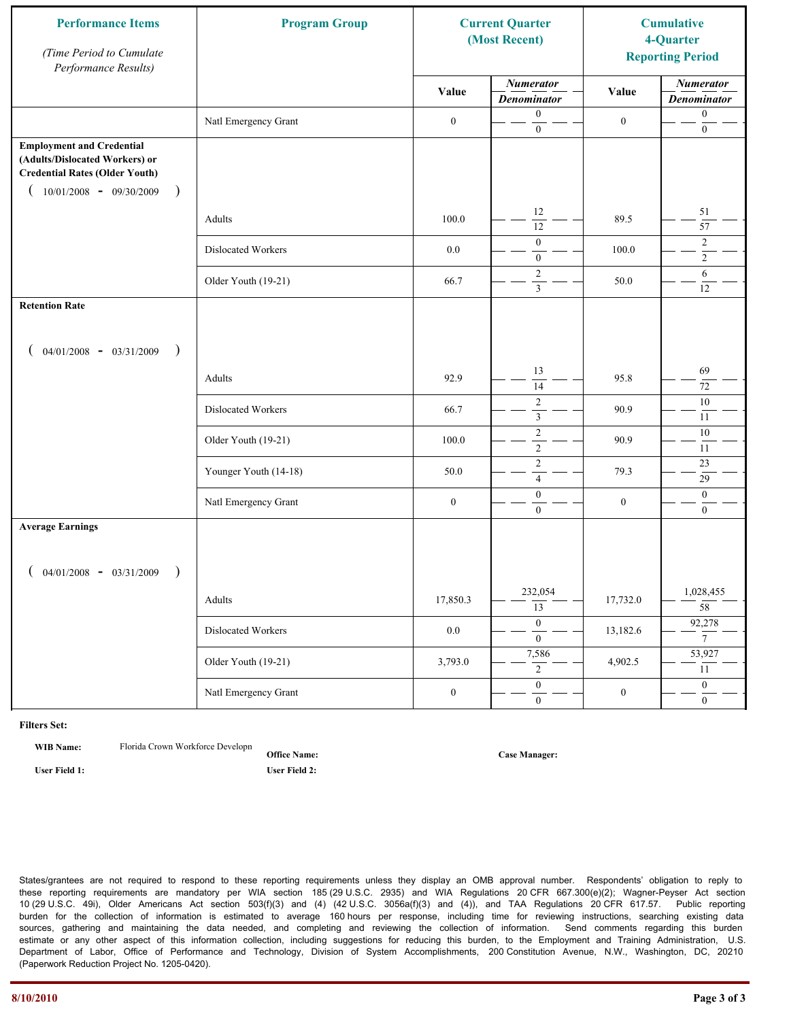| <b>Performance Items</b><br>(Time Period to Cumulate<br>Performance Results)                                                                                         | <b>Program Group</b>  |                  | <b>Current Quarter</b><br>(Most Recent)   |                  | <b>Cumulative</b><br>4-Quarter<br><b>Reporting Period</b> |
|----------------------------------------------------------------------------------------------------------------------------------------------------------------------|-----------------------|------------------|-------------------------------------------|------------------|-----------------------------------------------------------|
|                                                                                                                                                                      |                       | Value            | <b>Numerator</b><br><b>Denominator</b>    | Value            | <b>Numerator</b><br><b>Denominator</b>                    |
|                                                                                                                                                                      | Natl Emergency Grant  | $\boldsymbol{0}$ | $\mathbf{0}$<br>$\boldsymbol{0}$          | $\mathbf{0}$     | $\boldsymbol{0}$<br>$\boldsymbol{0}$                      |
| <b>Employment and Credential</b><br>(Adults/Dislocated Workers) or<br><b>Credential Rates (Older Youth)</b><br>$10/01/2008$ - 09/30/2009<br>$\overline{\phantom{a}}$ |                       |                  |                                           |                  |                                                           |
|                                                                                                                                                                      | Adults                | 100.0            | 12<br>$\overline{12}$                     | 89.5             | 51<br>$\overline{57}$                                     |
|                                                                                                                                                                      | Dislocated Workers    | $0.0\,$          | $\mathbf{0}$<br>$\mathbf{0}$              | 100.0            | $\overline{c}$<br>$\overline{2}$                          |
|                                                                                                                                                                      | Older Youth (19-21)   | 66.7             | $\overline{2}$<br>$\overline{\mathbf{3}}$ | 50.0             | 6<br>12                                                   |
| <b>Retention Rate</b>                                                                                                                                                |                       |                  |                                           |                  |                                                           |
| $04/01/2008$ - $03/31/2009$<br>$\rightarrow$                                                                                                                         |                       |                  |                                           |                  |                                                           |
|                                                                                                                                                                      | Adults                | 92.9             | 13<br>14                                  | 95.8             | 69<br>72                                                  |
|                                                                                                                                                                      | Dislocated Workers    | 66.7             | $\overline{2}$<br>$\mathfrak{Z}$          | 90.9             | $10\,$<br>11                                              |
|                                                                                                                                                                      | Older Youth (19-21)   | 100.0            | $\sqrt{2}$<br>$\overline{2}$              | 90.9             | $10\,$<br>$11\,$                                          |
|                                                                                                                                                                      | Younger Youth (14-18) | 50.0             | $\sqrt{2}$<br>$\overline{4}$              | 79.3             | 23<br>29                                                  |
|                                                                                                                                                                      | Natl Emergency Grant  | $\boldsymbol{0}$ | $\boldsymbol{0}$<br>$\mathbf{0}$          | $\boldsymbol{0}$ | $\mathbf{0}$<br>$\overline{0}$                            |
| <b>Average Earnings</b>                                                                                                                                              |                       |                  |                                           |                  |                                                           |
| $04/01/2008$ - $03/31/2009$<br>$\lambda$                                                                                                                             |                       |                  |                                           |                  |                                                           |
|                                                                                                                                                                      | Adults                | 17,850.3         | 232,054<br>$\overline{13}$                | 17,732.0         | 1,028,455<br>$\overline{58}$                              |
|                                                                                                                                                                      | Dislocated Workers    | $0.0\,$          | $\overline{0}$<br>$\mathbf{0}$            | 13,182.6         | 92,278<br>$\overline{7}$                                  |
|                                                                                                                                                                      | Older Youth (19-21)   | 3,793.0          | 7,586<br>$\overline{2}$                   | 4,902.5          | 53,927<br>11                                              |
|                                                                                                                                                                      | Natl Emergency Grant  | $\boldsymbol{0}$ | $\overline{0}$<br>$\mathbf{0}$            | $\boldsymbol{0}$ | $\overline{0}$<br>$\mathbf{0}$                            |

**WIB Name:** Florida Crown Workforce Developn

**Office Name: User Field 1: User Field 2:**

**Case Manager:**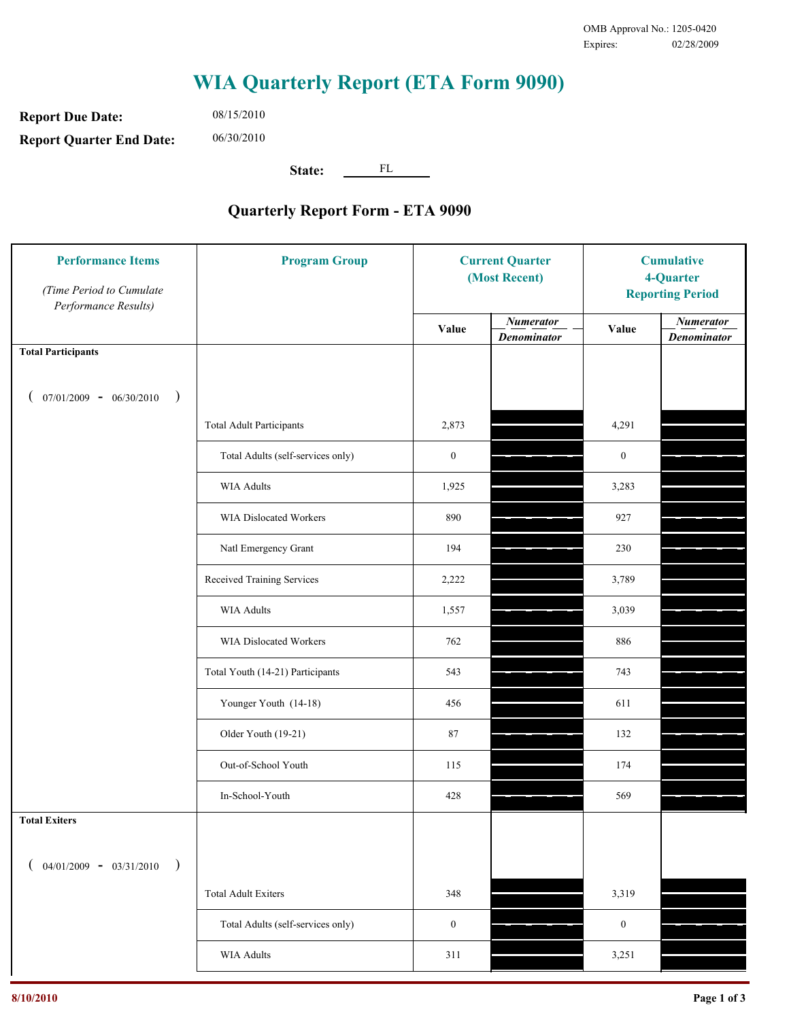**Report Due Date: Report Quarter End Date:** 06/30/2010

08/15/2010

**State:** FL

| <b>Performance Items</b><br>(Time Period to Cumulate<br>Performance Results) | <b>Program Group</b>              | <b>Current Quarter</b><br>(Most Recent) |                                        | <b>Cumulative</b><br>4-Quarter<br><b>Reporting Period</b> |                                        |
|------------------------------------------------------------------------------|-----------------------------------|-----------------------------------------|----------------------------------------|-----------------------------------------------------------|----------------------------------------|
|                                                                              |                                   | Value                                   | <b>Numerator</b><br><b>Denominator</b> | Value                                                     | <b>Numerator</b><br><b>Denominator</b> |
| <b>Total Participants</b>                                                    |                                   |                                         |                                        |                                                           |                                        |
| $07/01/2009 - 06/30/2010$<br>$\big)$                                         |                                   |                                         |                                        |                                                           |                                        |
|                                                                              | <b>Total Adult Participants</b>   | 2,873                                   |                                        | 4,291                                                     |                                        |
|                                                                              | Total Adults (self-services only) | $\boldsymbol{0}$                        |                                        | $\boldsymbol{0}$                                          |                                        |
|                                                                              | <b>WIA Adults</b>                 | 1,925                                   |                                        | 3,283                                                     |                                        |
|                                                                              | WIA Dislocated Workers            | 890                                     |                                        | 927                                                       |                                        |
|                                                                              | Natl Emergency Grant              | 194                                     |                                        | 230                                                       |                                        |
|                                                                              | Received Training Services        | 2,222                                   |                                        | 3,789                                                     |                                        |
|                                                                              | <b>WIA Adults</b>                 | 1,557                                   |                                        | 3,039                                                     |                                        |
|                                                                              | WIA Dislocated Workers            | 762                                     |                                        | 886                                                       |                                        |
|                                                                              | Total Youth (14-21) Participants  | 543                                     |                                        | 743                                                       |                                        |
|                                                                              | Younger Youth (14-18)             | 456                                     |                                        | 611                                                       |                                        |
|                                                                              | Older Youth (19-21)               | 87                                      |                                        | 132                                                       |                                        |
|                                                                              | Out-of-School Youth               | 115                                     |                                        | 174                                                       |                                        |
|                                                                              | In-School-Youth                   | 428                                     |                                        | 569                                                       |                                        |
| <b>Total Exiters</b>                                                         |                                   |                                         |                                        |                                                           |                                        |
| $04/01/2009 - 03/31/2010$                                                    |                                   |                                         |                                        |                                                           |                                        |
|                                                                              | <b>Total Adult Exiters</b>        | 348                                     |                                        | 3,319                                                     |                                        |
|                                                                              | Total Adults (self-services only) | $\boldsymbol{0}$                        |                                        | $\boldsymbol{0}$                                          |                                        |
|                                                                              | WIA Adults                        | 311                                     |                                        | 3,251                                                     |                                        |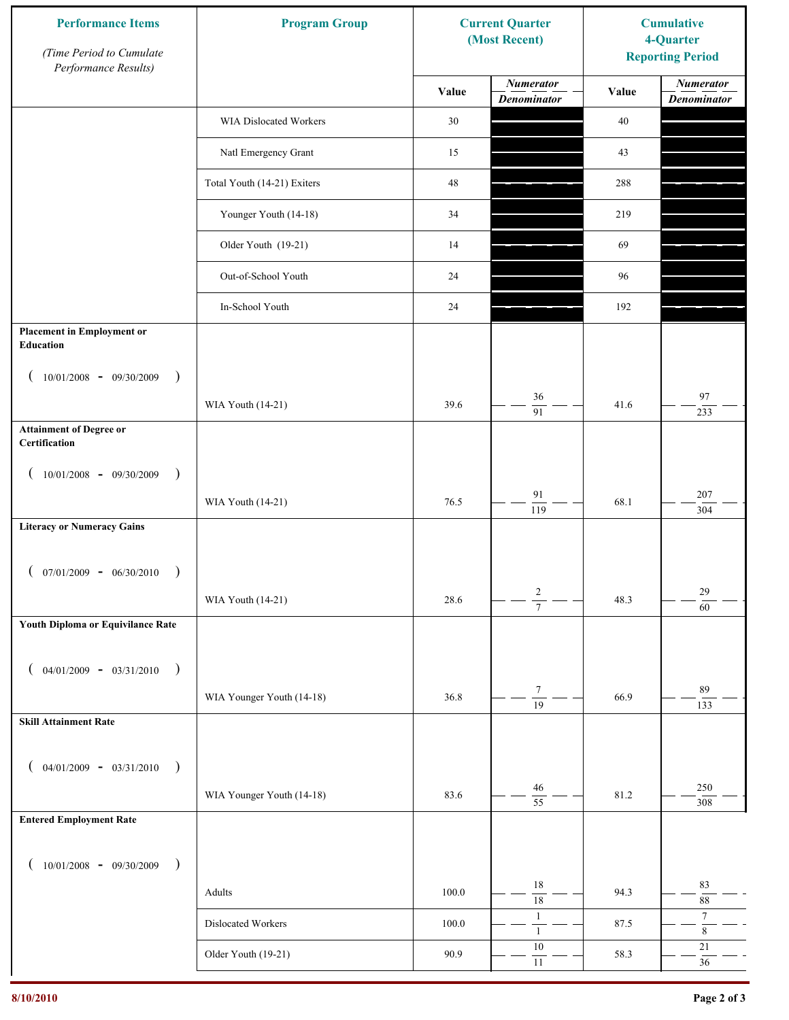| <b>Performance Items</b><br>(Time Period to Cumulate<br>Performance Results) | <b>Program Group</b>          |           | <b>Current Quarter</b><br>(Most Recent) | <b>Cumulative</b><br>4-Quarter<br><b>Reporting Period</b> |                                        |
|------------------------------------------------------------------------------|-------------------------------|-----------|-----------------------------------------|-----------------------------------------------------------|----------------------------------------|
|                                                                              |                               | Value     | <b>Numerator</b><br><b>Denominator</b>  | Value                                                     | <b>Numerator</b><br><b>Denominator</b> |
|                                                                              | <b>WIA Dislocated Workers</b> | 30        |                                         | 40                                                        |                                        |
|                                                                              | Natl Emergency Grant          | 15        |                                         | 43                                                        |                                        |
|                                                                              | Total Youth (14-21) Exiters   | 48        |                                         | 288                                                       |                                        |
|                                                                              | Younger Youth (14-18)         | 34        |                                         | 219                                                       |                                        |
|                                                                              | Older Youth (19-21)           | 14        |                                         | 69                                                        |                                        |
|                                                                              | Out-of-School Youth           | 24        |                                         | 96                                                        |                                        |
|                                                                              | In-School Youth               | 24        |                                         | 192                                                       |                                        |
| <b>Placement in Employment or</b><br><b>Education</b>                        |                               |           |                                         |                                                           |                                        |
| $10/01/2008 - 09/30/2009$<br>$\big)$                                         |                               |           |                                         |                                                           |                                        |
|                                                                              | WIA Youth (14-21)             | 39.6      | 36<br>$\overline{91}$                   | 41.6                                                      | $\bf{97}$<br>233                       |
| <b>Attainment of Degree or</b><br>Certification                              |                               |           |                                         |                                                           |                                        |
| 10/01/2008 - 09/30/2009<br>$\rightarrow$                                     |                               |           |                                         |                                                           |                                        |
|                                                                              | WIA Youth (14-21)             | 76.5      | 91<br>$\overline{119}$                  | 68.1                                                      | 207<br>304                             |
| <b>Literacy or Numeracy Gains</b>                                            |                               |           |                                         |                                                           |                                        |
| $07/01/2009 - 06/30/2010$<br>$\rightarrow$                                   |                               |           |                                         |                                                           |                                        |
|                                                                              | WIA Youth (14-21)             | 28.6      | $\frac{2}{7}$                           | 48.3                                                      | $29\,$<br>60                           |
| Youth Diploma or Equivilance Rate                                            |                               |           |                                         |                                                           |                                        |
| $04/01/2009 - 03/31/2010$<br>$\rightarrow$                                   |                               |           |                                         |                                                           |                                        |
|                                                                              | WIA Younger Youth (14-18)     | 36.8      | $\boldsymbol{7}$                        | 66.9                                                      | 89                                     |
| <b>Skill Attainment Rate</b>                                                 |                               |           | $\overline{19}$                         |                                                           | 133                                    |
|                                                                              |                               |           |                                         |                                                           |                                        |
| $04/01/2009 - 03/31/2010$<br>$\rightarrow$                                   |                               | 83.6      | 46                                      | 81.2                                                      | 250                                    |
| <b>Entered Employment Rate</b>                                               | WIA Younger Youth (14-18)     |           | $\overline{55}$                         |                                                           | 308                                    |
|                                                                              |                               |           |                                         |                                                           |                                        |
| $10/01/2008$ - 09/30/2009<br>$\rightarrow$                                   |                               |           | $18\,$                                  |                                                           | 83                                     |
|                                                                              | Adults                        | 100.0     | $\overline{18}$                         | 94.3                                                      | $88\,$                                 |
|                                                                              | Dislocated Workers            | $100.0\,$ | $\mathbf{1}$<br>$\mathbf{1}$            | 87.5                                                      | $\tau$<br>$\,$ 8 $\,$                  |
|                                                                              | Older Youth (19-21)           | 90.9      | 10<br>$11\,$                            | 58.3                                                      | 21<br>$36\,$                           |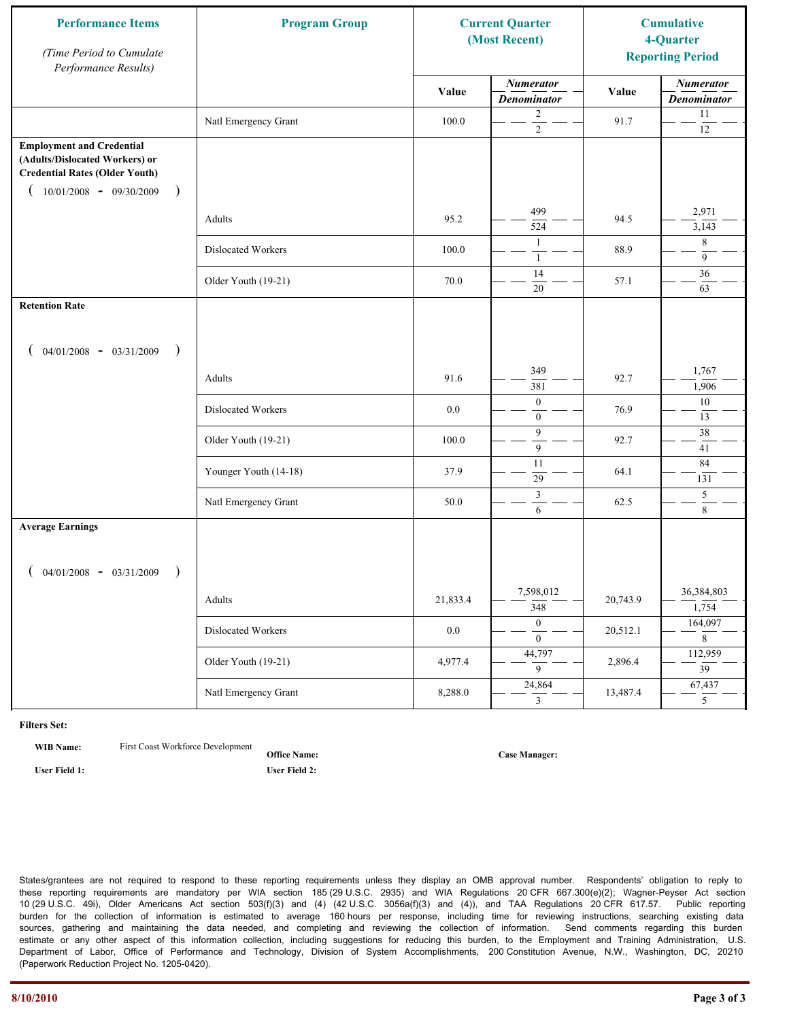| <b>Performance Items</b><br>(Time Period to Cumulate<br>Performance Results)                                                                              | <b>Program Group</b>  | <b>Current Quarter</b><br>(Most Recent) |                                        | <b>Cumulative</b><br>4-Quarter<br><b>Reporting Period</b> |                                        |
|-----------------------------------------------------------------------------------------------------------------------------------------------------------|-----------------------|-----------------------------------------|----------------------------------------|-----------------------------------------------------------|----------------------------------------|
|                                                                                                                                                           |                       | Value                                   | <b>Numerator</b><br><b>Denominator</b> | Value                                                     | <b>Numerator</b><br><b>Denominator</b> |
|                                                                                                                                                           | Natl Emergency Grant  | 100.0                                   | 2<br>$\overline{2}$                    | 91.7                                                      | $11\,$<br>$12\,$                       |
| <b>Employment and Credential</b><br>(Adults/Dislocated Workers) or<br><b>Credential Rates (Older Youth)</b><br>$10/01/2008$ - 09/30/2009<br>$\rightarrow$ |                       |                                         |                                        |                                                           |                                        |
|                                                                                                                                                           | Adults                | 95.2                                    | 499<br>524                             | 94.5                                                      | 2,971<br>3,143                         |
|                                                                                                                                                           | Dislocated Workers    | 100.0                                   | $\mathbf{1}$<br>-1                     | 88.9                                                      | 8<br>$\overline{9}$                    |
|                                                                                                                                                           | Older Youth (19-21)   | 70.0                                    | 14<br>20                               | 57.1                                                      | 36<br>63                               |
| <b>Retention Rate</b>                                                                                                                                     |                       |                                         |                                        |                                                           |                                        |
| $04/01/2008$ - $03/31/2009$<br>$\rightarrow$                                                                                                              |                       |                                         |                                        |                                                           |                                        |
|                                                                                                                                                           | Adults                | 91.6                                    | 349<br>381                             | 92.7                                                      | 1,767<br>1,906                         |
|                                                                                                                                                           | Dislocated Workers    | 0.0                                     | $\mathbf{0}$<br>$\overline{0}$         | 76.9                                                      | 10<br>13                               |
|                                                                                                                                                           | Older Youth (19-21)   | 100.0                                   | 9<br>9                                 | 92.7                                                      | 38<br>41                               |
|                                                                                                                                                           | Younger Youth (14-18) | 37.9                                    | 11<br>29                               | 64.1                                                      | 84<br>131                              |
|                                                                                                                                                           | Natl Emergency Grant  | 50.0                                    | $\mathfrak{Z}$<br>6                    | 62.5                                                      | $\sqrt{5}$<br>$\,8\,$                  |
| <b>Average Earnings</b>                                                                                                                                   |                       |                                         |                                        |                                                           |                                        |
| $04/01/2008$ - $03/31/2009$<br>$\lambda$                                                                                                                  | Adults                | 21,833.4                                | 7,598,012<br>$\overline{348}$          | 20,743.9                                                  | 36,384,803<br>1,754                    |
|                                                                                                                                                           | Dislocated Workers    | $0.0\,$                                 | $\overline{0}$<br>$\overline{0}$       | 20,512.1                                                  | 164,097<br>8                           |
|                                                                                                                                                           | Older Youth (19-21)   | 4,977.4                                 | 44,797<br>$\overline{9}$               | 2,896.4                                                   | 112,959<br>$\overline{39}$             |
|                                                                                                                                                           | Natl Emergency Grant  | 8,288.0                                 | 24,864<br>$\mathbf{3}$                 | 13,487.4                                                  | 67,437<br>5 <sup>5</sup>               |

**WIB Name:** First Coast Workforce Development

**Office Name: User Field 1: User Field 2:**

**Case Manager:**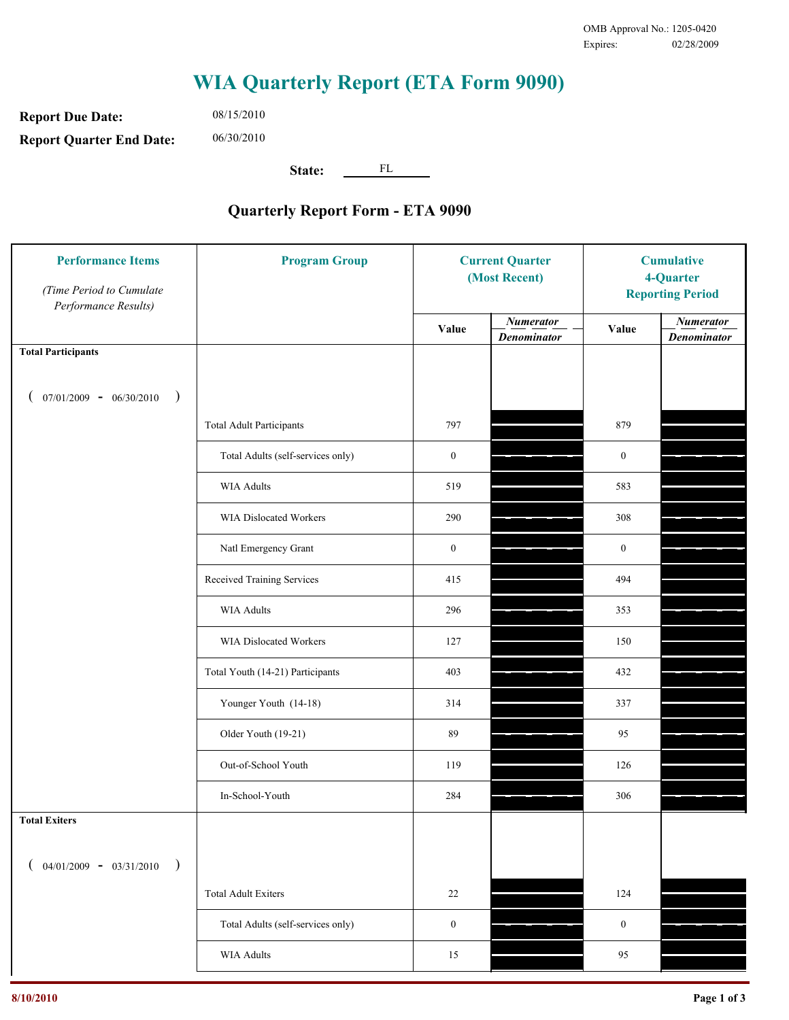**Report Due Date: Report Quarter End Date:** 06/30/2010

08/15/2010

**State:** FL

| <b>Performance Items</b><br>(Time Period to Cumulate<br>Performance Results) | <b>Program Group</b>              | <b>Current Quarter</b><br>(Most Recent) |                                        | <b>Cumulative</b><br>4-Quarter<br><b>Reporting Period</b> |                                        |
|------------------------------------------------------------------------------|-----------------------------------|-----------------------------------------|----------------------------------------|-----------------------------------------------------------|----------------------------------------|
|                                                                              |                                   | Value                                   | <b>Numerator</b><br><b>Denominator</b> | Value                                                     | <b>Numerator</b><br><b>Denominator</b> |
| <b>Total Participants</b>                                                    |                                   |                                         |                                        |                                                           |                                        |
| $07/01/2009 - 06/30/2010$<br>$\big)$                                         |                                   |                                         |                                        |                                                           |                                        |
|                                                                              | <b>Total Adult Participants</b>   | 797                                     |                                        | 879                                                       |                                        |
|                                                                              | Total Adults (self-services only) | $\boldsymbol{0}$                        |                                        | $\boldsymbol{0}$                                          |                                        |
|                                                                              | <b>WIA Adults</b>                 | 519                                     |                                        | 583                                                       |                                        |
|                                                                              | <b>WIA Dislocated Workers</b>     | 290                                     |                                        | 308                                                       |                                        |
|                                                                              | Natl Emergency Grant              | $\boldsymbol{0}$                        |                                        | $\boldsymbol{0}$                                          |                                        |
|                                                                              | Received Training Services        | 415                                     |                                        | 494                                                       |                                        |
|                                                                              | <b>WIA Adults</b>                 | 296                                     |                                        | 353                                                       |                                        |
|                                                                              | WIA Dislocated Workers            | 127                                     |                                        | 150                                                       |                                        |
|                                                                              | Total Youth (14-21) Participants  | 403                                     |                                        | 432                                                       |                                        |
|                                                                              | Younger Youth (14-18)             | 314                                     |                                        | 337                                                       |                                        |
|                                                                              | Older Youth (19-21)               | 89                                      |                                        | 95                                                        |                                        |
|                                                                              | Out-of-School Youth               | 119                                     |                                        | 126                                                       |                                        |
|                                                                              | In-School-Youth                   | 284                                     |                                        | 306                                                       |                                        |
| <b>Total Exiters</b>                                                         |                                   |                                         |                                        |                                                           |                                        |
| $04/01/2009 - 03/31/2010$<br>$\lambda$                                       |                                   |                                         |                                        |                                                           |                                        |
|                                                                              | <b>Total Adult Exiters</b>        | 22                                      |                                        | 124                                                       |                                        |
|                                                                              | Total Adults (self-services only) | $\boldsymbol{0}$                        |                                        | $\boldsymbol{0}$                                          |                                        |
|                                                                              | WIA Adults                        | 15                                      |                                        | 95                                                        |                                        |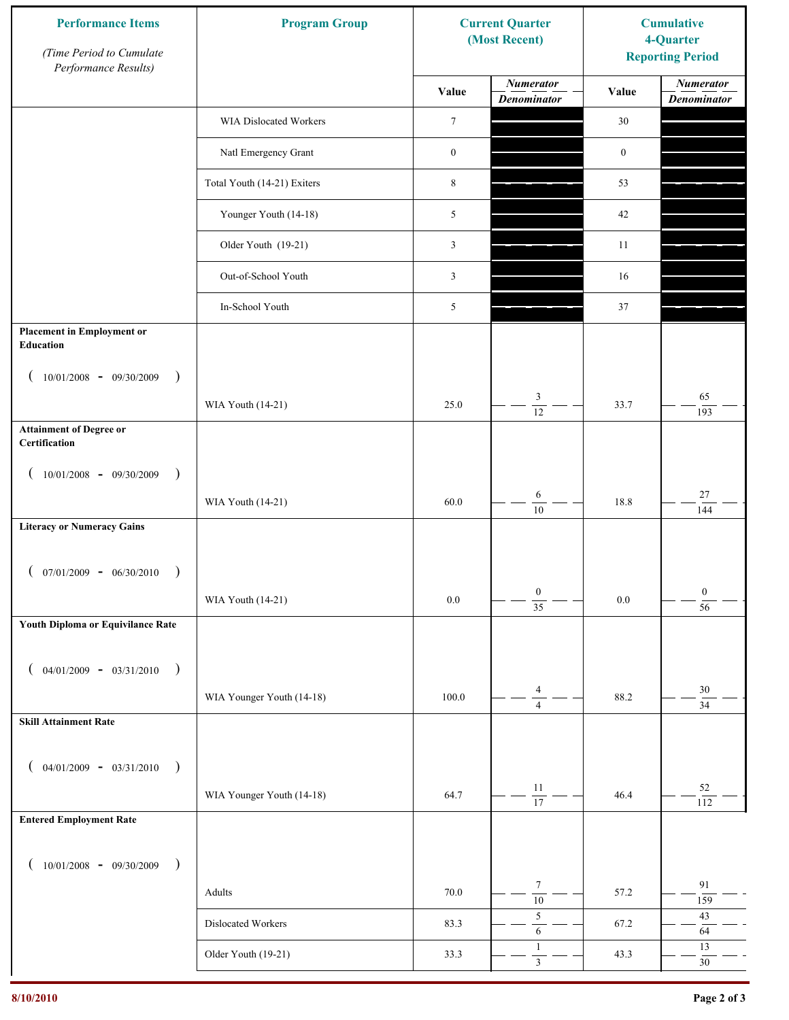| <b>Performance Items</b><br>(Time Period to Cumulate<br>Performance Results) | <b>Program Group</b>        |                  | <b>Current Quarter</b><br>(Most Recent) | <b>Cumulative</b><br>4-Quarter<br><b>Reporting Period</b> |                                        |
|------------------------------------------------------------------------------|-----------------------------|------------------|-----------------------------------------|-----------------------------------------------------------|----------------------------------------|
|                                                                              |                             | Value            | <b>Numerator</b><br><b>Denominator</b>  | Value                                                     | <b>Numerator</b><br><b>Denominator</b> |
|                                                                              | WIA Dislocated Workers      | $\boldsymbol{7}$ |                                         | 30                                                        |                                        |
|                                                                              | Natl Emergency Grant        | $\boldsymbol{0}$ |                                         | $\boldsymbol{0}$                                          |                                        |
|                                                                              | Total Youth (14-21) Exiters | $\,8\,$          |                                         | 53                                                        |                                        |
|                                                                              | Younger Youth (14-18)       | 5                |                                         | 42                                                        |                                        |
|                                                                              | Older Youth (19-21)         | 3                |                                         | 11                                                        |                                        |
|                                                                              | Out-of-School Youth         | 3                |                                         | 16                                                        |                                        |
|                                                                              | In-School Youth             | 5                |                                         | 37                                                        |                                        |
| <b>Placement in Employment or</b><br><b>Education</b>                        |                             |                  |                                         |                                                           |                                        |
| $10/01/2008 - 09/30/2009$<br>$\rightarrow$                                   |                             | 25.0             | 3                                       | 33.7                                                      | 65                                     |
| <b>Attainment of Degree or</b>                                               | WIA Youth (14-21)           |                  | $\overline{12}$                         |                                                           | 193                                    |
| Certification                                                                |                             |                  |                                         |                                                           |                                        |
| $(10/01/2008 - 09/30/2009$<br>$\lambda$                                      |                             |                  |                                         |                                                           |                                        |
|                                                                              | WIA Youth (14-21)           | 60.0             | 6<br>$\overline{10}$                    | 18.8                                                      | $27\,$<br>144                          |
| <b>Literacy or Numeracy Gains</b>                                            |                             |                  |                                         |                                                           |                                        |
| $07/01/2009 - 06/30/2010$                                                    |                             |                  |                                         |                                                           |                                        |
|                                                                              | WIA Youth (14-21)           | $0.0\,$          | $\boldsymbol{0}$<br>$\overline{35}$     | $0.0\,$                                                   | $\boldsymbol{0}$<br>$\overline{56}$    |
| Youth Diploma or Equivilance Rate                                            |                             |                  |                                         |                                                           |                                        |
|                                                                              |                             |                  |                                         |                                                           |                                        |
| $04/01/2009 - 03/31/2010$<br>$\rightarrow$                                   | WIA Younger Youth (14-18)   | 100.0            | 4                                       | 88.2                                                      | $30\,$                                 |
| <b>Skill Attainment Rate</b>                                                 |                             |                  | $\overline{4}$                          |                                                           | $\overline{34}$                        |
|                                                                              |                             |                  |                                         |                                                           |                                        |
| $04/01/2009 - 03/31/2010$ )                                                  |                             |                  |                                         |                                                           |                                        |
|                                                                              | WIA Younger Youth (14-18)   | 64.7             | 11<br>$\overline{17}$                   | 46.4                                                      | 52<br>112                              |
| <b>Entered Employment Rate</b>                                               |                             |                  |                                         |                                                           |                                        |
| $10/01/2008$ - 09/30/2009<br>$\rightarrow$                                   |                             |                  |                                         |                                                           |                                        |
|                                                                              | Adults                      | 70.0             | $\tau$<br>$\overline{10}$               | 57.2                                                      | 91<br>159                              |
|                                                                              | Dislocated Workers          | 83.3             | $\sqrt{5}$<br>$\sqrt{6}$                | 67.2                                                      | $43\,$<br>64                           |
|                                                                              | Older Youth (19-21)         | 33.3             | $\mathbf{1}$<br>$\mathfrak{Z}$          | 43.3                                                      | 13<br>$30\,$                           |
|                                                                              |                             |                  |                                         |                                                           |                                        |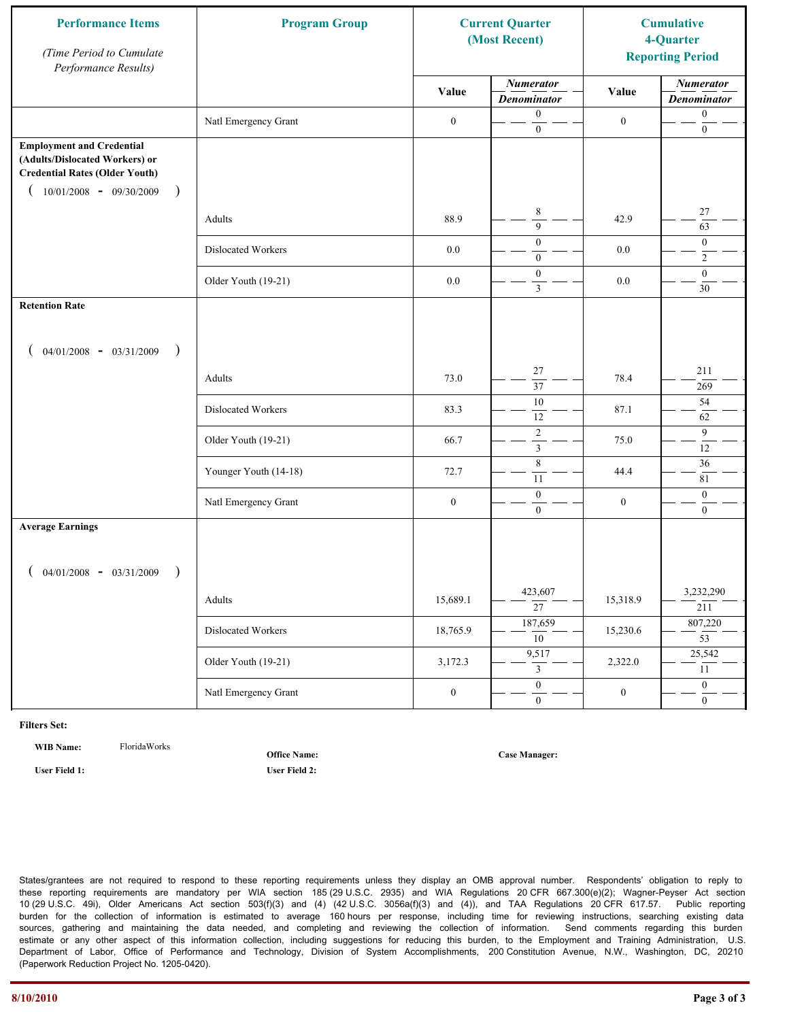| <b>Performance Items</b><br>(Time Period to Cumulate<br>Performance Results)                                                                          | <b>Program Group</b>  | <b>Current Quarter</b><br>(Most Recent) |                                             | <b>Cumulative</b><br>4-Quarter<br><b>Reporting Period</b> |                                        |
|-------------------------------------------------------------------------------------------------------------------------------------------------------|-----------------------|-----------------------------------------|---------------------------------------------|-----------------------------------------------------------|----------------------------------------|
|                                                                                                                                                       |                       | Value                                   | <b>Numerator</b><br><b>Denominator</b>      | Value                                                     | <b>Numerator</b><br><b>Denominator</b> |
|                                                                                                                                                       | Natl Emergency Grant  | $\boldsymbol{0}$                        | $\boldsymbol{0}$<br>$\mathbf{0}$            | $\boldsymbol{0}$                                          | $\boldsymbol{0}$<br>$\boldsymbol{0}$   |
| <b>Employment and Credential</b><br>(Adults/Dislocated Workers) or<br><b>Credential Rates (Older Youth)</b><br>$10/01/2008$ - 09/30/2009<br>$\lambda$ |                       |                                         |                                             |                                                           |                                        |
|                                                                                                                                                       | Adults                | 88.9                                    | $\,$ 8 $\,$<br>9                            | 42.9                                                      | $27\,$<br>63                           |
|                                                                                                                                                       | Dislocated Workers    | 0.0                                     | $\overline{0}$<br>$\overline{0}$            | 0.0                                                       | $\mathbf{0}$<br>$\overline{2}$         |
|                                                                                                                                                       | Older Youth (19-21)   | $0.0\,$                                 | $\boldsymbol{0}$<br>$\overline{\mathbf{3}}$ | $0.0\,$                                                   | $\mathbf{0}$<br>30                     |
| <b>Retention Rate</b>                                                                                                                                 |                       |                                         |                                             |                                                           |                                        |
| $04/01/2008 - 03/31/2009$<br>$\big)$                                                                                                                  |                       |                                         |                                             |                                                           |                                        |
|                                                                                                                                                       | Adults                | 73.0                                    | 27<br>$\overline{37}$                       | 78.4                                                      | 211<br>269                             |
|                                                                                                                                                       | Dislocated Workers    | 83.3                                    | $10\,$<br>12                                | 87.1                                                      | 54<br>62                               |
|                                                                                                                                                       | Older Youth (19-21)   | 66.7                                    | $\overline{2}$<br>$\overline{\mathbf{3}}$   | 75.0                                                      | 9<br>12                                |
|                                                                                                                                                       | Younger Youth (14-18) | 72.7                                    | 8<br>11                                     | 44.4                                                      | 36<br>81                               |
|                                                                                                                                                       | Natl Emergency Grant  | $\boldsymbol{0}$                        | $\boldsymbol{0}$<br>$\overline{0}$          | $\boldsymbol{0}$                                          | $\boldsymbol{0}$<br>$\mathbf{0}$       |
| <b>Average Earnings</b>                                                                                                                               |                       |                                         |                                             |                                                           |                                        |
| $04/01/2008$ - $03/31/2009$                                                                                                                           |                       |                                         |                                             |                                                           |                                        |
|                                                                                                                                                       | Adults                | 15,689.1                                | 423,607<br>$\overline{27}$                  | 15,318.9                                                  | 3,232,290<br>211                       |
|                                                                                                                                                       | Dislocated Workers    | 18,765.9                                | 187,659<br>$\overline{10}$                  | 15,230.6                                                  | 807,220<br>$\overline{53}$             |
|                                                                                                                                                       | Older Youth (19-21)   | 3,172.3                                 | 9,517<br>3                                  | 2,322.0                                                   | 25,542<br>11                           |
|                                                                                                                                                       | Natl Emergency Grant  | $\boldsymbol{0}$                        | $\mathbf{0}$<br>$\overline{0}$              | $\boldsymbol{0}$                                          | $\overline{0}$<br>$\overline{0}$       |

**WIB Name:** FloridaWorks

**Office Name:**

**Case Manager:**

**User Field 1: User Field 2:**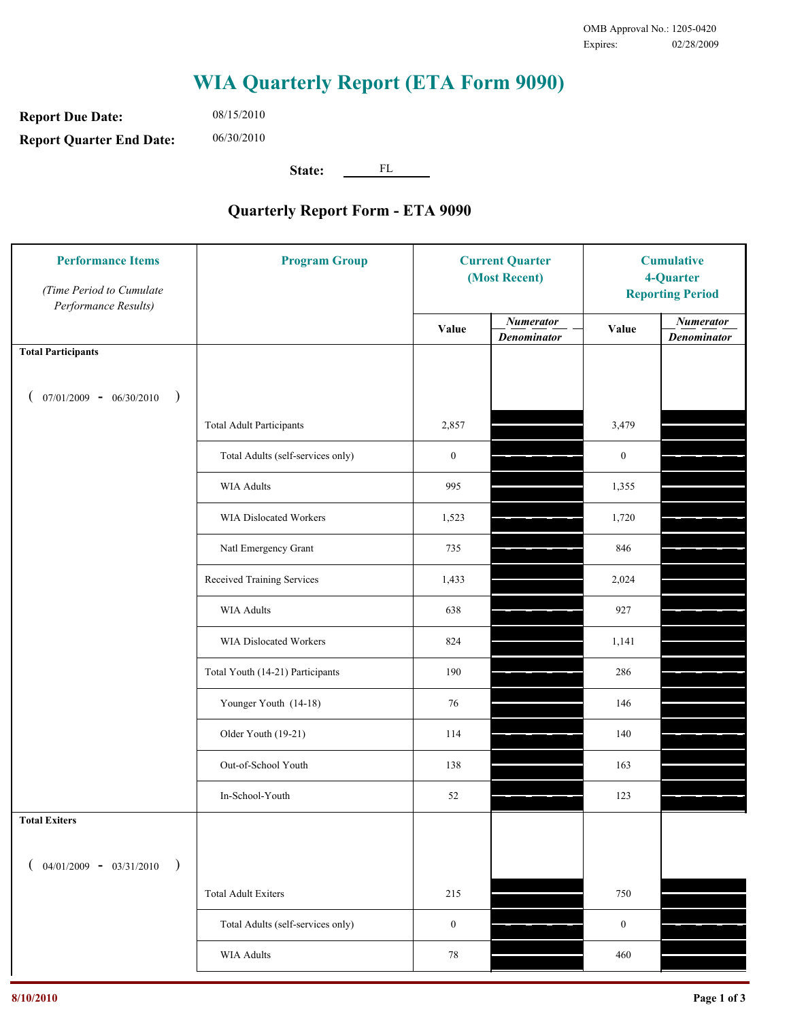**Report Due Date: Report Quarter End Date:** 06/30/2010

08/15/2010

**State:** FL

| <b>Performance Items</b><br>(Time Period to Cumulate<br>Performance Results) | <b>Program Group</b>              | <b>Current Quarter</b><br>(Most Recent) |                                        | <b>Cumulative</b><br>4-Quarter<br><b>Reporting Period</b> |                                        |
|------------------------------------------------------------------------------|-----------------------------------|-----------------------------------------|----------------------------------------|-----------------------------------------------------------|----------------------------------------|
|                                                                              |                                   | Value                                   | <b>Numerator</b><br><b>Denominator</b> | Value                                                     | <b>Numerator</b><br><b>Denominator</b> |
| <b>Total Participants</b>                                                    |                                   |                                         |                                        |                                                           |                                        |
| $07/01/2009 - 06/30/2010$<br>$\big)$                                         |                                   |                                         |                                        |                                                           |                                        |
|                                                                              | <b>Total Adult Participants</b>   | 2,857                                   |                                        | 3,479                                                     |                                        |
|                                                                              | Total Adults (self-services only) | $\boldsymbol{0}$                        |                                        | $\boldsymbol{0}$                                          |                                        |
|                                                                              | <b>WIA Adults</b>                 | 995                                     |                                        | 1,355                                                     |                                        |
|                                                                              | WIA Dislocated Workers            | 1,523                                   |                                        | 1,720                                                     |                                        |
|                                                                              | Natl Emergency Grant              | 735                                     |                                        | 846                                                       |                                        |
|                                                                              | Received Training Services        | 1,433                                   |                                        | 2,024                                                     |                                        |
|                                                                              | <b>WIA Adults</b>                 | 638                                     |                                        | 927                                                       |                                        |
|                                                                              | WIA Dislocated Workers            | 824                                     |                                        | 1,141                                                     |                                        |
|                                                                              | Total Youth (14-21) Participants  | 190                                     |                                        | 286                                                       |                                        |
|                                                                              | Younger Youth (14-18)             | 76                                      |                                        | 146                                                       |                                        |
|                                                                              | Older Youth (19-21)               | 114                                     |                                        | 140                                                       |                                        |
|                                                                              | Out-of-School Youth               | 138                                     |                                        | 163                                                       |                                        |
|                                                                              | In-School-Youth                   | $52\,$                                  |                                        | 123                                                       |                                        |
| <b>Total Exiters</b>                                                         |                                   |                                         |                                        |                                                           |                                        |
| $04/01/2009 - 03/31/2010$<br>$\lambda$                                       |                                   |                                         |                                        |                                                           |                                        |
|                                                                              | <b>Total Adult Exiters</b>        | 215                                     |                                        | 750                                                       |                                        |
|                                                                              | Total Adults (self-services only) | $\boldsymbol{0}$                        |                                        | $\boldsymbol{0}$                                          |                                        |
|                                                                              | WIA Adults                        | 78                                      |                                        | 460                                                       |                                        |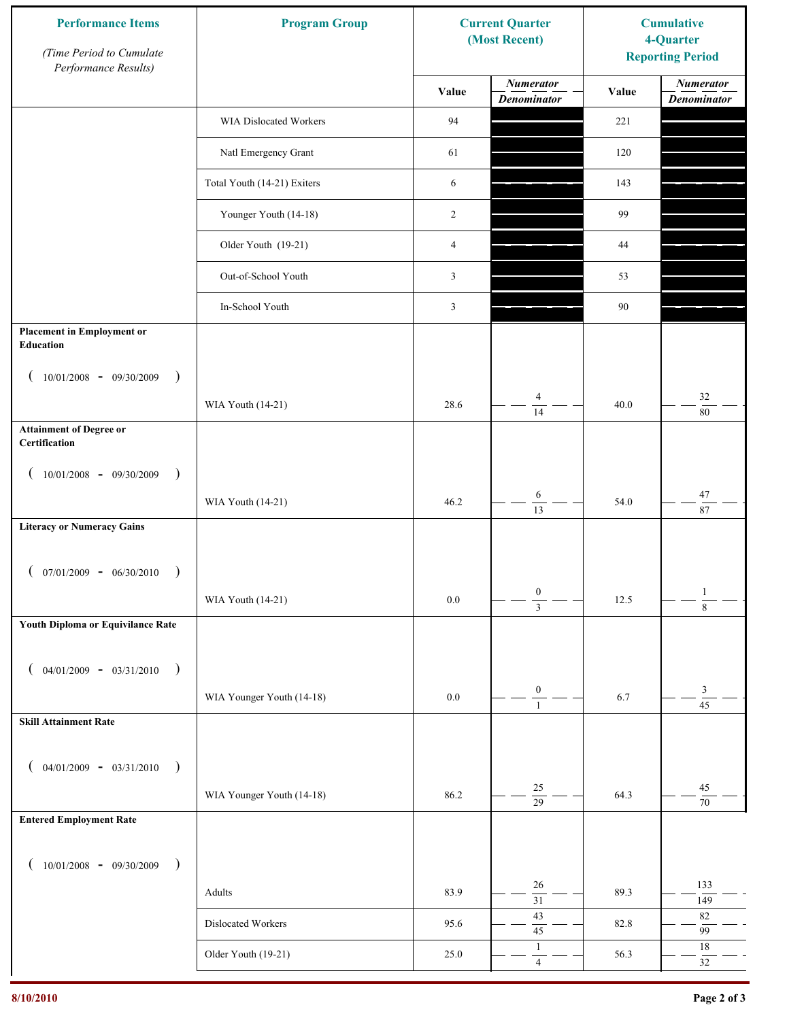| <b>Performance Items</b><br>(Time Period to Cumulate<br>Performance Results) | <b>Program Group</b>        |                | <b>Current Quarter</b><br>(Most Recent) | <b>Cumulative</b><br>4-Quarter<br><b>Reporting Period</b> |                                        |
|------------------------------------------------------------------------------|-----------------------------|----------------|-----------------------------------------|-----------------------------------------------------------|----------------------------------------|
|                                                                              |                             | Value          | <b>Numerator</b><br><b>Denominator</b>  | Value                                                     | <b>Numerator</b><br><b>Denominator</b> |
|                                                                              | WIA Dislocated Workers      | 94             |                                         | 221                                                       |                                        |
|                                                                              | Natl Emergency Grant        | 61             |                                         | 120                                                       |                                        |
|                                                                              | Total Youth (14-21) Exiters | 6              |                                         | 143                                                       |                                        |
|                                                                              | Younger Youth (14-18)       | 2              |                                         | 99                                                        |                                        |
|                                                                              | Older Youth (19-21)         | $\overline{4}$ |                                         | 44                                                        |                                        |
|                                                                              | Out-of-School Youth         | 3              |                                         | 53                                                        |                                        |
|                                                                              | In-School Youth             | $\mathfrak{Z}$ |                                         | 90                                                        |                                        |
| <b>Placement in Employment or</b><br>Education                               |                             |                |                                         |                                                           |                                        |
| $10/01/2008 - 09/30/2009$<br>$\rightarrow$                                   |                             |                |                                         |                                                           |                                        |
|                                                                              | WIA Youth (14-21)           | 28.6           | $\overline{4}$<br>14                    | 40.0                                                      | $32\,$<br>$80\,$                       |
| <b>Attainment of Degree or</b><br>Certification                              |                             |                |                                         |                                                           |                                        |
| $10/01/2008$ - 09/30/2009<br>$\rightarrow$<br>$\overline{ }$                 |                             |                |                                         |                                                           |                                        |
|                                                                              | WIA Youth (14-21)           | 46.2           | $\sqrt{6}$<br>$\overline{13}$           | 54.0                                                      | $47\,$<br>87                           |
| <b>Literacy or Numeracy Gains</b>                                            |                             |                |                                         |                                                           |                                        |
| $(07/01/2009 - 06/30/2010)$                                                  |                             |                |                                         |                                                           |                                        |
|                                                                              | WIA Youth (14-21)           | $0.0\,$        | $\boldsymbol{0}$<br>$\overline{3}$      | 12.5                                                      | $\mathbf{1}$<br>$\overline{8}$         |
| Youth Diploma or Equivilance Rate                                            |                             |                |                                         |                                                           |                                        |
| $04/01/2009 - 03/31/2010$<br>$\rightarrow$                                   |                             |                |                                         |                                                           |                                        |
|                                                                              | WIA Younger Youth (14-18)   | $0.0\,$        | $\boldsymbol{0}$                        | 6.7                                                       | 3                                      |
| <b>Skill Attainment Rate</b>                                                 |                             |                | $\mathbf{1}$                            |                                                           | $\overline{45}$                        |
|                                                                              |                             |                |                                         |                                                           |                                        |
| $04/01/2009 - 03/31/2010$ )                                                  |                             |                | $25\,$                                  |                                                           | 45                                     |
| <b>Entered Employment Rate</b>                                               | WIA Younger Youth (14-18)   | 86.2           | $\overline{29}$                         | 64.3                                                      | $70\,$                                 |
|                                                                              |                             |                |                                         |                                                           |                                        |
| $10/01/2008$ - 09/30/2009<br>$\rightarrow$                                   |                             |                |                                         |                                                           |                                        |
|                                                                              | Adults                      | 83.9           | 26<br>$\overline{31}$                   | 89.3                                                      | 133<br>149                             |
|                                                                              | Dislocated Workers          | 95.6           | 43<br>45                                | 82.8                                                      | $82\,$<br>99                           |
|                                                                              | Older Youth (19-21)         | 25.0           | $\mathbf{1}$<br>$\overline{4}$          | 56.3                                                      | $18\,$<br>$32\,$                       |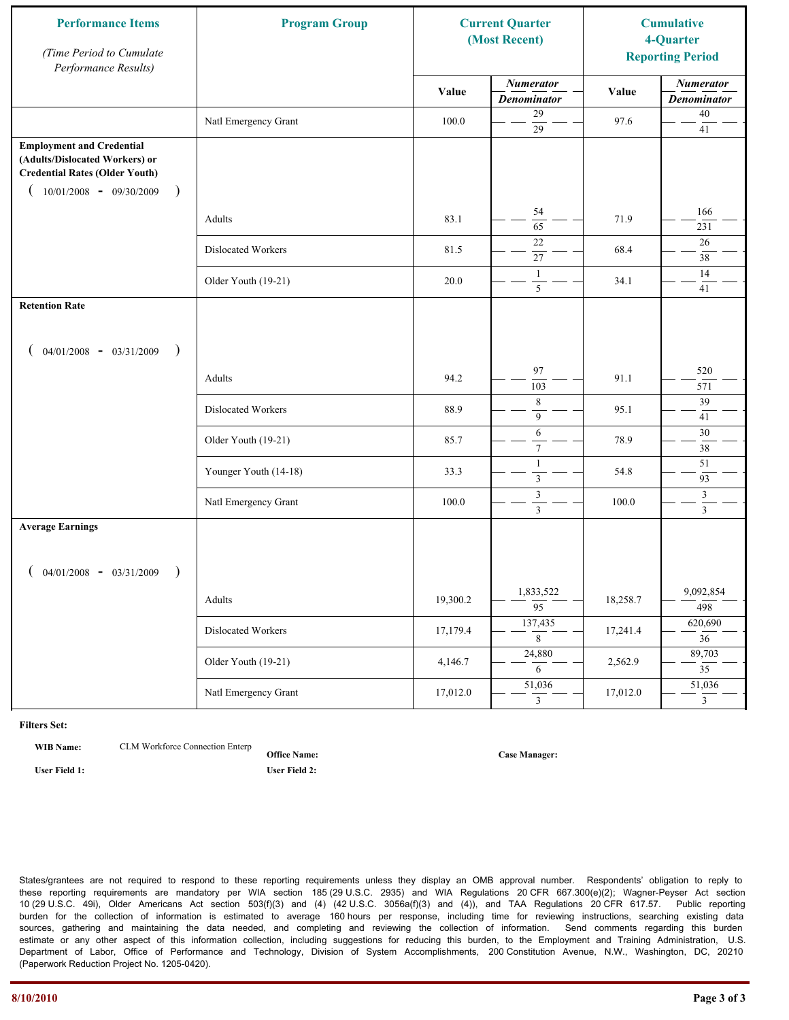| <b>Performance Items</b><br>(Time Period to Cumulate<br>Performance Results)                                                                                         | <b>Program Group</b>  |          | <b>Current Quarter</b><br>(Most Recent) |          | <b>Cumulative</b><br>4-Quarter<br><b>Reporting Period</b> |
|----------------------------------------------------------------------------------------------------------------------------------------------------------------------|-----------------------|----------|-----------------------------------------|----------|-----------------------------------------------------------|
|                                                                                                                                                                      |                       | Value    | <b>Numerator</b><br><b>Denominator</b>  | Value    | <b>Numerator</b><br><b>Denominator</b>                    |
|                                                                                                                                                                      | Natl Emergency Grant  | 100.0    | 29<br>$\overline{29}$                   | 97.6     | $40\,$<br>41                                              |
| <b>Employment and Credential</b><br>(Adults/Dislocated Workers) or<br><b>Credential Rates (Older Youth)</b><br>$10/01/2008$ - 09/30/2009<br>$\overline{\phantom{a}}$ |                       |          |                                         |          |                                                           |
|                                                                                                                                                                      | Adults                | 83.1     | 54<br>$\overline{65}$                   | 71.9     | 166<br>231                                                |
|                                                                                                                                                                      | Dislocated Workers    | 81.5     | $22\,$<br>27                            | 68.4     | 26<br>38                                                  |
|                                                                                                                                                                      | Older Youth (19-21)   | 20.0     | $\mathbf{1}$<br>5                       | 34.1     | 14<br>41                                                  |
| <b>Retention Rate</b>                                                                                                                                                |                       |          |                                         |          |                                                           |
| $04/01/2008$ - $03/31/2009$<br>$\rightarrow$                                                                                                                         |                       |          |                                         |          |                                                           |
|                                                                                                                                                                      | Adults                | 94.2     | 97<br>103                               | 91.1     | 520<br>571                                                |
|                                                                                                                                                                      | Dislocated Workers    | 88.9     | $\,8\,$<br>9                            | 95.1     | 39<br>41                                                  |
|                                                                                                                                                                      | Older Youth (19-21)   | 85.7     | 6<br>$\tau$                             | 78.9     | 30<br>38                                                  |
|                                                                                                                                                                      | Younger Youth (14-18) | 33.3     | $\mathbf{1}$<br>$\mathfrak{Z}$          | 54.8     | 51<br>93                                                  |
|                                                                                                                                                                      | Natl Emergency Grant  | 100.0    | $\mathfrak z$<br>$\overline{3}$         | 100.0    | $\mathfrak{Z}$<br>$\mathfrak{Z}$                          |
| <b>Average Earnings</b>                                                                                                                                              |                       |          |                                         |          |                                                           |
| $04/01/2008$ - $03/31/2009$<br>$\lambda$                                                                                                                             |                       |          |                                         |          |                                                           |
|                                                                                                                                                                      | Adults                | 19,300.2 | 1,833,522<br>$\overline{95}$            | 18,258.7 | 9,092,854<br>498                                          |
|                                                                                                                                                                      | Dislocated Workers    | 17,179.4 | 137,435<br>$8\,$                        | 17,241.4 | 620,690<br>$\overline{36}$                                |
|                                                                                                                                                                      | Older Youth (19-21)   | 4,146.7  | 24,880<br>6                             | 2,562.9  | 89,703<br>$\overline{35}$                                 |
|                                                                                                                                                                      | Natl Emergency Grant  | 17,012.0 | 51,036<br>$\mathfrak{Z}$                | 17,012.0 | 51,036<br>$\overline{3}$                                  |

**WIB Name:** CLM Workforce Connection Enterp

**Office Name:**

**User Field 1: User Field 2:**

**Case Manager:**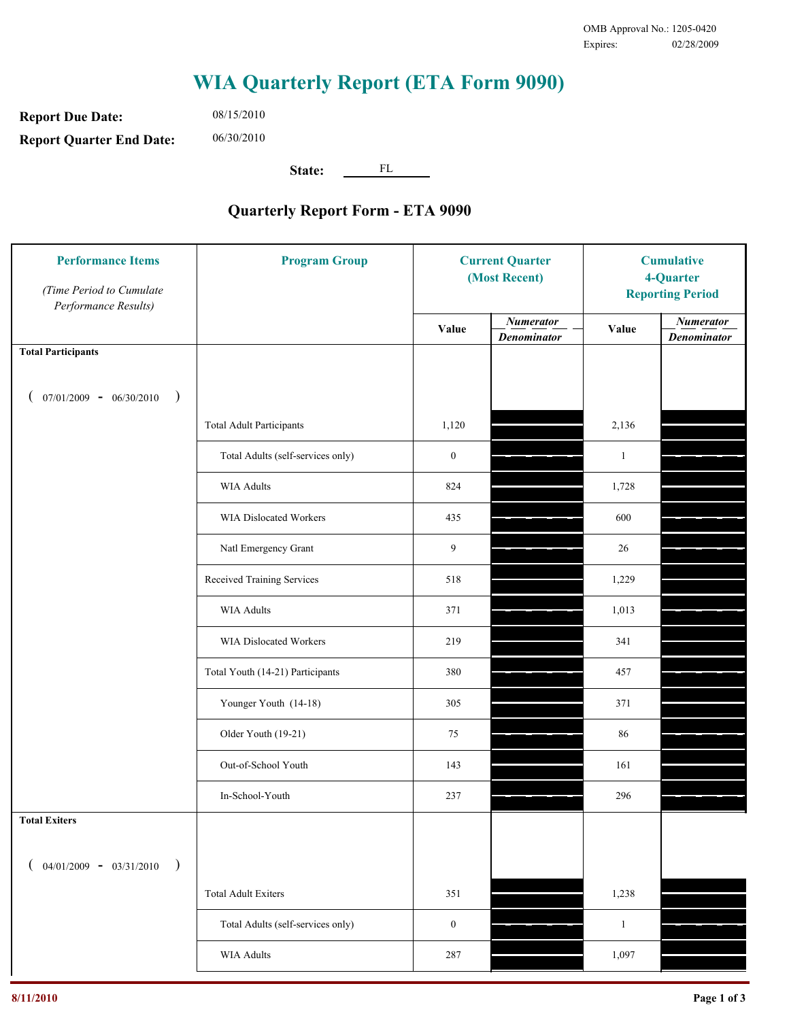**Report Due Date: Report Quarter End Date:** 06/30/2010

08/15/2010

**State:** FL

| <b>Performance Items</b><br>(Time Period to Cumulate<br>Performance Results) | <b>Program Group</b>              | <b>Current Quarter</b><br>(Most Recent) |                                        | <b>Cumulative</b><br>4-Quarter<br><b>Reporting Period</b> |                                        |
|------------------------------------------------------------------------------|-----------------------------------|-----------------------------------------|----------------------------------------|-----------------------------------------------------------|----------------------------------------|
|                                                                              |                                   | Value                                   | <b>Numerator</b><br><b>Denominator</b> | Value                                                     | <b>Numerator</b><br><b>Denominator</b> |
| <b>Total Participants</b>                                                    |                                   |                                         |                                        |                                                           |                                        |
| $07/01/2009 - 06/30/2010$<br>$\big)$                                         |                                   |                                         |                                        |                                                           |                                        |
|                                                                              | <b>Total Adult Participants</b>   | 1,120                                   |                                        | 2,136                                                     |                                        |
|                                                                              | Total Adults (self-services only) | $\boldsymbol{0}$                        |                                        | $\mathbf{1}$                                              |                                        |
|                                                                              | <b>WIA Adults</b>                 | 824                                     |                                        | 1,728                                                     |                                        |
|                                                                              | WIA Dislocated Workers            | 435                                     |                                        | 600                                                       |                                        |
|                                                                              | Natl Emergency Grant              | 9                                       |                                        | 26                                                        |                                        |
|                                                                              | Received Training Services        | 518                                     |                                        | 1,229                                                     |                                        |
|                                                                              | <b>WIA Adults</b>                 | 371                                     |                                        | 1,013                                                     |                                        |
|                                                                              | WIA Dislocated Workers            | 219                                     |                                        | 341                                                       |                                        |
|                                                                              | Total Youth (14-21) Participants  | 380                                     |                                        | 457                                                       |                                        |
|                                                                              | Younger Youth (14-18)             | 305                                     |                                        | 371                                                       |                                        |
|                                                                              | Older Youth (19-21)               | 75                                      |                                        | 86                                                        |                                        |
|                                                                              | Out-of-School Youth               | 143                                     |                                        | 161                                                       |                                        |
|                                                                              | In-School-Youth                   | 237                                     |                                        | 296                                                       |                                        |
| <b>Total Exiters</b>                                                         |                                   |                                         |                                        |                                                           |                                        |
| $04/01/2009 - 03/31/2010$                                                    |                                   |                                         |                                        |                                                           |                                        |
|                                                                              | <b>Total Adult Exiters</b>        | 351                                     |                                        | 1,238                                                     |                                        |
|                                                                              | Total Adults (self-services only) | $\boldsymbol{0}$                        |                                        | $\mathbf{1}$                                              |                                        |
|                                                                              | WIA Adults                        | 287                                     |                                        | 1,097                                                     |                                        |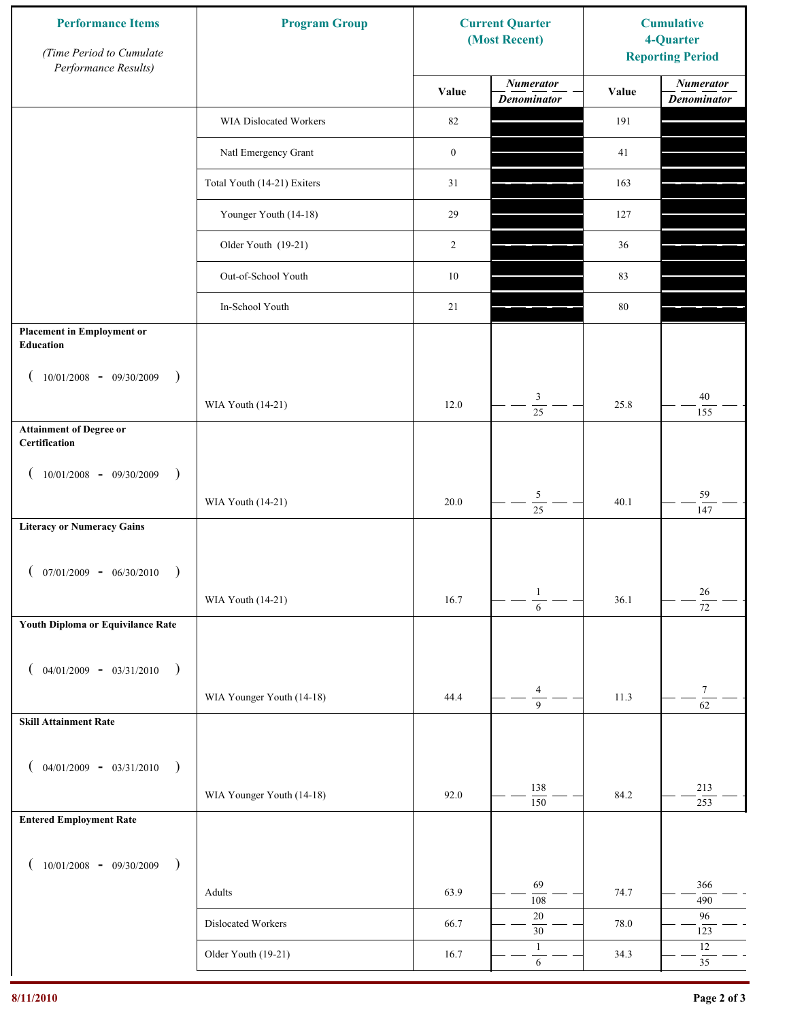| <b>Performance Items</b><br>(Time Period to Cumulate<br>Performance Results) | <b>Program Group</b>        |                  | <b>Current Quarter</b><br>(Most Recent) | <b>Cumulative</b><br>4-Quarter<br><b>Reporting Period</b> |                                        |
|------------------------------------------------------------------------------|-----------------------------|------------------|-----------------------------------------|-----------------------------------------------------------|----------------------------------------|
|                                                                              |                             | Value            | <b>Numerator</b><br><b>Denominator</b>  | Value                                                     | <b>Numerator</b><br><b>Denominator</b> |
|                                                                              | WIA Dislocated Workers      | 82               |                                         | 191                                                       |                                        |
|                                                                              | Natl Emergency Grant        | $\boldsymbol{0}$ |                                         | 41                                                        |                                        |
|                                                                              | Total Youth (14-21) Exiters | 31               |                                         | 163                                                       |                                        |
|                                                                              | Younger Youth (14-18)       | 29               |                                         | 127                                                       |                                        |
|                                                                              | Older Youth (19-21)         | 2                |                                         | 36                                                        |                                        |
|                                                                              | Out-of-School Youth         | $10\,$           |                                         | 83                                                        |                                        |
|                                                                              | In-School Youth             | 21               |                                         | $80\,$                                                    |                                        |
| <b>Placement in Employment or</b><br>Education                               |                             |                  |                                         |                                                           |                                        |
| $10/01/2008 - 09/30/2009$<br>$\rightarrow$                                   |                             |                  |                                         |                                                           |                                        |
|                                                                              | WIA Youth (14-21)           | 12.0             | 3<br>$\overline{25}$                    | 25.8                                                      | 40<br>155                              |
| <b>Attainment of Degree or</b><br>Certification                              |                             |                  |                                         |                                                           |                                        |
| $10/01/2008$ - 09/30/2009<br>$\rightarrow$<br>$\overline{ }$                 |                             |                  |                                         |                                                           |                                        |
|                                                                              | WIA Youth (14-21)           | 20.0             | $\sqrt{5}$<br>$\overline{25}$           | 40.1                                                      | 59<br>147                              |
| <b>Literacy or Numeracy Gains</b>                                            |                             |                  |                                         |                                                           |                                        |
| $(07/01/2009 - 06/30/2010)$<br>$\rightarrow$                                 |                             |                  |                                         |                                                           |                                        |
|                                                                              | WIA Youth (14-21)           | 16.7             | $\mathbf{1}$<br>$\overline{6}$          | 36.1                                                      | $26\,$<br>$\overline{72}$              |
| Youth Diploma or Equivilance Rate                                            |                             |                  |                                         |                                                           |                                        |
| $04/01/2009 - 03/31/2010$<br>$\rightarrow$<br>€                              |                             |                  |                                         |                                                           |                                        |
|                                                                              | WIA Younger Youth (14-18)   | 44.4             | $\overline{4}$                          | 11.3                                                      | $\tau$                                 |
| <b>Skill Attainment Rate</b>                                                 |                             |                  | $\overline{9}$                          |                                                           | $\overline{62}$                        |
|                                                                              |                             |                  |                                         |                                                           |                                        |
| $04/01/2009 - 03/31/2010$ )                                                  | WIA Younger Youth (14-18)   | 92.0             | 138                                     | 84.2                                                      | 213                                    |
| <b>Entered Employment Rate</b>                                               |                             |                  | 150                                     |                                                           | 253                                    |
|                                                                              |                             |                  |                                         |                                                           |                                        |
| $10/01/2008$ - 09/30/2009<br>$\rightarrow$                                   |                             |                  | 69                                      |                                                           | 366                                    |
|                                                                              | Adults                      | 63.9             | 108                                     | 74.7                                                      | 490                                    |
|                                                                              | Dislocated Workers          | 66.7             | $20\,$<br>$30\,$                        | 78.0                                                      | 96<br>123                              |
|                                                                              | Older Youth (19-21)         | 16.7             | $\mathbf{1}$<br>$\sqrt{6}$              | 34.3                                                      | $12\,$<br>35                           |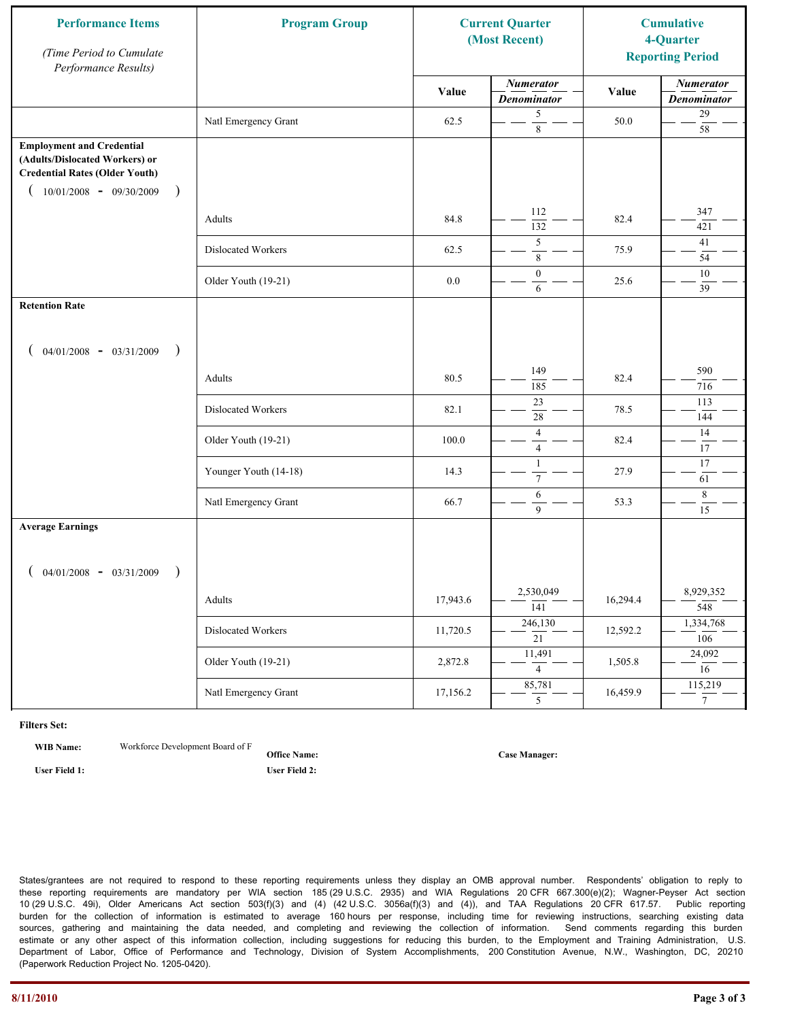| <b>Performance Items</b><br>(Time Period to Cumulate<br>Performance Results)                                                                                         | <b>Program Group</b>  | <b>Current Quarter</b><br>(Most Recent) |                                        | <b>Cumulative</b><br>4-Quarter<br><b>Reporting Period</b> |                                        |
|----------------------------------------------------------------------------------------------------------------------------------------------------------------------|-----------------------|-----------------------------------------|----------------------------------------|-----------------------------------------------------------|----------------------------------------|
|                                                                                                                                                                      |                       | Value                                   | <b>Numerator</b><br><b>Denominator</b> | Value                                                     | <b>Numerator</b><br><b>Denominator</b> |
|                                                                                                                                                                      | Natl Emergency Grant  | 62.5                                    | 5<br>$\,8\,$                           | 50.0                                                      | $29\,$<br>58                           |
| <b>Employment and Credential</b><br>(Adults/Dislocated Workers) or<br><b>Credential Rates (Older Youth)</b><br>$10/01/2008$ - 09/30/2009<br>$\overline{\phantom{a}}$ |                       |                                         |                                        |                                                           |                                        |
|                                                                                                                                                                      | Adults                | 84.8                                    | 112<br>132                             | 82.4                                                      | 347<br>421                             |
|                                                                                                                                                                      | Dislocated Workers    | 62.5                                    | 5<br>$\,$ 8 $\,$                       | 75.9                                                      | 41<br>54                               |
|                                                                                                                                                                      | Older Youth (19-21)   | $0.0\,$                                 | $\mathbf{0}$<br>6                      | 25.6                                                      | $10\,$<br>39                           |
| <b>Retention Rate</b>                                                                                                                                                |                       |                                         |                                        |                                                           |                                        |
| $04/01/2008$ - $03/31/2009$<br>$\rightarrow$                                                                                                                         |                       |                                         |                                        |                                                           |                                        |
|                                                                                                                                                                      | Adults                | 80.5                                    | 149<br>185                             | 82.4                                                      | 590<br>716                             |
|                                                                                                                                                                      | Dislocated Workers    | 82.1                                    | 23<br>28                               | 78.5                                                      | 113<br>144                             |
|                                                                                                                                                                      | Older Youth (19-21)   | 100.0                                   | $\overline{4}$<br>$\overline{4}$       | 82.4                                                      | 14<br>17                               |
|                                                                                                                                                                      | Younger Youth (14-18) | 14.3                                    | $\mathbf{1}$<br>$\boldsymbol{7}$       | 27.9                                                      | 17<br>61                               |
|                                                                                                                                                                      | Natl Emergency Grant  | 66.7                                    | 6<br>9                                 | 53.3                                                      | 8<br>15                                |
| <b>Average Earnings</b>                                                                                                                                              |                       |                                         |                                        |                                                           |                                        |
| $04/01/2008$ - $03/31/2009$<br>$\lambda$                                                                                                                             |                       |                                         |                                        |                                                           |                                        |
|                                                                                                                                                                      | Adults                | 17,943.6                                | 2,530,049<br>$\overline{141}$          | 16,294.4                                                  | 8,929,352<br>548                       |
|                                                                                                                                                                      | Dislocated Workers    | 11,720.5                                | 246,130<br>$\overline{21}$             | 12,592.2                                                  | 1,334,768<br>106                       |
|                                                                                                                                                                      | Older Youth (19-21)   | 2,872.8                                 | 11,491<br>$\overline{4}$               | 1,505.8                                                   | 24,092<br>16                           |
|                                                                                                                                                                      | Natl Emergency Grant  | 17,156.2                                | 85,781<br>5 <sup>7</sup>               | 16,459.9                                                  | 115,219<br>$\overline{7}$              |

**WIB Name:** Workforce Development Board of F

**Office Name: User Field 1: User Field 2:**

**Case Manager:**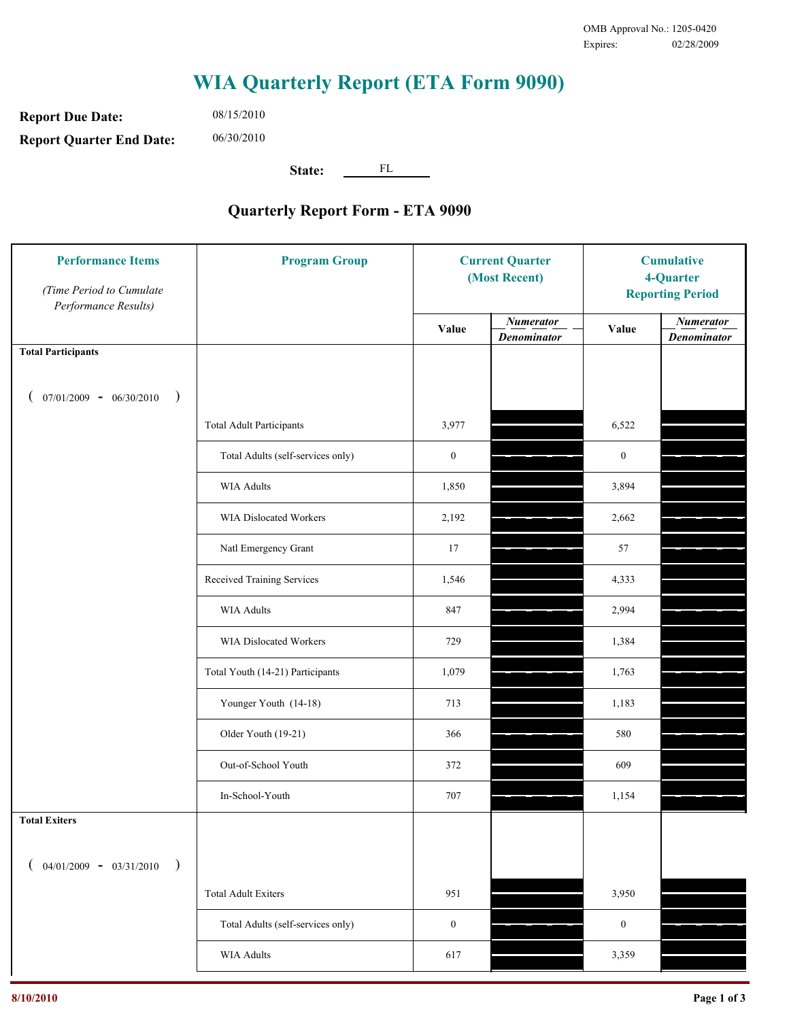**Report Due Date: Report Quarter End Date:** 06/30/2010

08/15/2010

**State:** FL

| <b>Performance Items</b><br>(Time Period to Cumulate<br>Performance Results) | <b>Program Group</b>              | <b>Current Quarter</b><br>(Most Recent) |                                        | <b>Cumulative</b><br>4-Quarter<br><b>Reporting Period</b> |                                        |
|------------------------------------------------------------------------------|-----------------------------------|-----------------------------------------|----------------------------------------|-----------------------------------------------------------|----------------------------------------|
|                                                                              |                                   | Value                                   | <b>Numerator</b><br><b>Denominator</b> | Value                                                     | <b>Numerator</b><br><b>Denominator</b> |
| <b>Total Participants</b>                                                    |                                   |                                         |                                        |                                                           |                                        |
| $07/01/2009 - 06/30/2010$<br>$\big)$                                         |                                   |                                         |                                        |                                                           |                                        |
|                                                                              | <b>Total Adult Participants</b>   | 3,977                                   |                                        | 6,522                                                     |                                        |
|                                                                              | Total Adults (self-services only) | $\boldsymbol{0}$                        |                                        | $\boldsymbol{0}$                                          |                                        |
|                                                                              | <b>WIA Adults</b>                 | 1,850                                   |                                        | 3,894                                                     |                                        |
|                                                                              | WIA Dislocated Workers            | 2,192                                   |                                        | 2,662                                                     |                                        |
|                                                                              | Natl Emergency Grant              | 17                                      |                                        | 57                                                        |                                        |
|                                                                              | Received Training Services        | 1,546                                   |                                        | 4,333                                                     |                                        |
|                                                                              | <b>WIA Adults</b>                 | 847                                     |                                        | 2,994                                                     |                                        |
|                                                                              | WIA Dislocated Workers            | 729                                     |                                        | 1,384                                                     |                                        |
|                                                                              | Total Youth (14-21) Participants  | 1,079                                   |                                        | 1,763                                                     |                                        |
|                                                                              | Younger Youth (14-18)             | 713                                     |                                        | 1,183                                                     |                                        |
|                                                                              | Older Youth (19-21)               | 366                                     |                                        | 580                                                       |                                        |
|                                                                              | Out-of-School Youth               | 372                                     |                                        | 609                                                       |                                        |
|                                                                              | In-School-Youth                   | 707                                     |                                        | 1,154                                                     |                                        |
| <b>Total Exiters</b>                                                         |                                   |                                         |                                        |                                                           |                                        |
| $04/01/2009 - 03/31/2010$                                                    |                                   |                                         |                                        |                                                           |                                        |
|                                                                              | <b>Total Adult Exiters</b>        | 951                                     |                                        | 3,950                                                     |                                        |
|                                                                              | Total Adults (self-services only) | $\boldsymbol{0}$                        |                                        | $\boldsymbol{0}$                                          |                                        |
|                                                                              | WIA Adults                        | 617                                     |                                        | 3,359                                                     |                                        |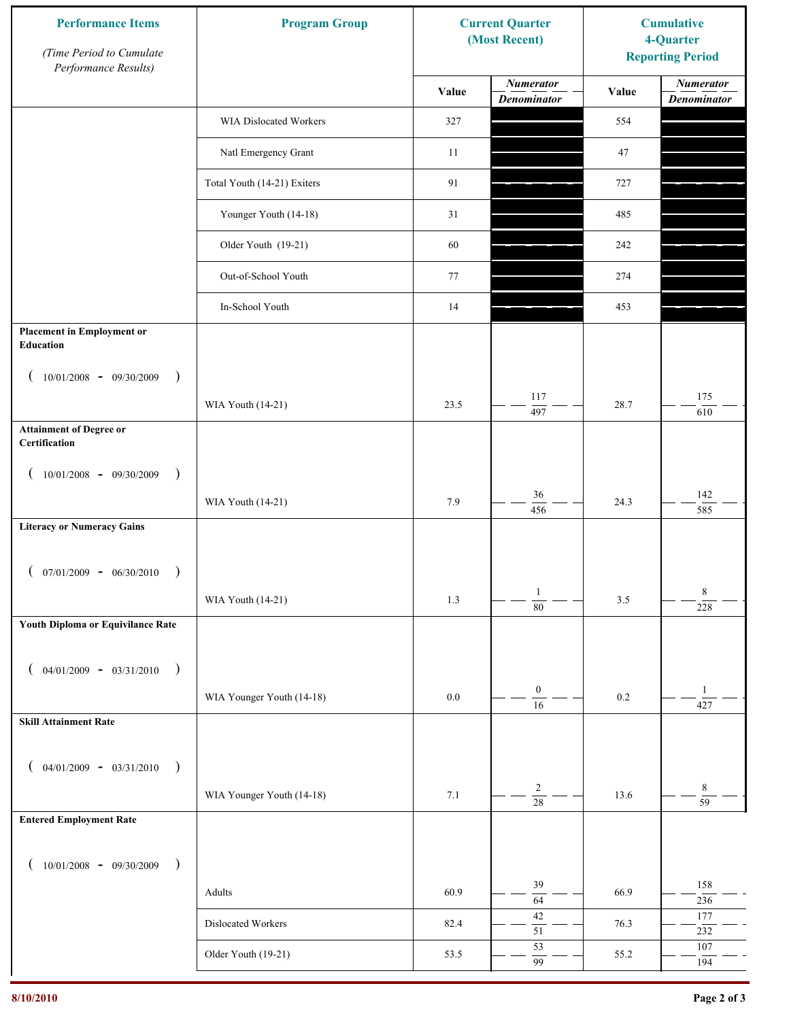| <b>Performance Items</b><br>(Time Period to Cumulate<br>Performance Results) | <b>Program Group</b>        |         | <b>Current Quarter</b><br>(Most Recent) | <b>Cumulative</b><br>4-Quarter<br><b>Reporting Period</b> |                                        |
|------------------------------------------------------------------------------|-----------------------------|---------|-----------------------------------------|-----------------------------------------------------------|----------------------------------------|
|                                                                              |                             | Value   | <b>Numerator</b><br><b>Denominator</b>  | Value                                                     | <b>Numerator</b><br><b>Denominator</b> |
|                                                                              | WIA Dislocated Workers      | 327     |                                         | 554                                                       |                                        |
|                                                                              | Natl Emergency Grant        | 11      |                                         | 47                                                        |                                        |
|                                                                              | Total Youth (14-21) Exiters | 91      |                                         | 727                                                       |                                        |
|                                                                              | Younger Youth (14-18)       | 31      |                                         | 485                                                       |                                        |
|                                                                              | Older Youth (19-21)         | 60      |                                         | 242                                                       |                                        |
|                                                                              | Out-of-School Youth         | 77      |                                         | 274                                                       |                                        |
|                                                                              | In-School Youth             | 14      |                                         | 453                                                       |                                        |
| <b>Placement in Employment or</b><br>Education                               |                             |         |                                         |                                                           |                                        |
| $10/01/2008 - 09/30/2009$<br>$\rightarrow$                                   |                             |         |                                         |                                                           |                                        |
|                                                                              | WIA Youth (14-21)           | 23.5    | 117<br>497                              | 28.7                                                      | 175<br>610                             |
| <b>Attainment of Degree or</b><br>Certification                              |                             |         |                                         |                                                           |                                        |
| $10/01/2008 - 09/30/2009$<br>$\rightarrow$<br>$\left($                       |                             |         |                                         |                                                           |                                        |
|                                                                              | WIA Youth (14-21)           | 7.9     | 36<br>456                               | 24.3                                                      | 142<br>585                             |
| <b>Literacy or Numeracy Gains</b>                                            |                             |         |                                         |                                                           |                                        |
| $(07/01/2009 - 06/30/2010)$<br>$\rightarrow$                                 |                             |         |                                         |                                                           |                                        |
|                                                                              | WIA Youth (14-21)           | 1.3     | $\mathbf{1}$<br>$\overline{80}$         | $3.5$                                                     | 8<br>228                               |
| Youth Diploma or Equivilance Rate                                            |                             |         |                                         |                                                           |                                        |
| $04/01/2009 - 03/31/2010$<br>$\rightarrow$                                   |                             |         |                                         |                                                           |                                        |
|                                                                              | WIA Younger Youth (14-18)   | $0.0\,$ | $\boldsymbol{0}$                        | $0.2\,$                                                   | $\mathbf{1}$                           |
| <b>Skill Attainment Rate</b>                                                 |                             |         | $\overline{16}$                         |                                                           | 427                                    |
|                                                                              |                             |         |                                         |                                                           |                                        |
| $04/01/2009 - 03/31/2010$ )                                                  | WIA Younger Youth (14-18)   | 7.1     | $\overline{c}$                          | 13.6                                                      | 8                                      |
| <b>Entered Employment Rate</b>                                               |                             |         | $\overline{28}$                         |                                                           | $\overline{59}$                        |
|                                                                              |                             |         |                                         |                                                           |                                        |
| $10/01/2008$ - 09/30/2009<br>$\rightarrow$                                   |                             |         | 39                                      |                                                           | 158                                    |
|                                                                              | Adults                      | 60.9    | $\overline{64}$                         | 66.9                                                      | 236                                    |
|                                                                              | Dislocated Workers          | 82.4    | $42\,$<br>$\overline{51}$               | 76.3                                                      | 177<br>232                             |
|                                                                              | Older Youth (19-21)         | 53.5    | 53<br>99                                | 55.2                                                      | $107\,$<br>194                         |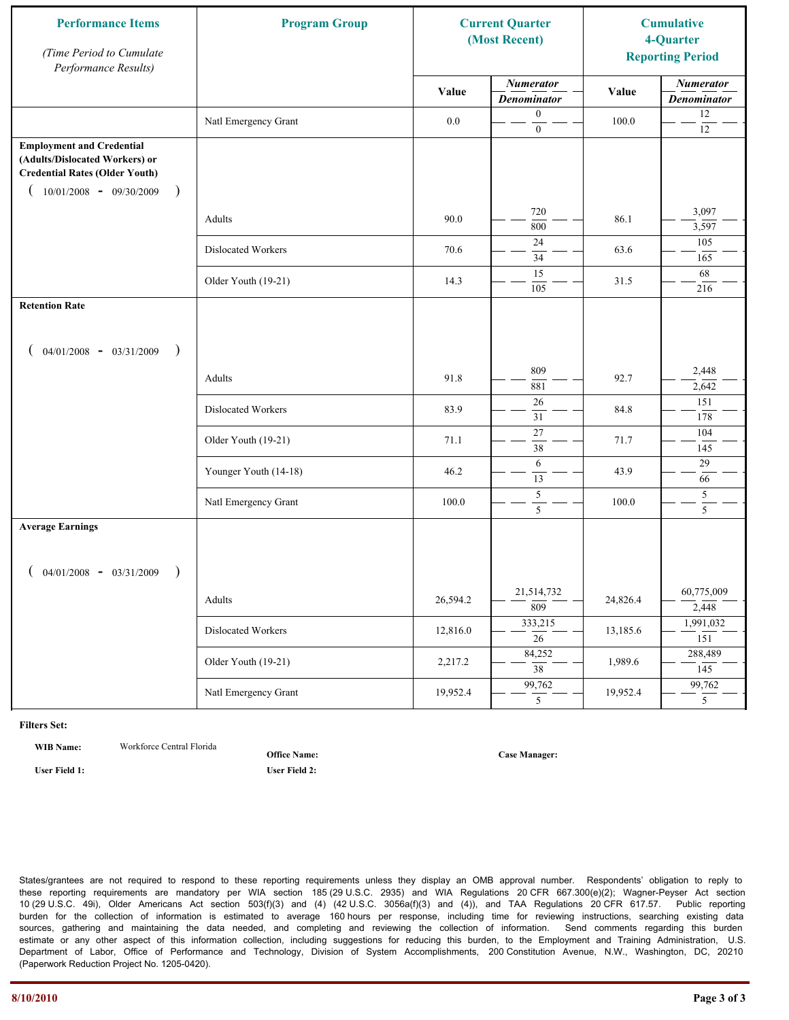| <b>Performance Items</b><br>(Time Period to Cumulate<br>Performance Results)                                                                                         | <b>Program Group</b>  |          | <b>Current Quarter</b><br>(Most Recent) |          | <b>Cumulative</b><br>4-Quarter<br><b>Reporting Period</b> |
|----------------------------------------------------------------------------------------------------------------------------------------------------------------------|-----------------------|----------|-----------------------------------------|----------|-----------------------------------------------------------|
|                                                                                                                                                                      |                       | Value    | <b>Numerator</b><br><b>Denominator</b>  | Value    | <b>Numerator</b><br><b>Denominator</b>                    |
|                                                                                                                                                                      | Natl Emergency Grant  | $0.0\,$  | $\boldsymbol{0}$<br>$\boldsymbol{0}$    | 100.0    | 12<br>$12\,$                                              |
| <b>Employment and Credential</b><br>(Adults/Dislocated Workers) or<br><b>Credential Rates (Older Youth)</b><br>$10/01/2008$ - 09/30/2009<br>$\overline{\phantom{a}}$ |                       |          |                                         |          |                                                           |
|                                                                                                                                                                      | Adults                | 90.0     | 720<br>800                              | 86.1     | 3,097<br>3,597                                            |
|                                                                                                                                                                      | Dislocated Workers    | 70.6     | 24<br>34                                | 63.6     | 105<br>165                                                |
|                                                                                                                                                                      | Older Youth (19-21)   | 14.3     | 15<br>105                               | 31.5     | 68<br>216                                                 |
| <b>Retention Rate</b>                                                                                                                                                |                       |          |                                         |          |                                                           |
| $04/01/2008$ - $03/31/2009$<br>$\rightarrow$                                                                                                                         |                       |          |                                         |          |                                                           |
|                                                                                                                                                                      | Adults                | 91.8     | 809<br>881                              | 92.7     | 2,448<br>2,642                                            |
|                                                                                                                                                                      | Dislocated Workers    | 83.9     | 26<br>31                                | 84.8     | 151<br>178                                                |
|                                                                                                                                                                      | Older Youth (19-21)   | 71.1     | $\overline{27}$<br>38                   | 71.7     | 104<br>145                                                |
|                                                                                                                                                                      | Younger Youth (14-18) | 46.2     | 6<br>13                                 | 43.9     | 29<br>66                                                  |
|                                                                                                                                                                      | Natl Emergency Grant  | 100.0    | $\sqrt{5}$<br>5                         | 100.0    | 5<br>5                                                    |
| <b>Average Earnings</b>                                                                                                                                              |                       |          |                                         |          |                                                           |
| $04/01/2008$ - $03/31/2009$<br>$\lambda$                                                                                                                             |                       |          | 21,514,732                              |          | 60,775,009                                                |
|                                                                                                                                                                      | Adults                | 26,594.2 | $\overline{809}$<br>333,215             | 24,826.4 | 2,448<br>1,991,032                                        |
|                                                                                                                                                                      | Dislocated Workers    | 12,816.0 | $\overline{26}$                         | 13,185.6 | 151                                                       |
|                                                                                                                                                                      | Older Youth (19-21)   | 2,217.2  | 84,252<br>$\overline{38}$               | 1,989.6  | 288,489<br>145                                            |
|                                                                                                                                                                      | Natl Emergency Grant  | 19,952.4 | 99,762<br>5 <sup>5</sup>                | 19,952.4 | 99,762<br>5 <sup>5</sup>                                  |

**WIB Name:** Workforce Central Florida

**Office Name:**

**User Field 1: User Field 2:**

**Case Manager:**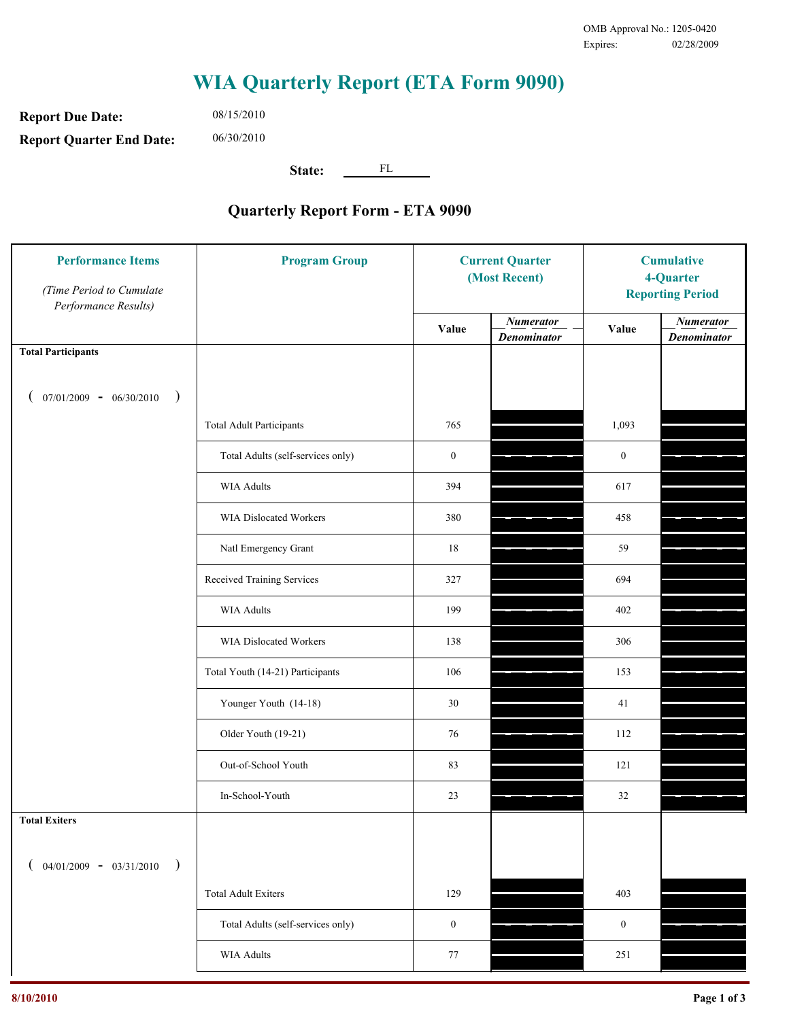**Report Due Date: Report Quarter End Date:** 06/30/2010

08/15/2010

**State:** FL

| <b>Performance Items</b><br>(Time Period to Cumulate<br>Performance Results) | <b>Program Group</b>              | <b>Current Quarter</b><br>(Most Recent) |                                        | <b>Cumulative</b><br>4-Quarter<br><b>Reporting Period</b> |                                        |
|------------------------------------------------------------------------------|-----------------------------------|-----------------------------------------|----------------------------------------|-----------------------------------------------------------|----------------------------------------|
|                                                                              |                                   | Value                                   | <b>Numerator</b><br><b>Denominator</b> | Value                                                     | <b>Numerator</b><br><b>Denominator</b> |
| <b>Total Participants</b>                                                    |                                   |                                         |                                        |                                                           |                                        |
| $07/01/2009 - 06/30/2010$<br>$\big)$                                         |                                   |                                         |                                        |                                                           |                                        |
|                                                                              | <b>Total Adult Participants</b>   | 765                                     |                                        | 1,093                                                     |                                        |
|                                                                              | Total Adults (self-services only) | $\boldsymbol{0}$                        |                                        | $\boldsymbol{0}$                                          |                                        |
|                                                                              | <b>WIA Adults</b>                 | 394                                     |                                        | 617                                                       |                                        |
|                                                                              | <b>WIA Dislocated Workers</b>     | 380                                     |                                        | 458                                                       |                                        |
|                                                                              | Natl Emergency Grant              | 18                                      |                                        | 59                                                        |                                        |
|                                                                              | Received Training Services        | 327                                     |                                        | 694                                                       |                                        |
|                                                                              | <b>WIA Adults</b>                 | 199                                     |                                        | 402                                                       |                                        |
|                                                                              | WIA Dislocated Workers            | 138                                     |                                        | 306                                                       |                                        |
|                                                                              | Total Youth (14-21) Participants  | 106                                     |                                        | 153                                                       |                                        |
|                                                                              | Younger Youth (14-18)             | 30                                      |                                        | 41                                                        |                                        |
|                                                                              | Older Youth (19-21)               | 76                                      |                                        | 112                                                       |                                        |
|                                                                              | Out-of-School Youth               | 83                                      |                                        | 121                                                       |                                        |
|                                                                              | In-School-Youth                   | 23                                      |                                        | $32\,$                                                    |                                        |
| <b>Total Exiters</b>                                                         |                                   |                                         |                                        |                                                           |                                        |
| $04/01/2009 - 03/31/2010$<br>$\lambda$                                       |                                   |                                         |                                        |                                                           |                                        |
|                                                                              | <b>Total Adult Exiters</b>        | 129                                     |                                        | 403                                                       |                                        |
|                                                                              | Total Adults (self-services only) | $\boldsymbol{0}$                        |                                        | $\boldsymbol{0}$                                          |                                        |
|                                                                              | WIA Adults                        | 77                                      |                                        | 251                                                       |                                        |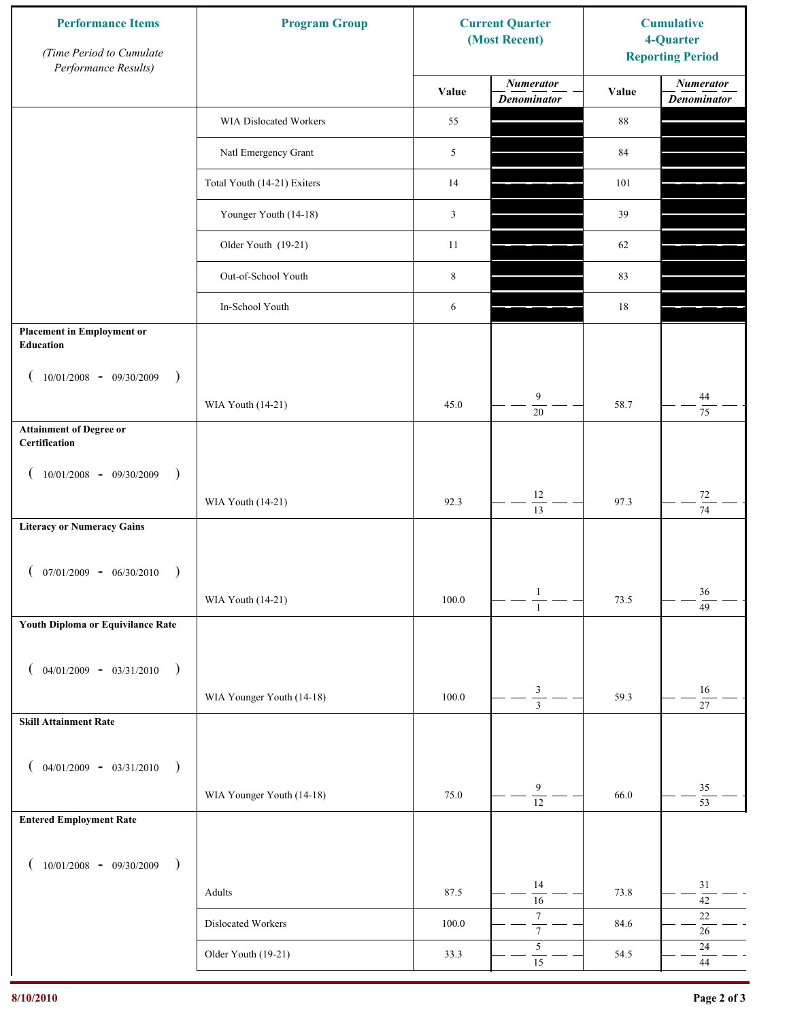| <b>Performance Items</b><br>(Time Period to Cumulate<br>Performance Results) | <b>Program Group</b>          |           | <b>Current Quarter</b><br>(Most Recent) | <b>Cumulative</b><br>4-Quarter<br><b>Reporting Period</b> |                                        |
|------------------------------------------------------------------------------|-------------------------------|-----------|-----------------------------------------|-----------------------------------------------------------|----------------------------------------|
|                                                                              |                               | Value     | <b>Numerator</b><br><b>Denominator</b>  | Value                                                     | <b>Numerator</b><br><b>Denominator</b> |
|                                                                              | <b>WIA Dislocated Workers</b> | 55        |                                         | 88                                                        |                                        |
|                                                                              | Natl Emergency Grant          | 5         |                                         | 84                                                        |                                        |
|                                                                              | Total Youth (14-21) Exiters   | 14        |                                         | 101                                                       |                                        |
|                                                                              | Younger Youth (14-18)         | 3         |                                         | 39                                                        |                                        |
|                                                                              | Older Youth (19-21)           | 11        |                                         | 62                                                        |                                        |
|                                                                              | Out-of-School Youth           | $\,8\,$   |                                         | 83                                                        |                                        |
|                                                                              | In-School Youth               | 6         |                                         | 18                                                        |                                        |
| <b>Placement in Employment or</b><br>Education                               |                               |           |                                         |                                                           |                                        |
| $10/01/2008 - 09/30/2009$<br>$\rightarrow$                                   |                               |           |                                         |                                                           |                                        |
|                                                                              | WIA Youth (14-21)             | 45.0      | 9<br>$\overline{20}$                    | 58.7                                                      | 44<br>75                               |
| <b>Attainment of Degree or</b><br>Certification                              |                               |           |                                         |                                                           |                                        |
| $10/01/2008$ - 09/30/2009<br>$\lambda$                                       |                               |           |                                         |                                                           |                                        |
|                                                                              | WIA Youth (14-21)             | 92.3      | 12<br>$\overline{13}$                   | 97.3                                                      | $72\,$<br>$\overline{74}$              |
| <b>Literacy or Numeracy Gains</b>                                            |                               |           |                                         |                                                           |                                        |
| $07/01/2009 - 06/30/2010$                                                    |                               |           |                                         |                                                           |                                        |
|                                                                              | WIA Youth (14-21)             | $100.0\,$ | $\mathbf{1}$<br>$\overline{1}$          | 73.5                                                      | 36<br>49                               |
| Youth Diploma or Equivilance Rate                                            |                               |           |                                         |                                                           |                                        |
| $04/01/2009 - 03/31/2010$<br>$\rightarrow$                                   |                               |           |                                         |                                                           |                                        |
|                                                                              | WIA Younger Youth (14-18)     | 100.0     | $\ensuremath{\mathfrak{Z}}$             | 59.3                                                      | 16<br>27                               |
| <b>Skill Attainment Rate</b>                                                 |                               |           |                                         |                                                           |                                        |
| $04/01/2009 - 03/31/2010$<br>$\rightarrow$                                   |                               |           |                                         |                                                           |                                        |
|                                                                              | WIA Younger Youth (14-18)     | 75.0      | 9                                       | 66.0                                                      | 35                                     |
| <b>Entered Employment Rate</b>                                               |                               |           | $\overline{12}$                         |                                                           | $\overline{53}$                        |
|                                                                              |                               |           |                                         |                                                           |                                        |
| $10/01/2008$ - 09/30/2009<br>$\overline{\phantom{a}}$                        |                               |           | 14                                      |                                                           | $31\,$                                 |
|                                                                              | Adults                        | 87.5      | 16<br>$\boldsymbol{7}$                  | 73.8                                                      | $\overline{42}$<br>22                  |
|                                                                              | Dislocated Workers            | $100.0\,$ | $\overline{7}$<br>$\sqrt{5}$            | 84.6                                                      | $26\,$<br>$24\,$                       |
|                                                                              | Older Youth (19-21)           | 33.3      | 15                                      | 54.5                                                      | $44\,$                                 |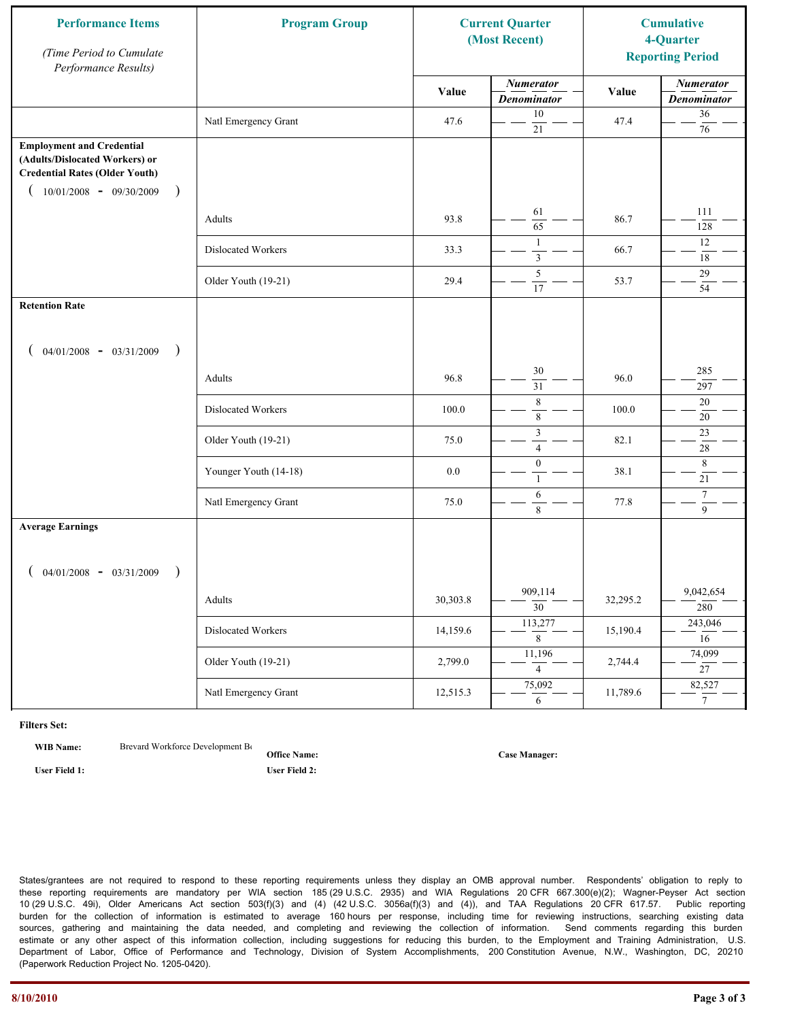| <b>Performance Items</b><br>(Time Period to Cumulate<br>Performance Results)                                                                                         | <b>Program Group</b>  |          | <b>Current Quarter</b><br>(Most Recent) |          | <b>Cumulative</b><br>4-Quarter<br><b>Reporting Period</b> |
|----------------------------------------------------------------------------------------------------------------------------------------------------------------------|-----------------------|----------|-----------------------------------------|----------|-----------------------------------------------------------|
|                                                                                                                                                                      |                       | Value    | <b>Numerator</b><br><b>Denominator</b>  | Value    | <b>Numerator</b><br><b>Denominator</b>                    |
|                                                                                                                                                                      | Natl Emergency Grant  | 47.6     | 10<br>$21\,$                            | 47.4     | $36\,$<br>$76\,$                                          |
| <b>Employment and Credential</b><br>(Adults/Dislocated Workers) or<br><b>Credential Rates (Older Youth)</b><br>$10/01/2008$ - 09/30/2009<br>$\overline{\phantom{a}}$ |                       |          |                                         |          |                                                           |
|                                                                                                                                                                      | Adults                | 93.8     | 61<br>65                                | 86.7     | 111<br>128                                                |
|                                                                                                                                                                      | Dislocated Workers    | 33.3     | $\mathbf{1}$<br>$\overline{\mathbf{3}}$ | 66.7     | 12<br>$18\,$                                              |
|                                                                                                                                                                      | Older Youth (19-21)   | 29.4     | 5<br>17                                 | 53.7     | 29<br>54                                                  |
| <b>Retention Rate</b>                                                                                                                                                |                       |          |                                         |          |                                                           |
| $04/01/2008$ - $03/31/2009$<br>$\rightarrow$                                                                                                                         |                       |          |                                         |          |                                                           |
|                                                                                                                                                                      | Adults                | 96.8     | 30<br>31                                | 96.0     | 285<br>297                                                |
|                                                                                                                                                                      | Dislocated Workers    | 100.0    | $\,$ 8 $\,$<br>$\,$ 8 $\,$              | 100.0    | $20\,$<br>$20\,$                                          |
|                                                                                                                                                                      | Older Youth (19-21)   | 75.0     | $\mathfrak z$<br>$\overline{4}$         | 82.1     | 23<br>$\overline{28}$                                     |
|                                                                                                                                                                      | Younger Youth (14-18) | 0.0      | $\boldsymbol{0}$<br>$\mathbf{1}$        | 38.1     | $\,8\,$<br>21                                             |
|                                                                                                                                                                      | Natl Emergency Grant  | 75.0     | 6<br>8                                  | 77.8     | $\boldsymbol{7}$<br>$\overline{9}$                        |
| <b>Average Earnings</b>                                                                                                                                              |                       |          |                                         |          |                                                           |
| $04/01/2008$ - $03/31/2009$<br>$\lambda$                                                                                                                             |                       |          |                                         |          |                                                           |
|                                                                                                                                                                      | Adults                | 30,303.8 | 909,114<br>$\overline{30}$              | 32,295.2 | 9,042,654<br>280                                          |
|                                                                                                                                                                      | Dislocated Workers    | 14,159.6 | 113,277<br>$8\,$                        | 15,190.4 | 243,046<br>16                                             |
|                                                                                                                                                                      | Older Youth (19-21)   | 2,799.0  | 11,196<br>$\overline{4}$                | 2,744.4  | 74,099<br>$\overline{27}$                                 |
|                                                                                                                                                                      | Natl Emergency Grant  | 12,515.3 | 75,092<br>6                             | 11,789.6 | 82,527<br>$7\overline{ }$                                 |

**WIB Name:** Brevard Workforce Development Board Inc.

**Office Name: User Field 1: User Field 2:**

**Case Manager:**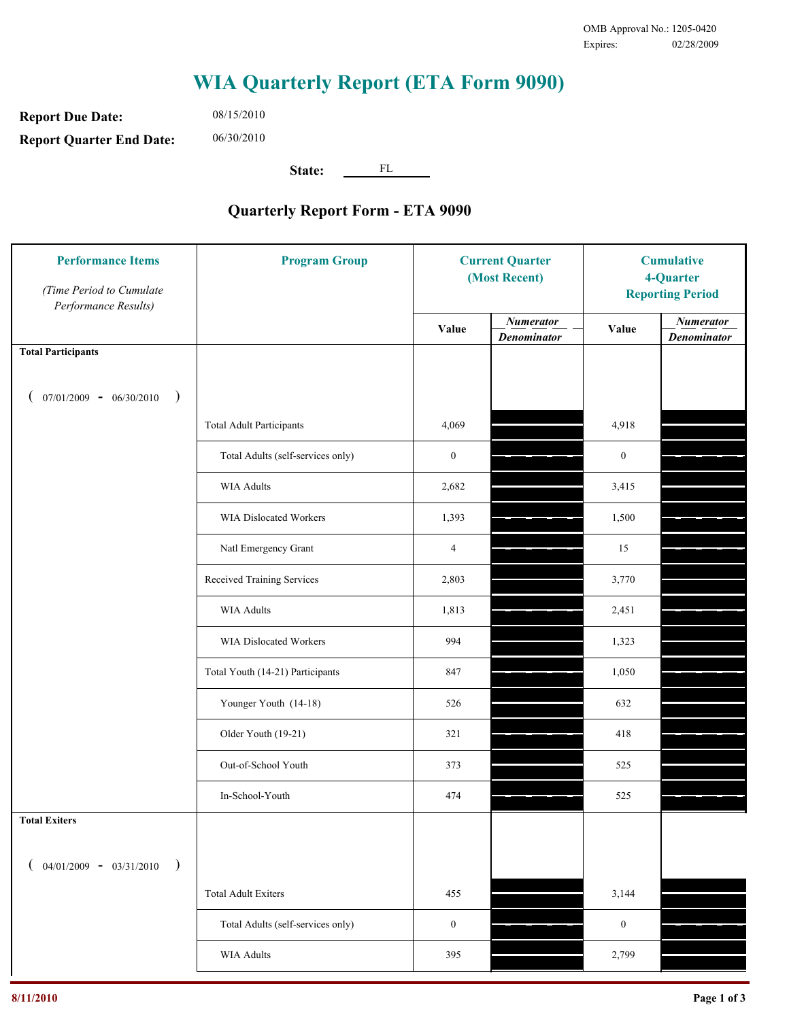**Report Due Date: Report Quarter End Date:** 06/30/2010

08/15/2010

**State:** FL

| <b>Performance Items</b><br>(Time Period to Cumulate<br>Performance Results) | <b>Program Group</b>              | <b>Current Quarter</b><br>(Most Recent) |                                        | <b>Cumulative</b><br>4-Quarter<br><b>Reporting Period</b> |                                        |
|------------------------------------------------------------------------------|-----------------------------------|-----------------------------------------|----------------------------------------|-----------------------------------------------------------|----------------------------------------|
|                                                                              |                                   | Value                                   | <b>Numerator</b><br><b>Denominator</b> | Value                                                     | <b>Numerator</b><br><b>Denominator</b> |
| <b>Total Participants</b>                                                    |                                   |                                         |                                        |                                                           |                                        |
| $07/01/2009 - 06/30/2010$<br>$\big)$                                         |                                   |                                         |                                        |                                                           |                                        |
|                                                                              | <b>Total Adult Participants</b>   | 4,069                                   |                                        | 4,918                                                     |                                        |
|                                                                              | Total Adults (self-services only) | $\boldsymbol{0}$                        |                                        | $\boldsymbol{0}$                                          |                                        |
|                                                                              | <b>WIA Adults</b>                 | 2,682                                   |                                        | 3,415                                                     |                                        |
|                                                                              | WIA Dislocated Workers            | 1,393                                   |                                        | 1,500                                                     |                                        |
|                                                                              | Natl Emergency Grant              | $\overline{4}$                          |                                        | 15                                                        |                                        |
|                                                                              | Received Training Services        | 2,803                                   |                                        | 3,770                                                     |                                        |
|                                                                              | <b>WIA Adults</b>                 | 1,813                                   |                                        | 2,451                                                     |                                        |
|                                                                              | WIA Dislocated Workers            | 994                                     |                                        | 1,323                                                     |                                        |
|                                                                              | Total Youth (14-21) Participants  | 847                                     |                                        | 1,050                                                     |                                        |
|                                                                              | Younger Youth (14-18)             | 526                                     |                                        | 632                                                       |                                        |
|                                                                              | Older Youth (19-21)               | 321                                     |                                        | 418                                                       |                                        |
|                                                                              | Out-of-School Youth               | 373                                     |                                        | 525                                                       |                                        |
|                                                                              | In-School-Youth                   | 474                                     |                                        | 525                                                       |                                        |
| <b>Total Exiters</b>                                                         |                                   |                                         |                                        |                                                           |                                        |
| $04/01/2009 - 03/31/2010$                                                    |                                   |                                         |                                        |                                                           |                                        |
|                                                                              | <b>Total Adult Exiters</b>        | 455                                     |                                        | 3,144                                                     |                                        |
|                                                                              | Total Adults (self-services only) | $\boldsymbol{0}$                        |                                        | $\boldsymbol{0}$                                          |                                        |
|                                                                              | WIA Adults                        | 395                                     |                                        | 2,799                                                     |                                        |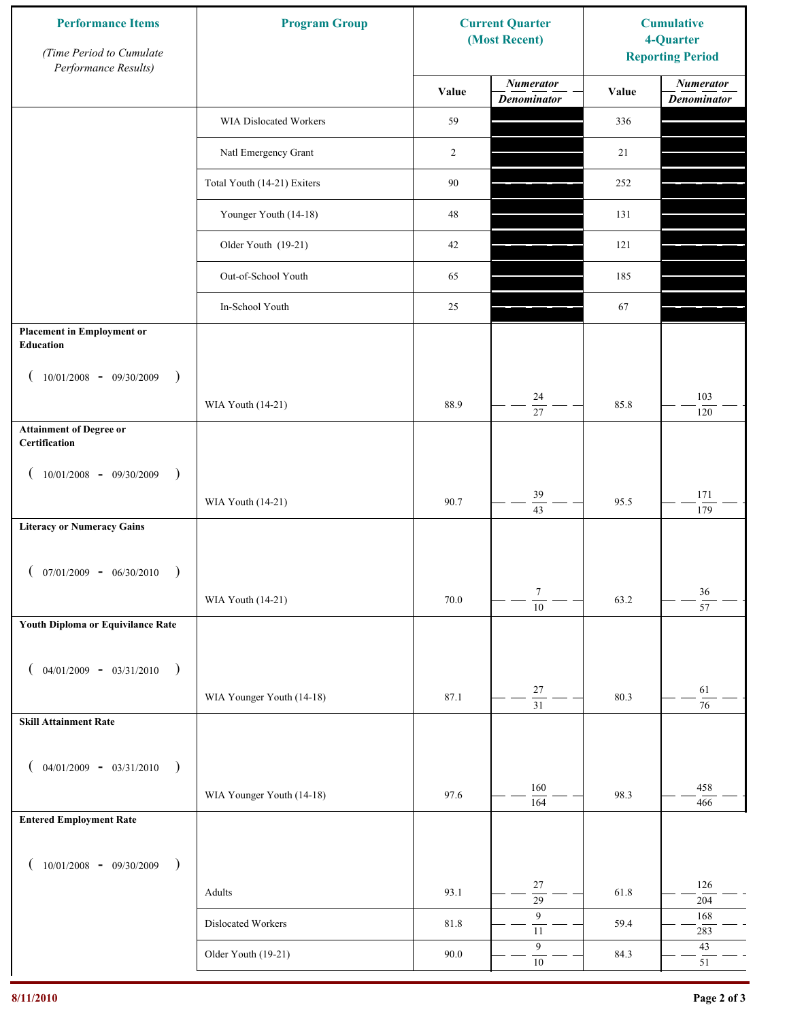| <b>Performance Items</b><br>(Time Period to Cumulate<br>Performance Results) | <b>Program Group</b>        |        | <b>Current Quarter</b><br>(Most Recent) | <b>Cumulative</b><br>4-Quarter<br><b>Reporting Period</b> |                                        |
|------------------------------------------------------------------------------|-----------------------------|--------|-----------------------------------------|-----------------------------------------------------------|----------------------------------------|
|                                                                              |                             | Value  | <b>Numerator</b><br><b>Denominator</b>  | Value                                                     | <b>Numerator</b><br><b>Denominator</b> |
|                                                                              | WIA Dislocated Workers      | 59     |                                         | 336                                                       |                                        |
|                                                                              | Natl Emergency Grant        | 2      |                                         | 21                                                        |                                        |
|                                                                              | Total Youth (14-21) Exiters | $90\,$ |                                         | 252                                                       |                                        |
|                                                                              | Younger Youth (14-18)       | $48\,$ |                                         | 131                                                       |                                        |
|                                                                              | Older Youth (19-21)         | 42     |                                         | 121                                                       |                                        |
|                                                                              | Out-of-School Youth         | 65     |                                         | 185                                                       |                                        |
|                                                                              | In-School Youth             | 25     |                                         | 67                                                        |                                        |
| <b>Placement in Employment or</b><br>Education                               |                             |        |                                         |                                                           |                                        |
| $10/01/2008 - 09/30/2009$<br>$\rightarrow$                                   |                             |        |                                         |                                                           |                                        |
|                                                                              | WIA Youth (14-21)           | 88.9   | 24<br>27                                | 85.8                                                      | 103<br>120                             |
| <b>Attainment of Degree or</b><br>Certification                              |                             |        |                                         |                                                           |                                        |
| $10/01/2008 - 09/30/2009$<br>$\big)$<br>$\left($                             |                             |        |                                         |                                                           |                                        |
|                                                                              | WIA Youth (14-21)           | 90.7   | 39<br>$\overline{43}$                   | 95.5                                                      | 171<br>179                             |
| <b>Literacy or Numeracy Gains</b>                                            |                             |        |                                         |                                                           |                                        |
| $(07/01/2009 - 06/30/2010)$<br>$\rightarrow$                                 |                             |        |                                         |                                                           |                                        |
|                                                                              | WIA Youth (14-21)           | 70.0   | $\tau$<br>$\overline{10}$               | 63.2                                                      | $36\,$<br>$\overline{57}$              |
| Youth Diploma or Equivilance Rate                                            |                             |        |                                         |                                                           |                                        |
|                                                                              |                             |        |                                         |                                                           |                                        |
| $04/01/2009 - 03/31/2010$<br>$\rightarrow$<br>€                              |                             | 87.1   | $27\,$                                  | 80.3                                                      | 61                                     |
| <b>Skill Attainment Rate</b>                                                 | WIA Younger Youth (14-18)   |        | $\overline{31}$                         |                                                           | $\overline{76}$                        |
|                                                                              |                             |        |                                         |                                                           |                                        |
| $04/01/2009 - 03/31/2010$ )                                                  |                             |        |                                         |                                                           |                                        |
|                                                                              | WIA Younger Youth (14-18)   | 97.6   | 160<br>164                              | 98.3                                                      | 458<br>466                             |
| <b>Entered Employment Rate</b>                                               |                             |        |                                         |                                                           |                                        |
| $10/01/2008$ - 09/30/2009<br>$\big)$                                         |                             |        |                                         |                                                           |                                        |
|                                                                              | Adults                      | 93.1   | 27<br>$\overline{29}$                   | 61.8                                                      | 126<br>204                             |
|                                                                              | Dislocated Workers          | 81.8   | 9<br>$11\,$                             | 59.4                                                      | 168<br>283                             |
|                                                                              | Older Youth (19-21)         | 90.0   | $\boldsymbol{9}$<br>$10\,$              | 84.3                                                      | $43\,$<br>51                           |
|                                                                              |                             |        |                                         |                                                           |                                        |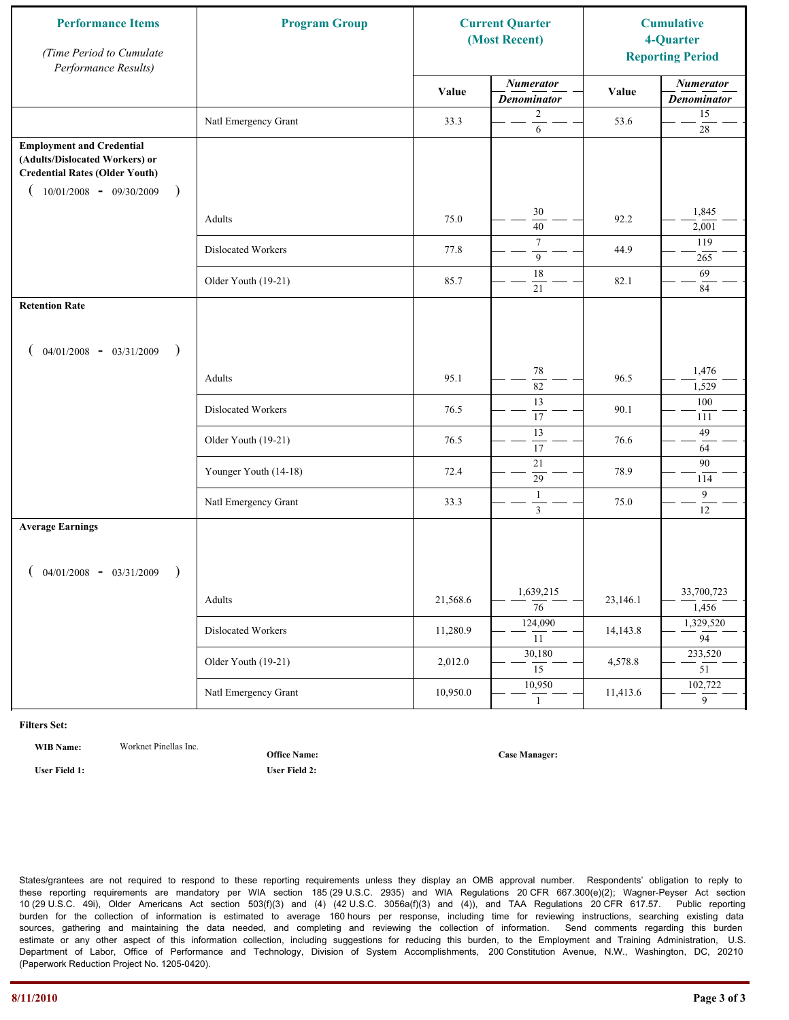| <b>Performance Items</b><br>(Time Period to Cumulate<br>Performance Results)                                                                                         | <b>Program Group</b>  |          | <b>Current Quarter</b><br>(Most Recent) |          | <b>Cumulative</b><br>4-Quarter<br><b>Reporting Period</b> |
|----------------------------------------------------------------------------------------------------------------------------------------------------------------------|-----------------------|----------|-----------------------------------------|----------|-----------------------------------------------------------|
|                                                                                                                                                                      |                       | Value    | <b>Numerator</b><br><b>Denominator</b>  | Value    | <b>Numerator</b><br><b>Denominator</b>                    |
|                                                                                                                                                                      | Natl Emergency Grant  | 33.3     | $\mathbf{2}$<br>6                       | 53.6     | 15<br>$28\,$                                              |
| <b>Employment and Credential</b><br>(Adults/Dislocated Workers) or<br><b>Credential Rates (Older Youth)</b><br>$10/01/2008 - 09/30/2009$<br>$\overline{\phantom{a}}$ |                       |          |                                         |          |                                                           |
|                                                                                                                                                                      | Adults                | 75.0     | 30<br>40                                | 92.2     | 1,845<br>2,001                                            |
|                                                                                                                                                                      | Dislocated Workers    | 77.8     | $\overline{7}$<br>9                     | 44.9     | 119<br>265                                                |
|                                                                                                                                                                      | Older Youth (19-21)   | 85.7     | 18<br>21                                | 82.1     | 69<br>84                                                  |
| <b>Retention Rate</b>                                                                                                                                                |                       |          |                                         |          |                                                           |
| $04/01/2008$ - $03/31/2009$<br>$\rightarrow$                                                                                                                         |                       |          |                                         |          |                                                           |
|                                                                                                                                                                      | Adults                | 95.1     | 78<br>82                                | 96.5     | 1,476<br>1,529                                            |
|                                                                                                                                                                      | Dislocated Workers    | 76.5     | 13<br>17                                | 90.1     | 100<br>111                                                |
|                                                                                                                                                                      | Older Youth (19-21)   | 76.5     | $\overline{13}$<br>17                   | 76.6     | 49<br>64                                                  |
|                                                                                                                                                                      | Younger Youth (14-18) | 72.4     | 21<br>29                                | 78.9     | 90<br>114                                                 |
|                                                                                                                                                                      | Natl Emergency Grant  | 33.3     | 1<br>$\mathfrak{Z}$                     | 75.0     | 9<br>12                                                   |
| <b>Average Earnings</b>                                                                                                                                              |                       |          |                                         |          |                                                           |
| $04/01/2008$ - $03/31/2009$                                                                                                                                          | Adults                | 21,568.6 | 1,639,215<br>$\overline{76}$            | 23,146.1 | 33,700,723<br>1,456                                       |
|                                                                                                                                                                      | Dislocated Workers    | 11,280.9 | 124,090<br>11                           | 14,143.8 | 1,329,520<br>$\overline{94}$                              |
|                                                                                                                                                                      | Older Youth (19-21)   | 2,012.0  | 30,180<br>15                            | 4,578.8  | 233,520<br>$\overline{51}$                                |
|                                                                                                                                                                      | Natl Emergency Grant  | 10,950.0 | 10,950<br>$\mathbf{1}$                  | 11,413.6 | 102,722<br>$\overline{9}$                                 |

**WIB Name:** Worknet Pinellas Inc.

**Office Name:**

**User Field 1: User Field 2:**

**Case Manager:**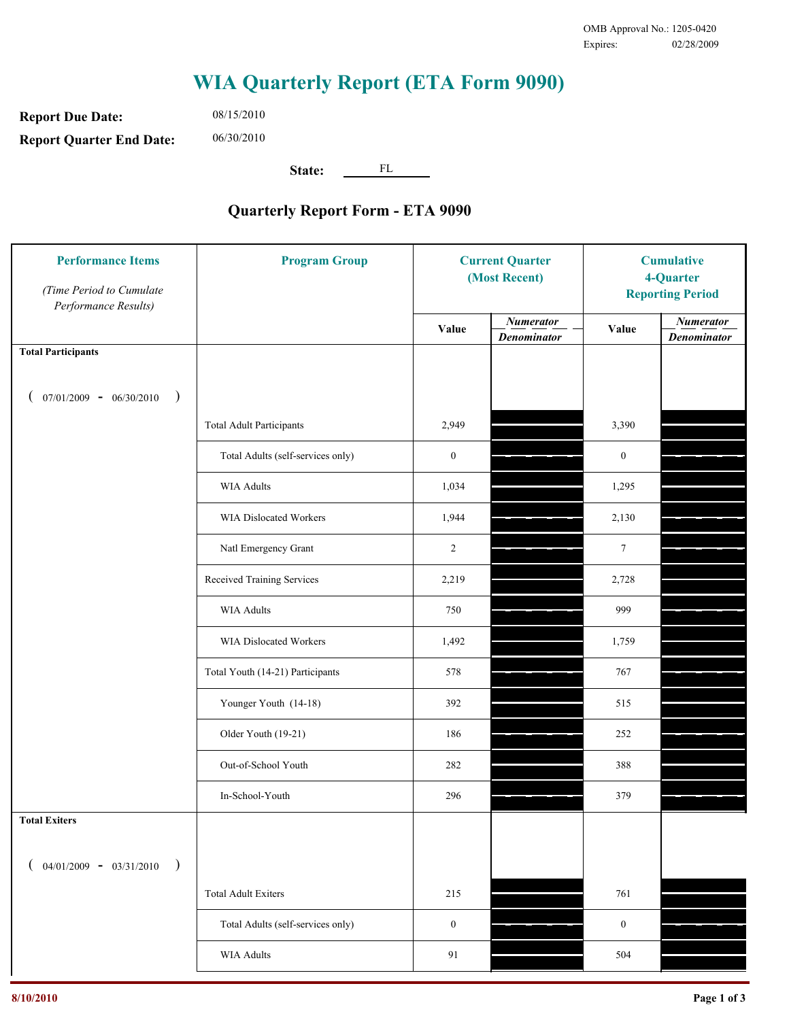**Report Due Date: Report Quarter End Date:** 06/30/2010

08/15/2010

**State:** FL

| <b>Performance Items</b><br>(Time Period to Cumulate<br>Performance Results) | <b>Program Group</b>              | <b>Current Quarter</b><br>(Most Recent) |                                        | <b>Cumulative</b><br>4-Quarter<br><b>Reporting Period</b> |                                        |
|------------------------------------------------------------------------------|-----------------------------------|-----------------------------------------|----------------------------------------|-----------------------------------------------------------|----------------------------------------|
|                                                                              |                                   | Value                                   | <b>Numerator</b><br><b>Denominator</b> | Value                                                     | <b>Numerator</b><br><b>Denominator</b> |
| <b>Total Participants</b>                                                    |                                   |                                         |                                        |                                                           |                                        |
| $07/01/2009 - 06/30/2010$<br>$\big)$                                         |                                   |                                         |                                        |                                                           |                                        |
|                                                                              | <b>Total Adult Participants</b>   | 2,949                                   |                                        | 3,390                                                     |                                        |
|                                                                              | Total Adults (self-services only) | $\boldsymbol{0}$                        |                                        | $\boldsymbol{0}$                                          |                                        |
|                                                                              | <b>WIA Adults</b>                 | 1,034                                   |                                        | 1,295                                                     |                                        |
|                                                                              | WIA Dislocated Workers            | 1,944                                   |                                        | 2,130                                                     |                                        |
|                                                                              | Natl Emergency Grant              | $\overline{2}$                          |                                        | $\tau$                                                    |                                        |
|                                                                              | Received Training Services        | 2,219                                   |                                        | 2,728                                                     |                                        |
|                                                                              | <b>WIA Adults</b>                 | 750                                     |                                        | 999                                                       |                                        |
|                                                                              | WIA Dislocated Workers            | 1,492                                   |                                        | 1,759                                                     |                                        |
|                                                                              | Total Youth (14-21) Participants  | 578                                     |                                        | 767                                                       |                                        |
|                                                                              | Younger Youth (14-18)             | 392                                     |                                        | 515                                                       |                                        |
|                                                                              | Older Youth (19-21)               | 186                                     |                                        | 252                                                       |                                        |
|                                                                              | Out-of-School Youth               | 282                                     |                                        | 388                                                       |                                        |
|                                                                              | In-School-Youth                   | 296                                     |                                        | 379                                                       |                                        |
| <b>Total Exiters</b>                                                         |                                   |                                         |                                        |                                                           |                                        |
| $04/01/2009 - 03/31/2010$<br>$\lambda$                                       |                                   |                                         |                                        |                                                           |                                        |
|                                                                              | <b>Total Adult Exiters</b>        | 215                                     |                                        | 761                                                       |                                        |
|                                                                              | Total Adults (self-services only) | $\boldsymbol{0}$                        |                                        | $\boldsymbol{0}$                                          |                                        |
|                                                                              | WIA Adults                        | 91                                      |                                        | 504                                                       |                                        |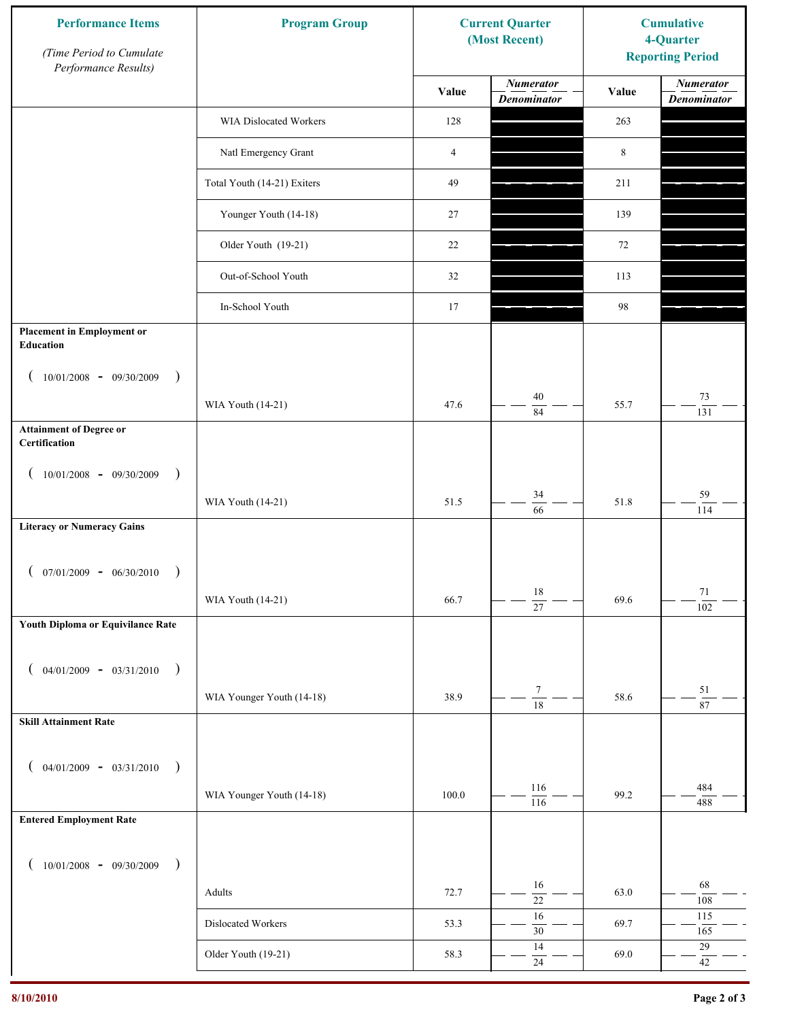| <b>Performance Items</b><br>(Time Period to Cumulate<br>Performance Results) | <b>Program Group</b>        |                | <b>Current Quarter</b><br>(Most Recent) | <b>Cumulative</b><br>4-Quarter<br><b>Reporting Period</b> |                                        |
|------------------------------------------------------------------------------|-----------------------------|----------------|-----------------------------------------|-----------------------------------------------------------|----------------------------------------|
|                                                                              |                             | Value          | <b>Numerator</b><br><b>Denominator</b>  | Value                                                     | <b>Numerator</b><br><b>Denominator</b> |
|                                                                              | WIA Dislocated Workers      | 128            |                                         | 263                                                       |                                        |
|                                                                              | Natl Emergency Grant        | $\overline{4}$ |                                         | 8                                                         |                                        |
|                                                                              | Total Youth (14-21) Exiters | 49             |                                         | 211                                                       |                                        |
|                                                                              | Younger Youth (14-18)       | 27             |                                         | 139                                                       |                                        |
|                                                                              | Older Youth (19-21)         | 22             |                                         | 72                                                        |                                        |
|                                                                              | Out-of-School Youth         | 32             |                                         | 113                                                       |                                        |
|                                                                              | In-School Youth             | 17             |                                         | 98                                                        |                                        |
| <b>Placement in Employment or</b><br>Education                               |                             |                |                                         |                                                           |                                        |
| $10/01/2008 - 09/30/2009$<br>$\rightarrow$                                   |                             |                |                                         |                                                           |                                        |
|                                                                              | WIA Youth (14-21)           | 47.6           | 40<br>$\overline{84}$                   | 55.7                                                      | $73\,$<br>131                          |
| <b>Attainment of Degree or</b><br>Certification                              |                             |                |                                         |                                                           |                                        |
| $10/01/2008 - 09/30/2009$<br>$\rightarrow$<br>$\left($                       |                             |                |                                         |                                                           |                                        |
|                                                                              | WIA Youth (14-21)           | 51.5           | 34<br>$\overline{66}$                   | 51.8                                                      | 59<br>114                              |
| <b>Literacy or Numeracy Gains</b>                                            |                             |                |                                         |                                                           |                                        |
| $(07/01/2009 - 06/30/2010)$<br>$\rightarrow$                                 |                             |                |                                         |                                                           |                                        |
|                                                                              | WIA Youth (14-21)           | 66.7           | $18\,$<br>$\overline{27}$               | 69.6                                                      | 71                                     |
| Youth Diploma or Equivilance Rate                                            |                             |                |                                         |                                                           | 102                                    |
|                                                                              |                             |                |                                         |                                                           |                                        |
| $04/01/2009 - 03/31/2010$<br>$\rightarrow$                                   |                             |                | $\tau$                                  |                                                           | $51\,$                                 |
| <b>Skill Attainment Rate</b>                                                 | WIA Younger Youth (14-18)   | 38.9           | $\overline{18}$                         | 58.6                                                      | 87                                     |
|                                                                              |                             |                |                                         |                                                           |                                        |
| $04/01/2009 - 03/31/2010$ )                                                  |                             |                |                                         |                                                           |                                        |
|                                                                              | WIA Younger Youth (14-18)   | 100.0          | 116<br>116                              | 99.2                                                      | 484<br>488                             |
| <b>Entered Employment Rate</b>                                               |                             |                |                                         |                                                           |                                        |
| $10/01/2008$ - 09/30/2009<br>$\big)$                                         |                             |                |                                         |                                                           |                                        |
|                                                                              | Adults                      | 72.7           | 16<br>$\overline{22}$                   | 63.0                                                      | 68<br>108                              |
|                                                                              | Dislocated Workers          | 53.3           | 16<br>$30\,$                            | 69.7                                                      | 115<br>165                             |
|                                                                              | Older Youth (19-21)         | 58.3           | 14                                      | 69.0                                                      | $29\,$                                 |
|                                                                              |                             |                | $24\,$                                  |                                                           | $42\,$                                 |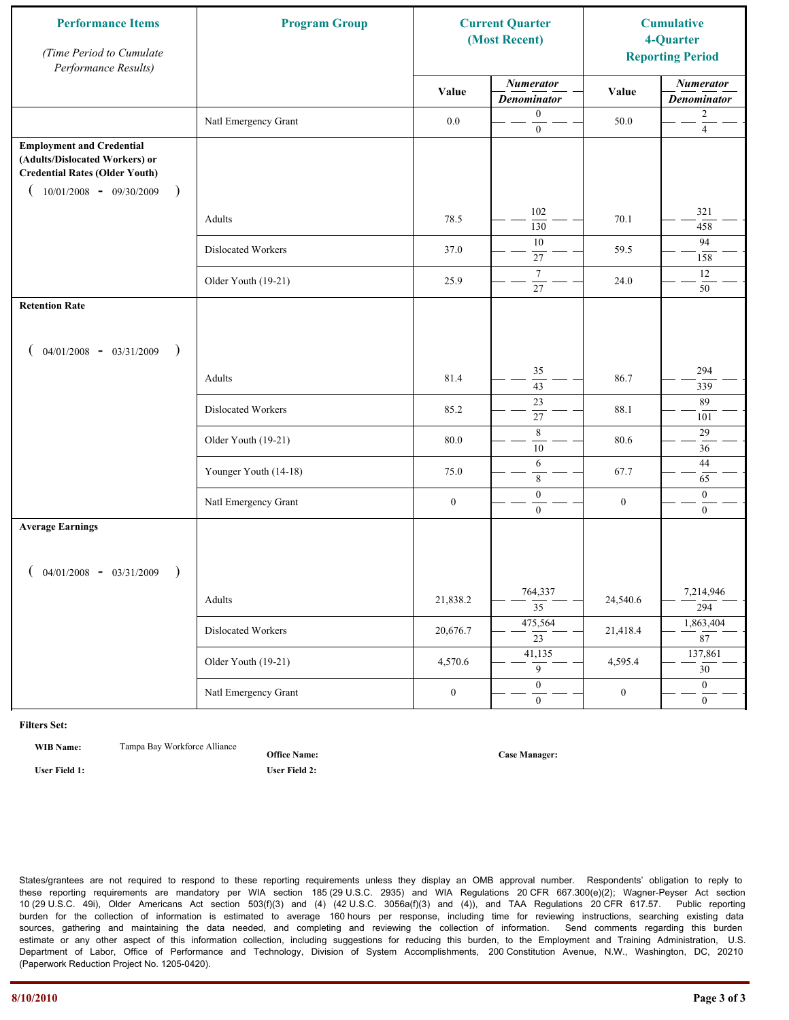| <b>Performance Items</b><br>(Time Period to Cumulate<br>Performance Results)                                                                              | <b>Program Group</b>  |                  | <b>Current Quarter</b><br>(Most Recent) |                  | <b>Cumulative</b><br>4-Quarter<br><b>Reporting Period</b> |
|-----------------------------------------------------------------------------------------------------------------------------------------------------------|-----------------------|------------------|-----------------------------------------|------------------|-----------------------------------------------------------|
|                                                                                                                                                           |                       | Value            | <b>Numerator</b><br><b>Denominator</b>  | Value            | <b>Numerator</b><br><b>Denominator</b>                    |
|                                                                                                                                                           | Natl Emergency Grant  | $0.0\,$          | $\boldsymbol{0}$<br>$\boldsymbol{0}$    | 50.0             | $\overline{c}$<br>$\overline{4}$                          |
| <b>Employment and Credential</b><br>(Adults/Dislocated Workers) or<br><b>Credential Rates (Older Youth)</b><br>$10/01/2008$ - 09/30/2009<br>$\rightarrow$ |                       |                  |                                         |                  |                                                           |
|                                                                                                                                                           | Adults                | 78.5             | 102<br>130                              | 70.1             | 321<br>458                                                |
|                                                                                                                                                           | Dislocated Workers    | 37.0             | 10<br>$27\,$                            | 59.5             | 94<br>158                                                 |
|                                                                                                                                                           | Older Youth (19-21)   | 25.9             | $\overline{7}$<br>27                    | 24.0             | 12<br>50                                                  |
| <b>Retention Rate</b>                                                                                                                                     |                       |                  |                                         |                  |                                                           |
| $04/01/2008$ - $03/31/2009$<br>$\big)$                                                                                                                    |                       |                  |                                         |                  |                                                           |
|                                                                                                                                                           | Adults                | 81.4             | 35<br>43                                | 86.7             | 294<br>339                                                |
|                                                                                                                                                           | Dislocated Workers    | 85.2             | $\overline{23}$<br>27                   | 88.1             | 89<br>101                                                 |
|                                                                                                                                                           | Older Youth (19-21)   | 80.0             | 8<br>10                                 | 80.6             | 29<br>36                                                  |
|                                                                                                                                                           | Younger Youth (14-18) | 75.0             | 6<br>8                                  | 67.7             | 44<br>65                                                  |
|                                                                                                                                                           | Natl Emergency Grant  | $\boldsymbol{0}$ | $\boldsymbol{0}$<br>$\mathbf{0}$        | $\boldsymbol{0}$ | $\mathbf{0}$<br>$\overline{0}$                            |
| <b>Average Earnings</b>                                                                                                                                   |                       |                  |                                         |                  |                                                           |
| $04/01/2008$ - $03/31/2009$<br>$\lambda$                                                                                                                  |                       |                  |                                         |                  |                                                           |
|                                                                                                                                                           | Adults                | 21,838.2         | 764,337<br>$\overline{35}$              | 24,540.6         | 7,214,946<br>294                                          |
|                                                                                                                                                           | Dislocated Workers    | 20,676.7         | 475,564<br>$\overline{23}$              | 21,418.4         | 1,863,404<br>87                                           |
|                                                                                                                                                           | Older Youth (19-21)   | 4,570.6          | 41,135<br>9                             | 4,595.4          | 137,861<br>30 <sup>7</sup>                                |
|                                                                                                                                                           | Natl Emergency Grant  | $\boldsymbol{0}$ | $\overline{0}$<br>$\mathbf{0}$          | $\boldsymbol{0}$ | $\overline{0}$<br>$\overline{0}$                          |

**WIB Name:** Tampa Bay Workforce Alliance

**Office Name:**

**User Field 1: User Field 2:**

**Case Manager:**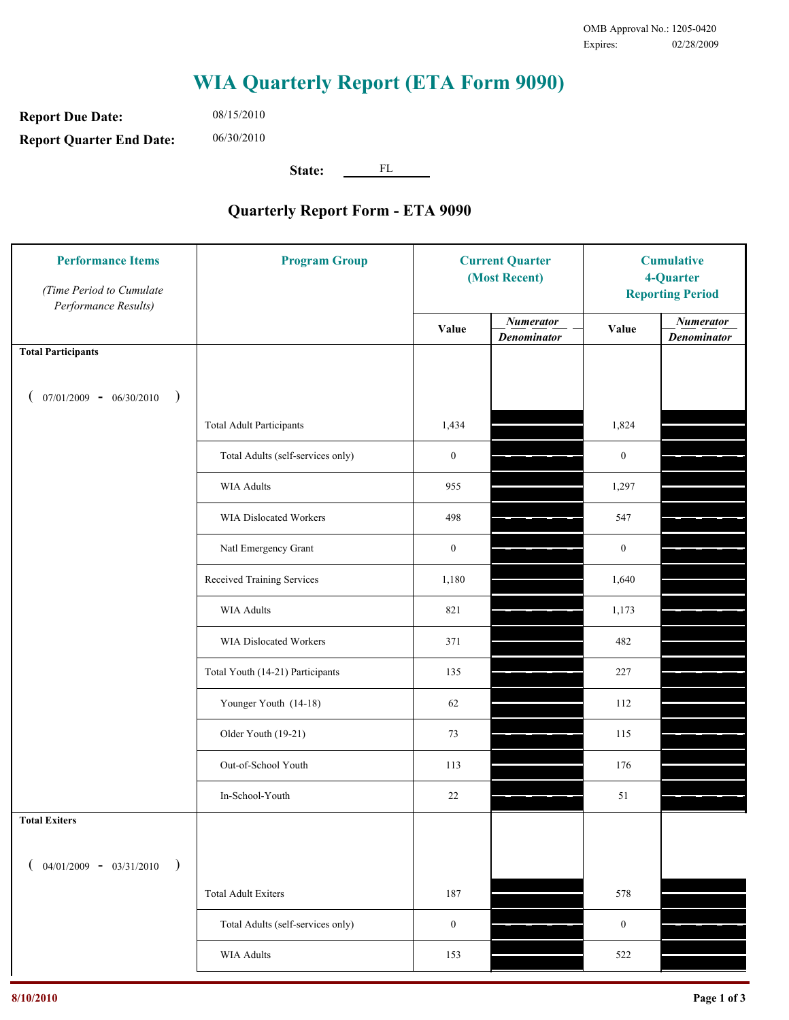**Report Due Date: Report Quarter End Date:** 06/30/2010

08/15/2010

**State:** FL

| <b>Performance Items</b><br>(Time Period to Cumulate<br>Performance Results) | <b>Program Group</b>              | <b>Current Quarter</b><br>(Most Recent) |                                        | <b>Cumulative</b><br>4-Quarter<br><b>Reporting Period</b> |                                        |
|------------------------------------------------------------------------------|-----------------------------------|-----------------------------------------|----------------------------------------|-----------------------------------------------------------|----------------------------------------|
|                                                                              |                                   | Value                                   | <b>Numerator</b><br><b>Denominator</b> | Value                                                     | <b>Numerator</b><br><b>Denominator</b> |
| <b>Total Participants</b>                                                    |                                   |                                         |                                        |                                                           |                                        |
| $07/01/2009 - 06/30/2010$<br>$\big)$                                         |                                   |                                         |                                        |                                                           |                                        |
|                                                                              | <b>Total Adult Participants</b>   | 1,434                                   |                                        | 1,824                                                     |                                        |
|                                                                              | Total Adults (self-services only) | $\boldsymbol{0}$                        |                                        | $\boldsymbol{0}$                                          |                                        |
|                                                                              | <b>WIA Adults</b>                 | 955                                     |                                        | 1,297                                                     |                                        |
|                                                                              | WIA Dislocated Workers            | 498                                     |                                        | 547                                                       |                                        |
|                                                                              | Natl Emergency Grant              | $\boldsymbol{0}$                        |                                        | $\boldsymbol{0}$                                          |                                        |
|                                                                              | Received Training Services        | 1,180                                   |                                        | 1,640                                                     |                                        |
|                                                                              | <b>WIA Adults</b>                 | 821                                     |                                        | 1,173                                                     |                                        |
|                                                                              | WIA Dislocated Workers            | 371                                     |                                        | 482                                                       |                                        |
|                                                                              | Total Youth (14-21) Participants  | 135                                     |                                        | 227                                                       |                                        |
|                                                                              | Younger Youth (14-18)             | 62                                      |                                        | 112                                                       |                                        |
|                                                                              | Older Youth (19-21)               | 73                                      |                                        | 115                                                       |                                        |
|                                                                              | Out-of-School Youth               | 113                                     |                                        | 176                                                       |                                        |
|                                                                              | In-School-Youth                   | $22\,$                                  |                                        | 51                                                        |                                        |
| <b>Total Exiters</b>                                                         |                                   |                                         |                                        |                                                           |                                        |
| $04/01/2009 - 03/31/2010$<br>$\lambda$                                       |                                   |                                         |                                        |                                                           |                                        |
|                                                                              | <b>Total Adult Exiters</b>        | 187                                     |                                        | 578                                                       |                                        |
|                                                                              | Total Adults (self-services only) | $\boldsymbol{0}$                        |                                        | $\boldsymbol{0}$                                          |                                        |
|                                                                              | WIA Adults                        | 153                                     |                                        | 522                                                       |                                        |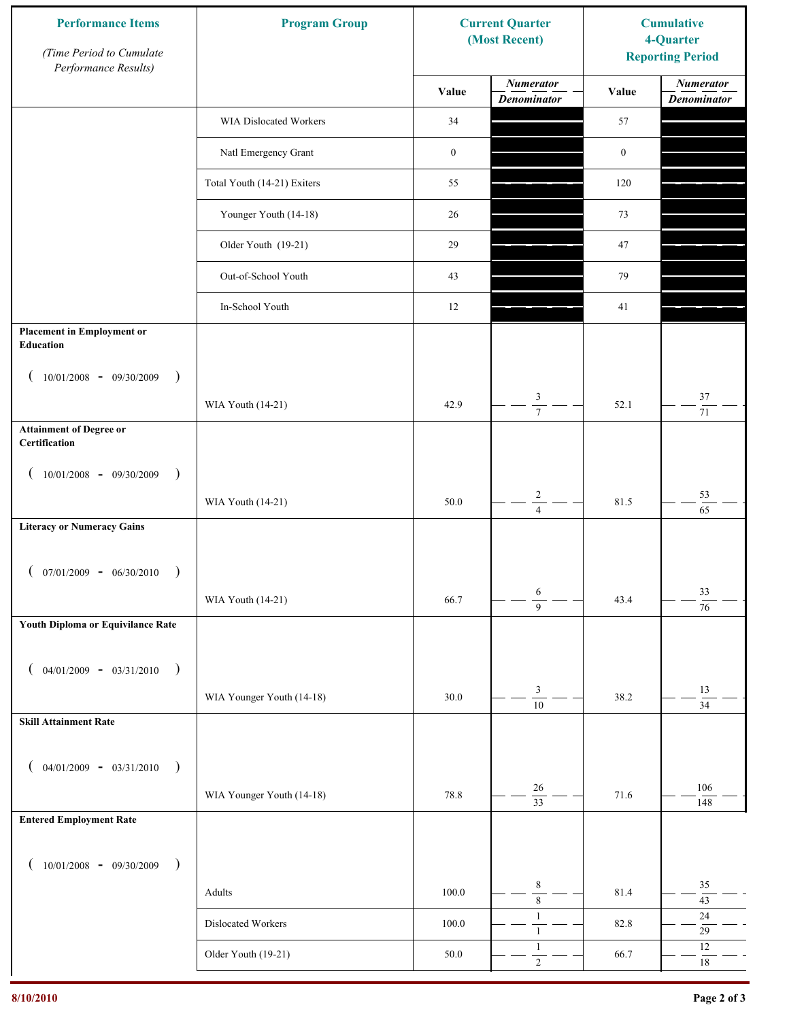| <b>Performance Items</b><br>(Time Period to Cumulate<br>Performance Results) | <b>Program Group</b>        |                  | <b>Current Quarter</b><br>(Most Recent) | <b>Cumulative</b><br>4-Quarter<br><b>Reporting Period</b> |                                        |
|------------------------------------------------------------------------------|-----------------------------|------------------|-----------------------------------------|-----------------------------------------------------------|----------------------------------------|
|                                                                              |                             | Value            | <b>Numerator</b><br><b>Denominator</b>  | Value                                                     | <b>Numerator</b><br><b>Denominator</b> |
|                                                                              | WIA Dislocated Workers      | 34               |                                         | 57                                                        |                                        |
|                                                                              | Natl Emergency Grant        | $\boldsymbol{0}$ |                                         | $\boldsymbol{0}$                                          |                                        |
|                                                                              | Total Youth (14-21) Exiters | 55               |                                         | 120                                                       |                                        |
|                                                                              | Younger Youth (14-18)       | 26               |                                         | 73                                                        |                                        |
|                                                                              | Older Youth (19-21)         | 29               |                                         | 47                                                        |                                        |
|                                                                              | Out-of-School Youth         | 43               |                                         | 79                                                        |                                        |
|                                                                              | In-School Youth             | 12               |                                         | 41                                                        |                                        |
| <b>Placement in Employment or</b><br><b>Education</b>                        |                             |                  |                                         |                                                           |                                        |
| $10/01/2008 - 09/30/2009$<br>$\rightarrow$                                   |                             |                  |                                         |                                                           |                                        |
|                                                                              | WIA Youth (14-21)           | 42.9             | 3<br>$\overline{7}$                     | 52.1                                                      | $37\,$<br>71                           |
| <b>Attainment of Degree or</b><br>Certification                              |                             |                  |                                         |                                                           |                                        |
| $(10/01/2008 - 09/30/2009$<br>$\lambda$                                      |                             |                  |                                         |                                                           |                                        |
|                                                                              | WIA Youth (14-21)           | 50.0             | $\overline{c}$<br>$\overline{4}$        | 81.5                                                      | 53<br>$\overline{65}$                  |
| <b>Literacy or Numeracy Gains</b>                                            |                             |                  |                                         |                                                           |                                        |
| $07/01/2009 - 06/30/2010$                                                    |                             |                  |                                         |                                                           |                                        |
|                                                                              | WIA Youth (14-21)           | 66.7             | 6<br>$\overline{9}$                     | 43.4                                                      | 33<br>$\overline{76}$                  |
| Youth Diploma or Equivilance Rate                                            |                             |                  |                                         |                                                           |                                        |
| $04/01/2009 - 03/31/2010$<br>$\rightarrow$                                   |                             |                  |                                         |                                                           |                                        |
|                                                                              | WIA Younger Youth (14-18)   | 30.0             | $\ensuremath{\mathfrak{Z}}$             | 38.2                                                      | 13                                     |
| <b>Skill Attainment Rate</b>                                                 |                             |                  | $\overline{10}$                         |                                                           | $\overline{34}$                        |
|                                                                              |                             |                  |                                         |                                                           |                                        |
| $04/01/2009 - 03/31/2010$ )                                                  | WIA Younger Youth (14-18)   | 78.8             | $26\,$                                  | 71.6                                                      | 106                                    |
| <b>Entered Employment Rate</b>                                               |                             |                  | $\overline{33}$                         |                                                           | 148                                    |
|                                                                              |                             |                  |                                         |                                                           |                                        |
| $10/01/2008$ - 09/30/2009<br>$\overline{\phantom{a}}$                        |                             |                  | $\,$ 8 $\,$                             |                                                           | 35                                     |
|                                                                              | Adults                      | 100.0            | $\overline{8}$<br>$\mathbf{1}$          | 81.4                                                      | $43\,$<br>$24\,$                       |
|                                                                              | Dislocated Workers          | 100.0            | $\mathbf{1}$                            | 82.8                                                      | $29\,$                                 |
|                                                                              | Older Youth (19-21)         | 50.0             | $\mathbf{1}$<br>$\sqrt{2}$              | 66.7                                                      | $12\,$<br>$18\,$                       |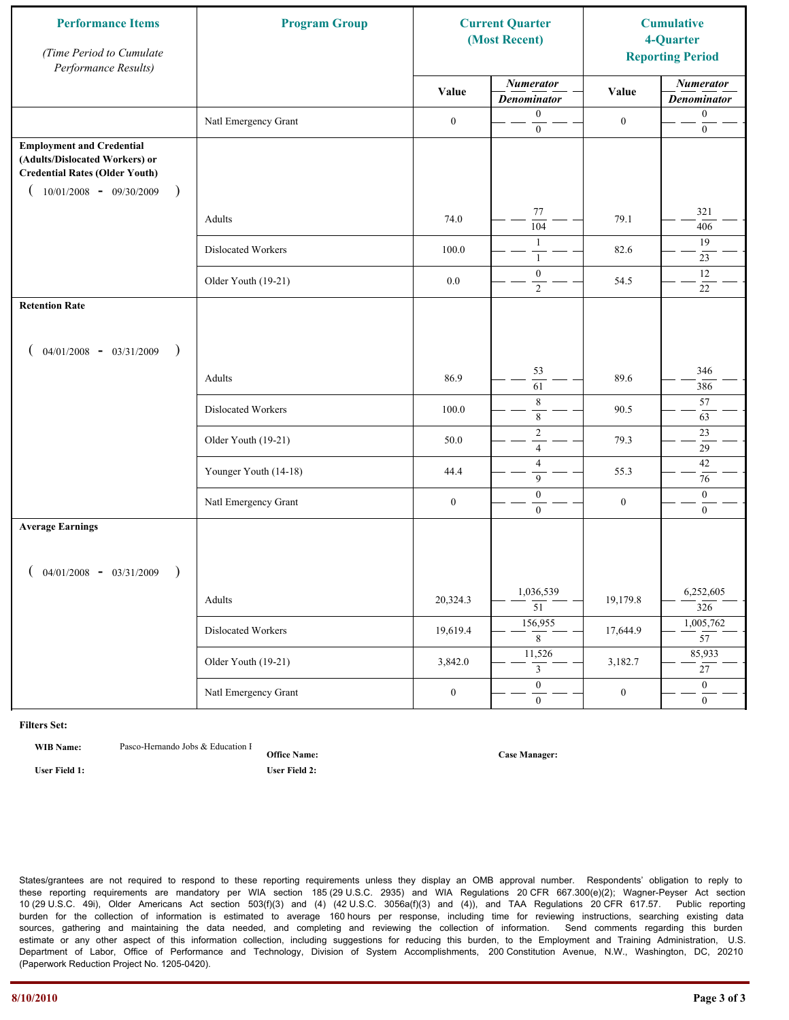| <b>Performance Items</b><br>(Time Period to Cumulate<br>Performance Results)                                                                                         | <b>Program Group</b>  |                  | <b>Current Quarter</b><br>(Most Recent) |                  | <b>Cumulative</b><br>4-Quarter<br><b>Reporting Period</b> |
|----------------------------------------------------------------------------------------------------------------------------------------------------------------------|-----------------------|------------------|-----------------------------------------|------------------|-----------------------------------------------------------|
|                                                                                                                                                                      |                       | Value            | <b>Numerator</b><br><b>Denominator</b>  | Value            | <b>Numerator</b><br><b>Denominator</b>                    |
|                                                                                                                                                                      | Natl Emergency Grant  | $\boldsymbol{0}$ | $\mathbf{0}$<br>$\boldsymbol{0}$        | $\boldsymbol{0}$ | $\boldsymbol{0}$<br>$\boldsymbol{0}$                      |
| <b>Employment and Credential</b><br>(Adults/Dislocated Workers) or<br><b>Credential Rates (Older Youth)</b><br>$10/01/2008$ - 09/30/2009<br>$\overline{\phantom{a}}$ |                       |                  |                                         |                  |                                                           |
|                                                                                                                                                                      | Adults                | 74.0             | 77<br>$\overline{104}$                  | 79.1             | 321<br>406                                                |
|                                                                                                                                                                      | Dislocated Workers    | 100.0            | $\mathbf{1}$<br>$\mathbf{1}$            | 82.6             | 19<br>23                                                  |
|                                                                                                                                                                      | Older Youth (19-21)   | $0.0\,$          | $\boldsymbol{0}$<br>$\overline{2}$      | 54.5             | 12<br>22                                                  |
| <b>Retention Rate</b>                                                                                                                                                |                       |                  |                                         |                  |                                                           |
| $04/01/2008$ - $03/31/2009$<br>$\rightarrow$                                                                                                                         |                       |                  |                                         |                  |                                                           |
|                                                                                                                                                                      | Adults                | 86.9             | 53<br>61                                | 89.6             | 346<br>386                                                |
|                                                                                                                                                                      | Dislocated Workers    | 100.0            | $\,$ 8 $\,$<br>$\,$ 8 $\,$              | 90.5             | 57<br>63                                                  |
|                                                                                                                                                                      | Older Youth (19-21)   | 50.0             | $\sqrt{2}$<br>$\overline{4}$            | 79.3             | 23<br>29                                                  |
|                                                                                                                                                                      | Younger Youth (14-18) | 44.4             | $\overline{4}$<br>9                     | 55.3             | 42<br>76                                                  |
|                                                                                                                                                                      | Natl Emergency Grant  | $\boldsymbol{0}$ | $\boldsymbol{0}$<br>$\mathbf{0}$        | $\boldsymbol{0}$ | $\boldsymbol{0}$<br>$\overline{0}$                        |
| <b>Average Earnings</b>                                                                                                                                              |                       |                  |                                         |                  |                                                           |
| $04/01/2008$ - $03/31/2009$<br>$\lambda$                                                                                                                             |                       |                  |                                         |                  |                                                           |
|                                                                                                                                                                      | Adults                | 20,324.3         | 1,036,539<br>$\overline{51}$            | 19,179.8         | 6,252,605<br>326                                          |
|                                                                                                                                                                      | Dislocated Workers    | 19,619.4         | 156,955<br>8                            | 17,644.9         | 1,005,762<br>$\overline{57}$                              |
|                                                                                                                                                                      | Older Youth (19-21)   | 3,842.0          | 11,526<br>$\mathfrak{Z}$                | 3,182.7          | 85,933<br>$\overline{27}$                                 |
|                                                                                                                                                                      | Natl Emergency Grant  | $\boldsymbol{0}$ | $\overline{0}$<br>$\mathbf{0}$          | $\boldsymbol{0}$ | $\overline{0}$<br>$\overline{0}$                          |

**WIB Name:** Pasco-Hernando Jobs & Education I

**Office Name: User Field 1: User Field 2:**

**Case Manager:**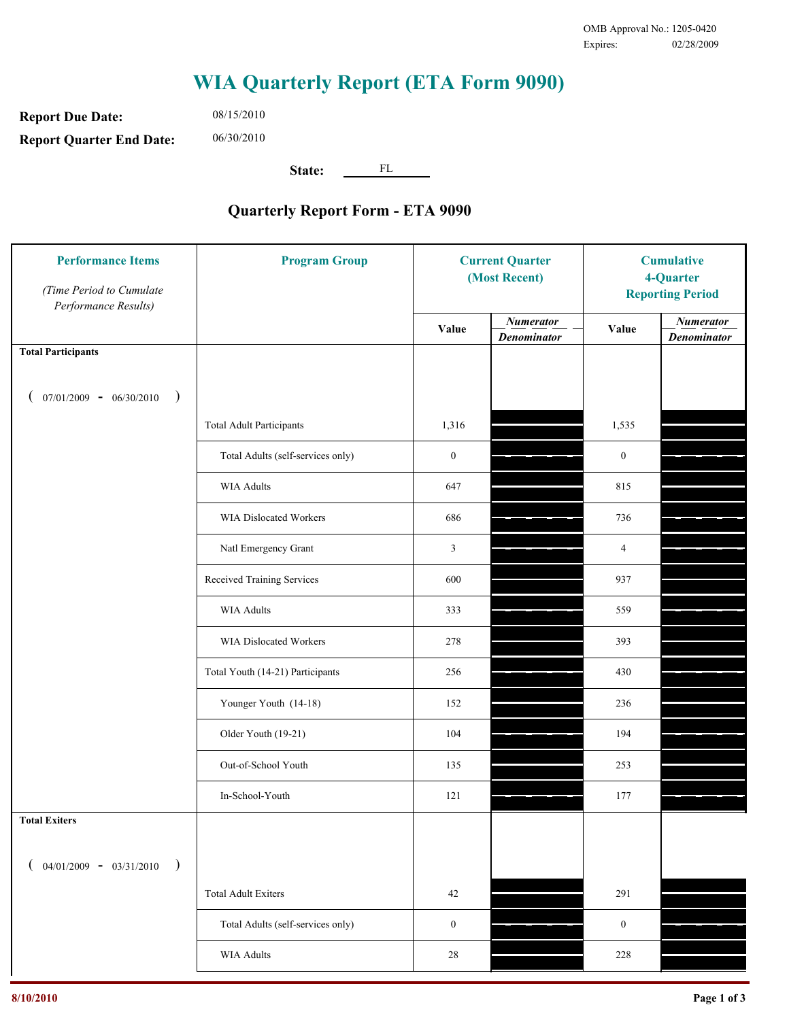**Report Due Date: Report Quarter End Date:** 06/30/2010

08/15/2010

**State:** FL

| <b>Performance Items</b><br>(Time Period to Cumulate<br>Performance Results) | <b>Program Group</b>              | <b>Current Quarter</b><br>(Most Recent) |                                        | <b>Cumulative</b><br>4-Quarter<br><b>Reporting Period</b> |                                        |
|------------------------------------------------------------------------------|-----------------------------------|-----------------------------------------|----------------------------------------|-----------------------------------------------------------|----------------------------------------|
|                                                                              |                                   | Value                                   | <b>Numerator</b><br><b>Denominator</b> | Value                                                     | <b>Numerator</b><br><b>Denominator</b> |
| <b>Total Participants</b>                                                    |                                   |                                         |                                        |                                                           |                                        |
| $07/01/2009 - 06/30/2010$<br>$\big)$                                         |                                   |                                         |                                        |                                                           |                                        |
|                                                                              | <b>Total Adult Participants</b>   | 1,316                                   |                                        | 1,535                                                     |                                        |
|                                                                              | Total Adults (self-services only) | $\boldsymbol{0}$                        |                                        | $\boldsymbol{0}$                                          |                                        |
|                                                                              | <b>WIA Adults</b>                 | 647                                     |                                        | 815                                                       |                                        |
|                                                                              | <b>WIA Dislocated Workers</b>     | 686                                     |                                        | 736                                                       |                                        |
|                                                                              | Natl Emergency Grant              | 3                                       |                                        | $\overline{4}$                                            |                                        |
|                                                                              | Received Training Services        | 600                                     |                                        | 937                                                       |                                        |
|                                                                              | <b>WIA Adults</b>                 | 333                                     |                                        | 559                                                       |                                        |
|                                                                              | WIA Dislocated Workers            | 278                                     |                                        | 393                                                       |                                        |
|                                                                              | Total Youth (14-21) Participants  | 256                                     |                                        | 430                                                       |                                        |
|                                                                              | Younger Youth (14-18)             | 152                                     |                                        | 236                                                       |                                        |
|                                                                              | Older Youth (19-21)               | 104                                     |                                        | 194                                                       |                                        |
|                                                                              | Out-of-School Youth               | 135                                     |                                        | 253                                                       |                                        |
|                                                                              | In-School-Youth                   | 121                                     |                                        | 177                                                       |                                        |
| <b>Total Exiters</b>                                                         |                                   |                                         |                                        |                                                           |                                        |
| $04/01/2009 - 03/31/2010$<br>$\lambda$                                       |                                   |                                         |                                        |                                                           |                                        |
|                                                                              | <b>Total Adult Exiters</b>        | 42                                      |                                        | 291                                                       |                                        |
|                                                                              | Total Adults (self-services only) | $\boldsymbol{0}$                        |                                        | $\boldsymbol{0}$                                          |                                        |
|                                                                              | WIA Adults                        | 28                                      |                                        | 228                                                       |                                        |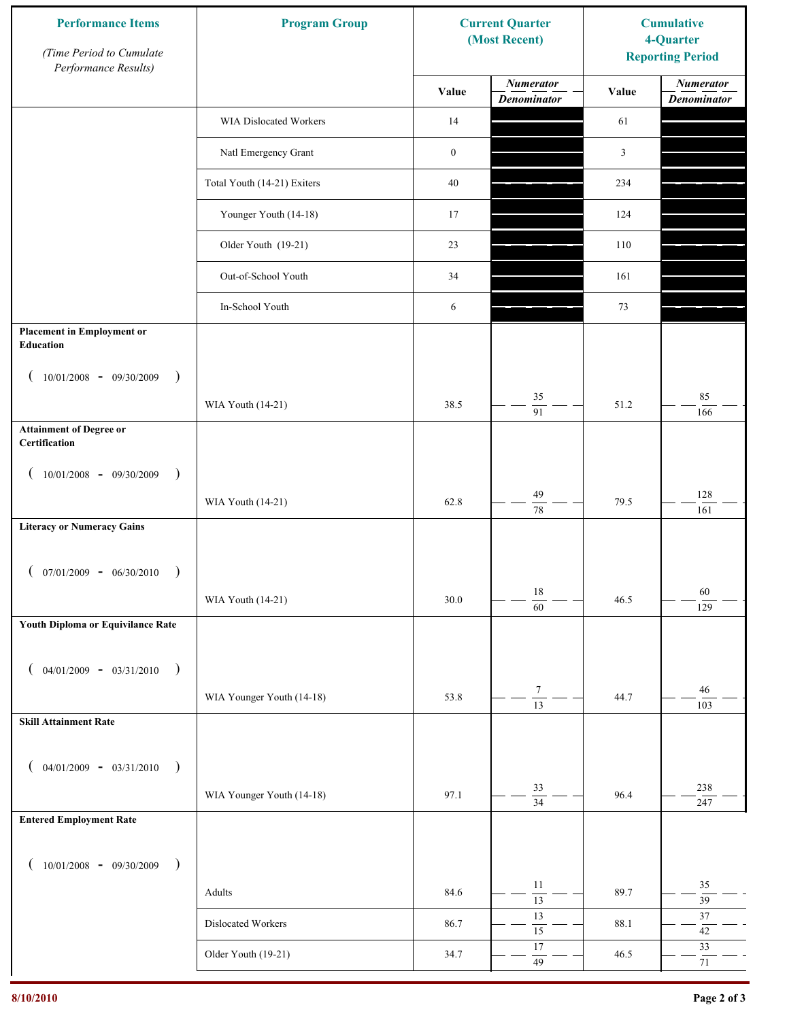| <b>Performance Items</b><br>(Time Period to Cumulate<br>Performance Results) | <b>Program Group</b>        |                  | <b>Current Quarter</b><br>(Most Recent) | <b>Cumulative</b><br>4-Quarter<br><b>Reporting Period</b> |                                        |
|------------------------------------------------------------------------------|-----------------------------|------------------|-----------------------------------------|-----------------------------------------------------------|----------------------------------------|
|                                                                              |                             | Value            | <b>Numerator</b><br><b>Denominator</b>  | Value                                                     | <b>Numerator</b><br><b>Denominator</b> |
|                                                                              | WIA Dislocated Workers      | 14               |                                         | 61                                                        |                                        |
|                                                                              | Natl Emergency Grant        | $\boldsymbol{0}$ |                                         | 3                                                         |                                        |
|                                                                              | Total Youth (14-21) Exiters | 40               |                                         | 234                                                       |                                        |
|                                                                              | Younger Youth (14-18)       | 17               |                                         | 124                                                       |                                        |
|                                                                              | Older Youth (19-21)         | 23               |                                         | 110                                                       |                                        |
|                                                                              | Out-of-School Youth         | 34               |                                         | 161                                                       |                                        |
|                                                                              | In-School Youth             | 6                |                                         | 73                                                        |                                        |
| <b>Placement in Employment or</b><br><b>Education</b>                        |                             |                  |                                         |                                                           |                                        |
| $10/01/2008 - 09/30/2009$<br>$\rightarrow$                                   | WIA Youth (14-21)           | 38.5             | 35                                      | 51.2                                                      | 85                                     |
| <b>Attainment of Degree or</b>                                               |                             |                  | $\overline{91}$                         |                                                           | 166                                    |
| Certification                                                                |                             |                  |                                         |                                                           |                                        |
| $(10/01/2008 - 09/30/2009$<br>$\lambda$                                      | WIA Youth (14-21)           | 62.8             | 49                                      | 79.5                                                      | 128                                    |
| <b>Literacy or Numeracy Gains</b>                                            |                             |                  | $\overline{78}$                         |                                                           | 161                                    |
|                                                                              |                             |                  |                                         |                                                           |                                        |
| $07/01/2009 - 06/30/2010$                                                    |                             |                  | $18\,$                                  |                                                           | 60                                     |
| Youth Diploma or Equivilance Rate                                            | WIA Youth (14-21)           | 30.0             | $\overline{60}$                         | 46.5                                                      | 129                                    |
|                                                                              |                             |                  |                                         |                                                           |                                        |
| $04/01/2009 - 03/31/2010$<br>$\rightarrow$                                   |                             |                  |                                         |                                                           |                                        |
|                                                                              | WIA Younger Youth (14-18)   | 53.8             | $\boldsymbol{7}$<br>$\overline{13}$     | 44.7                                                      | $46\,$<br>103                          |
| <b>Skill Attainment Rate</b>                                                 |                             |                  |                                         |                                                           |                                        |
| $04/01/2009 - 03/31/2010$ )                                                  |                             |                  |                                         |                                                           |                                        |
|                                                                              | WIA Younger Youth (14-18)   | 97.1             | 33<br>$\overline{34}$                   | 96.4                                                      | 238<br>247                             |
| <b>Entered Employment Rate</b>                                               |                             |                  |                                         |                                                           |                                        |
| $10/01/2008$ - 09/30/2009<br>$\rightarrow$                                   |                             |                  |                                         |                                                           |                                        |
|                                                                              | Adults                      | 84.6             | 11<br>$\overline{13}$                   | 89.7                                                      | 35<br>$\overline{39}$                  |
|                                                                              | Dislocated Workers          | 86.7             | 13<br>$\overline{15}$                   | 88.1                                                      | $37\,$<br>$42\,$                       |
|                                                                              | Older Youth (19-21)         | 34.7             | $17\,$<br>49                            | 46.5                                                      | 33<br>$71\,$                           |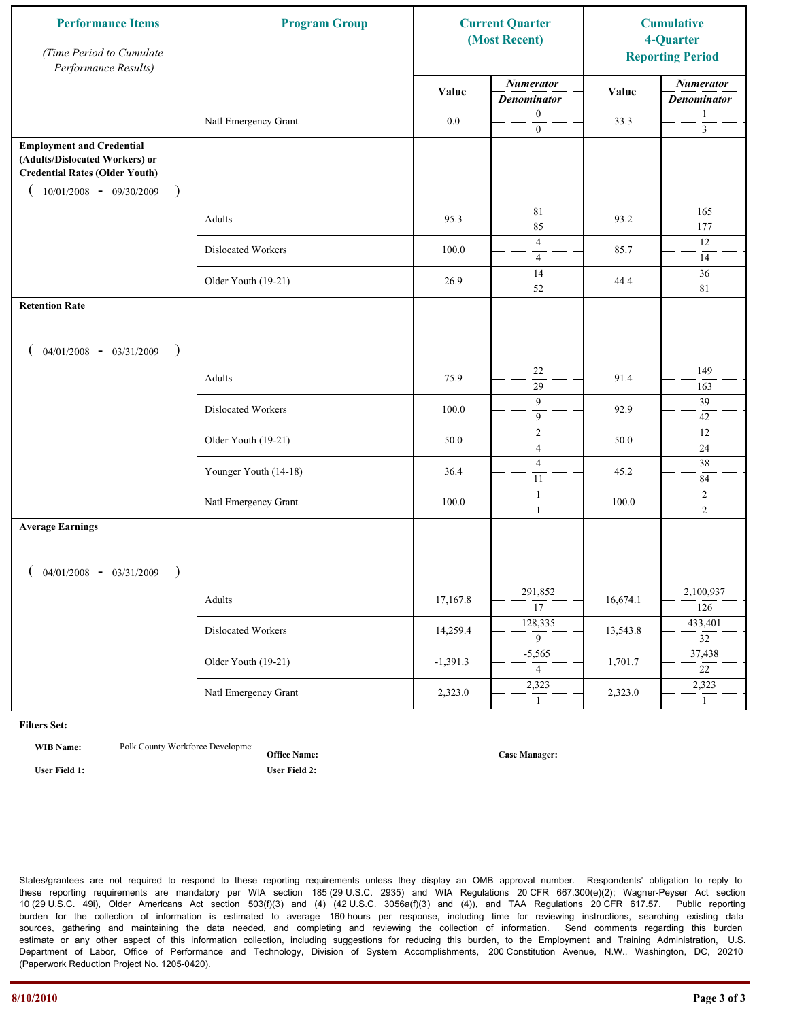| <b>Performance Items</b><br>(Time Period to Cumulate<br>Performance Results)                                                                                         | <b>Program Group</b>  |            | <b>Current Quarter</b><br>(Most Recent) |          | <b>Cumulative</b><br>4-Quarter<br><b>Reporting Period</b> |
|----------------------------------------------------------------------------------------------------------------------------------------------------------------------|-----------------------|------------|-----------------------------------------|----------|-----------------------------------------------------------|
|                                                                                                                                                                      |                       | Value      | <b>Numerator</b><br><b>Denominator</b>  | Value    | <b>Numerator</b><br><b>Denominator</b>                    |
|                                                                                                                                                                      | Natl Emergency Grant  | $0.0\,$    | $\boldsymbol{0}$<br>$\boldsymbol{0}$    | 33.3     | 1<br>$\mathfrak{Z}$                                       |
| <b>Employment and Credential</b><br>(Adults/Dislocated Workers) or<br><b>Credential Rates (Older Youth)</b><br>$10/01/2008$ - 09/30/2009<br>$\overline{\phantom{a}}$ |                       |            |                                         |          |                                                           |
|                                                                                                                                                                      | Adults                | 95.3       | $8\sqrt{1}$<br>85                       | 93.2     | 165<br>177                                                |
|                                                                                                                                                                      | Dislocated Workers    | 100.0      | $\overline{4}$<br>$\overline{4}$        | 85.7     | 12<br>14                                                  |
|                                                                                                                                                                      | Older Youth (19-21)   | 26.9       | 14<br>52                                | 44.4     | 36<br>81                                                  |
| <b>Retention Rate</b>                                                                                                                                                |                       |            |                                         |          |                                                           |
| $04/01/2008$ - $03/31/2009$<br>$\rightarrow$                                                                                                                         |                       |            |                                         |          |                                                           |
|                                                                                                                                                                      | Adults                | 75.9       | 22<br>29                                | 91.4     | 149<br>163                                                |
|                                                                                                                                                                      | Dislocated Workers    | 100.0      | 9<br>$\mathbf{9}$                       | 92.9     | 39<br>42                                                  |
|                                                                                                                                                                      | Older Youth (19-21)   | 50.0       | $\sqrt{2}$<br>$\overline{4}$            | 50.0     | 12<br>24                                                  |
|                                                                                                                                                                      | Younger Youth (14-18) | 36.4       | $\overline{4}$<br>11                    | 45.2     | 38<br>84                                                  |
|                                                                                                                                                                      | Natl Emergency Grant  | 100.0      | 1<br>$\mathbf{1}$                       | 100.0    | $\overline{c}$<br>$\overline{2}$                          |
| <b>Average Earnings</b>                                                                                                                                              |                       |            |                                         |          |                                                           |
| $04/01/2008$ - $03/31/2009$<br>$\lambda$                                                                                                                             |                       |            |                                         |          |                                                           |
|                                                                                                                                                                      | Adults                | 17,167.8   | 291,852<br>$\overline{17}$              | 16,674.1 | 2,100,937<br>126                                          |
|                                                                                                                                                                      | Dislocated Workers    | 14,259.4   | 128,335<br>$\overline{9}$               | 13,543.8 | 433,401<br>$\overline{32}$                                |
|                                                                                                                                                                      | Older Youth (19-21)   | $-1,391.3$ | $-5,565$<br>$\overline{4}$              | 1,701.7  | 37,438<br>$\overline{22}$                                 |
|                                                                                                                                                                      | Natl Emergency Grant  | 2,323.0    | 2,323<br>$\mathbf{1}$                   | 2,323.0  | 2,323<br>$\mathbf{1}$                                     |

**WIB Name:** Polk County Workforce Developme

**Office Name: User Field 1: User Field 2:**

**Case Manager:**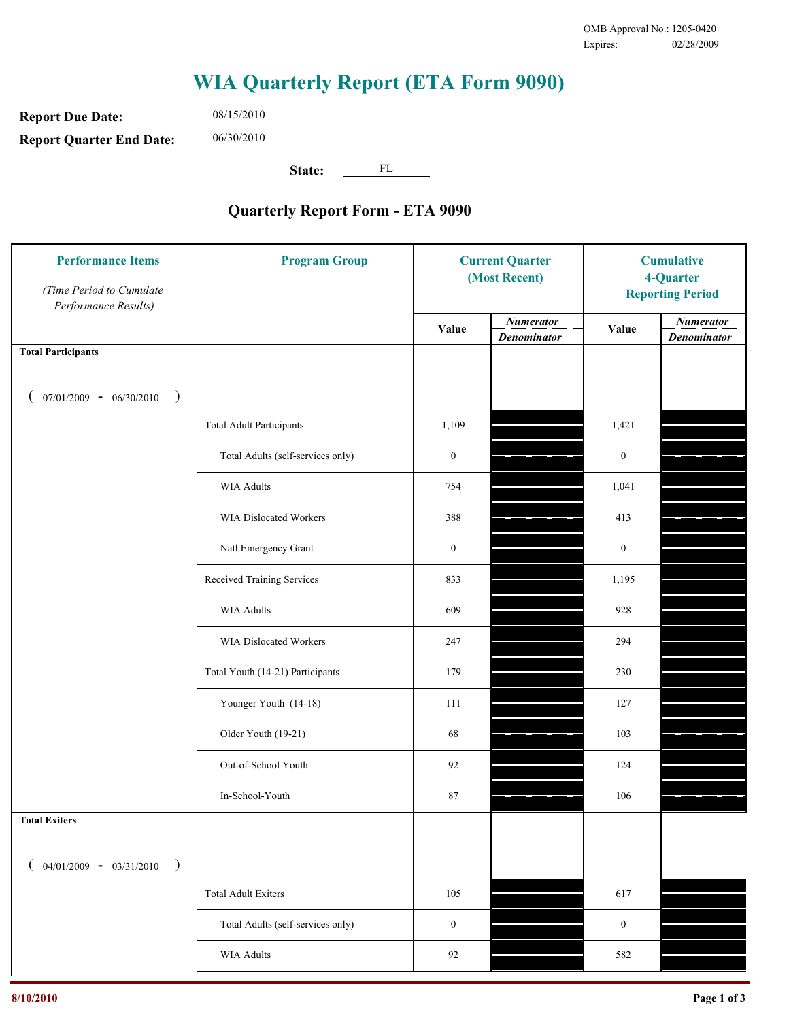**Report Due Date: Report Quarter End Date:** 06/30/2010

08/15/2010

**State:** FL

| <b>Performance Items</b><br>(Time Period to Cumulate<br>Performance Results) | <b>Program Group</b>              |                  | <b>Current Quarter</b><br>(Most Recent) |                  | <b>Cumulative</b><br>4-Quarter<br><b>Reporting Period</b> |  |
|------------------------------------------------------------------------------|-----------------------------------|------------------|-----------------------------------------|------------------|-----------------------------------------------------------|--|
|                                                                              |                                   | Value            | <b>Numerator</b><br><b>Denominator</b>  | Value            | <b>Numerator</b><br><b>Denominator</b>                    |  |
| <b>Total Participants</b>                                                    |                                   |                  |                                         |                  |                                                           |  |
| $07/01/2009 - 06/30/2010$<br>$\big)$                                         |                                   |                  |                                         |                  |                                                           |  |
|                                                                              | <b>Total Adult Participants</b>   | 1,109            |                                         | 1,421            |                                                           |  |
|                                                                              | Total Adults (self-services only) | $\boldsymbol{0}$ |                                         | $\boldsymbol{0}$ |                                                           |  |
|                                                                              | <b>WIA Adults</b>                 | 754              |                                         | 1,041            |                                                           |  |
|                                                                              | <b>WIA Dislocated Workers</b>     | 388              |                                         | 413              |                                                           |  |
|                                                                              | Natl Emergency Grant              | $\boldsymbol{0}$ |                                         | $\boldsymbol{0}$ |                                                           |  |
|                                                                              | Received Training Services        | 833              |                                         | 1,195            |                                                           |  |
|                                                                              | <b>WIA Adults</b>                 | 609              |                                         | 928              |                                                           |  |
|                                                                              | WIA Dislocated Workers            | 247              |                                         | 294              |                                                           |  |
|                                                                              | Total Youth (14-21) Participants  | 179              |                                         | 230              |                                                           |  |
|                                                                              | Younger Youth (14-18)             | 111              |                                         | 127              |                                                           |  |
|                                                                              | Older Youth (19-21)               | 68               |                                         | 103              |                                                           |  |
|                                                                              | Out-of-School Youth               | 92               |                                         | 124              |                                                           |  |
|                                                                              | In-School-Youth                   | 87               |                                         | 106              |                                                           |  |
| <b>Total Exiters</b>                                                         |                                   |                  |                                         |                  |                                                           |  |
| $04/01/2009 - 03/31/2010$<br>$\lambda$                                       |                                   |                  |                                         |                  |                                                           |  |
|                                                                              | <b>Total Adult Exiters</b>        | 105              |                                         | 617              |                                                           |  |
|                                                                              | Total Adults (self-services only) | $\boldsymbol{0}$ |                                         | $\boldsymbol{0}$ |                                                           |  |
|                                                                              | WIA Adults                        | 92               |                                         | 582              |                                                           |  |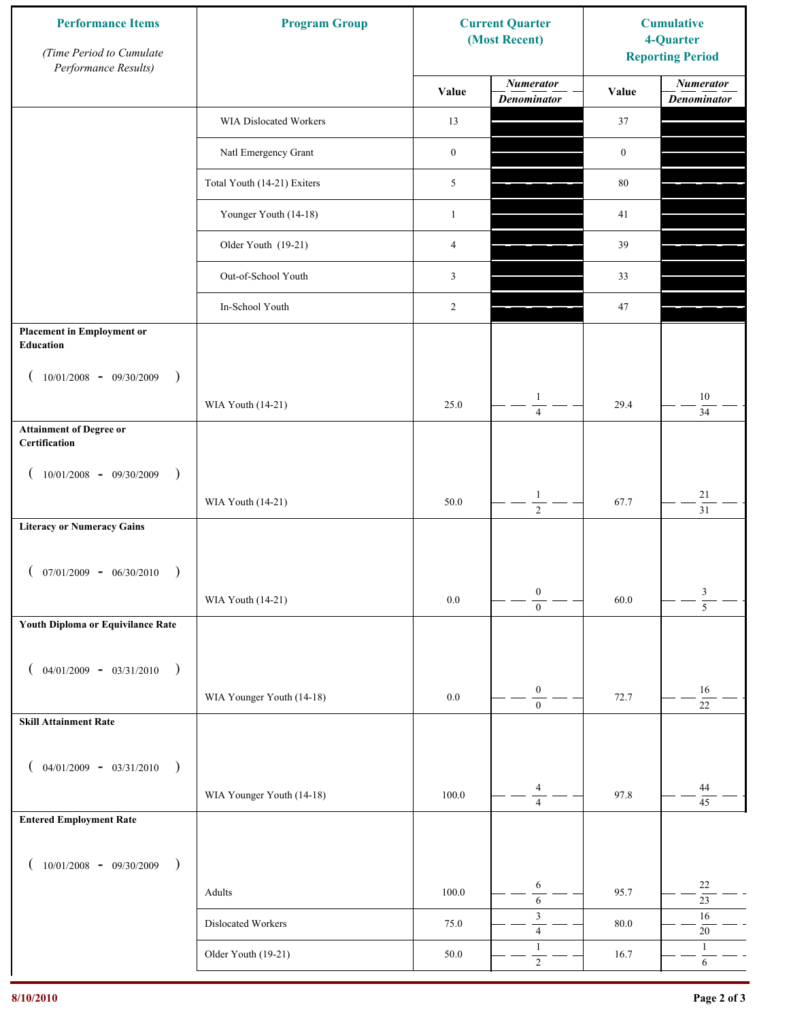| <b>Performance Items</b><br>(Time Period to Cumulate<br>Performance Results) | <b>Program Group</b>        | <b>Current Quarter</b><br>(Most Recent) |                                        | <b>Cumulative</b><br>4-Quarter<br><b>Reporting Period</b> |                                        |
|------------------------------------------------------------------------------|-----------------------------|-----------------------------------------|----------------------------------------|-----------------------------------------------------------|----------------------------------------|
|                                                                              |                             | Value                                   | <b>Numerator</b><br><b>Denominator</b> | Value                                                     | <b>Numerator</b><br><b>Denominator</b> |
|                                                                              | WIA Dislocated Workers      | 13                                      |                                        | 37                                                        |                                        |
|                                                                              | Natl Emergency Grant        | $\boldsymbol{0}$                        |                                        | $\boldsymbol{0}$                                          |                                        |
|                                                                              | Total Youth (14-21) Exiters | 5                                       |                                        | $80\,$                                                    |                                        |
|                                                                              | Younger Youth (14-18)       | $\mathbf{1}$                            |                                        | 41                                                        |                                        |
|                                                                              | Older Youth (19-21)         | 4                                       |                                        | 39                                                        |                                        |
|                                                                              | Out-of-School Youth         | 3                                       |                                        | 33                                                        |                                        |
|                                                                              | In-School Youth             | $\overline{2}$                          |                                        | 47                                                        |                                        |
| <b>Placement in Employment or</b><br><b>Education</b>                        |                             |                                         |                                        |                                                           |                                        |
| $10/01/2008 - 09/30/2009$<br>$\rightarrow$                                   |                             |                                         |                                        |                                                           |                                        |
|                                                                              | WIA Youth (14-21)           | 25.0                                    | $\mathbf{1}$<br>$\overline{4}$         | 29.4                                                      | $10\,$<br>34                           |
| <b>Attainment of Degree or</b><br>Certification                              |                             |                                         |                                        |                                                           |                                        |
| $(10/01/2008 - 09/30/2009$<br>$\lambda$                                      |                             |                                         |                                        |                                                           |                                        |
|                                                                              | WIA Youth (14-21)           | 50.0                                    | $\mathbf{1}$<br>$\overline{2}$         | 67.7                                                      | $21\,$<br>$\overline{31}$              |
| <b>Literacy or Numeracy Gains</b>                                            |                             |                                         |                                        |                                                           |                                        |
| $07/01/2009 - 06/30/2010$                                                    |                             |                                         |                                        |                                                           |                                        |
|                                                                              | WIA Youth (14-21)           | $0.0\,$                                 | $\boldsymbol{0}$<br>$\overline{0}$     | 60.0                                                      | $\frac{3}{5}$                          |
| Youth Diploma or Equivilance Rate                                            |                             |                                         |                                        |                                                           |                                        |
| $04/01/2009 - 03/31/2010$<br>$\rightarrow$                                   |                             |                                         |                                        |                                                           |                                        |
|                                                                              | WIA Younger Youth (14-18)   | $0.0\,$                                 | $\boldsymbol{0}$<br>$\boldsymbol{0}$   | 72.7                                                      | $16\,$<br>$\overline{22}$              |
| <b>Skill Attainment Rate</b>                                                 |                             |                                         |                                        |                                                           |                                        |
| $04/01/2009 - 03/31/2010$ )                                                  |                             |                                         |                                        |                                                           |                                        |
|                                                                              | WIA Younger Youth (14-18)   | 100.0                                   | 4                                      | 97.8                                                      | 44                                     |
| <b>Entered Employment Rate</b>                                               |                             |                                         | $\overline{4}$                         |                                                           | 45                                     |
|                                                                              |                             |                                         |                                        |                                                           |                                        |
| $10/01/2008$ - 09/30/2009<br>$\overline{\phantom{a}}$                        |                             |                                         | 6                                      |                                                           | $22\,$                                 |
|                                                                              | Adults                      | 100.0                                   | $\sqrt{6}$<br>$\mathfrak{Z}$           | 95.7                                                      | $23\,$<br>$16\,$                       |
|                                                                              | Dislocated Workers          | 75.0                                    | $\overline{4}$<br>$\mathbf{1}$         | 80.0                                                      | $20\,$<br>$\mathbf{1}$                 |
|                                                                              | Older Youth (19-21)         | $50.0\,$                                | $\sqrt{2}$                             | 16.7                                                      | $\sqrt{6}$                             |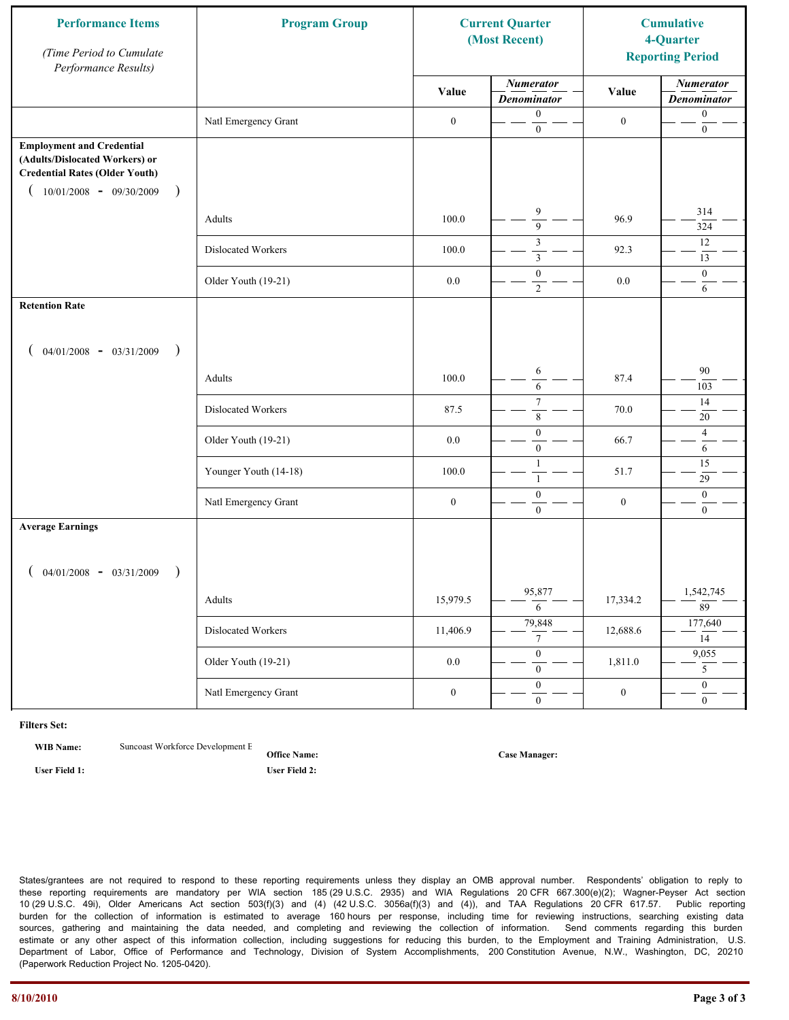| <b>Performance Items</b><br>(Time Period to Cumulate<br>Performance Results)                                                                              | <b>Program Group</b>  |                  | <b>Current Quarter</b><br>(Most Recent) |                  |                                        |  | <b>Cumulative</b><br>4-Quarter<br><b>Reporting Period</b> |
|-----------------------------------------------------------------------------------------------------------------------------------------------------------|-----------------------|------------------|-----------------------------------------|------------------|----------------------------------------|--|-----------------------------------------------------------|
|                                                                                                                                                           |                       | Value            | <b>Numerator</b><br><b>Denominator</b>  | Value            | <b>Numerator</b><br><b>Denominator</b> |  |                                                           |
|                                                                                                                                                           | Natl Emergency Grant  | $\boldsymbol{0}$ | $\boldsymbol{0}$<br>$\mathbf{0}$        | $\boldsymbol{0}$ | $\boldsymbol{0}$<br>$\boldsymbol{0}$   |  |                                                           |
| <b>Employment and Credential</b><br>(Adults/Dislocated Workers) or<br><b>Credential Rates (Older Youth)</b><br>$10/01/2008$ - 09/30/2009<br>$\rightarrow$ |                       |                  |                                         |                  |                                        |  |                                                           |
|                                                                                                                                                           | Adults                | 100.0            | 9<br>$\overline{9}$                     | 96.9             | 314<br>324                             |  |                                                           |
|                                                                                                                                                           | Dislocated Workers    | 100.0            | 3<br>$\mathfrak{Z}$                     | 92.3             | 12<br>13                               |  |                                                           |
|                                                                                                                                                           | Older Youth (19-21)   | 0.0              | $\boldsymbol{0}$<br>$\overline{2}$      | $0.0\,$          | $\mathbf{0}$<br>6                      |  |                                                           |
| <b>Retention Rate</b>                                                                                                                                     |                       |                  |                                         |                  |                                        |  |                                                           |
| $04/01/2008$ - $03/31/2009$<br>$\big)$                                                                                                                    |                       |                  |                                         |                  |                                        |  |                                                           |
|                                                                                                                                                           | Adults                | 100.0            | 6<br>6                                  | 87.4             | 90<br>103                              |  |                                                           |
|                                                                                                                                                           | Dislocated Workers    | 87.5             | $\tau$<br>$\,$ 8 $\,$                   | 70.0             | 14<br>20                               |  |                                                           |
|                                                                                                                                                           | Older Youth (19-21)   | 0.0              | $\boldsymbol{0}$<br>$\overline{0}$      | 66.7             | $\overline{4}$<br>6                    |  |                                                           |
|                                                                                                                                                           | Younger Youth (14-18) | 100.0            | $\mathbf{1}$<br>$\mathbf{1}$            | 51.7             | 15<br>29                               |  |                                                           |
|                                                                                                                                                           | Natl Emergency Grant  | $\boldsymbol{0}$ | $\boldsymbol{0}$<br>$\overline{0}$      | $\boldsymbol{0}$ | $\mathbf{0}$<br>$\boldsymbol{0}$       |  |                                                           |
| <b>Average Earnings</b>                                                                                                                                   |                       |                  |                                         |                  |                                        |  |                                                           |
| $04/01/2008$ - $03/31/2009$<br>$\lambda$                                                                                                                  |                       |                  |                                         |                  |                                        |  |                                                           |
|                                                                                                                                                           | Adults                | 15,979.5         | 95,877<br>6                             | 17,334.2         | 1,542,745<br>89                        |  |                                                           |
|                                                                                                                                                           | Dislocated Workers    | 11,406.9         | 79,848<br>$7\overline{ }$               | 12,688.6         | 177,640<br>14                          |  |                                                           |
|                                                                                                                                                           | Older Youth (19-21)   | $0.0\,$          | $\overline{0}$<br>$\overline{0}$        | 1,811.0          | 9,055<br>5 <sup>5</sup>                |  |                                                           |
|                                                                                                                                                           | Natl Emergency Grant  | $\boldsymbol{0}$ | $\overline{0}$<br>$\mathbf{0}$          | $\boldsymbol{0}$ | $\overline{0}$<br>$\mathbf{0}$         |  |                                                           |

**WIB Name:** Suncoast Workforce Development E

**Office Name: User Field 1: User Field 2:**

**Case Manager:**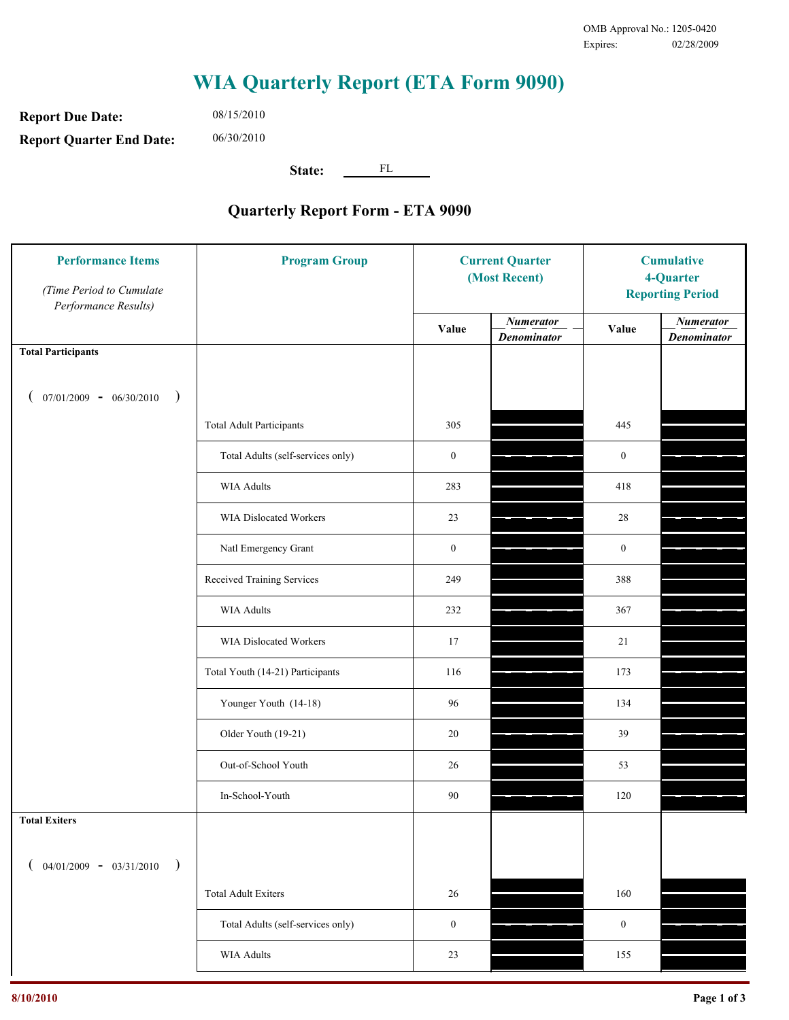**Report Due Date: Report Quarter End Date:** 06/30/2010

08/15/2010

**State:** FL

| <b>Performance Items</b><br>(Time Period to Cumulate<br>Performance Results) | <b>Program Group</b>              | <b>Current Quarter</b><br>(Most Recent) |                                        | <b>Cumulative</b><br>4-Quarter<br><b>Reporting Period</b> |                                        |
|------------------------------------------------------------------------------|-----------------------------------|-----------------------------------------|----------------------------------------|-----------------------------------------------------------|----------------------------------------|
|                                                                              |                                   | Value                                   | <b>Numerator</b><br><b>Denominator</b> | Value                                                     | <b>Numerator</b><br><b>Denominator</b> |
| <b>Total Participants</b>                                                    |                                   |                                         |                                        |                                                           |                                        |
| $07/01/2009 - 06/30/2010$<br>$\big)$                                         |                                   |                                         |                                        |                                                           |                                        |
|                                                                              | <b>Total Adult Participants</b>   | 305                                     |                                        | 445                                                       |                                        |
|                                                                              | Total Adults (self-services only) | $\boldsymbol{0}$                        |                                        | $\boldsymbol{0}$                                          |                                        |
|                                                                              | <b>WIA Adults</b>                 | 283                                     |                                        | 418                                                       |                                        |
|                                                                              | WIA Dislocated Workers            | 23                                      |                                        | 28                                                        |                                        |
|                                                                              | Natl Emergency Grant              | $\boldsymbol{0}$                        |                                        | $\boldsymbol{0}$                                          |                                        |
|                                                                              | Received Training Services        | 249                                     |                                        | 388                                                       |                                        |
|                                                                              | <b>WIA Adults</b>                 | 232                                     |                                        | 367                                                       |                                        |
|                                                                              | WIA Dislocated Workers            | 17                                      |                                        | 21                                                        |                                        |
|                                                                              | Total Youth (14-21) Participants  | 116                                     |                                        | 173                                                       |                                        |
|                                                                              | Younger Youth (14-18)             | 96                                      |                                        | 134                                                       |                                        |
|                                                                              | Older Youth (19-21)               | $20\,$                                  |                                        | 39                                                        |                                        |
|                                                                              | Out-of-School Youth               | 26                                      |                                        | 53                                                        |                                        |
|                                                                              | In-School-Youth                   | 90                                      |                                        | 120                                                       |                                        |
| <b>Total Exiters</b>                                                         |                                   |                                         |                                        |                                                           |                                        |
| $04/01/2009 - 03/31/2010$<br>$\lambda$                                       |                                   |                                         |                                        |                                                           |                                        |
|                                                                              | <b>Total Adult Exiters</b>        | 26                                      |                                        | 160                                                       |                                        |
|                                                                              | Total Adults (self-services only) | $\boldsymbol{0}$                        |                                        | $\boldsymbol{0}$                                          |                                        |
|                                                                              | WIA Adults                        | 23                                      |                                        | 155                                                       |                                        |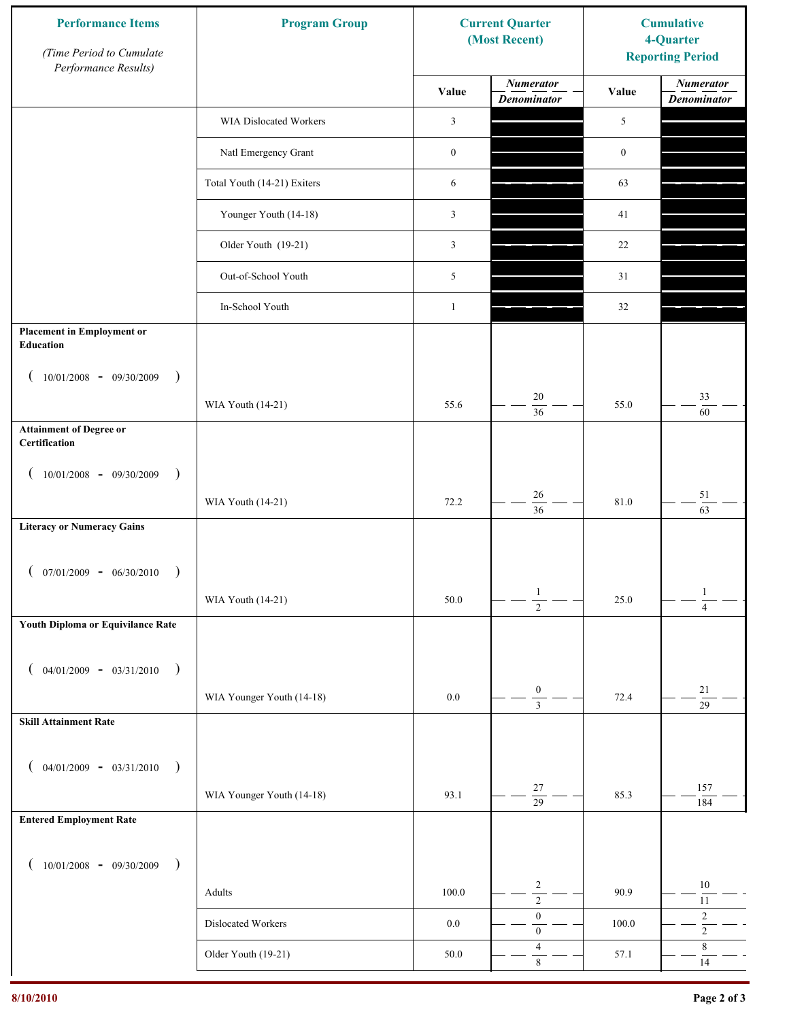| <b>Performance Items</b><br>(Time Period to Cumulate<br>Performance Results) | <b>Program Group</b>        | <b>Current Quarter</b><br><b>Cumulative</b><br>(Most Recent)<br>4-Quarter<br><b>Reporting Period</b> |                                        |                  |                                        |
|------------------------------------------------------------------------------|-----------------------------|------------------------------------------------------------------------------------------------------|----------------------------------------|------------------|----------------------------------------|
|                                                                              |                             | Value                                                                                                | <b>Numerator</b><br><b>Denominator</b> | Value            | <b>Numerator</b><br><b>Denominator</b> |
|                                                                              | WIA Dislocated Workers      | 3                                                                                                    |                                        | 5                |                                        |
|                                                                              | Natl Emergency Grant        | $\boldsymbol{0}$                                                                                     |                                        | $\boldsymbol{0}$ |                                        |
|                                                                              | Total Youth (14-21) Exiters | 6                                                                                                    |                                        | 63               |                                        |
|                                                                              | Younger Youth (14-18)       | 3                                                                                                    |                                        | 41               |                                        |
|                                                                              | Older Youth (19-21)         | 3                                                                                                    |                                        | 22               |                                        |
|                                                                              | Out-of-School Youth         | 5                                                                                                    |                                        | 31               |                                        |
|                                                                              | In-School Youth             | $\mathbf{1}$                                                                                         |                                        | 32               |                                        |
| <b>Placement in Employment or</b><br><b>Education</b>                        |                             |                                                                                                      |                                        |                  |                                        |
| $10/01/2008 - 09/30/2009$<br>$\rightarrow$                                   | WIA Youth (14-21)           | 55.6                                                                                                 | $20\,$<br>$\overline{36}$              | 55.0             | 33<br>60                               |
| <b>Attainment of Degree or</b><br>Certification                              |                             |                                                                                                      |                                        |                  |                                        |
| $(10/01/2008 - 09/30/2009$<br>$\lambda$                                      |                             |                                                                                                      |                                        |                  |                                        |
|                                                                              | WIA Youth (14-21)           | 72.2                                                                                                 | 26<br>$\overline{36}$                  | 81.0             | $51\,$<br>63                           |
| <b>Literacy or Numeracy Gains</b>                                            |                             |                                                                                                      |                                        |                  |                                        |
| $07/01/2009 - 06/30/2010$                                                    |                             |                                                                                                      |                                        |                  |                                        |
|                                                                              | WIA Youth (14-21)           | $50.0\,$                                                                                             | $\mathbf{1}$<br>$\overline{2}$         | 25.0             | $\mathbf{1}$<br>$\overline{4}$         |
| Youth Diploma or Equivilance Rate                                            |                             |                                                                                                      |                                        |                  |                                        |
| $04/01/2009 - 03/31/2010$<br>$\rightarrow$                                   |                             |                                                                                                      |                                        |                  |                                        |
|                                                                              | WIA Younger Youth (14-18)   | $0.0\,$                                                                                              | $\boldsymbol{0}$<br>$\overline{3}$     | 72.4             | $21\,$                                 |
| <b>Skill Attainment Rate</b>                                                 |                             |                                                                                                      |                                        |                  | $\overline{29}$                        |
|                                                                              |                             |                                                                                                      |                                        |                  |                                        |
| $04/01/2009 - 03/31/2010$ )                                                  | WIA Younger Youth (14-18)   | 93.1                                                                                                 | $27\,$                                 | 85.3             | 157                                    |
| <b>Entered Employment Rate</b>                                               |                             |                                                                                                      | $\overline{29}$                        |                  | 184                                    |
|                                                                              |                             |                                                                                                      |                                        |                  |                                        |
| $10/01/2008$ - 09/30/2009<br>$\overline{\phantom{a}}$                        | Adults                      | 100.0                                                                                                | $\overline{c}$                         | 90.9             | $10\,$                                 |
|                                                                              | Dislocated Workers          | $0.0\,$                                                                                              | $\overline{2}$<br>$\boldsymbol{0}$     | 100.0            | $11\,$<br>$\boldsymbol{2}$             |
|                                                                              |                             |                                                                                                      | $\boldsymbol{0}$<br>$\overline{4}$     |                  | $\overline{2}$<br>$\,8\,$              |
|                                                                              | Older Youth (19-21)         | $50.0\,$                                                                                             | $\,8\,$                                | 57.1             | $14$                                   |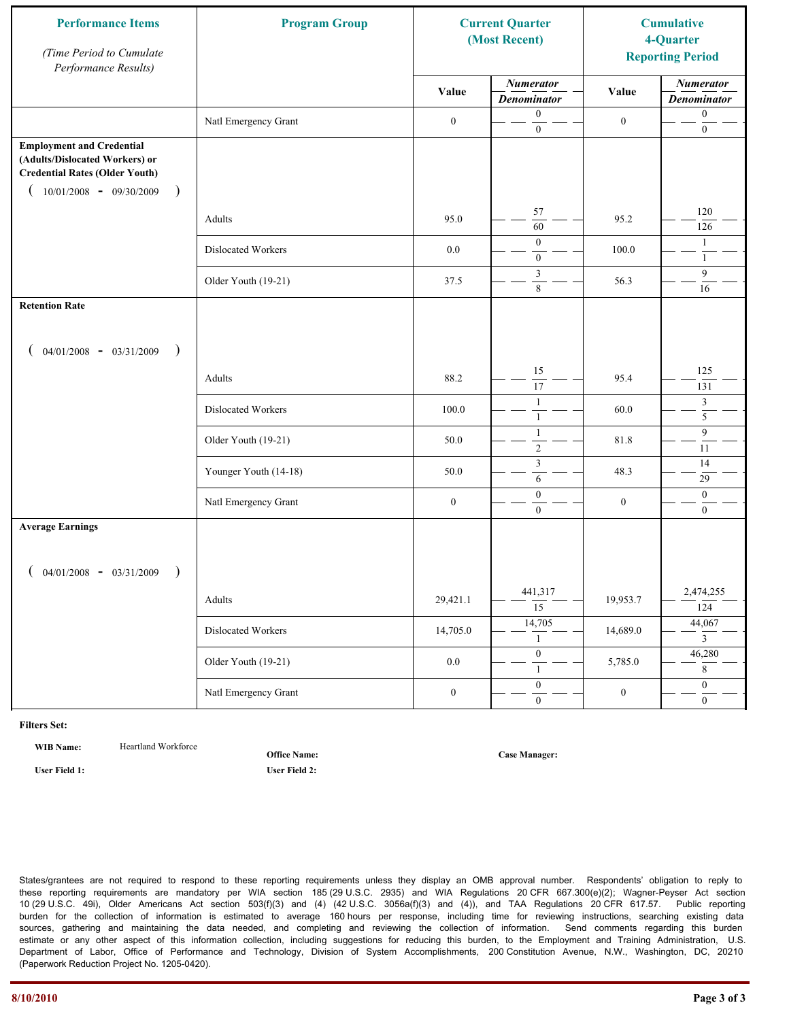| <b>Performance Items</b><br>(Time Period to Cumulate<br>Performance Results)                                                                                         | <b>Program Group</b>  | <b>Current Quarter</b><br>(Most Recent) |                                        | <b>Cumulative</b><br>4-Quarter<br><b>Reporting Period</b> |                                        |  |
|----------------------------------------------------------------------------------------------------------------------------------------------------------------------|-----------------------|-----------------------------------------|----------------------------------------|-----------------------------------------------------------|----------------------------------------|--|
|                                                                                                                                                                      |                       | Value                                   | <b>Numerator</b><br><b>Denominator</b> | Value                                                     | <b>Numerator</b><br><b>Denominator</b> |  |
|                                                                                                                                                                      | Natl Emergency Grant  | $\boldsymbol{0}$                        | $\mathbf{0}$<br>$\boldsymbol{0}$       | $\boldsymbol{0}$                                          | $\boldsymbol{0}$<br>$\boldsymbol{0}$   |  |
| <b>Employment and Credential</b><br>(Adults/Dislocated Workers) or<br><b>Credential Rates (Older Youth)</b><br>$10/01/2008 - 09/30/2009$<br>$\overline{\phantom{a}}$ |                       |                                         |                                        |                                                           |                                        |  |
|                                                                                                                                                                      | Adults                | 95.0                                    | 57<br>60                               | 95.2                                                      | 120<br>126                             |  |
|                                                                                                                                                                      | Dislocated Workers    | $0.0\,$                                 | $\mathbf{0}$<br>$\mathbf{0}$           | 100.0                                                     | $\mathbf{1}$<br>$\mathbf{1}$           |  |
|                                                                                                                                                                      | Older Youth (19-21)   | 37.5                                    | 3<br>8                                 | 56.3                                                      | 9<br>16                                |  |
| <b>Retention Rate</b>                                                                                                                                                |                       |                                         |                                        |                                                           |                                        |  |
| $04/01/2008$ - $03/31/2009$<br>$\big)$                                                                                                                               |                       |                                         |                                        |                                                           |                                        |  |
|                                                                                                                                                                      | Adults                | 88.2                                    | 15<br>17                               | 95.4                                                      | 125<br>131                             |  |
|                                                                                                                                                                      | Dislocated Workers    | 100.0                                   | $\mathbf{1}$<br>$\mathbf{1}$           | 60.0                                                      | 3<br>$\overline{5}$                    |  |
|                                                                                                                                                                      | Older Youth (19-21)   | 50.0                                    | $\mathbf{1}$<br>$\overline{2}$         | 81.8                                                      | 9<br>11                                |  |
|                                                                                                                                                                      | Younger Youth (14-18) | 50.0                                    | $\mathfrak{Z}$<br>6                    | 48.3                                                      | 14<br>29                               |  |
|                                                                                                                                                                      | Natl Emergency Grant  | $\boldsymbol{0}$                        | $\boldsymbol{0}$<br>$\mathbf{0}$       | $\boldsymbol{0}$                                          | $\mathbf{0}$<br>$\overline{0}$         |  |
| <b>Average Earnings</b>                                                                                                                                              |                       |                                         |                                        |                                                           |                                        |  |
| $04/01/2008$ - $03/31/2009$<br>$\lambda$                                                                                                                             |                       |                                         |                                        |                                                           |                                        |  |
|                                                                                                                                                                      | Adults                | 29,421.1                                | 441,317<br>$\overline{15}$             | 19,953.7                                                  | 2,474,255<br>124                       |  |
|                                                                                                                                                                      | Dislocated Workers    | 14,705.0                                | 14,705<br>$\mathbf{1}$                 | 14,689.0                                                  | 44,067<br>$\overline{3}$               |  |
|                                                                                                                                                                      | Older Youth (19-21)   | $0.0\,$                                 | $\overline{0}$<br>$\mathbf{1}$         | 5,785.0                                                   | 46,280<br>8                            |  |
|                                                                                                                                                                      | Natl Emergency Grant  | $\boldsymbol{0}$                        | $\overline{0}$<br>$\overline{0}$       | $\boldsymbol{0}$                                          | $\overline{0}$<br>$\overline{0}$       |  |

WIB Name: **Heartland Workforce** 

**Office Name:**

**User Field 1: User Field 2:**

**Case Manager:**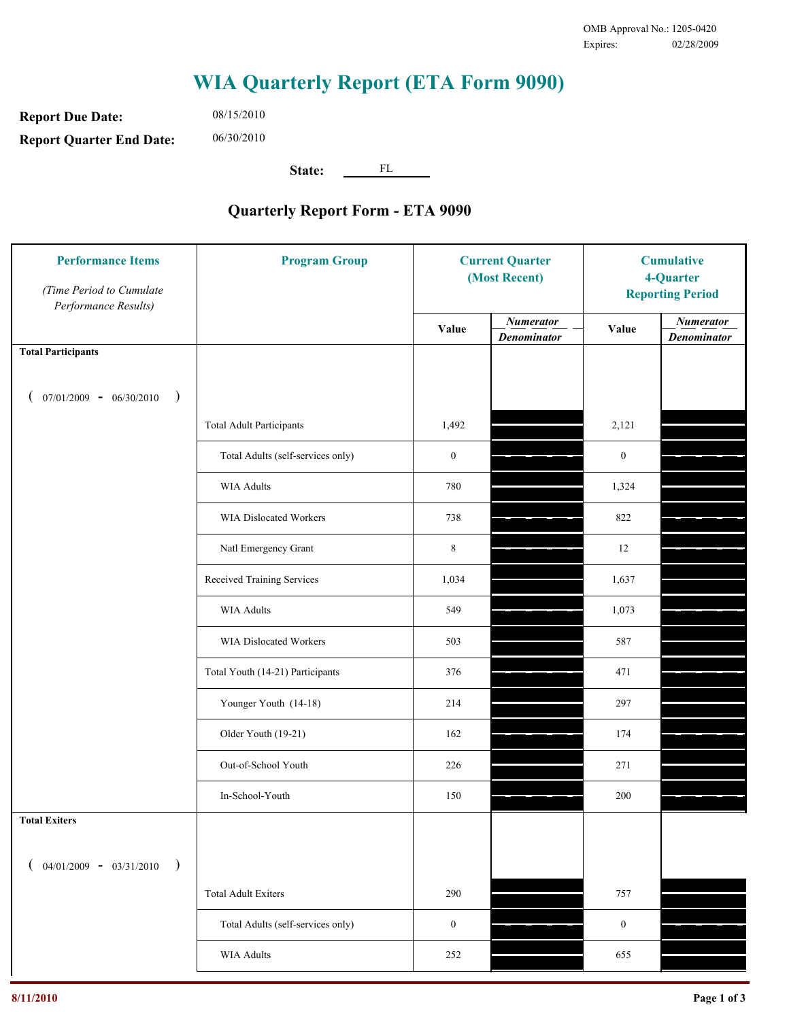**Report Due Date: Report Quarter End Date:** 06/30/2010

08/15/2010

**State:** FL

| <b>Performance Items</b><br>(Time Period to Cumulate<br>Performance Results) | <b>Program Group</b>              | <b>Current Quarter</b><br>(Most Recent) |                                        | <b>Cumulative</b><br>4-Quarter<br><b>Reporting Period</b> |                                        |
|------------------------------------------------------------------------------|-----------------------------------|-----------------------------------------|----------------------------------------|-----------------------------------------------------------|----------------------------------------|
|                                                                              |                                   | Value                                   | <b>Numerator</b><br><b>Denominator</b> | Value                                                     | <b>Numerator</b><br><b>Denominator</b> |
| <b>Total Participants</b>                                                    |                                   |                                         |                                        |                                                           |                                        |
| $07/01/2009 - 06/30/2010$<br>$\big)$                                         |                                   |                                         |                                        |                                                           |                                        |
|                                                                              | <b>Total Adult Participants</b>   | 1,492                                   |                                        | 2,121                                                     |                                        |
|                                                                              | Total Adults (self-services only) | $\boldsymbol{0}$                        |                                        | $\boldsymbol{0}$                                          |                                        |
|                                                                              | <b>WIA Adults</b>                 | 780                                     |                                        | 1,324                                                     |                                        |
|                                                                              | WIA Dislocated Workers            | 738                                     |                                        | 822                                                       |                                        |
|                                                                              | Natl Emergency Grant              | $\,8\,$                                 |                                        | 12                                                        |                                        |
|                                                                              | Received Training Services        | 1,034                                   |                                        | 1,637                                                     |                                        |
|                                                                              | <b>WIA Adults</b>                 | 549                                     |                                        | 1,073                                                     |                                        |
|                                                                              | WIA Dislocated Workers            | 503                                     |                                        | 587                                                       |                                        |
|                                                                              | Total Youth (14-21) Participants  | 376                                     |                                        | 471                                                       |                                        |
|                                                                              | Younger Youth (14-18)             | 214                                     |                                        | 297                                                       |                                        |
|                                                                              | Older Youth (19-21)               | 162                                     |                                        | 174                                                       |                                        |
|                                                                              | Out-of-School Youth               | 226                                     |                                        | 271                                                       |                                        |
|                                                                              | In-School-Youth                   | 150                                     |                                        | 200                                                       |                                        |
| <b>Total Exiters</b>                                                         |                                   |                                         |                                        |                                                           |                                        |
| $04/01/2009 - 03/31/2010$<br>$\lambda$                                       |                                   |                                         |                                        |                                                           |                                        |
|                                                                              | <b>Total Adult Exiters</b>        | 290                                     |                                        | 757                                                       |                                        |
|                                                                              | Total Adults (self-services only) | $\boldsymbol{0}$                        |                                        | $\boldsymbol{0}$                                          |                                        |
|                                                                              | WIA Adults                        | 252                                     |                                        | 655                                                       |                                        |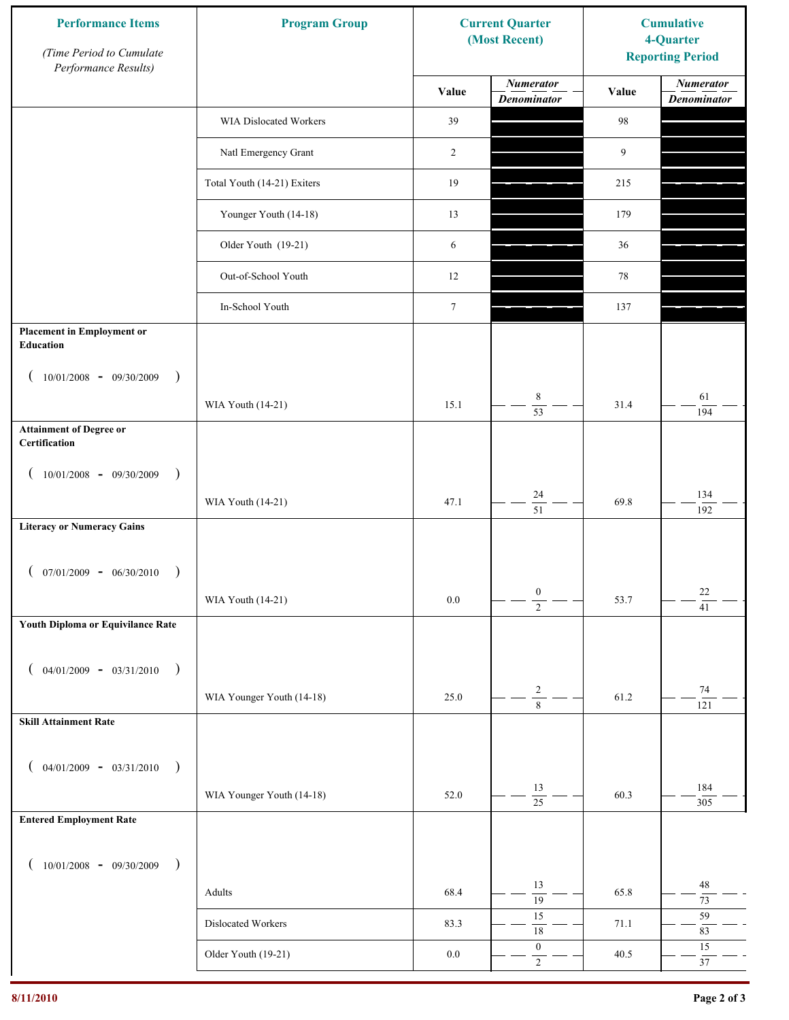| <b>Performance Items</b><br>(Time Period to Cumulate<br>Performance Results) | <b>Program Group</b>        |                  | <b>Current Quarter</b><br>(Most Recent) | <b>Cumulative</b><br>4-Quarter<br><b>Reporting Period</b> |                                        |
|------------------------------------------------------------------------------|-----------------------------|------------------|-----------------------------------------|-----------------------------------------------------------|----------------------------------------|
|                                                                              |                             | Value            | <b>Numerator</b><br><b>Denominator</b>  | Value                                                     | <b>Numerator</b><br><b>Denominator</b> |
|                                                                              | WIA Dislocated Workers      | 39               |                                         | 98                                                        |                                        |
|                                                                              | Natl Emergency Grant        | 2                |                                         | 9                                                         |                                        |
|                                                                              | Total Youth (14-21) Exiters | 19               |                                         | 215                                                       |                                        |
|                                                                              | Younger Youth (14-18)       | 13               |                                         | 179                                                       |                                        |
|                                                                              | Older Youth (19-21)         | 6                |                                         | 36                                                        |                                        |
|                                                                              | Out-of-School Youth         | 12               |                                         | 78                                                        |                                        |
|                                                                              | In-School Youth             | $\boldsymbol{7}$ |                                         | 137                                                       |                                        |
| <b>Placement in Employment or</b><br>Education                               |                             |                  |                                         |                                                           |                                        |
| $10/01/2008 - 09/30/2009$<br>$\rightarrow$                                   |                             |                  |                                         |                                                           |                                        |
|                                                                              | WIA Youth (14-21)           | 15.1             | 8<br>$\overline{53}$                    | 31.4                                                      | 61<br>194                              |
| <b>Attainment of Degree or</b><br>Certification                              |                             |                  |                                         |                                                           |                                        |
| $10/01/2008 - 09/30/2009$<br>$\rightarrow$<br>$\left($                       |                             |                  |                                         |                                                           |                                        |
|                                                                              | WIA Youth (14-21)           | 47.1             | 24<br>$\overline{51}$                   | 69.8                                                      | 134<br>192                             |
| <b>Literacy or Numeracy Gains</b>                                            |                             |                  |                                         |                                                           |                                        |
| $(07/01/2009 - 06/30/2010)$<br>$\rightarrow$                                 |                             |                  |                                         |                                                           |                                        |
|                                                                              | WIA Youth (14-21)           | 0.0              | $\boldsymbol{0}$<br>$\overline{2}$      | 53.7                                                      | 22<br>$\overline{41}$                  |
| Youth Diploma or Equivilance Rate                                            |                             |                  |                                         |                                                           |                                        |
| $04/01/2009 - 03/31/2010$<br>$\rightarrow$<br>€                              |                             |                  |                                         |                                                           |                                        |
|                                                                              | WIA Younger Youth (14-18)   | 25.0             | $\sqrt{2}$                              | 61.2                                                      | $74\,$                                 |
| <b>Skill Attainment Rate</b>                                                 |                             |                  | $\overline{8}$                          |                                                           | 121                                    |
|                                                                              |                             |                  |                                         |                                                           |                                        |
| $04/01/2009 - 03/31/2010$ )                                                  |                             | 52.0             | 13                                      | 60.3                                                      | 184                                    |
| <b>Entered Employment Rate</b>                                               | WIA Younger Youth (14-18)   |                  | $\overline{25}$                         |                                                           | 305                                    |
|                                                                              |                             |                  |                                         |                                                           |                                        |
| $10/01/2008$ - 09/30/2009<br>$\rightarrow$                                   |                             |                  |                                         |                                                           |                                        |
|                                                                              | Adults                      | 68.4             | 13<br>$\overline{19}$                   | 65.8                                                      | $48\,$<br>$73\,$                       |
|                                                                              | Dislocated Workers          | 83.3             | 15<br>$\overline{18}$                   | 71.1                                                      | 59<br>83                               |
|                                                                              | Older Youth (19-21)         | $0.0\,$          | $\boldsymbol{0}$<br>$\overline{2}$      | 40.5                                                      | $15\,$<br>$37\,$                       |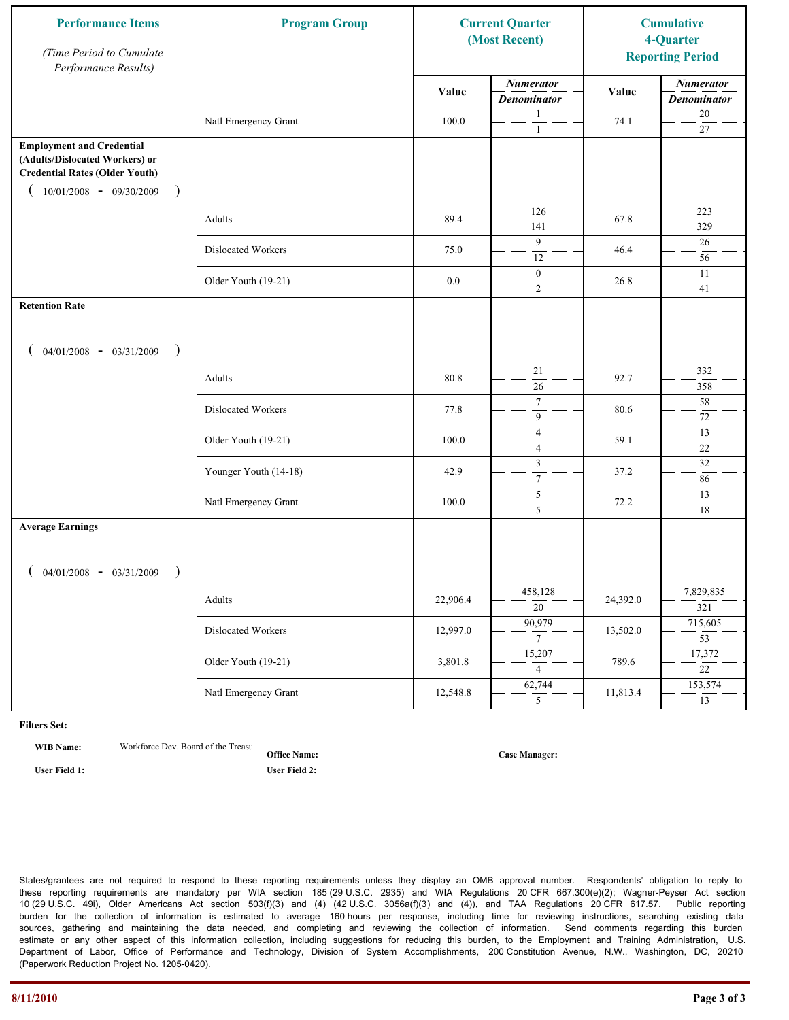| <b>Performance Items</b><br>(Time Period to Cumulate<br>Performance Results)                                                                                         | <b>Program Group</b>  |          | <b>Current Quarter</b><br>(Most Recent) |          |                                        |  | <b>Cumulative</b><br>4-Quarter<br><b>Reporting Period</b> |
|----------------------------------------------------------------------------------------------------------------------------------------------------------------------|-----------------------|----------|-----------------------------------------|----------|----------------------------------------|--|-----------------------------------------------------------|
|                                                                                                                                                                      |                       | Value    | <b>Numerator</b><br><b>Denominator</b>  | Value    | <b>Numerator</b><br><b>Denominator</b> |  |                                                           |
|                                                                                                                                                                      | Natl Emergency Grant  | 100.0    | 1<br>$\mathbf{1}$                       | 74.1     | $20\,$<br>$27\,$                       |  |                                                           |
| <b>Employment and Credential</b><br>(Adults/Dislocated Workers) or<br><b>Credential Rates (Older Youth)</b><br>$10/01/2008$ - 09/30/2009<br>$\overline{\phantom{a}}$ |                       |          |                                         |          |                                        |  |                                                           |
|                                                                                                                                                                      | Adults                | 89.4     | 126<br>141                              | 67.8     | 223<br>329                             |  |                                                           |
|                                                                                                                                                                      | Dislocated Workers    | 75.0     | 9<br>12                                 | 46.4     | 26<br>56                               |  |                                                           |
|                                                                                                                                                                      | Older Youth (19-21)   | $0.0\,$  | $\boldsymbol{0}$<br>$\overline{2}$      | 26.8     | 11<br>41                               |  |                                                           |
| <b>Retention Rate</b>                                                                                                                                                |                       |          |                                         |          |                                        |  |                                                           |
| $04/01/2008$ - $03/31/2009$<br>$\rightarrow$                                                                                                                         |                       |          |                                         |          |                                        |  |                                                           |
|                                                                                                                                                                      | Adults                | 80.8     | 21<br>26                                | 92.7     | 332<br>358                             |  |                                                           |
|                                                                                                                                                                      | Dislocated Workers    | 77.8     | $\overline{7}$<br>9                     | 80.6     | $58\,$<br>72                           |  |                                                           |
|                                                                                                                                                                      | Older Youth (19-21)   | 100.0    | $\overline{4}$<br>$\overline{4}$        | 59.1     | 13<br>22                               |  |                                                           |
|                                                                                                                                                                      | Younger Youth (14-18) | 42.9     | $\mathfrak{Z}$<br>$\tau$                | 37.2     | $\overline{32}$<br>86                  |  |                                                           |
|                                                                                                                                                                      | Natl Emergency Grant  | 100.0    | $\sqrt{5}$<br>5                         | 72.2     | 13<br>18                               |  |                                                           |
| <b>Average Earnings</b>                                                                                                                                              |                       |          |                                         |          |                                        |  |                                                           |
| $04/01/2008$ - $03/31/2009$<br>$\lambda$                                                                                                                             |                       |          |                                         |          |                                        |  |                                                           |
|                                                                                                                                                                      | Adults                | 22,906.4 | 458,128<br>$\overline{20}$              | 24,392.0 | 7,829,835<br>321                       |  |                                                           |
|                                                                                                                                                                      | Dislocated Workers    | 12,997.0 | 90,979<br>$7\overline{ }$               | 13,502.0 | 715,605<br>$\overline{53}$             |  |                                                           |
|                                                                                                                                                                      | Older Youth (19-21)   | 3,801.8  | 15,207<br>$\overline{4}$                | 789.6    | 17,372<br>$\overline{22}$              |  |                                                           |
|                                                                                                                                                                      | Natl Emergency Grant  | 12,548.8 | 62,744<br>5 <sup>5</sup>                | 11,813.4 | 153,574<br>13                          |  |                                                           |

**WIB Name:** Workforce Dev. Board of the Treasure

**Office Name: User Field 1: User Field 2:**

**Case Manager:**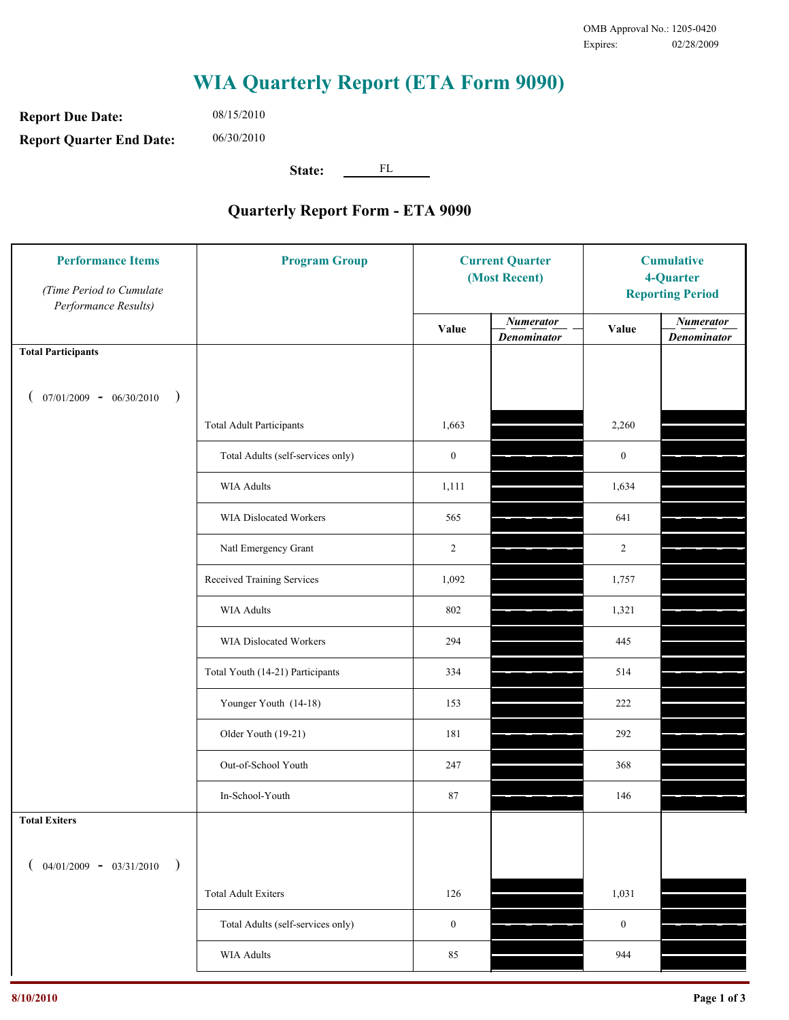**Report Due Date: Report Quarter End Date:** 06/30/2010

08/15/2010

**State:** FL

| <b>Performance Items</b><br>(Time Period to Cumulate<br>Performance Results) | <b>Program Group</b>              | <b>Current Quarter</b><br>(Most Recent) |                                        | <b>Cumulative</b><br>4-Quarter<br><b>Reporting Period</b> |                                        |
|------------------------------------------------------------------------------|-----------------------------------|-----------------------------------------|----------------------------------------|-----------------------------------------------------------|----------------------------------------|
|                                                                              |                                   | Value                                   | <b>Numerator</b><br><b>Denominator</b> | Value                                                     | <b>Numerator</b><br><b>Denominator</b> |
| <b>Total Participants</b>                                                    |                                   |                                         |                                        |                                                           |                                        |
| $07/01/2009 - 06/30/2010$<br>$\rightarrow$                                   |                                   |                                         |                                        |                                                           |                                        |
|                                                                              | <b>Total Adult Participants</b>   | 1,663                                   |                                        | 2,260                                                     |                                        |
|                                                                              | Total Adults (self-services only) | $\boldsymbol{0}$                        |                                        | $\boldsymbol{0}$                                          |                                        |
|                                                                              | <b>WIA Adults</b>                 | 1,111                                   |                                        | 1,634                                                     |                                        |
|                                                                              | <b>WIA Dislocated Workers</b>     | 565                                     |                                        | 641                                                       |                                        |
|                                                                              | Natl Emergency Grant              | $\overline{2}$                          |                                        | $\overline{2}$                                            |                                        |
|                                                                              | Received Training Services        | 1,092                                   |                                        | 1,757                                                     |                                        |
|                                                                              | <b>WIA Adults</b>                 | 802                                     |                                        | 1,321                                                     |                                        |
|                                                                              | WIA Dislocated Workers            | 294                                     |                                        | 445                                                       |                                        |
|                                                                              | Total Youth (14-21) Participants  | 334                                     |                                        | 514                                                       |                                        |
|                                                                              | Younger Youth (14-18)             | 153                                     |                                        | 222                                                       |                                        |
|                                                                              | Older Youth (19-21)               | 181                                     |                                        | 292                                                       |                                        |
|                                                                              | Out-of-School Youth               | 247                                     |                                        | 368                                                       |                                        |
|                                                                              | In-School-Youth                   | 87                                      |                                        | 146                                                       |                                        |
| <b>Total Exiters</b>                                                         |                                   |                                         |                                        |                                                           |                                        |
| $04/01/2009 - 03/31/2010$<br>$\rightarrow$                                   |                                   |                                         |                                        |                                                           |                                        |
|                                                                              | <b>Total Adult Exiters</b>        | 126                                     |                                        | 1,031                                                     |                                        |
|                                                                              | Total Adults (self-services only) | $\boldsymbol{0}$                        |                                        | $\boldsymbol{0}$                                          |                                        |
|                                                                              | WIA Adults                        | 85                                      |                                        | 944                                                       |                                        |
|                                                                              |                                   |                                         |                                        |                                                           |                                        |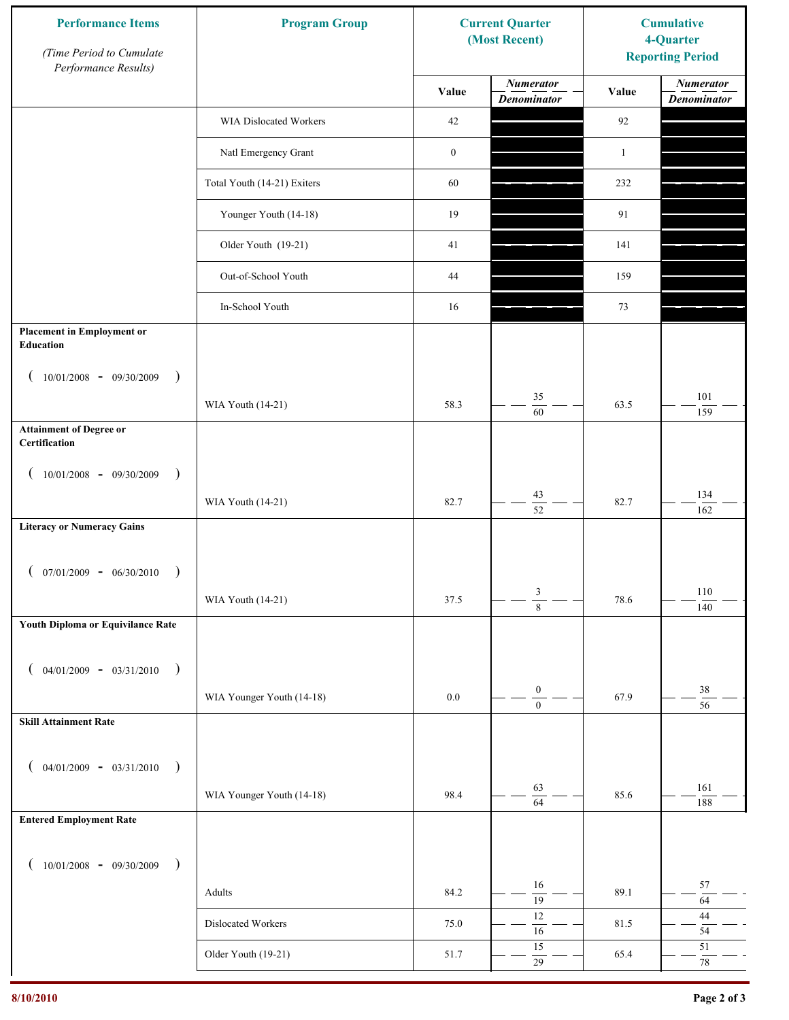| <b>Performance Items</b><br>(Time Period to Cumulate<br>Performance Results) | <b>Program Group</b>        |                  | <b>Current Quarter</b><br>(Most Recent) | <b>Cumulative</b><br>4-Quarter<br><b>Reporting Period</b> |                                        |
|------------------------------------------------------------------------------|-----------------------------|------------------|-----------------------------------------|-----------------------------------------------------------|----------------------------------------|
|                                                                              |                             | Value            | <b>Numerator</b><br><b>Denominator</b>  | Value                                                     | <b>Numerator</b><br><b>Denominator</b> |
|                                                                              | WIA Dislocated Workers      | 42               |                                         | $92\,$                                                    |                                        |
|                                                                              | Natl Emergency Grant        | $\boldsymbol{0}$ |                                         | $\mathbf{1}$                                              |                                        |
|                                                                              | Total Youth (14-21) Exiters | 60               |                                         | 232                                                       |                                        |
|                                                                              | Younger Youth (14-18)       | 19               |                                         | 91                                                        |                                        |
|                                                                              | Older Youth (19-21)         | 41               |                                         | 141                                                       |                                        |
|                                                                              | Out-of-School Youth         | 44               |                                         | 159                                                       |                                        |
|                                                                              | In-School Youth             | 16               |                                         | 73                                                        |                                        |
| <b>Placement in Employment or</b><br>Education                               |                             |                  |                                         |                                                           |                                        |
| $10/01/2008 - 09/30/2009$<br>$\rightarrow$                                   |                             |                  |                                         |                                                           |                                        |
|                                                                              | WIA Youth (14-21)           | 58.3             | 35<br>$\overline{60}$                   | 63.5                                                      | 101<br>159                             |
| <b>Attainment of Degree or</b><br>Certification                              |                             |                  |                                         |                                                           |                                        |
| $10/01/2008 - 09/30/2009$<br>$\rightarrow$<br>$\left($                       |                             |                  |                                         |                                                           |                                        |
|                                                                              | WIA Youth (14-21)           | 82.7             | 43<br>$\overline{52}$                   | 82.7                                                      | 134<br>162                             |
| <b>Literacy or Numeracy Gains</b>                                            |                             |                  |                                         |                                                           |                                        |
| $(07/01/2009 - 06/30/2010)$<br>$\rightarrow$                                 |                             |                  |                                         |                                                           |                                        |
|                                                                              | WIA Youth (14-21)           | 37.5             | 3<br>$\overline{8}$                     | 78.6                                                      | 110<br>140                             |
| Youth Diploma or Equivilance Rate                                            |                             |                  |                                         |                                                           |                                        |
|                                                                              |                             |                  |                                         |                                                           |                                        |
| $04/01/2009 - 03/31/2010$<br>$\rightarrow$                                   | WIA Younger Youth (14-18)   | $0.0\,$          | $\boldsymbol{0}$                        | 67.9                                                      | $38\,$                                 |
| <b>Skill Attainment Rate</b>                                                 |                             |                  | $\boldsymbol{0}$                        |                                                           | $\overline{56}$                        |
|                                                                              |                             |                  |                                         |                                                           |                                        |
| $04/01/2009 - 03/31/2010$ )                                                  |                             |                  | 63                                      |                                                           | 161                                    |
|                                                                              | WIA Younger Youth (14-18)   | 98.4             | $\overline{64}$                         | 85.6                                                      | 188                                    |
| <b>Entered Employment Rate</b>                                               |                             |                  |                                         |                                                           |                                        |
| $10/01/2008$ - 09/30/2009<br>$\rightarrow$                                   |                             |                  |                                         |                                                           |                                        |
|                                                                              | Adults                      | 84.2             | 16<br>$\overline{19}$                   | 89.1                                                      | 57<br>64                               |
|                                                                              | Dislocated Workers          | 75.0             | $12\,$<br>16                            | 81.5                                                      | $44\,$<br>54                           |
|                                                                              | Older Youth (19-21)         | 51.7             | 15<br>$\overline{29}$                   | 65.4                                                      | 51<br>$78\,$                           |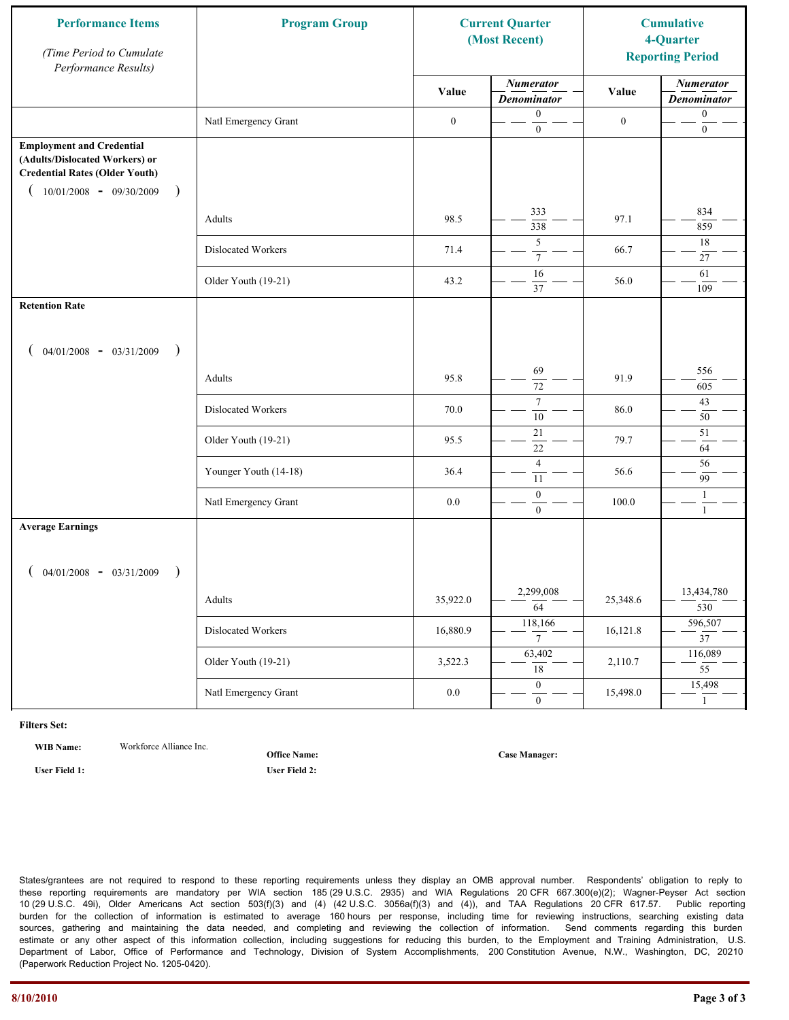| <b>Performance Items</b><br>(Time Period to Cumulate<br>Performance Results)                                                                                         | <b>Program Group</b>  |                  | <b>Current Quarter</b><br>(Most Recent) |                  | <b>Cumulative</b><br>4-Quarter<br><b>Reporting Period</b> |
|----------------------------------------------------------------------------------------------------------------------------------------------------------------------|-----------------------|------------------|-----------------------------------------|------------------|-----------------------------------------------------------|
|                                                                                                                                                                      |                       | Value            | <b>Numerator</b><br><b>Denominator</b>  | Value            | <b>Numerator</b><br><b>Denominator</b>                    |
|                                                                                                                                                                      | Natl Emergency Grant  | $\boldsymbol{0}$ | $\mathbf{0}$<br>$\boldsymbol{0}$        | $\boldsymbol{0}$ | $\boldsymbol{0}$<br>$\boldsymbol{0}$                      |
| <b>Employment and Credential</b><br>(Adults/Dislocated Workers) or<br><b>Credential Rates (Older Youth)</b><br>$10/01/2008$ - 09/30/2009<br>$\overline{\phantom{a}}$ |                       |                  |                                         |                  |                                                           |
|                                                                                                                                                                      | Adults                | 98.5             | 333<br>338                              | 97.1             | 834<br>859                                                |
|                                                                                                                                                                      | Dislocated Workers    | 71.4             | 5<br>$\boldsymbol{7}$                   | 66.7             | 18<br>27                                                  |
|                                                                                                                                                                      | Older Youth (19-21)   | 43.2             | 16<br>37                                | 56.0             | 61<br>109                                                 |
| <b>Retention Rate</b>                                                                                                                                                |                       |                  |                                         |                  |                                                           |
| $04/01/2008$ - $03/31/2009$<br>$\rightarrow$                                                                                                                         |                       |                  |                                         |                  |                                                           |
|                                                                                                                                                                      | Adults                | 95.8             | 69<br>72                                | 91.9             | 556<br>605                                                |
|                                                                                                                                                                      | Dislocated Workers    | 70.0             | $\tau$<br>$\overline{10}$               | 86.0             | 43<br>50                                                  |
|                                                                                                                                                                      | Older Youth (19-21)   | 95.5             | 21<br>$22\,$                            | 79.7             | 51<br>64                                                  |
|                                                                                                                                                                      | Younger Youth (14-18) | 36.4             | $\overline{4}$<br>11                    | 56.6             | 56<br>99                                                  |
|                                                                                                                                                                      | Natl Emergency Grant  | 0.0              | $\boldsymbol{0}$<br>$\mathbf{0}$        | 100.0            | $\mathbf{1}$<br>$\mathbf{1}$                              |
| <b>Average Earnings</b>                                                                                                                                              |                       |                  |                                         |                  |                                                           |
| $04/01/2008$ - $03/31/2009$<br>$\lambda$                                                                                                                             |                       |                  |                                         |                  |                                                           |
|                                                                                                                                                                      | Adults                | 35,922.0         | 2,299,008<br>64                         | 25,348.6         | 13,434,780<br>530                                         |
|                                                                                                                                                                      | Dislocated Workers    | 16,880.9         | 118,166<br>$7\overline{ }$              | 16,121.8         | 596,507<br>$\overline{37}$                                |
|                                                                                                                                                                      | Older Youth (19-21)   | 3,522.3          | 63,402<br>$\overline{18}$               | 2,110.7          | 116,089<br>$\overline{55}$                                |
|                                                                                                                                                                      | Natl Emergency Grant  | $0.0\,$          | $\overline{0}$<br>$\mathbf{0}$          | 15,498.0         | 15,498<br>$\mathbf{1}$                                    |

**WIB Name:** Workforce Alliance Inc.

**Office Name:**

**User Field 1: User Field 2:**

**Case Manager:**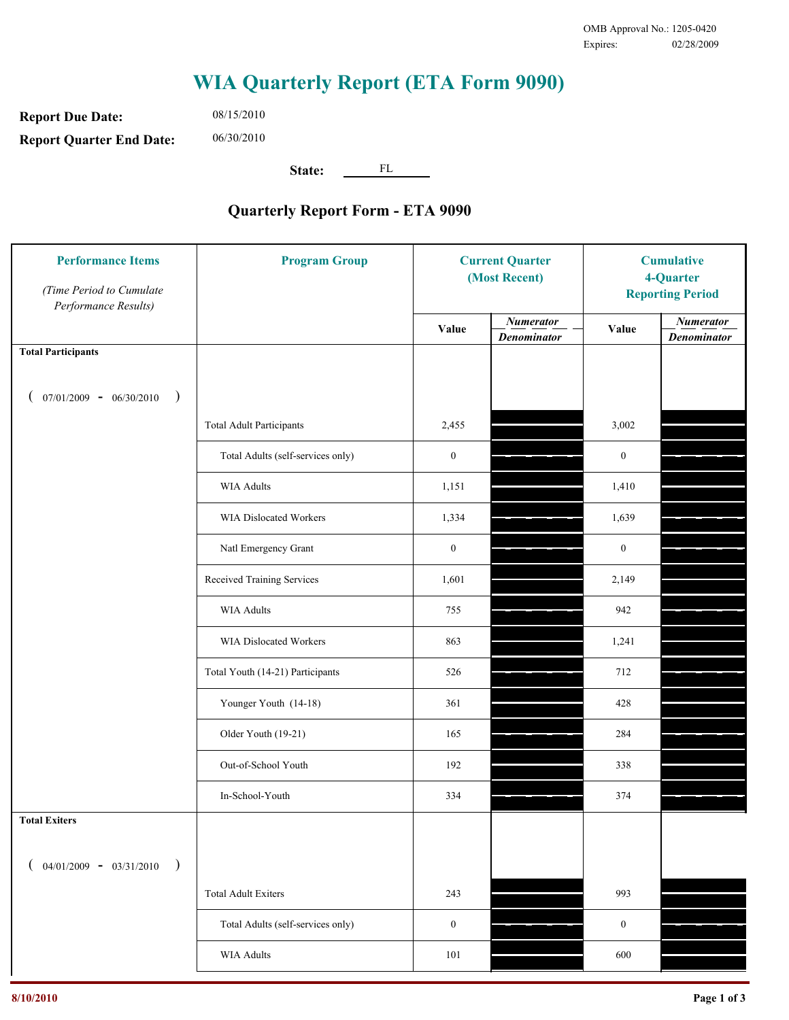**Report Due Date: Report Quarter End Date:** 06/30/2010

08/15/2010

**State:** FL

| <b>Performance Items</b><br>(Time Period to Cumulate<br>Performance Results) | <b>Program Group</b>              | <b>Current Quarter</b><br>(Most Recent) |                                        | <b>Cumulative</b><br>4-Quarter<br><b>Reporting Period</b> |                                        |
|------------------------------------------------------------------------------|-----------------------------------|-----------------------------------------|----------------------------------------|-----------------------------------------------------------|----------------------------------------|
|                                                                              |                                   | Value                                   | <b>Numerator</b><br><b>Denominator</b> | Value                                                     | <b>Numerator</b><br><b>Denominator</b> |
| <b>Total Participants</b>                                                    |                                   |                                         |                                        |                                                           |                                        |
| $07/01/2009 - 06/30/2010$<br>$\big)$                                         |                                   |                                         |                                        |                                                           |                                        |
|                                                                              | <b>Total Adult Participants</b>   | 2,455                                   |                                        | 3,002                                                     |                                        |
|                                                                              | Total Adults (self-services only) | $\boldsymbol{0}$                        |                                        | $\boldsymbol{0}$                                          |                                        |
|                                                                              | <b>WIA Adults</b>                 | 1,151                                   |                                        | 1,410                                                     |                                        |
|                                                                              | <b>WIA Dislocated Workers</b>     | 1,334                                   |                                        | 1,639                                                     |                                        |
|                                                                              | Natl Emergency Grant              | $\boldsymbol{0}$                        |                                        | $\boldsymbol{0}$                                          |                                        |
|                                                                              | Received Training Services        | 1,601                                   |                                        | 2,149                                                     |                                        |
|                                                                              | <b>WIA Adults</b>                 | 755                                     |                                        | 942                                                       |                                        |
|                                                                              | WIA Dislocated Workers            | 863                                     |                                        | 1,241                                                     |                                        |
|                                                                              | Total Youth (14-21) Participants  | 526                                     |                                        | 712                                                       |                                        |
|                                                                              | Younger Youth (14-18)             | 361                                     |                                        | 428                                                       |                                        |
|                                                                              | Older Youth (19-21)               | 165                                     |                                        | 284                                                       |                                        |
|                                                                              | Out-of-School Youth               | 192                                     |                                        | 338                                                       |                                        |
|                                                                              | In-School-Youth                   | 334                                     |                                        | 374                                                       |                                        |
| <b>Total Exiters</b>                                                         |                                   |                                         |                                        |                                                           |                                        |
| $04/01/2009 - 03/31/2010$<br>$\lambda$                                       |                                   |                                         |                                        |                                                           |                                        |
|                                                                              | <b>Total Adult Exiters</b>        | 243                                     |                                        | 993                                                       |                                        |
|                                                                              | Total Adults (self-services only) | $\boldsymbol{0}$                        |                                        | $\boldsymbol{0}$                                          |                                        |
|                                                                              | WIA Adults                        | 101                                     |                                        | 600                                                       |                                        |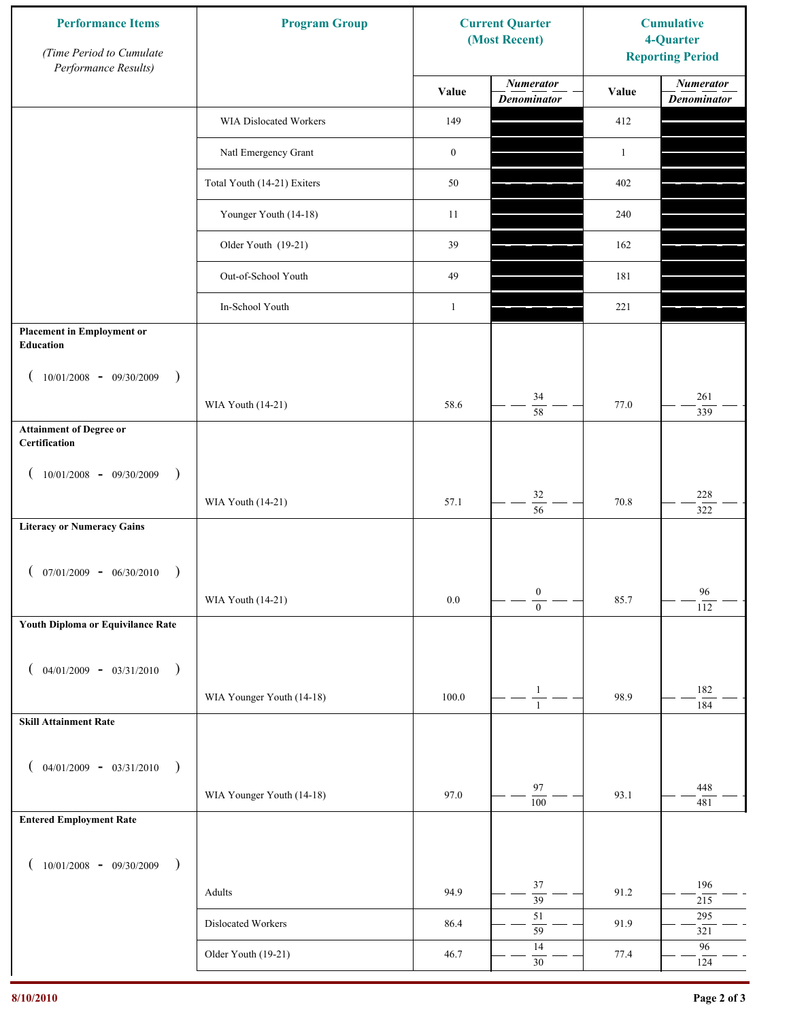| <b>Performance Items</b><br>(Time Period to Cumulate<br>Performance Results) | <b>Program Group</b>        |                  | <b>Current Quarter</b><br>(Most Recent) | <b>Cumulative</b><br>4-Quarter<br><b>Reporting Period</b> |                                        |
|------------------------------------------------------------------------------|-----------------------------|------------------|-----------------------------------------|-----------------------------------------------------------|----------------------------------------|
|                                                                              |                             | Value            | <b>Numerator</b><br><b>Denominator</b>  | Value                                                     | <b>Numerator</b><br><b>Denominator</b> |
|                                                                              | WIA Dislocated Workers      | 149              |                                         | 412                                                       |                                        |
|                                                                              | Natl Emergency Grant        | $\boldsymbol{0}$ |                                         | $\mathbf{1}$                                              |                                        |
|                                                                              | Total Youth (14-21) Exiters | 50               |                                         | 402                                                       |                                        |
|                                                                              | Younger Youth (14-18)       | 11               |                                         | 240                                                       |                                        |
|                                                                              | Older Youth (19-21)         | 39               |                                         | 162                                                       |                                        |
|                                                                              | Out-of-School Youth         | 49               |                                         | 181                                                       |                                        |
|                                                                              | In-School Youth             | $\mathbf{1}$     |                                         | 221                                                       |                                        |
| <b>Placement in Employment or</b><br>Education                               |                             |                  |                                         |                                                           |                                        |
| $10/01/2008 - 09/30/2009$<br>$\rightarrow$                                   |                             |                  |                                         |                                                           |                                        |
|                                                                              | WIA Youth (14-21)           | 58.6             | 34<br>$\overline{58}$                   | 77.0                                                      | 261<br>339                             |
| <b>Attainment of Degree or</b><br>Certification                              |                             |                  |                                         |                                                           |                                        |
| $10/01/2008 - 09/30/2009$<br>$\big)$<br>$\left($                             |                             |                  |                                         |                                                           |                                        |
|                                                                              | WIA Youth (14-21)           | 57.1             | $32\,$<br>$\overline{56}$               | 70.8                                                      | $228\,$<br>322                         |
| <b>Literacy or Numeracy Gains</b>                                            |                             |                  |                                         |                                                           |                                        |
| $(07/01/2009 - 06/30/2010)$<br>$\rightarrow$                                 |                             |                  |                                         |                                                           |                                        |
|                                                                              | WIA Youth (14-21)           | 0.0              | $\boldsymbol{0}$<br>$\overline{0}$      | 85.7                                                      | 96<br>112                              |
| Youth Diploma or Equivilance Rate                                            |                             |                  |                                         |                                                           |                                        |
|                                                                              |                             |                  |                                         |                                                           |                                        |
| $04/01/2009 - 03/31/2010$<br>$\rightarrow$                                   | WIA Younger Youth (14-18)   | 100.0            | $\mathbf{1}$                            | 98.9                                                      | 182                                    |
| <b>Skill Attainment Rate</b>                                                 |                             |                  | $\mathbf{1}$                            |                                                           | 184                                    |
|                                                                              |                             |                  |                                         |                                                           |                                        |
| $04/01/2009 - 03/31/2010$ )                                                  |                             |                  | 97                                      |                                                           | 448                                    |
|                                                                              | WIA Younger Youth (14-18)   | 97.0             | $\overline{100}$                        | 93.1                                                      | 481                                    |
| <b>Entered Employment Rate</b>                                               |                             |                  |                                         |                                                           |                                        |
| $10/01/2008$ - 09/30/2009<br>$\rightarrow$                                   |                             |                  |                                         |                                                           |                                        |
|                                                                              | Adults                      | 94.9             | 37<br>$\overline{39}$                   | 91.2                                                      | 196<br>215                             |
|                                                                              | Dislocated Workers          | 86.4             | $51\,$<br>59                            | 91.9                                                      | 295<br>321                             |
|                                                                              | Older Youth (19-21)         | 46.7             | 14<br>$30\,$                            | 77.4                                                      | 96<br>124                              |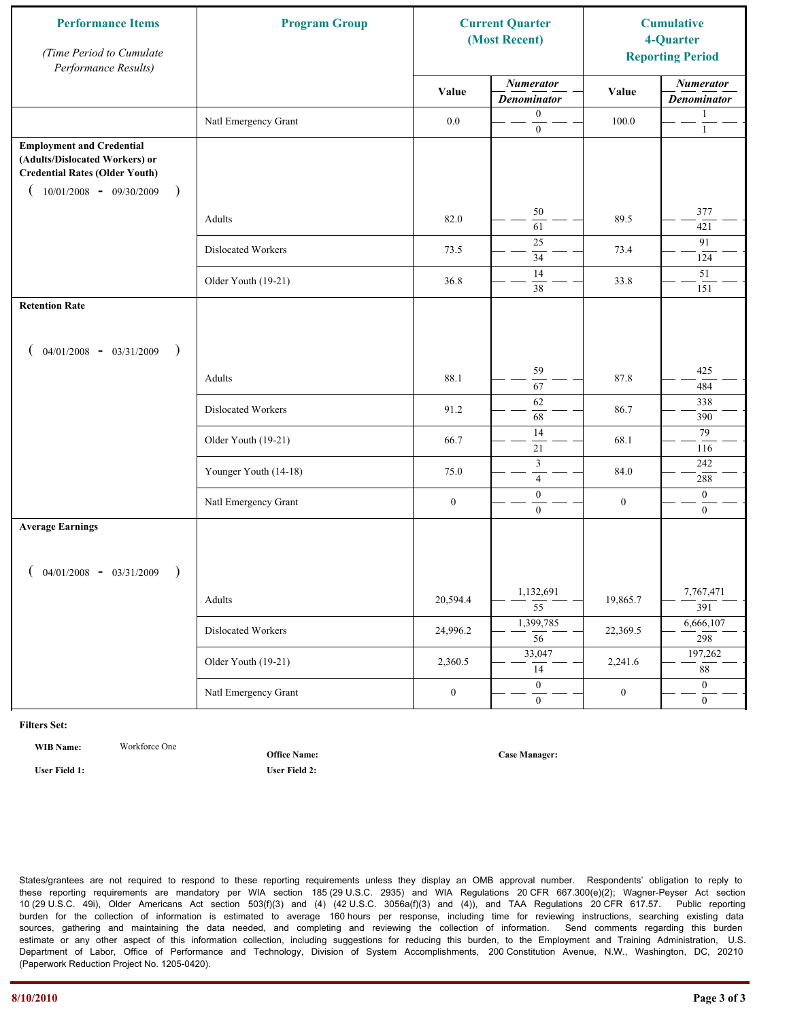| <b>Performance Items</b><br>(Time Period to Cumulate<br>Performance Results)                                                                                         | <b>Program Group</b><br><b>Current Quarter</b><br>(Most Recent) |                  |                                        |                  |                                        |  | <b>Cumulative</b><br>4-Quarter<br><b>Reporting Period</b> |
|----------------------------------------------------------------------------------------------------------------------------------------------------------------------|-----------------------------------------------------------------|------------------|----------------------------------------|------------------|----------------------------------------|--|-----------------------------------------------------------|
|                                                                                                                                                                      |                                                                 | Value            | <b>Numerator</b><br><b>Denominator</b> | Value            | <b>Numerator</b><br><b>Denominator</b> |  |                                                           |
|                                                                                                                                                                      | Natl Emergency Grant                                            | $0.0\,$          | $\boldsymbol{0}$<br>$\boldsymbol{0}$   | 100.0            | 1<br>$\mathbf{1}$                      |  |                                                           |
| <b>Employment and Credential</b><br>(Adults/Dislocated Workers) or<br><b>Credential Rates (Older Youth)</b><br>$10/01/2008$ - 09/30/2009<br>$\overline{\phantom{a}}$ |                                                                 |                  |                                        |                  |                                        |  |                                                           |
|                                                                                                                                                                      | Adults                                                          | 82.0             | 50<br>61                               | 89.5             | 377<br>421                             |  |                                                           |
|                                                                                                                                                                      | Dislocated Workers                                              | 73.5             | 25<br>$\overline{34}$                  | 73.4             | 91<br>124                              |  |                                                           |
|                                                                                                                                                                      | Older Youth (19-21)                                             | 36.8             | 14<br>38                               | 33.8             | 51<br>151                              |  |                                                           |
| <b>Retention Rate</b>                                                                                                                                                |                                                                 |                  |                                        |                  |                                        |  |                                                           |
| $04/01/2008$ - $03/31/2009$<br>$\rightarrow$                                                                                                                         |                                                                 |                  |                                        |                  |                                        |  |                                                           |
|                                                                                                                                                                      | Adults                                                          | 88.1             | 59<br>67                               | 87.8             | 425<br>484                             |  |                                                           |
|                                                                                                                                                                      | Dislocated Workers                                              | 91.2             | 62<br>68                               | 86.7             | 338<br>390                             |  |                                                           |
|                                                                                                                                                                      | Older Youth (19-21)                                             | 66.7             | 14<br>21                               | 68.1             | 79<br>116                              |  |                                                           |
|                                                                                                                                                                      | Younger Youth (14-18)                                           | 75.0             | $\mathfrak z$<br>$\overline{4}$        | 84.0             | 242<br>288                             |  |                                                           |
|                                                                                                                                                                      | Natl Emergency Grant                                            | $\boldsymbol{0}$ | $\boldsymbol{0}$<br>$\mathbf{0}$       | $\boldsymbol{0}$ | $\mathbf{0}$<br>$\overline{0}$         |  |                                                           |
| <b>Average Earnings</b>                                                                                                                                              |                                                                 |                  |                                        |                  |                                        |  |                                                           |
| $04/01/2008$ - $03/31/2009$<br>$\lambda$                                                                                                                             |                                                                 |                  |                                        |                  |                                        |  |                                                           |
|                                                                                                                                                                      | Adults                                                          | 20,594.4         | 1,132,691<br>$\overline{55}$           | 19,865.7         | 7,767,471<br>391                       |  |                                                           |
|                                                                                                                                                                      | Dislocated Workers                                              | 24,996.2         | 1,399,785<br>$\overline{56}$           | 22,369.5         | 6,666,107<br>298                       |  |                                                           |
|                                                                                                                                                                      | Older Youth (19-21)                                             | 2,360.5          | 33,047<br>14                           | 2,241.6          | 197,262<br>88                          |  |                                                           |
|                                                                                                                                                                      | Natl Emergency Grant                                            | $\boldsymbol{0}$ | $\overline{0}$<br>$\mathbf{0}$         | $\boldsymbol{0}$ | $\overline{0}$<br>$\mathbf{0}$         |  |                                                           |

**WIB Name:** Workforce One

**User Field 1: User Field 2:**

**Office Name:**

**Case Manager:**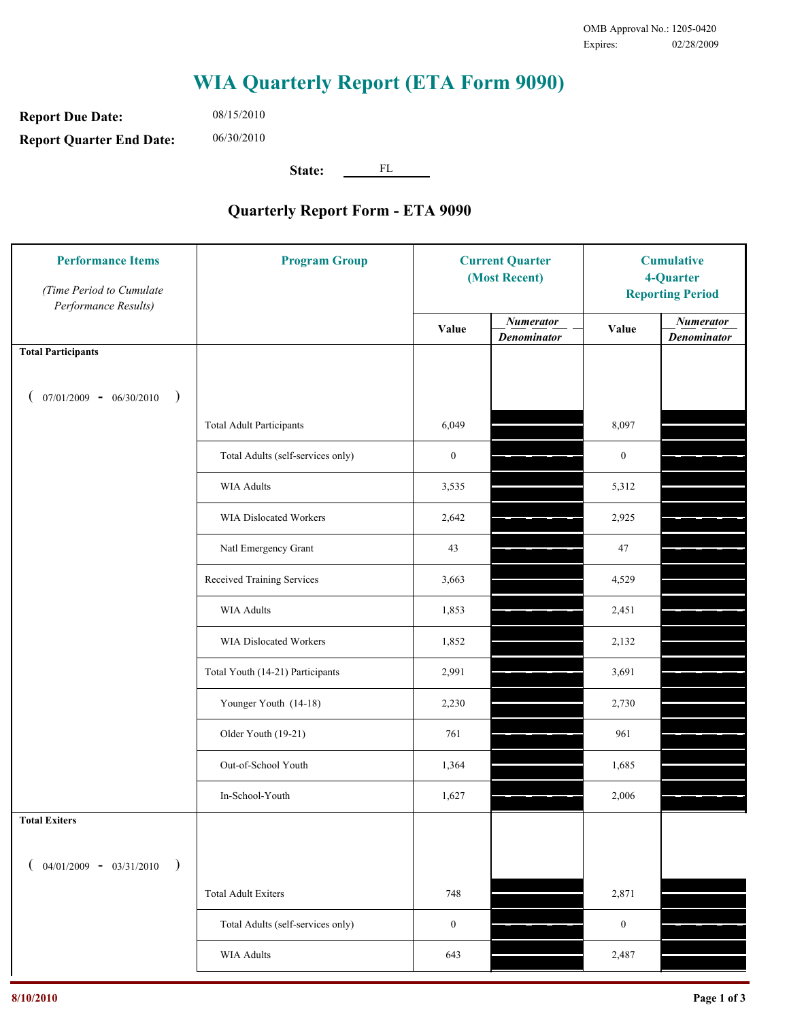**Report Due Date: Report Quarter End Date:** 06/30/2010

08/15/2010

**State:** FL

| <b>Performance Items</b><br>(Time Period to Cumulate<br>Performance Results) | <b>Program Group</b>              | <b>Current Quarter</b><br>(Most Recent) |                                        | <b>Cumulative</b><br>4-Quarter<br><b>Reporting Period</b> |                                        |
|------------------------------------------------------------------------------|-----------------------------------|-----------------------------------------|----------------------------------------|-----------------------------------------------------------|----------------------------------------|
|                                                                              |                                   | Value                                   | <b>Numerator</b><br><b>Denominator</b> | Value                                                     | <b>Numerator</b><br><b>Denominator</b> |
| <b>Total Participants</b>                                                    |                                   |                                         |                                        |                                                           |                                        |
| $07/01/2009 - 06/30/2010$<br>$\big)$                                         |                                   |                                         |                                        |                                                           |                                        |
|                                                                              | <b>Total Adult Participants</b>   | 6,049                                   |                                        | 8,097                                                     |                                        |
|                                                                              | Total Adults (self-services only) | $\boldsymbol{0}$                        |                                        | $\boldsymbol{0}$                                          |                                        |
|                                                                              | <b>WIA Adults</b>                 | 3,535                                   |                                        | 5,312                                                     |                                        |
|                                                                              | WIA Dislocated Workers            | 2,642                                   |                                        | 2,925                                                     |                                        |
|                                                                              | Natl Emergency Grant              | 43                                      |                                        | 47                                                        |                                        |
|                                                                              | Received Training Services        | 3,663                                   |                                        | 4,529                                                     |                                        |
|                                                                              | <b>WIA Adults</b>                 | 1,853                                   |                                        | 2,451                                                     |                                        |
|                                                                              | WIA Dislocated Workers            | 1,852                                   |                                        | 2,132                                                     |                                        |
|                                                                              | Total Youth (14-21) Participants  | 2,991                                   |                                        | 3,691                                                     |                                        |
|                                                                              | Younger Youth (14-18)             | 2,230                                   |                                        | 2,730                                                     |                                        |
|                                                                              | Older Youth (19-21)               | 761                                     |                                        | 961                                                       |                                        |
|                                                                              | Out-of-School Youth               | 1,364                                   |                                        | 1,685                                                     |                                        |
|                                                                              | In-School-Youth                   | 1,627                                   |                                        | 2,006                                                     |                                        |
| <b>Total Exiters</b>                                                         |                                   |                                         |                                        |                                                           |                                        |
| $04/01/2009 - 03/31/2010$                                                    |                                   |                                         |                                        |                                                           |                                        |
|                                                                              | <b>Total Adult Exiters</b>        | 748                                     |                                        | 2,871                                                     |                                        |
|                                                                              | Total Adults (self-services only) | $\boldsymbol{0}$                        |                                        | $\boldsymbol{0}$                                          |                                        |
|                                                                              | WIA Adults                        | 643                                     |                                        | 2,487                                                     |                                        |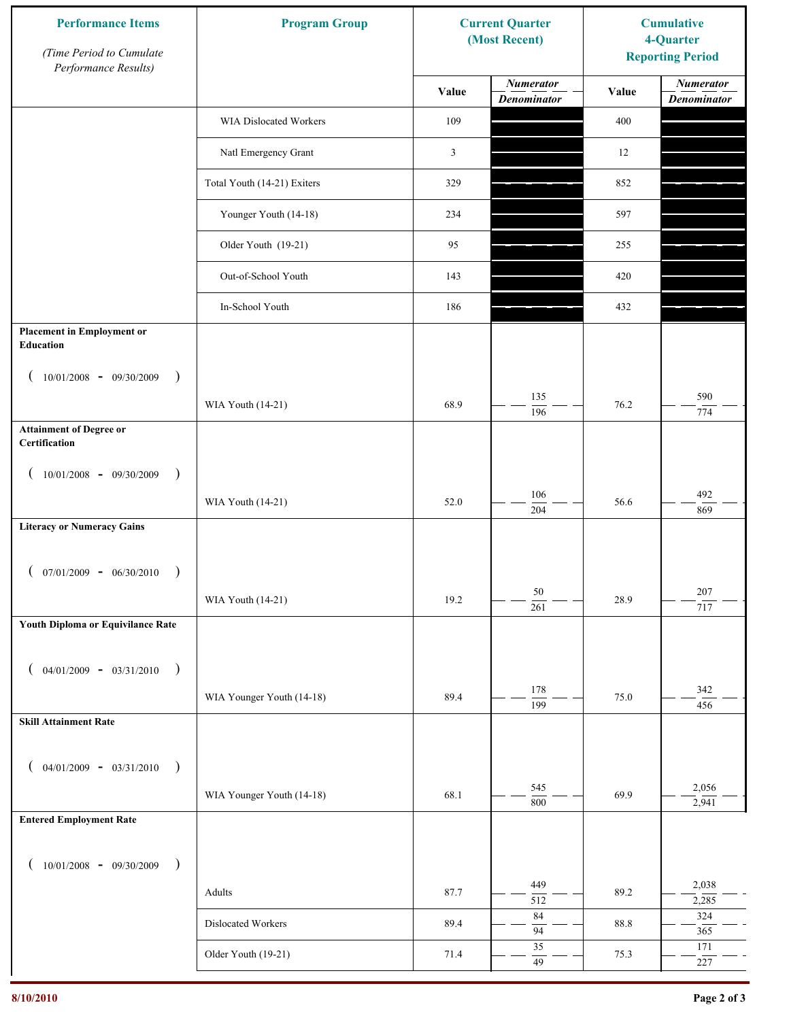| <b>Performance Items</b><br>(Time Period to Cumulate<br>Performance Results) | <b>Program Group</b>        |                | <b>Current Quarter</b><br>(Most Recent) |       | <b>Cumulative</b><br>4-Quarter<br><b>Reporting Period</b> |
|------------------------------------------------------------------------------|-----------------------------|----------------|-----------------------------------------|-------|-----------------------------------------------------------|
|                                                                              |                             | Value          | <b>Numerator</b><br><b>Denominator</b>  | Value | <b>Numerator</b><br><b>Denominator</b>                    |
|                                                                              | WIA Dislocated Workers      | 109            |                                         | 400   |                                                           |
|                                                                              | Natl Emergency Grant        | $\mathfrak{Z}$ |                                         | 12    |                                                           |
|                                                                              | Total Youth (14-21) Exiters | 329            |                                         | 852   |                                                           |
|                                                                              | Younger Youth (14-18)       | 234            |                                         | 597   |                                                           |
|                                                                              | Older Youth (19-21)         | 95             |                                         | 255   |                                                           |
|                                                                              | Out-of-School Youth         | 143            |                                         | 420   |                                                           |
|                                                                              | In-School Youth             | 186            |                                         | 432   |                                                           |
| <b>Placement in Employment or</b><br>Education                               |                             |                |                                         |       |                                                           |
| $10/01/2008 - 09/30/2009$<br>$\rightarrow$                                   |                             |                |                                         |       |                                                           |
|                                                                              | WIA Youth (14-21)           | 68.9           | 135<br>196                              | 76.2  | 590<br>774                                                |
| <b>Attainment of Degree or</b><br>Certification                              |                             |                |                                         |       |                                                           |
| $10/01/2008 - 09/30/2009$<br>$\big)$<br>$\left($                             |                             |                |                                         |       |                                                           |
|                                                                              | WIA Youth (14-21)           | 52.0           | 106<br>$\overline{204}$                 | 56.6  | 492<br>869                                                |
| <b>Literacy or Numeracy Gains</b>                                            |                             |                |                                         |       |                                                           |
| $(07/01/2009 - 06/30/2010)$<br>$\rightarrow$                                 |                             |                |                                         |       |                                                           |
|                                                                              | WIA Youth (14-21)           | 19.2           | $50\,$<br>261                           | 28.9  | 207<br>717                                                |
| Youth Diploma or Equivilance Rate                                            |                             |                |                                         |       |                                                           |
| $04/01/2009 - 03/31/2010$ )                                                  |                             |                |                                         |       |                                                           |
|                                                                              | WIA Younger Youth (14-18)   | 89.4           | 178                                     | 75.0  | 342                                                       |
| <b>Skill Attainment Rate</b>                                                 |                             |                | $\overline{199}$                        |       | 456                                                       |
|                                                                              |                             |                |                                         |       |                                                           |
| $04/01/2009 - 03/31/2010$ )                                                  | WIA Younger Youth (14-18)   | 68.1           | 545                                     | 69.9  | 2,056                                                     |
| <b>Entered Employment Rate</b>                                               |                             |                | 800                                     |       | 2,941                                                     |
|                                                                              |                             |                |                                         |       |                                                           |
| $10/01/2008$ - 09/30/2009<br>$\big)$                                         |                             |                | 449                                     |       | 2,038                                                     |
|                                                                              | Adults                      | 87.7           | 512<br>84                               | 89.2  | 2,285<br>324                                              |
|                                                                              | Dislocated Workers          | 89.4           | 94                                      | 88.8  | 365                                                       |
|                                                                              | Older Youth (19-21)         | 71.4           | 35<br>49                                | 75.3  | 171<br>$227\,$                                            |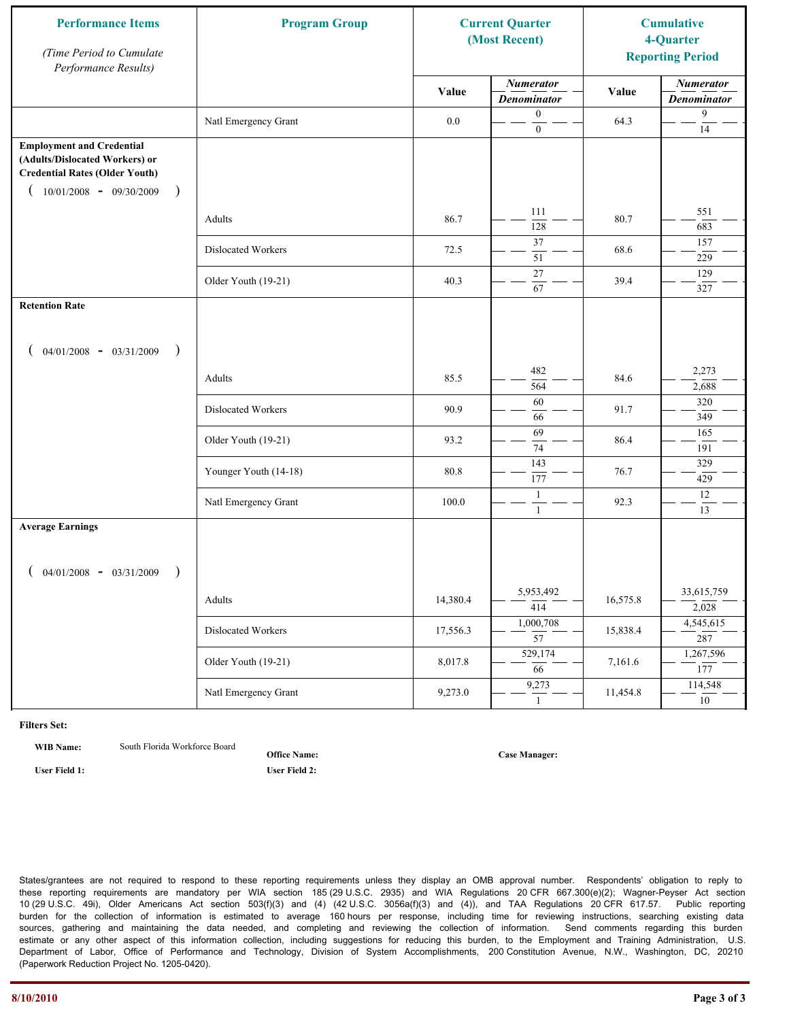| <b>Performance Items</b><br>(Time Period to Cumulate<br>Performance Results)                                                                              | <b>Program Group</b>  |          | <b>Current Quarter</b><br>(Most Recent) |          | <b>Cumulative</b><br>4-Quarter<br><b>Reporting Period</b> |
|-----------------------------------------------------------------------------------------------------------------------------------------------------------|-----------------------|----------|-----------------------------------------|----------|-----------------------------------------------------------|
|                                                                                                                                                           |                       | Value    | <b>Numerator</b><br><b>Denominator</b>  | Value    | <b>Numerator</b><br><b>Denominator</b>                    |
|                                                                                                                                                           | Natl Emergency Grant  | 0.0      | $\mathbf{0}$<br>$\boldsymbol{0}$        | 64.3     | 9<br>14                                                   |
| <b>Employment and Credential</b><br>(Adults/Dislocated Workers) or<br><b>Credential Rates (Older Youth)</b><br>$10/01/2008$ - 09/30/2009<br>$\rightarrow$ |                       |          |                                         |          |                                                           |
|                                                                                                                                                           | Adults                | 86.7     | 111<br>128                              | 80.7     | 551<br>683                                                |
|                                                                                                                                                           | Dislocated Workers    | 72.5     | 37<br>51                                | 68.6     | 157<br>229                                                |
|                                                                                                                                                           | Older Youth (19-21)   | 40.3     | 27<br>67                                | 39.4     | 129<br>327                                                |
| <b>Retention Rate</b>                                                                                                                                     |                       |          |                                         |          |                                                           |
| $04/01/2008$ - $03/31/2009$<br>$\rightarrow$                                                                                                              |                       |          |                                         |          |                                                           |
|                                                                                                                                                           | Adults                | 85.5     | 482<br>564                              | 84.6     | 2,273<br>2,688                                            |
|                                                                                                                                                           | Dislocated Workers    | 90.9     | 60<br>66                                | 91.7     | 320<br>349                                                |
|                                                                                                                                                           | Older Youth (19-21)   | 93.2     | 69<br>74                                | 86.4     | 165<br>191                                                |
|                                                                                                                                                           | Younger Youth (14-18) | 80.8     | 143<br>177                              | 76.7     | 329<br>429                                                |
|                                                                                                                                                           | Natl Emergency Grant  | 100.0    | $\mathbf{1}$<br>$\mathbf{1}$            | 92.3     | $12\,$<br>13                                              |
| <b>Average Earnings</b>                                                                                                                                   |                       |          |                                         |          |                                                           |
| $04/01/2008$ - $03/31/2009$<br>$\lambda$                                                                                                                  |                       |          |                                         |          |                                                           |
|                                                                                                                                                           | Adults                | 14,380.4 | 5,953,492<br>$\overline{414}$           | 16,575.8 | 33,615,759<br>2,028                                       |
|                                                                                                                                                           | Dislocated Workers    | 17,556.3 | 1,000,708<br>$\overline{57}$            | 15,838.4 | 4,545,615<br>287                                          |
|                                                                                                                                                           | Older Youth (19-21)   | 8,017.8  | 529,174<br>$\overline{66}$              | 7,161.6  | 1,267,596<br>177                                          |
|                                                                                                                                                           | Natl Emergency Grant  | 9,273.0  | 9,273<br>$\mathbf{1}$                   | 11,454.8 | 114,548<br>10                                             |

**WIB Name:** South Florida Workforce Board

**Office Name:**

**User Field 1: User Field 2:**

**Case Manager:**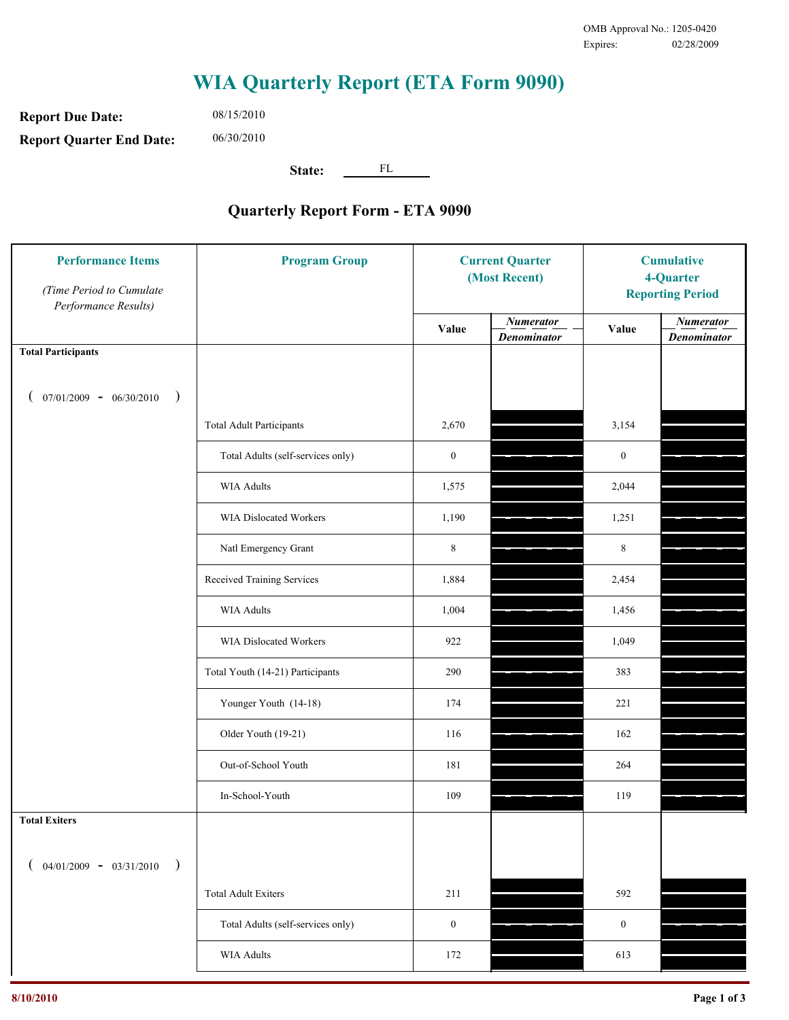**Report Due Date: Report Quarter End Date:** 06/30/2010

08/15/2010

**State:** FL

| <b>Performance Items</b><br>(Time Period to Cumulate<br>Performance Results) | <b>Program Group</b>              | <b>Current Quarter</b><br>(Most Recent) |                                        | <b>Cumulative</b><br>4-Quarter<br><b>Reporting Period</b> |                                        |
|------------------------------------------------------------------------------|-----------------------------------|-----------------------------------------|----------------------------------------|-----------------------------------------------------------|----------------------------------------|
|                                                                              |                                   | Value                                   | <b>Numerator</b><br><b>Denominator</b> | Value                                                     | <b>Numerator</b><br><b>Denominator</b> |
| <b>Total Participants</b>                                                    |                                   |                                         |                                        |                                                           |                                        |
| $07/01/2009 - 06/30/2010$<br>$\big)$                                         |                                   |                                         |                                        |                                                           |                                        |
|                                                                              | <b>Total Adult Participants</b>   | 2,670                                   |                                        | 3,154                                                     |                                        |
|                                                                              | Total Adults (self-services only) | $\boldsymbol{0}$                        |                                        | $\boldsymbol{0}$                                          |                                        |
|                                                                              | <b>WIA Adults</b>                 | 1,575                                   |                                        | 2,044                                                     |                                        |
|                                                                              | <b>WIA Dislocated Workers</b>     | 1,190                                   |                                        | 1,251                                                     |                                        |
|                                                                              | Natl Emergency Grant              | $\,8\,$                                 |                                        | $\,8\,$                                                   |                                        |
|                                                                              | Received Training Services        | 1,884                                   |                                        | 2,454                                                     |                                        |
|                                                                              | <b>WIA Adults</b>                 | 1,004                                   |                                        | 1,456                                                     |                                        |
|                                                                              | WIA Dislocated Workers            | 922                                     |                                        | 1,049                                                     |                                        |
|                                                                              | Total Youth (14-21) Participants  | 290                                     |                                        | 383                                                       |                                        |
|                                                                              | Younger Youth (14-18)             | 174                                     |                                        | 221                                                       |                                        |
|                                                                              | Older Youth (19-21)               | 116                                     |                                        | 162                                                       |                                        |
|                                                                              | Out-of-School Youth               | 181                                     |                                        | 264                                                       |                                        |
|                                                                              | In-School-Youth                   | 109                                     |                                        | 119                                                       |                                        |
| <b>Total Exiters</b>                                                         |                                   |                                         |                                        |                                                           |                                        |
| $04/01/2009 - 03/31/2010$<br>$\lambda$                                       |                                   |                                         |                                        |                                                           |                                        |
|                                                                              | <b>Total Adult Exiters</b>        | 211                                     |                                        | 592                                                       |                                        |
|                                                                              | Total Adults (self-services only) | $\boldsymbol{0}$                        |                                        | $\boldsymbol{0}$                                          |                                        |
|                                                                              | WIA Adults                        | 172                                     |                                        | 613                                                       |                                        |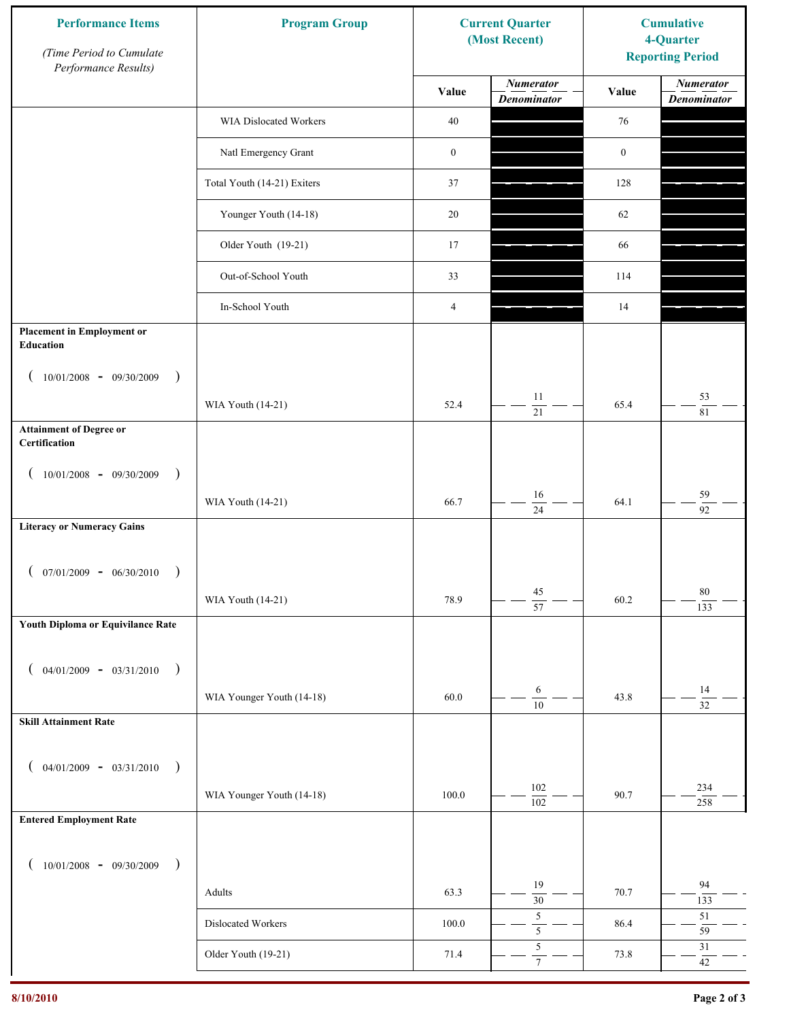| <b>Performance Items</b><br>(Time Period to Cumulate<br>Performance Results) | <b>Program Group</b>        |                  | <b>Current Quarter</b><br>(Most Recent) | <b>Cumulative</b><br>4-Quarter<br><b>Reporting Period</b> |                                        |
|------------------------------------------------------------------------------|-----------------------------|------------------|-----------------------------------------|-----------------------------------------------------------|----------------------------------------|
|                                                                              |                             | Value            | <b>Numerator</b><br><b>Denominator</b>  | Value                                                     | <b>Numerator</b><br><b>Denominator</b> |
|                                                                              | WIA Dislocated Workers      | $40\,$           |                                         | 76                                                        |                                        |
|                                                                              | Natl Emergency Grant        | $\boldsymbol{0}$ |                                         | $\boldsymbol{0}$                                          |                                        |
|                                                                              | Total Youth (14-21) Exiters | 37               |                                         | 128                                                       |                                        |
|                                                                              | Younger Youth (14-18)       | 20               |                                         | 62                                                        |                                        |
|                                                                              | Older Youth (19-21)         | 17               |                                         | 66                                                        |                                        |
|                                                                              | Out-of-School Youth         | 33               |                                         | 114                                                       |                                        |
|                                                                              | In-School Youth             | $\overline{4}$   |                                         | 14                                                        |                                        |
| <b>Placement in Employment or</b><br><b>Education</b>                        |                             |                  |                                         |                                                           |                                        |
| $10/01/2008 - 09/30/2009$<br>$\rightarrow$                                   |                             |                  |                                         |                                                           |                                        |
|                                                                              | WIA Youth (14-21)           | 52.4             | 11<br>$21\,$                            | 65.4                                                      | 53<br>$8\sqrt{1}$                      |
| <b>Attainment of Degree or</b><br>Certification                              |                             |                  |                                         |                                                           |                                        |
| $(10/01/2008 - 09/30/2009$<br>$\lambda$                                      |                             |                  |                                         |                                                           |                                        |
|                                                                              | WIA Youth (14-21)           | 66.7             | 16<br>$\overline{24}$                   | 64.1                                                      | 59<br>$\overline{92}$                  |
| <b>Literacy or Numeracy Gains</b>                                            |                             |                  |                                         |                                                           |                                        |
| $07/01/2009 - 06/30/2010$                                                    |                             |                  |                                         |                                                           |                                        |
|                                                                              | WIA Youth (14-21)           | 78.9             | $45\,$<br>$\overline{57}$               | 60.2                                                      | 80<br>133                              |
| Youth Diploma or Equivilance Rate                                            |                             |                  |                                         |                                                           |                                        |
| $04/01/2009 - 03/31/2010$<br>$\rightarrow$                                   |                             |                  |                                         |                                                           |                                        |
|                                                                              | WIA Younger Youth (14-18)   | 60.0             | $\boldsymbol{6}$<br>$\overline{10}$     | 43.8                                                      | $14\,$<br>$\overline{32}$              |
| <b>Skill Attainment Rate</b>                                                 |                             |                  |                                         |                                                           |                                        |
| $04/01/2009 - 03/31/2010$ )                                                  |                             |                  |                                         |                                                           |                                        |
|                                                                              | WIA Younger Youth (14-18)   | 100.0            | 102                                     | 90.7                                                      | 234                                    |
| <b>Entered Employment Rate</b>                                               |                             |                  | $\overline{102}$                        |                                                           | 258                                    |
|                                                                              |                             |                  |                                         |                                                           |                                        |
| $10/01/2008$ - 09/30/2009<br>$\big)$                                         |                             |                  | 19                                      |                                                           | 94                                     |
|                                                                              | Adults                      | 63.3             | $\overline{30}$<br>$\sqrt{5}$           | 70.7                                                      | 133<br>$51\,$                          |
|                                                                              | Dislocated Workers          | 100.0            | $\overline{\mathbf{5}}$<br>$\sqrt{5}$   | 86.4                                                      | 59<br>$31\,$                           |
|                                                                              | Older Youth (19-21)         | 71.4             | $\boldsymbol{7}$                        | 73.8                                                      | $42\,$                                 |